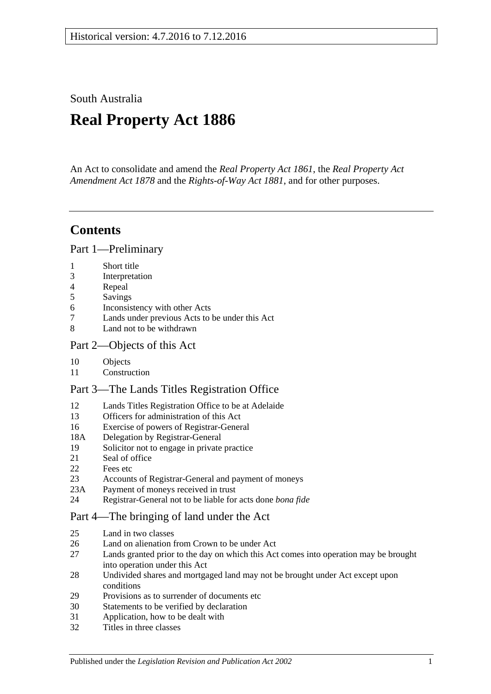South Australia

# **Real Property Act 1886**

An Act to consolidate and amend the *[Real Property Act](http://www.legislation.sa.gov.au/index.aspx?action=legref&type=act&legtitle=Real%20Property%20Act%201861) 1861*, the *[Real Property Act](http://www.legislation.sa.gov.au/index.aspx?action=legref&type=act&legtitle=Real%20Property%20Act%20Amendment%20Act%201878)  [Amendment Act](http://www.legislation.sa.gov.au/index.aspx?action=legref&type=act&legtitle=Real%20Property%20Act%20Amendment%20Act%201878) 1878* and the *[Rights-of-Way Act](http://www.legislation.sa.gov.au/index.aspx?action=legref&type=act&legtitle=Rights-of-Way%20Act%201881) 1881*, and for other purposes.

## **Contents**

[Part 1—Preliminary](#page-10-0)

- [Short title](#page-10-1)
- [Interpretation](#page-10-2)
- [Repeal](#page-12-0)
- [Savings](#page-12-1)
- [Inconsistency with other Acts](#page-12-2)
- [Lands under previous Acts to be under this Act](#page-13-0)
- [Land not to be withdrawn](#page-13-1)

## [Part 2—Objects of this Act](#page-14-0)

- [Objects](#page-14-1)
- [Construction](#page-14-2)

## [Part 3—The Lands Titles Registration Office](#page-16-0)

- [Lands Titles Registration Office to be at Adelaide](#page-16-1)
- [Officers for administration of this Act](#page-16-2)
- [Exercise of powers of Registrar-General](#page-16-3)<br>18A Delegation by Registrar-General
- [Delegation by Registrar-General](#page-16-4)
- [Solicitor not to engage in private practice](#page-16-5)
- [Seal of office](#page-16-6)
- [Fees etc](#page-17-0)
- [Accounts of Registrar-General and payment of moneys](#page-17-1)
- 23A [Payment of moneys received in trust](#page-17-2)
- [Registrar-General not to be liable for acts done](#page-17-3) *bona fide*

## [Part 4—The bringing of land under the Act](#page-18-0)

- [Land in two classes](#page-18-1)
- [Land on alienation from Crown to be under Act](#page-18-2)
- [Lands granted prior to the day on which this Act comes into operation may be brought](#page-18-3)  [into operation under this Act](#page-18-3)
- [Undivided shares and mortgaged land may not be brought under Act except upon](#page-19-0)  [conditions](#page-19-0)
- [Provisions as to surrender of documents etc](#page-19-1)
- [Statements to be verified by declaration](#page-19-2)
- [Application, how to be dealt with](#page-19-3)
- [Titles in three classes](#page-20-0)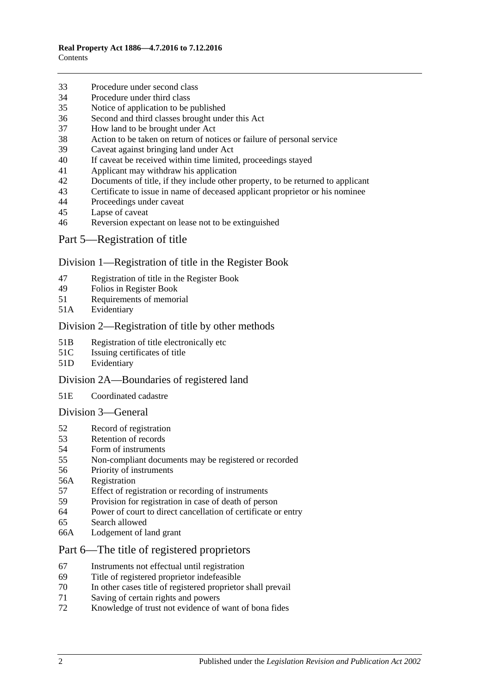- [Procedure under second class](#page-20-1)
- [Procedure under third class](#page-21-0)
- [Notice of application to be published](#page-21-1)
- [Second and third classes brought under this Act](#page-21-2)
- [How land to be brought under Act](#page-21-3)
- [Action to be taken on return of notices or failure of personal service](#page-22-0)
- [Caveat against bringing land under Act](#page-22-1)
- [If caveat be received within time limited, proceedings stayed](#page-22-2)
- [Applicant may withdraw his application](#page-22-3)
- [Documents of title, if they include other property, to be returned to applicant](#page-22-4)
- [Certificate to issue in name of deceased applicant proprietor or his nominee](#page-23-0)
- [Proceedings under caveat](#page-23-1)
- [Lapse of caveat](#page-23-2)
- [Reversion expectant on lease not to be extinguished](#page-23-3)
- [Part 5—Registration of title](#page-24-0)

#### [Division 1—Registration of title in the Register Book](#page-24-1)

- [Registration of title in the Register Book](#page-24-2)
- [Folios in Register Book](#page-24-3)
- [Requirements of memorial](#page-24-4)
- 51A [Evidentiary](#page-24-5)

#### [Division 2—Registration of title by other methods](#page-24-6)

- 51B [Registration of title electronically etc](#page-24-7)
- 51C [Issuing certificates of title](#page-25-0)
- 51D [Evidentiary](#page-25-1)

#### [Division 2A—Boundaries of registered land](#page-25-2)

51E [Coordinated cadastre](#page-25-3)

#### [Division 3—General](#page-26-0)

- [Record of registration](#page-26-1)
- [Retention of records](#page-26-2)
- [Form of instruments](#page-26-3)
- [Non-compliant documents may be registered or recorded](#page-26-4)
- [Priority of instruments](#page-26-5)
- 56A [Registration](#page-27-0)
- [Effect of registration or recording of instruments](#page-27-1)
- [Provision for registration in case of death of person](#page-27-2)
- [Power of court to direct cancellation of certificate or entry](#page-27-3)
- [Search allowed](#page-28-0)
- 66A [Lodgement of land grant](#page-28-1)

## [Part 6—The title of registered proprietors](#page-30-0)

- [Instruments not effectual until registration](#page-30-1)
- [Title of registered proprietor indefeasible](#page-30-2)
- [In other cases title of registered proprietor shall prevail](#page-32-0)
- [Saving of certain rights and powers](#page-32-1)
- [Knowledge of trust not evidence of want of bona fides](#page-32-2)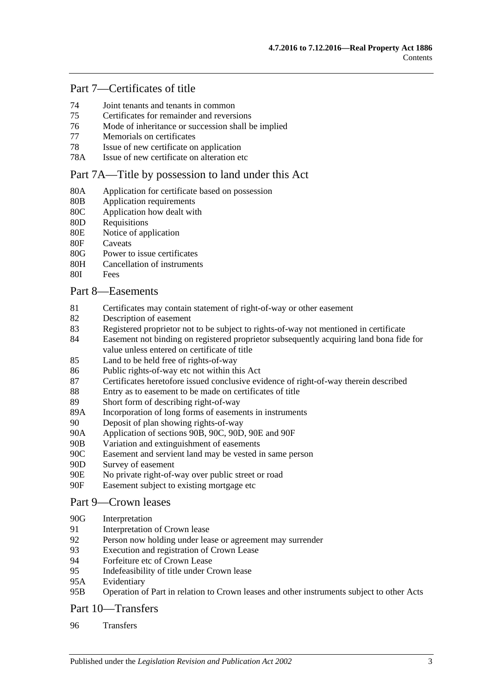## [Part 7—Certificates of title](#page-34-0)

- 74 [Joint tenants and tenants in common](#page-34-1)
- 75 [Certificates for remainder and reversions](#page-34-2)
- 76 [Mode of inheritance or succession shall be implied](#page-34-3)
- 77 [Memorials on certificates](#page-34-4)
- 78 [Issue of new certificate on application](#page-34-5)
- 78A [Issue of new certificate on alteration etc](#page-34-6)

#### [Part 7A—Title by possession to land under this Act](#page-36-0)

- 80A [Application for certificate based on possession](#page-36-1)
- 80B [Application requirements](#page-36-2)<br>80C Application how dealt with
- [Application how dealt with](#page-36-3)
- 80D [Requisitions](#page-36-4)<br>80E Notice of any
- [Notice of application](#page-36-5)
- 80F [Caveats](#page-37-0)
- 80G [Power to issue certificates](#page-37-1)
- 80H [Cancellation of instruments](#page-38-0)
- 80I [Fees](#page-38-1)

#### [Part 8—Easements](#page-40-0)

- 81 [Certificates may contain statement of right-of-way or other easement](#page-40-1)
- 82 [Description of easement](#page-40-2)
- 83 [Registered proprietor not to be subject to rights-of-way not mentioned in certificate](#page-40-3)
- 84 [Easement not binding on registered proprietor subsequently acquiring land bona fide for](#page-40-4)  [value unless entered on certificate of title](#page-40-4)
- 85 [Land to be held free of rights-of-way](#page-40-5)
- 86 [Public rights-of-way etc not within this Act](#page-40-6)
- 87 [Certificates heretofore issued conclusive evidence of right-of-way therein described](#page-41-0)
- 88 [Entry as to easement to be made on certificates of title](#page-41-1)
- 89 [Short form of describing right-of-way](#page-41-2)
- 89A [Incorporation of long forms of easements in instruments](#page-41-3)
- 90 [Deposit of plan showing rights-of-way](#page-41-4)
- 90A [Application of sections](#page-41-5) 90B, [90C, 90D, 90E](#page-41-5) and [90F](#page-41-5)
- 90B [Variation and extinguishment of easements](#page-42-0)
- 90C [Easement and servient land may be vested in same person](#page-44-0)
- 90D [Survey of easement](#page-45-0)
- 90E [No private right-of-way over public street or road](#page-45-1)
- 90F [Easement subject to existing mortgage etc](#page-45-2)

#### [Part 9—Crown leases](#page-46-0)

#### 90G [Interpretation](#page-46-1)

- 91 [Interpretation of Crown lease](#page-46-2)
- 92 [Person now holding under lease or agreement may surrender](#page-46-3)
- 93 [Execution and registration of Crown Lease](#page-46-4)
- 94 [Forfeiture etc of Crown Lease](#page-47-0)
- 95 [Indefeasibility of title under Crown lease](#page-47-1)
- 95A [Evidentiary](#page-47-2)
- 95B [Operation of Part in relation to Crown leases and other instruments subject to other Acts](#page-48-0)

## [Part 10—Transfers](#page-50-0)

96 [Transfers](#page-50-1)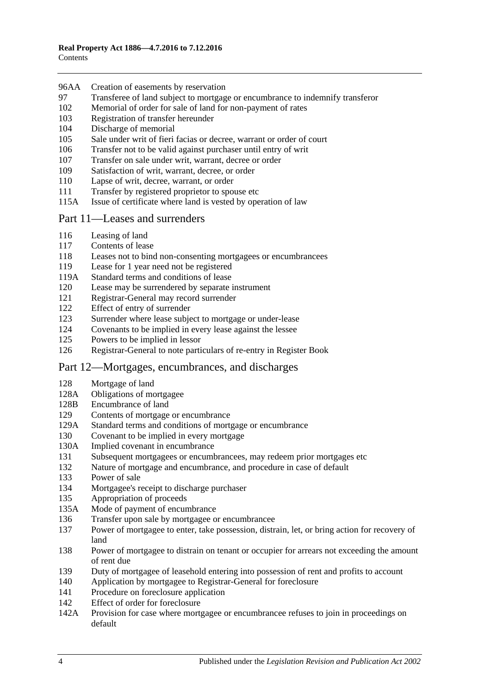- 96AA [Creation of easements by reservation](#page-50-2)
- [Transferee of land subject to mortgage or encumbrance to indemnify transferor](#page-50-3)
- [Memorial of order for sale of land for non-payment of rates](#page-51-0)
- [Registration of transfer hereunder](#page-51-1)
- [Discharge of memorial](#page-51-2)
- [Sale under writ of fieri facias or decree, warrant or order of court](#page-51-3)
- [Transfer not to be valid against purchaser until entry of writ](#page-51-4)
- [Transfer on sale under writ, warrant, decree or order](#page-52-0)
- [Satisfaction of writ, warrant, decree, or order](#page-52-1)
- [Lapse of writ, decree, warrant, or order](#page-52-2)
- [Transfer by registered proprietor to spouse etc](#page-52-3)
- 115A [Issue of certificate where land is vested by operation of law](#page-52-4)

#### [Part 11—Leases and surrenders](#page-54-0)

- [Leasing of land](#page-54-1)
- [Contents of lease](#page-54-2)
- [Leases not to bind non-consenting mortgagees or encumbrancees](#page-54-3)
- [Lease for 1 year need not be registered](#page-54-4)
- 119A [Standard terms and conditions of lease](#page-54-5)
- [Lease may be surrendered by separate instrument](#page-55-0)
- [Registrar-General may record surrender](#page-55-1)
- [Effect of entry of surrender](#page-55-2)
- [Surrender where lease subject to mortgage or under-lease](#page-55-3)
- [Covenants to be implied in every lease against the lessee](#page-55-4)
- [Powers to be implied in lessor](#page-55-5)
- [Registrar-General to note particulars of re-entry in Register Book](#page-56-0)

## [Part 12—Mortgages, encumbrances, and discharges](#page-58-0)

- [Mortgage of land](#page-58-1)
- 128A [Obligations of mortgagee](#page-58-2)
- 128B [Encumbrance of land](#page-59-0)
- [Contents of mortgage or encumbrance](#page-59-1)
- 129A [Standard terms and conditions of mortgage or encumbrance](#page-59-2)
- [Covenant to be implied in every mortgage](#page-60-0)
- 130A [Implied covenant in encumbrance](#page-60-1)
- [Subsequent mortgagees or encumbrancees, may redeem prior mortgages etc](#page-60-2)
- [Nature of mortgage and encumbrance, and procedure in case of default](#page-60-3)
- [Power of sale](#page-61-0)
- [Mortgagee's receipt to discharge purchaser](#page-61-1)
- [Appropriation of proceeds](#page-61-2)
- 135A [Mode of payment of encumbrance](#page-61-3)
- [Transfer upon sale by mortgagee or encumbrancee](#page-61-4)
- [Power of mortgagee to enter, take possession, distrain, let, or bring action for recovery of](#page-62-0)  [land](#page-62-0)
- [Power of mortgagee to distrain on tenant or occupier for arrears not exceeding the amount](#page-62-1)  [of rent due](#page-62-1)
- [Duty of mortgagee of leasehold entering into possession of rent and profits to account](#page-63-0)
- [Application by mortgagee to Registrar-General for foreclosure](#page-63-1)
- [Procedure on foreclosure application](#page-63-2)
- [Effect of order for foreclosure](#page-64-0)
- 142A [Provision for case where mortgagee or encumbrancee refuses to join in proceedings on](#page-64-1)  [default](#page-64-1)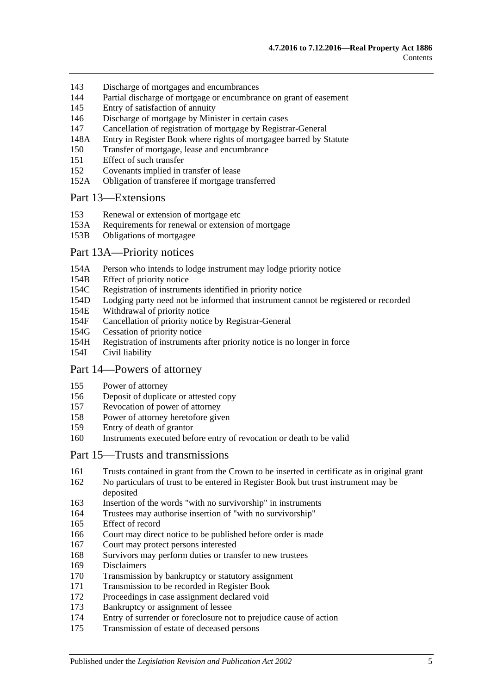- 143 [Discharge of mortgages and encumbrances](#page-64-2)
- 144 [Partial discharge of mortgage or encumbrance on grant of easement](#page-64-3)
- 145 [Entry of satisfaction of annuity](#page-65-0)
- 146 [Discharge of mortgage by Minister in certain cases](#page-65-1)
- 147 [Cancellation of registration of mortgage by Registrar-General](#page-66-0)
- 148A [Entry in Register Book where rights of mortgagee barred by Statute](#page-66-1)
- 150 [Transfer of mortgage, lease and encumbrance](#page-66-2)
- 151 [Effect of such transfer](#page-67-0)
- 152 [Covenants implied in transfer of lease](#page-67-1)
- 152A [Obligation of transferee if mortgage transferred](#page-67-2)

#### [Part 13—Extensions](#page-68-0)

- 153 [Renewal or extension of mortgage etc](#page-68-1)
- 153A [Requirements for renewal or extension of mortgage](#page-68-2)
- 153B [Obligations of mortgagee](#page-69-0)

#### Part [13A—Priority notices](#page-70-0)

- 154A [Person who intends to lodge instrument may lodge priority notice](#page-70-1)
- 154B [Effect of priority notice](#page-71-0)
- 154C [Registration of instruments identified in priority notice](#page-73-0)
- 154D [Lodging party need not be informed that instrument cannot be registered or recorded](#page-73-1)
- 154E [Withdrawal of priority notice](#page-73-2)<br>154F Cancellation of priority notice
- [Cancellation of priority notice by Registrar-General](#page-73-3)
- 154G [Cessation of priority notice](#page-73-4)
- 154H [Registration of instruments after priority notice is no longer in force](#page-74-0)
- 154I [Civil liability](#page-74-1)

#### [Part 14—Powers of attorney](#page-76-0)

- 155 [Power of attorney](#page-76-1)
- 156 [Deposit of duplicate or attested copy](#page-76-2)
- 157 [Revocation of power of attorney](#page-76-3)
- 158 [Power of attorney heretofore given](#page-76-4)
- 159 [Entry of death of grantor](#page-76-5)
- 160 [Instruments executed before entry of revocation or death to be valid](#page-76-6)

#### [Part 15—Trusts and transmissions](#page-78-0)

- 161 [Trusts contained in grant from the Crown to be inserted in certificate as in original grant](#page-78-1)
- 162 [No particulars of trust to be entered in Register Book but trust instrument may be](#page-78-2)  [deposited](#page-78-2)
- 163 Insertion of the words ["with no survivorship" in instruments](#page-78-3)
- 164 [Trustees may authorise insertion of "with no survivorship"](#page-78-4)
- 165 [Effect of record](#page-79-0)
- 166 [Court may direct notice to be published before order is made](#page-79-1)
- 167 [Court may protect persons interested](#page-79-2)
- 168 [Survivors may perform duties or transfer to new trustees](#page-79-3)
- 169 [Disclaimers](#page-79-4)
- 170 [Transmission by bankruptcy or statutory assignment](#page-80-0)
- 171 [Transmission to be recorded in Register Book](#page-80-1)
- 172 [Proceedings in case assignment declared void](#page-81-0)
- 173 [Bankruptcy or assignment of lessee](#page-81-1)
- 174 [Entry of surrender or foreclosure not to prejudice cause of action](#page-82-0)
- 175 [Transmission of estate of deceased persons](#page-82-1)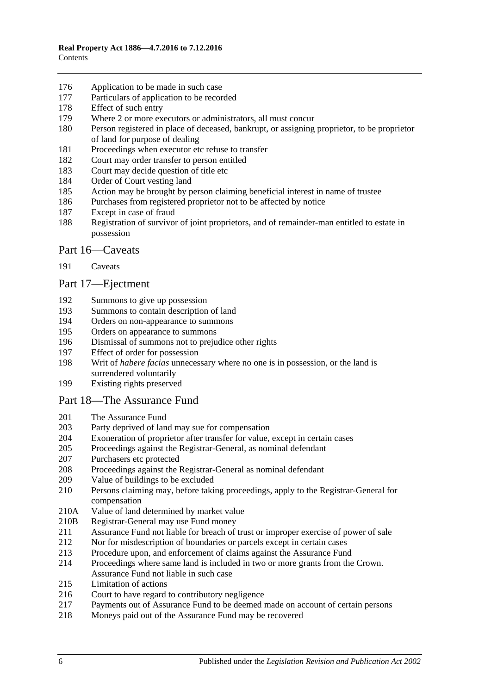- [Application to be made in such case](#page-83-0)
- [Particulars of application to be recorded](#page-83-1)
- [Effect of such entry](#page-83-2)
- [Where 2 or more executors or administrators, all must concur](#page-83-3)
- [Person registered in place of deceased, bankrupt, or assigning proprietor, to be proprietor](#page-83-4)  [of land for purpose of dealing](#page-83-4)
- [Proceedings when executor etc refuse to transfer](#page-83-5)
- [Court may order transfer to person entitled](#page-83-6)
- [Court may decide question of title etc](#page-84-0)
- [Order of Court vesting land](#page-84-1)
- [Action may be brought by person claiming beneficial interest in name of trustee](#page-84-2)
- [Purchases from registered proprietor not to be affected by notice](#page-84-3)
- [Except in case of fraud](#page-84-4)
- [Registration of survivor of joint proprietors, and of remainder-man entitled to estate in](#page-84-5)  [possession](#page-84-5)

### [Part 16—Caveats](#page-86-0)

[Caveats](#page-86-1)

#### [Part 17—Ejectment](#page-90-0)

- [Summons to give up possession](#page-90-1)
- [Summons to contain description of land](#page-90-2)<br>194 Orders on non-appearance to summons
- [Orders on non-appearance to summons](#page-90-3)
- [Orders on appearance to summons](#page-90-4)
- [Dismissal of summons not to prejudice other rights](#page-90-5)
- [Effect of order for possession](#page-90-6)
- Writ of *habere facias* [unnecessary where no one is in possession, or the land is](#page-91-0)  [surrendered voluntarily](#page-91-0)
- [Existing rights preserved](#page-91-1)

#### [Part 18—The Assurance Fund](#page-92-0)

- [The Assurance Fund](#page-92-1)
- [Party deprived of land may sue for compensation](#page-93-0)
- [Exoneration of proprietor after transfer for value, except in certain cases](#page-93-1)
- [Proceedings against the Registrar-General, as nominal defendant](#page-93-2)
- [Purchasers etc protected](#page-93-3)
- [Proceedings against the Registrar-General as nominal defendant](#page-94-0)
- [Value of buildings to be excluded](#page-94-1)
- [Persons claiming may, before taking proceedings, apply to the Registrar-General for](#page-94-2)  [compensation](#page-94-2)
- 210A [Value of land determined by market value](#page-94-3)
- 210B [Registrar-General may use Fund money](#page-94-4)
- [Assurance Fund not liable for breach of trust or improper exercise of power of sale](#page-95-0)
- [Nor for misdescription of boundaries or parcels except in certain cases](#page-95-1)
- [Procedure upon, and enforcement of claims against the Assurance Fund](#page-95-2)
- [Proceedings where same land is included in two or more grants from the Crown.](#page-96-0)  [Assurance Fund not liable in such case](#page-96-0)
- [Limitation of actions](#page-97-0)
- [Court to have regard to contributory negligence](#page-97-1)
- [Payments out of Assurance Fund to be deemed made on account of certain persons](#page-97-2)
- [Moneys paid out of the Assurance Fund may be recovered](#page-97-3)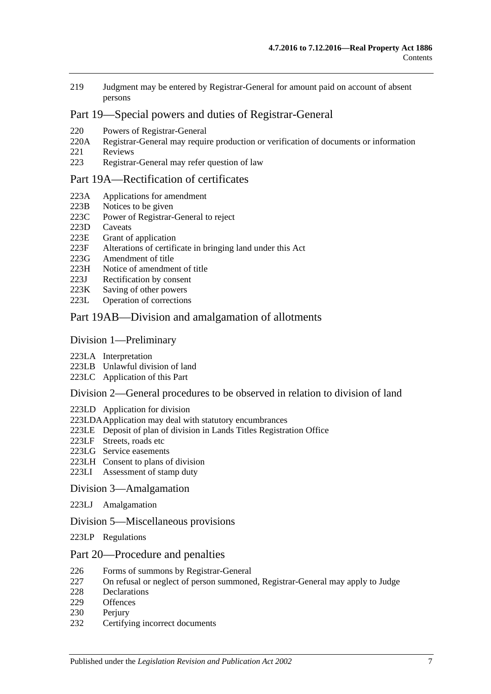219 [Judgment may be entered by Registrar-General for amount paid on account of absent](#page-97-4)  [persons](#page-97-4)

## [Part 19—Special powers and duties of Registrar-General](#page-98-0)

- 220 [Powers of Registrar-General](#page-98-1)
- 220A [Registrar-General may require production or verification of documents or information](#page-100-0)<br>221 Reviews
- **[Reviews](#page-101-0)**
- 223 [Registrar-General may refer question of law](#page-102-0)

#### [Part 19A—Rectification of certificates](#page-104-0)

- 223A [Applications for amendment](#page-104-1)
- 223B [Notices to be given](#page-104-2)
- 223C [Power of Registrar-General to reject](#page-104-3)
- 223D [Caveats](#page-105-0)
- 223E [Grant of application](#page-105-1)
- 223F [Alterations of certificate in bringing land under this Act](#page-105-2)
- 223G [Amendment of title](#page-105-3)<br>223H Notice of amendmen
- [Notice of amendment of title](#page-105-4)
- 223J [Rectification by consent](#page-105-5)
- 223K [Saving of other powers](#page-106-0)
- 223L [Operation of corrections](#page-106-1)

#### [Part 19AB—Division and amalgamation of allotments](#page-108-0)

#### [Division 1—Preliminary](#page-108-1)

- 223LA [Interpretation](#page-108-2)
- 223LB [Unlawful division of land](#page-111-0)
- 223LC [Application of this Part](#page-112-0)

#### [Division 2—General procedures to be observed in relation to division of land](#page-113-0)

- 223LD [Application for division](#page-113-1)
- [223LDAApplication may deal with statutory encumbrances](#page-114-0)
- 223LE [Deposit of plan of division in Lands Titles Registration Office](#page-114-1)
- 223LF [Streets, roads etc](#page-115-0)
- 223LG [Service easements](#page-116-0)
- 223LH [Consent to plans of division](#page-117-0)
- 223LI [Assessment of stamp duty](#page-118-0)

#### [Division 3—Amalgamation](#page-118-1)

223LJ [Amalgamation](#page-118-2)

#### [Division 5—Miscellaneous provisions](#page-119-0)

223LP [Regulations](#page-119-1)

#### [Part 20—Procedure and penalties](#page-120-0)

- 226 [Forms of summons by Registrar-General](#page-120-1)
- 227 [On refusal or neglect of person summoned, Registrar-General may apply to Judge](#page-120-2)<br>228 Declarations
- [Declarations](#page-120-3)
- 229 [Offences](#page-120-4)
- 230 [Perjury](#page-121-0)
- 232 [Certifying incorrect documents](#page-121-1)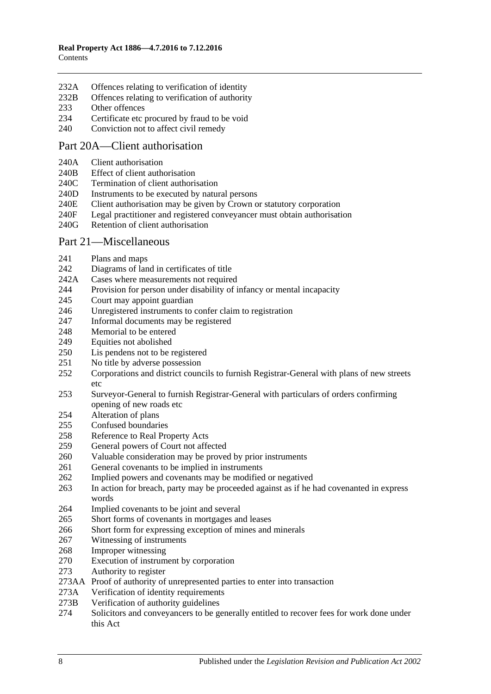- 232A [Offences relating to verification of identity](#page-121-2)
- 232B [Offences relating to verification of authority](#page-122-0)
- [Other offences](#page-123-0)
- [Certificate etc procured by fraud to be void](#page-124-0)
- [Conviction not to affect civil remedy](#page-124-1)

#### Part [20A—Client authorisation](#page-126-0)

- 240A [Client authorisation](#page-126-1)
- 240B [Effect of client authorisation](#page-126-2)
- 240C [Termination of client authorisation](#page-126-3)
- 240D [Instruments to be executed by natural persons](#page-126-4)
- 240E [Client authorisation may be given by Crown or statutory corporation](#page-127-0)
- 240F [Legal practitioner and registered conveyancer must obtain authorisation](#page-127-1)
- 240G [Retention of client authorisation](#page-127-2)

#### [Part 21—Miscellaneous](#page-128-0)

- [Plans and maps](#page-128-1)
- [Diagrams of land in certificates of title](#page-128-2)
- 242A [Cases where measurements not required](#page-128-3)
- [Provision for person under disability of infancy or mental incapacity](#page-128-4)
- [Court may appoint guardian](#page-129-0)
- [Unregistered instruments to confer claim to registration](#page-129-1)
- [Informal documents may be registered](#page-129-2)
- [Memorial to be entered](#page-129-3)
- [Equities not abolished](#page-129-4)
- [Lis pendens not to be registered](#page-130-0)
- No [title by adverse possession](#page-130-1)
- [Corporations and district councils to furnish Registrar-General with plans of new streets](#page-130-2)  [etc](#page-130-2)
- [Surveyor-General to furnish Registrar-General with particulars of orders confirming](#page-130-3)  [opening of new roads etc](#page-130-3)
- [Alteration of plans](#page-130-4)
- [Confused boundaries](#page-130-5)
- [Reference to Real Property Acts](#page-131-0)
- [General powers of Court not affected](#page-131-1)
- [Valuable consideration may be proved by prior instruments](#page-131-2)
- [General covenants to be implied in instruments](#page-131-3)
- [Implied powers and covenants may be modified or negatived](#page-132-0)
- [In action for breach, party may be proceeded against as if he had covenanted in express](#page-132-1)  [words](#page-132-1)
- [Implied covenants to be joint and several](#page-132-2)
- [Short forms of covenants in mortgages and leases](#page-132-3)
- [Short form for expressing exception of mines and minerals](#page-132-4)
- [Witnessing of instruments](#page-132-5)
- [Improper witnessing](#page-133-0)
- [Execution of instrument by corporation](#page-133-1)
- [Authority to register](#page-133-2)
- 273AA [Proof of authority of unrepresented parties to enter into transaction](#page-134-0)
- 273A [Verification of identity requirements](#page-134-1)
- 273B [Verification of authority guidelines](#page-135-0)
- [Solicitors and conveyancers to be generally entitled to recover fees for work done under](#page-136-0)  [this Act](#page-136-0)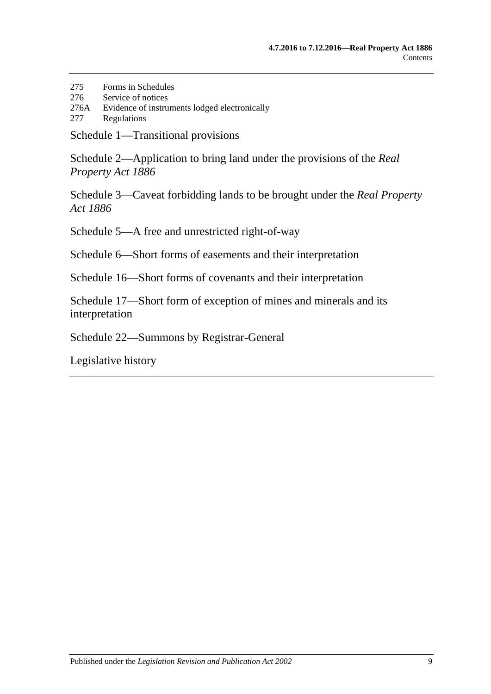- 275 [Forms in Schedules](#page-136-1)
- 276 [Service of notices](#page-136-2)
- 276A [Evidence of instruments lodged electronically](#page-137-0)
- 277 [Regulations](#page-137-1)

[Schedule 1—Transitional provisions](#page-140-0)

[Schedule 2—Application to bring land under the provisions of the](#page-143-0) *Real [Property Act](#page-143-0) 1886*

[Schedule 3—Caveat forbidding lands to be brought under the](#page-144-0) *Real Property Act [1886](#page-144-0)*

[Schedule 5—A free and unrestricted right-of-way](#page-144-1)

[Schedule 6—Short forms of easements and their interpretation](#page-144-2)

[Schedule 16—Short forms of covenants and their interpretation](#page-147-0)

[Schedule 17—Short form of exception of mines and minerals and its](#page-149-0)  [interpretation](#page-149-0)

[Schedule 22—Summons by Registrar-General](#page-149-1)

[Legislative history](#page-150-0)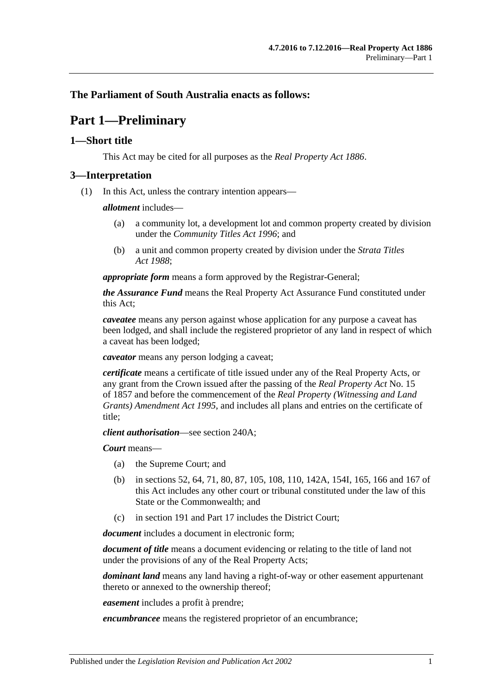## <span id="page-10-0"></span>**The Parliament of South Australia enacts as follows:**

## **Part 1—Preliminary**

### <span id="page-10-1"></span>**1—Short title**

This Act may be cited for all purposes as the *[Real Property Act](http://www.legislation.sa.gov.au/index.aspx?action=legref&type=act&legtitle=Real%20Property%20Act%201886) 1886*.

### <span id="page-10-2"></span>**3—Interpretation**

(1) In this Act, unless the contrary intention appears—

#### *allotment* includes—

- (a) a community lot, a development lot and common property created by division under the *[Community Titles Act](http://www.legislation.sa.gov.au/index.aspx?action=legref&type=act&legtitle=Community%20Titles%20Act%201996) 1996*; and
- (b) a unit and common property created by division under the *[Strata Titles](http://www.legislation.sa.gov.au/index.aspx?action=legref&type=act&legtitle=Strata%20Titles%20Act%201988)  Act [1988](http://www.legislation.sa.gov.au/index.aspx?action=legref&type=act&legtitle=Strata%20Titles%20Act%201988)*;

*appropriate form* means a form approved by the Registrar-General;

*the Assurance Fund* means the Real Property Act Assurance Fund constituted under this Act;

*caveatee* means any person against whose application for any purpose a caveat has been lodged, and shall include the registered proprietor of any land in respect of which a caveat has been lodged;

*caveator* means any person lodging a caveat;

*certificate* means a certificate of title issued under any of the Real Property Acts, or any grant from the Crown issued after the passing of the *[Real Property Act](http://www.legislation.sa.gov.au/index.aspx?action=legref&type=act&legtitle=Real%20Property%20Act)* No. 15 of 1857 and before the commencement of the *[Real Property \(Witnessing and Land](http://www.legislation.sa.gov.au/index.aspx?action=legref&type=act&legtitle=Real%20Property%20(Witnessing%20and%20Land%20Grants)%20Amendment%20Act%201995)  [Grants\) Amendment Act](http://www.legislation.sa.gov.au/index.aspx?action=legref&type=act&legtitle=Real%20Property%20(Witnessing%20and%20Land%20Grants)%20Amendment%20Act%201995) 1995*, and includes all plans and entries on the certificate of title;

*client authorisation*—see [section](#page-126-1) 240A;

*Court* means—

- (a) the Supreme Court; and
- (b) in [sections](#page-26-1) 52, [64,](#page-27-3) [71,](#page-32-1) 80, [87,](#page-41-0) [105,](#page-51-3) 108, [110,](#page-52-2) [142A,](#page-64-1) [154I,](#page-74-1) [165,](#page-79-0) [166](#page-79-1) and [167](#page-79-2) of this Act includes any other court or tribunal constituted under the law of this State or the Commonwealth; and
- (c) in [section](#page-86-1) 191 and Part 17 includes the District Court;

*document* includes a document in electronic form;

*document of title* means a document evidencing or relating to the title of land not under the provisions of any of the Real Property Acts;

*dominant land* means any land having a right-of-way or other easement appurtenant thereto or annexed to the ownership thereof;

*easement* includes a profit à prendre;

*encumbrancee* means the registered proprietor of an encumbrance;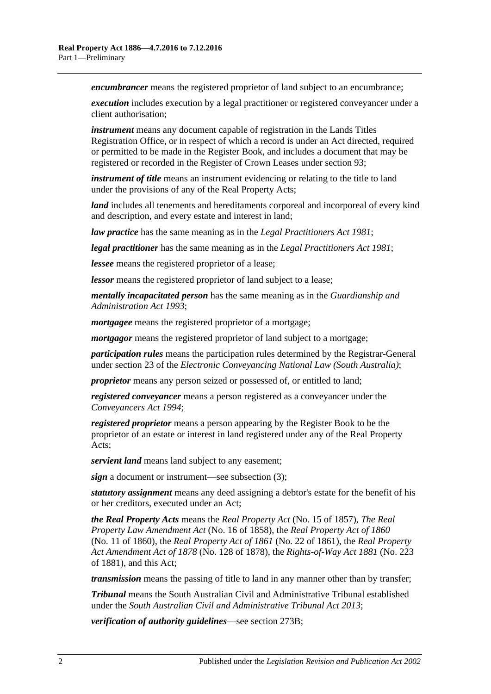*encumbrancer* means the registered proprietor of land subject to an encumbrance;

*execution* includes execution by a legal practitioner or registered conveyancer under a client authorisation;

*instrument* means any document capable of registration in the Lands Titles Registration Office, or in respect of which a record is under an Act directed, required or permitted to be made in the Register Book, and includes a document that may be registered or recorded in the Register of Crown Leases under [section](#page-46-4) 93;

*instrument of title* means an instrument evidencing or relating to the title to land under the provisions of any of the Real Property Acts;

*land* includes all tenements and hereditaments corporeal and incorporeal of every kind and description, and every estate and interest in land;

*law practice* has the same meaning as in the *[Legal Practitioners Act](http://www.legislation.sa.gov.au/index.aspx?action=legref&type=act&legtitle=Legal%20Practitioners%20Act%201981) 1981*;

*legal practitioner* has the same meaning as in the *[Legal Practitioners Act](http://www.legislation.sa.gov.au/index.aspx?action=legref&type=act&legtitle=Legal%20Practitioners%20Act%201981) 1981*;

*lessee* means the registered proprietor of a lease;

*lessor* means the registered proprietor of land subject to a lease;

*mentally incapacitated person* has the same meaning as in the *[Guardianship and](http://www.legislation.sa.gov.au/index.aspx?action=legref&type=act&legtitle=Guardianship%20and%20Administration%20Act%201993)  [Administration Act](http://www.legislation.sa.gov.au/index.aspx?action=legref&type=act&legtitle=Guardianship%20and%20Administration%20Act%201993) 1993*;

*mortgagee* means the registered proprietor of a mortgage;

*mortgagor* means the registered proprietor of land subject to a mortgage;

*participation rules* means the participation rules determined by the Registrar-General under section 23 of the *Electronic Conveyancing National Law (South Australia)*;

*proprietor* means any person seized or possessed of, or entitled to land;

*registered conveyancer* means a person registered as a conveyancer under the *[Conveyancers Act](http://www.legislation.sa.gov.au/index.aspx?action=legref&type=act&legtitle=Conveyancers%20Act%201994) 1994*;

*registered proprietor* means a person appearing by the Register Book to be the proprietor of an estate or interest in land registered under any of the Real Property Acts;

*servient land* means land subject to any easement;

*sign* a document or instrument—see [subsection](#page-12-3) (3);

*statutory assignment* means any deed assigning a debtor's estate for the benefit of his or her creditors, executed under an Act;

*the Real Property Acts* means the *[Real Property Act](http://www.legislation.sa.gov.au/index.aspx?action=legref&type=act&legtitle=Real%20Property%20Act)* (No. 15 of 1857), *[The Real](http://www.legislation.sa.gov.au/index.aspx?action=legref&type=act&legtitle=The%20Real%20Property%20Law%20Amendment%20Act)  [Property Law Amendment Act](http://www.legislation.sa.gov.au/index.aspx?action=legref&type=act&legtitle=The%20Real%20Property%20Law%20Amendment%20Act)* (No. 16 of 1858), the *[Real Property Act of](http://www.legislation.sa.gov.au/index.aspx?action=legref&type=act&legtitle=Real%20Property%20Act%20of%201860) 1860* (No. 11 of 1860), the *[Real Property Act of](http://www.legislation.sa.gov.au/index.aspx?action=legref&type=act&legtitle=Real%20Property%20Act%20of%201861) 1861* (No. 22 of 1861), the *[Real Property](http://www.legislation.sa.gov.au/index.aspx?action=legref&type=act&legtitle=Real%20Property%20Act%20Amendment%20Act%20of%201878)  [Act Amendment Act of](http://www.legislation.sa.gov.au/index.aspx?action=legref&type=act&legtitle=Real%20Property%20Act%20Amendment%20Act%20of%201878) 1878* (No. 128 of 1878), the *[Rights-of-Way Act](http://www.legislation.sa.gov.au/index.aspx?action=legref&type=act&legtitle=Rights-of-Way%20Act%201881) 1881* (No. 223 of 1881), and this Act;

*transmission* means the passing of title to land in any manner other than by transfer;

*Tribunal* means the South Australian Civil and Administrative Tribunal established under the *[South Australian Civil and Administrative Tribunal Act](http://www.legislation.sa.gov.au/index.aspx?action=legref&type=act&legtitle=South%20Australian%20Civil%20and%20Administrative%20Tribunal%20Act%202013) 2013*;

*verification of authority guidelines*—see [section](#page-135-0) 273B;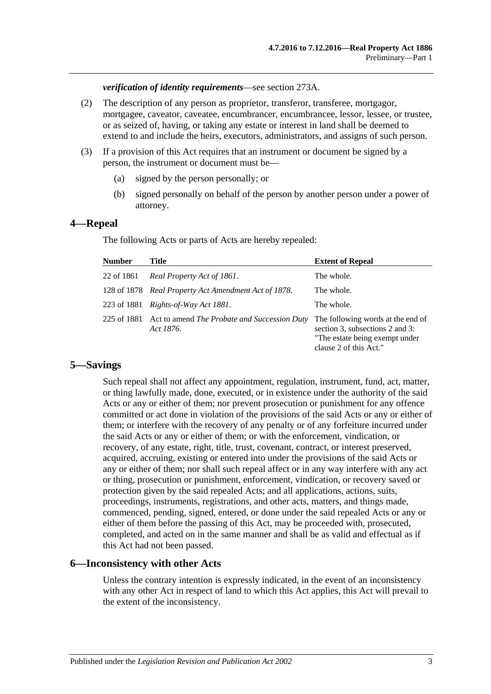*verification of identity requirements*—see [section](#page-134-1) 273A.

- (2) The description of any person as proprietor, transferor, transferee, mortgagor, mortgagee, caveator, caveatee, encumbrancer, encumbrancee, lessor, lessee, or trustee, or as seized of, having, or taking any estate or interest in land shall be deemed to extend to and include the heirs, executors, administrators, and assigns of such person.
- <span id="page-12-3"></span>(3) If a provision of this Act requires that an instrument or document be signed by a person, the instrument or document must be—
	- (a) signed by the person personally; or
	- (b) signed personally on behalf of the person by another person under a power of attorney.

#### <span id="page-12-0"></span>**4—Repeal**

The following Acts or parts of Acts are hereby repealed:

| <b>Number</b> | Title                                                                 | <b>Extent of Repeal</b>                                                                                                          |
|---------------|-----------------------------------------------------------------------|----------------------------------------------------------------------------------------------------------------------------------|
| 22 of 1861    | Real Property Act of 1861.                                            | The whole.                                                                                                                       |
|               | 128 of 1878 Real Property Act Amendment Act of 1878.                  | The whole.                                                                                                                       |
|               | 223 of 1881 Rights-of-Way Act 1881.                                   | The whole.                                                                                                                       |
|               | 225 of 1881 Act to amend The Probate and Succession Duty<br>Act 1876. | The following words at the end of<br>section 3, subsections 2 and 3:<br>"The estate being exempt under<br>clause 2 of this Act." |

#### <span id="page-12-1"></span>**5—Savings**

Such repeal shall not affect any appointment, regulation, instrument, fund, act, matter, or thing lawfully made, done, executed, or in existence under the authority of the said Acts or any or either of them; nor prevent prosecution or punishment for any offence committed or act done in violation of the provisions of the said Acts or any or either of them; or interfere with the recovery of any penalty or of any forfeiture incurred under the said Acts or any or either of them; or with the enforcement, vindication, or recovery, of any estate, right, title, trust, covenant, contract, or interest preserved, acquired, accruing, existing or entered into under the provisions of the said Acts or any or either of them; nor shall such repeal affect or in any way interfere with any act or thing, prosecution or punishment, enforcement, vindication, or recovery saved or protection given by the said repealed Acts; and all applications, actions, suits, proceedings, instruments, registrations, and other acts, matters, and things made, commenced, pending, signed, entered, or done under the said repealed Acts or any or either of them before the passing of this Act, may be proceeded with, prosecuted, completed, and acted on in the same manner and shall be as valid and effectual as if this Act had not been passed.

#### <span id="page-12-2"></span>**6—Inconsistency with other Acts**

Unless the contrary intention is expressly indicated, in the event of an inconsistency with any other Act in respect of land to which this Act applies, this Act will prevail to the extent of the inconsistency.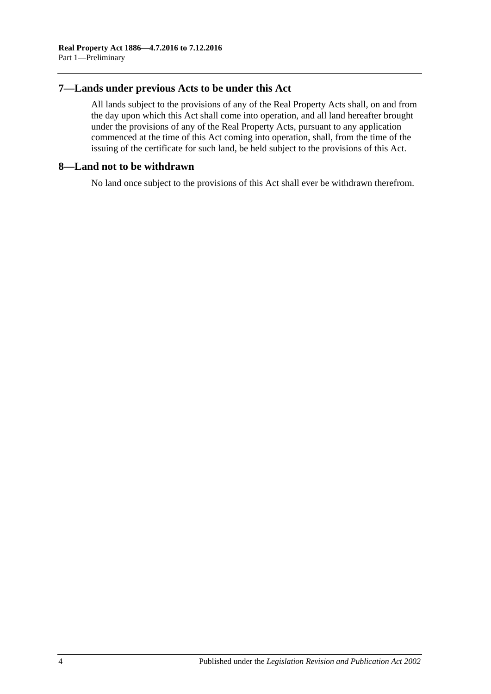## <span id="page-13-0"></span>**7—Lands under previous Acts to be under this Act**

All lands subject to the provisions of any of the Real Property Acts shall, on and from the day upon which this Act shall come into operation, and all land hereafter brought under the provisions of any of the Real Property Acts, pursuant to any application commenced at the time of this Act coming into operation, shall, from the time of the issuing of the certificate for such land, be held subject to the provisions of this Act.

### <span id="page-13-1"></span>**8—Land not to be withdrawn**

No land once subject to the provisions of this Act shall ever be withdrawn therefrom.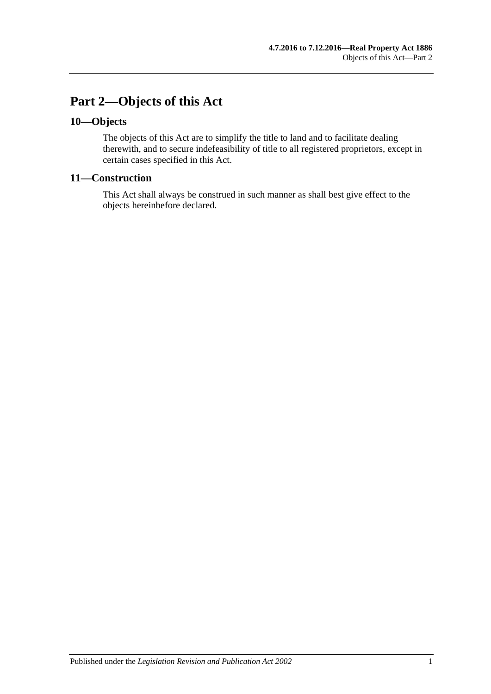## <span id="page-14-0"></span>**Part 2—Objects of this Act**

## <span id="page-14-1"></span>**10—Objects**

The objects of this Act are to simplify the title to land and to facilitate dealing therewith, and to secure indefeasibility of title to all registered proprietors, except in certain cases specified in this Act.

## <span id="page-14-2"></span>**11—Construction**

This Act shall always be construed in such manner as shall best give effect to the objects hereinbefore declared.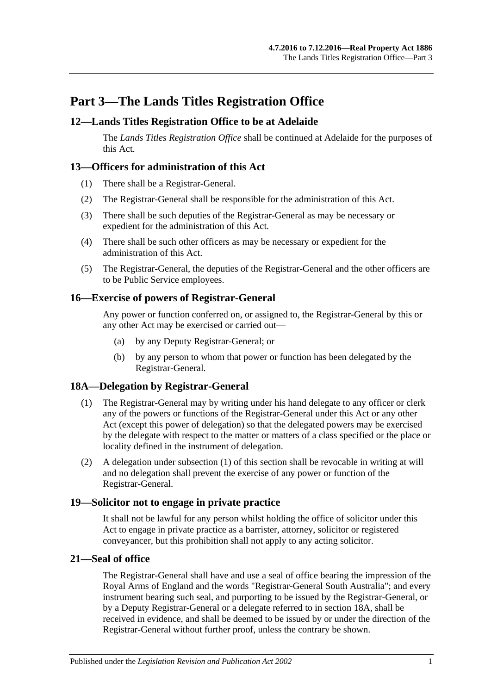## <span id="page-16-0"></span>**Part 3—The Lands Titles Registration Office**

## <span id="page-16-1"></span>**12—Lands Titles Registration Office to be at Adelaide**

The *Lands Titles Registration Office* shall be continued at Adelaide for the purposes of this Act.

## <span id="page-16-2"></span>**13—Officers for administration of this Act**

- (1) There shall be a Registrar-General.
- (2) The Registrar-General shall be responsible for the administration of this Act.
- (3) There shall be such deputies of the Registrar-General as may be necessary or expedient for the administration of this Act.
- (4) There shall be such other officers as may be necessary or expedient for the administration of this Act.
- (5) The Registrar-General, the deputies of the Registrar-General and the other officers are to be Public Service employees.

## <span id="page-16-3"></span>**16—Exercise of powers of Registrar-General**

Any power or function conferred on, or assigned to, the Registrar-General by this or any other Act may be exercised or carried out—

- (a) by any Deputy Registrar-General; or
- (b) by any person to whom that power or function has been delegated by the Registrar-General.

## <span id="page-16-7"></span><span id="page-16-4"></span>**18A—Delegation by Registrar-General**

- (1) The Registrar-General may by writing under his hand delegate to any officer or clerk any of the powers or functions of the Registrar-General under this Act or any other Act (except this power of delegation) so that the delegated powers may be exercised by the delegate with respect to the matter or matters of a class specified or the place or locality defined in the instrument of delegation.
- (2) A delegation under [subsection](#page-16-7) (1) of this section shall be revocable in writing at will and no delegation shall prevent the exercise of any power or function of the Registrar-General.

## <span id="page-16-5"></span>**19—Solicitor not to engage in private practice**

It shall not be lawful for any person whilst holding the office of solicitor under this Act to engage in private practice as a barrister, attorney, solicitor or registered conveyancer, but this prohibition shall not apply to any acting solicitor.

## <span id="page-16-6"></span>**21—Seal of office**

The Registrar-General shall have and use a seal of office bearing the impression of the Royal Arms of England and the words "Registrar-General South Australia"; and every instrument bearing such seal, and purporting to be issued by the Registrar-General, or by a Deputy Registrar-General or a delegate referred to in [section](#page-16-4) 18A, shall be received in evidence, and shall be deemed to be issued by or under the direction of the Registrar-General without further proof, unless the contrary be shown.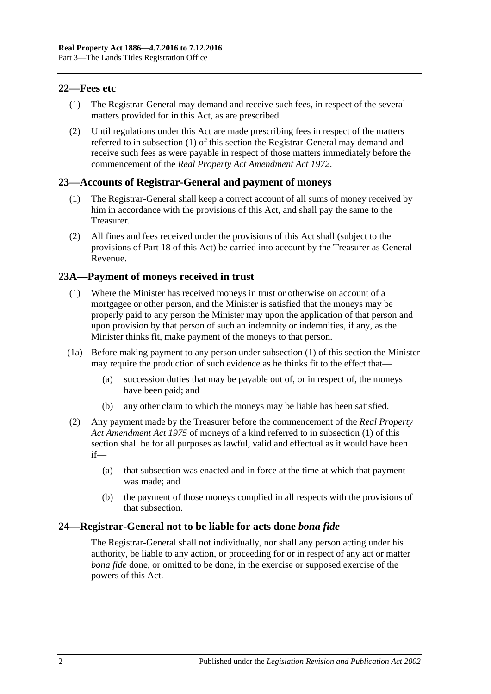## <span id="page-17-4"></span><span id="page-17-0"></span>**22—Fees etc**

- (1) The Registrar-General may demand and receive such fees, in respect of the several matters provided for in this Act, as are prescribed.
- (2) Until regulations under this Act are made prescribing fees in respect of the matters referred to in [subsection](#page-17-4) (1) of this section the Registrar-General may demand and receive such fees as were payable in respect of those matters immediately before the commencement of the *[Real Property Act Amendment Act](http://www.legislation.sa.gov.au/index.aspx?action=legref&type=act&legtitle=Real%20Property%20Act%20Amendment%20Act%201972) 1972*.

## <span id="page-17-1"></span>**23—Accounts of Registrar-General and payment of moneys**

- (1) The Registrar-General shall keep a correct account of all sums of money received by him in accordance with the provisions of this Act, and shall pay the same to the Treasurer.
- (2) All fines and fees received under the provisions of this Act shall (subject to the provisions of [Part 18](#page-92-0) of this Act) be carried into account by the Treasurer as General Revenue.

## <span id="page-17-5"></span><span id="page-17-2"></span>**23A—Payment of moneys received in trust**

- (1) Where the Minister has received moneys in trust or otherwise on account of a mortgagee or other person, and the Minister is satisfied that the moneys may be properly paid to any person the Minister may upon the application of that person and upon provision by that person of such an indemnity or indemnities, if any, as the Minister thinks fit, make payment of the moneys to that person.
- (1a) Before making payment to any person under [subsection](#page-17-5) (1) of this section the Minister may require the production of such evidence as he thinks fit to the effect that—
	- (a) succession duties that may be payable out of, or in respect of, the moneys have been paid; and
	- (b) any other claim to which the moneys may be liable has been satisfied.
- (2) Any payment made by the Treasurer before the commencement of the *[Real Property](http://www.legislation.sa.gov.au/index.aspx?action=legref&type=act&legtitle=Real%20Property%20Act%20Amendment%20Act%201975)  [Act Amendment Act](http://www.legislation.sa.gov.au/index.aspx?action=legref&type=act&legtitle=Real%20Property%20Act%20Amendment%20Act%201975) 1975* of moneys of a kind referred to in [subsection](#page-17-5) (1) of this section shall be for all purposes as lawful, valid and effectual as it would have been if—
	- (a) that subsection was enacted and in force at the time at which that payment was made; and
	- (b) the payment of those moneys complied in all respects with the provisions of that subsection.

## <span id="page-17-3"></span>**24—Registrar-General not to be liable for acts done** *bona fide*

The Registrar-General shall not individually, nor shall any person acting under his authority, be liable to any action, or proceeding for or in respect of any act or matter *bona fide* done, or omitted to be done, in the exercise or supposed exercise of the powers of this Act.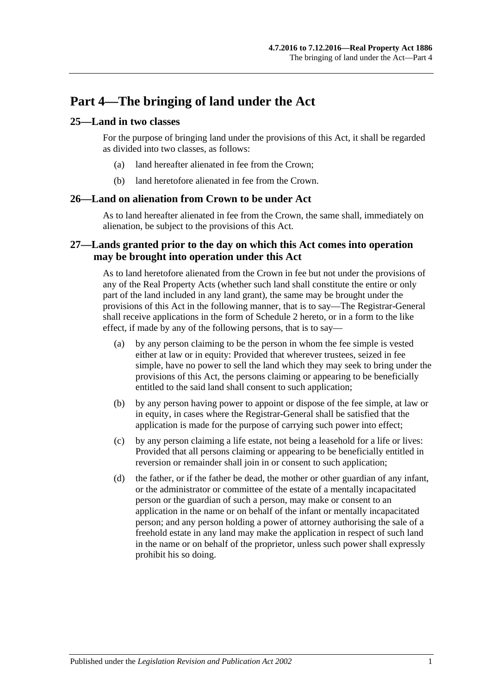## <span id="page-18-0"></span>**Part 4—The bringing of land under the Act**

### <span id="page-18-1"></span>**25—Land in two classes**

For the purpose of bringing land under the provisions of this Act, it shall be regarded as divided into two classes, as follows:

- (a) land hereafter alienated in fee from the Crown;
- (b) land heretofore alienated in fee from the Crown.

#### <span id="page-18-2"></span>**26—Land on alienation from Crown to be under Act**

As to land hereafter alienated in fee from the Crown, the same shall, immediately on alienation, be subject to the provisions of this Act.

## <span id="page-18-3"></span>**27—Lands granted prior to the day on which this Act comes into operation may be brought into operation under this Act**

As to land heretofore alienated from the Crown in fee but not under the provisions of any of the Real Property Acts (whether such land shall constitute the entire or only part of the land included in any land grant), the same may be brought under the provisions of this Act in the following manner, that is to say—The Registrar-General shall receive applications in the form of [Schedule 2](#page-143-0) hereto, or in a form to the like effect, if made by any of the following persons, that is to say—

- (a) by any person claiming to be the person in whom the fee simple is vested either at law or in equity: Provided that wherever trustees, seized in fee simple, have no power to sell the land which they may seek to bring under the provisions of this Act, the persons claiming or appearing to be beneficially entitled to the said land shall consent to such application;
- (b) by any person having power to appoint or dispose of the fee simple, at law or in equity, in cases where the Registrar-General shall be satisfied that the application is made for the purpose of carrying such power into effect;
- (c) by any person claiming a life estate, not being a leasehold for a life or lives: Provided that all persons claiming or appearing to be beneficially entitled in reversion or remainder shall join in or consent to such application;
- (d) the father, or if the father be dead, the mother or other guardian of any infant, or the administrator or committee of the estate of a mentally incapacitated person or the guardian of such a person, may make or consent to an application in the name or on behalf of the infant or mentally incapacitated person; and any person holding a power of attorney authorising the sale of a freehold estate in any land may make the application in respect of such land in the name or on behalf of the proprietor, unless such power shall expressly prohibit his so doing.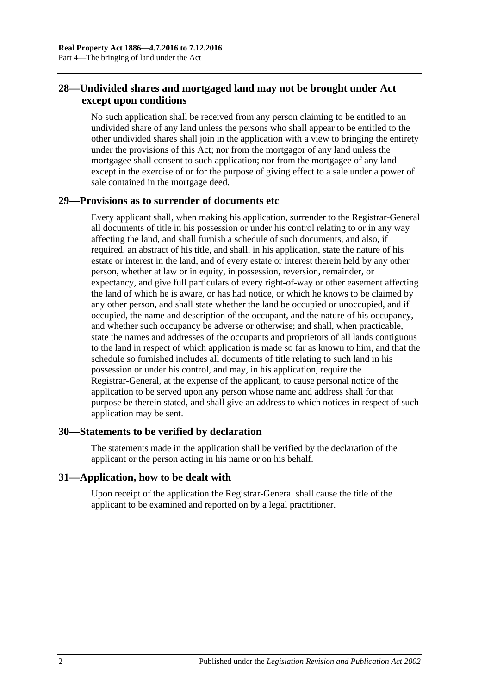## <span id="page-19-0"></span>**28—Undivided shares and mortgaged land may not be brought under Act except upon conditions**

No such application shall be received from any person claiming to be entitled to an undivided share of any land unless the persons who shall appear to be entitled to the other undivided shares shall join in the application with a view to bringing the entirety under the provisions of this Act; nor from the mortgagor of any land unless the mortgagee shall consent to such application; nor from the mortgagee of any land except in the exercise of or for the purpose of giving effect to a sale under a power of sale contained in the mortgage deed.

## <span id="page-19-1"></span>**29—Provisions as to surrender of documents etc**

Every applicant shall, when making his application, surrender to the Registrar-General all documents of title in his possession or under his control relating to or in any way affecting the land, and shall furnish a schedule of such documents, and also, if required, an abstract of his title, and shall, in his application, state the nature of his estate or interest in the land, and of every estate or interest therein held by any other person, whether at law or in equity, in possession, reversion, remainder, or expectancy, and give full particulars of every right-of-way or other easement affecting the land of which he is aware, or has had notice, or which he knows to be claimed by any other person, and shall state whether the land be occupied or unoccupied, and if occupied, the name and description of the occupant, and the nature of his occupancy, and whether such occupancy be adverse or otherwise; and shall, when practicable, state the names and addresses of the occupants and proprietors of all lands contiguous to the land in respect of which application is made so far as known to him, and that the schedule so furnished includes all documents of title relating to such land in his possession or under his control, and may, in his application, require the Registrar-General, at the expense of the applicant, to cause personal notice of the application to be served upon any person whose name and address shall for that purpose be therein stated, and shall give an address to which notices in respect of such application may be sent.

## <span id="page-19-2"></span>**30—Statements to be verified by declaration**

The statements made in the application shall be verified by the declaration of the applicant or the person acting in his name or on his behalf.

## <span id="page-19-3"></span>**31—Application, how to be dealt with**

Upon receipt of the application the Registrar-General shall cause the title of the applicant to be examined and reported on by a legal practitioner.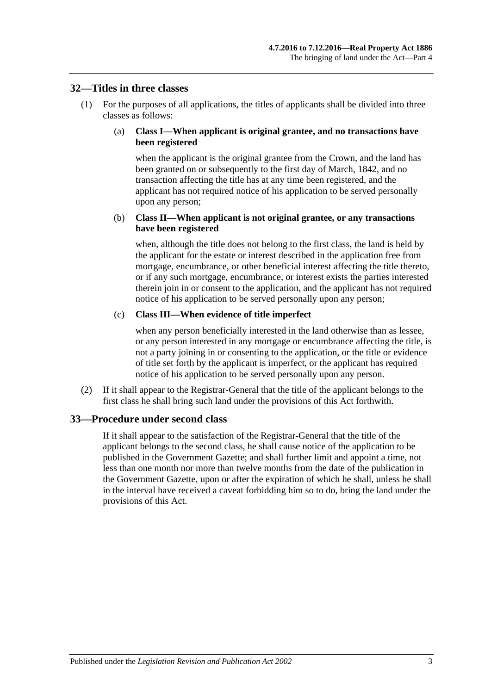#### <span id="page-20-0"></span>**32—Titles in three classes**

(1) For the purposes of all applications, the titles of applicants shall be divided into three classes as follows:

#### (a) **Class I—When applicant is original grantee, and no transactions have been registered**

when the applicant is the original grantee from the Crown, and the land has been granted on or subsequently to the first day of March, 1842, and no transaction affecting the title has at any time been registered, and the applicant has not required notice of his application to be served personally upon any person;

#### (b) **Class II—When applicant is not original grantee, or any transactions have been registered**

when, although the title does not belong to the first class, the land is held by the applicant for the estate or interest described in the application free from mortgage, encumbrance, or other beneficial interest affecting the title thereto, or if any such mortgage, encumbrance, or interest exists the parties interested therein join in or consent to the application, and the applicant has not required notice of his application to be served personally upon any person;

#### (c) **Class III—When evidence of title imperfect**

when any person beneficially interested in the land otherwise than as lessee, or any person interested in any mortgage or encumbrance affecting the title, is not a party joining in or consenting to the application, or the title or evidence of title set forth by the applicant is imperfect, or the applicant has required notice of his application to be served personally upon any person.

(2) If it shall appear to the Registrar-General that the title of the applicant belongs to the first class he shall bring such land under the provisions of this Act forthwith.

## <span id="page-20-1"></span>**33—Procedure under second class**

If it shall appear to the satisfaction of the Registrar-General that the title of the applicant belongs to the second class, he shall cause notice of the application to be published in the Government Gazette; and shall further limit and appoint a time, not less than one month nor more than twelve months from the date of the publication in the Government Gazette, upon or after the expiration of which he shall, unless he shall in the interval have received a caveat forbidding him so to do, bring the land under the provisions of this Act.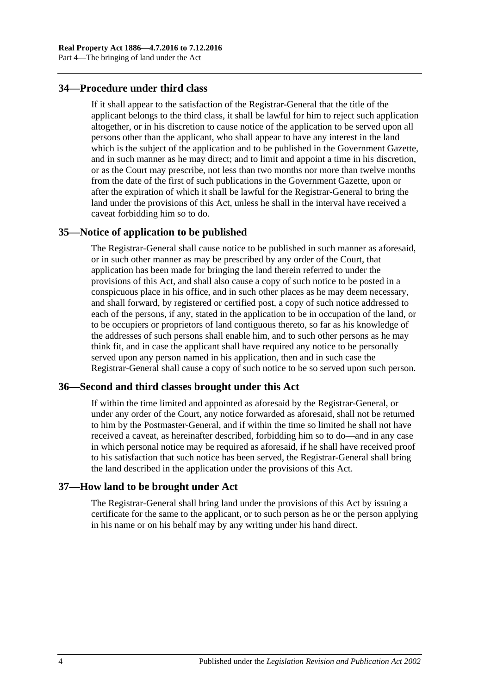## <span id="page-21-0"></span>**34—Procedure under third class**

If it shall appear to the satisfaction of the Registrar-General that the title of the applicant belongs to the third class, it shall be lawful for him to reject such application altogether, or in his discretion to cause notice of the application to be served upon all persons other than the applicant, who shall appear to have any interest in the land which is the subject of the application and to be published in the Government Gazette, and in such manner as he may direct; and to limit and appoint a time in his discretion, or as the Court may prescribe, not less than two months nor more than twelve months from the date of the first of such publications in the Government Gazette, upon or after the expiration of which it shall be lawful for the Registrar-General to bring the land under the provisions of this Act, unless he shall in the interval have received a caveat forbidding him so to do.

#### <span id="page-21-1"></span>**35—Notice of application to be published**

The Registrar-General shall cause notice to be published in such manner as aforesaid, or in such other manner as may be prescribed by any order of the Court, that application has been made for bringing the land therein referred to under the provisions of this Act, and shall also cause a copy of such notice to be posted in a conspicuous place in his office, and in such other places as he may deem necessary, and shall forward, by registered or certified post, a copy of such notice addressed to each of the persons, if any, stated in the application to be in occupation of the land, or to be occupiers or proprietors of land contiguous thereto, so far as his knowledge of the addresses of such persons shall enable him, and to such other persons as he may think fit, and in case the applicant shall have required any notice to be personally served upon any person named in his application, then and in such case the Registrar-General shall cause a copy of such notice to be so served upon such person.

#### <span id="page-21-2"></span>**36—Second and third classes brought under this Act**

If within the time limited and appointed as aforesaid by the Registrar-General, or under any order of the Court, any notice forwarded as aforesaid, shall not be returned to him by the Postmaster-General, and if within the time so limited he shall not have received a caveat, as hereinafter described, forbidding him so to do—and in any case in which personal notice may be required as aforesaid, if he shall have received proof to his satisfaction that such notice has been served, the Registrar-General shall bring the land described in the application under the provisions of this Act.

#### <span id="page-21-3"></span>**37—How land to be brought under Act**

The Registrar-General shall bring land under the provisions of this Act by issuing a certificate for the same to the applicant, or to such person as he or the person applying in his name or on his behalf may by any writing under his hand direct.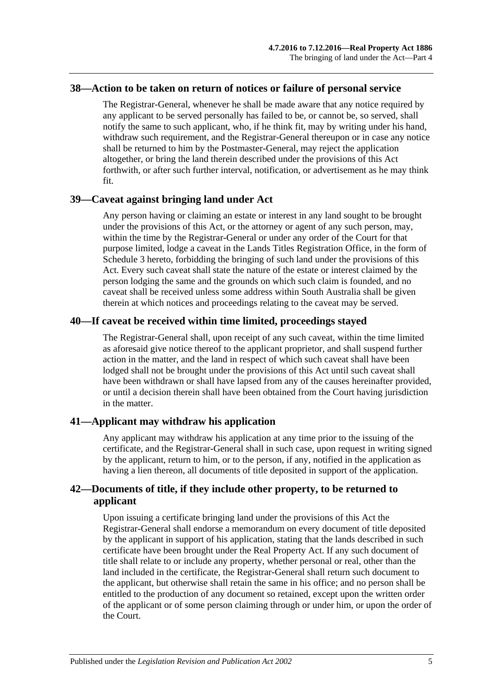#### <span id="page-22-0"></span>**38—Action to be taken on return of notices or failure of personal service**

The Registrar-General, whenever he shall be made aware that any notice required by any applicant to be served personally has failed to be, or cannot be, so served, shall notify the same to such applicant, who, if he think fit, may by writing under his hand, withdraw such requirement, and the Registrar-General thereupon or in case any notice shall be returned to him by the Postmaster-General, may reject the application altogether, or bring the land therein described under the provisions of this Act forthwith, or after such further interval, notification, or advertisement as he may think fit.

#### <span id="page-22-1"></span>**39—Caveat against bringing land under Act**

Any person having or claiming an estate or interest in any land sought to be brought under the provisions of this Act, or the attorney or agent of any such person, may, within the time by the Registrar-General or under any order of the Court for that purpose limited, lodge a caveat in the Lands Titles Registration Office, in the form of [Schedule 3](#page-144-0) hereto, forbidding the bringing of such land under the provisions of this Act. Every such caveat shall state the nature of the estate or interest claimed by the person lodging the same and the grounds on which such claim is founded, and no caveat shall be received unless some address within South Australia shall be given therein at which notices and proceedings relating to the caveat may be served.

## <span id="page-22-2"></span>**40—If caveat be received within time limited, proceedings stayed**

The Registrar-General shall, upon receipt of any such caveat, within the time limited as aforesaid give notice thereof to the applicant proprietor, and shall suspend further action in the matter, and the land in respect of which such caveat shall have been lodged shall not be brought under the provisions of this Act until such caveat shall have been withdrawn or shall have lapsed from any of the causes hereinafter provided, or until a decision therein shall have been obtained from the Court having jurisdiction in the matter.

## <span id="page-22-3"></span>**41—Applicant may withdraw his application**

Any applicant may withdraw his application at any time prior to the issuing of the certificate, and the Registrar-General shall in such case, upon request in writing signed by the applicant, return to him, or to the person, if any, notified in the application as having a lien thereon, all documents of title deposited in support of the application.

## <span id="page-22-4"></span>**42—Documents of title, if they include other property, to be returned to applicant**

Upon issuing a certificate bringing land under the provisions of this Act the Registrar-General shall endorse a memorandum on every document of title deposited by the applicant in support of his application, stating that the lands described in such certificate have been brought under the Real Property Act. If any such document of title shall relate to or include any property, whether personal or real, other than the land included in the certificate, the Registrar-General shall return such document to the applicant, but otherwise shall retain the same in his office; and no person shall be entitled to the production of any document so retained, except upon the written order of the applicant or of some person claiming through or under him, or upon the order of the Court.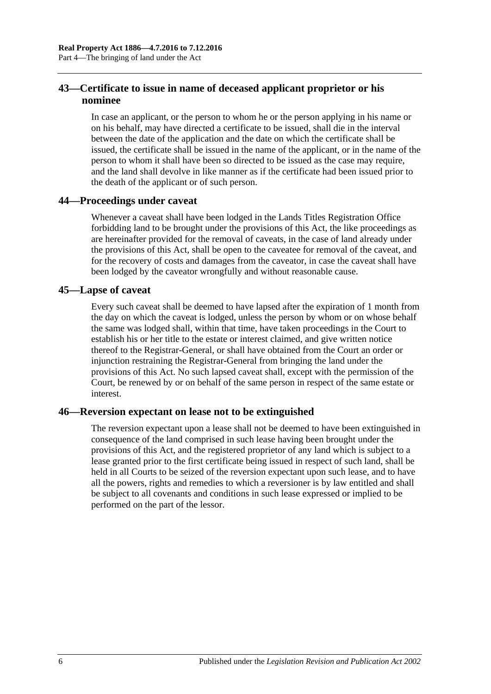## <span id="page-23-0"></span>**43—Certificate to issue in name of deceased applicant proprietor or his nominee**

In case an applicant, or the person to whom he or the person applying in his name or on his behalf, may have directed a certificate to be issued, shall die in the interval between the date of the application and the date on which the certificate shall be issued, the certificate shall be issued in the name of the applicant, or in the name of the person to whom it shall have been so directed to be issued as the case may require, and the land shall devolve in like manner as if the certificate had been issued prior to the death of the applicant or of such person.

## <span id="page-23-1"></span>**44—Proceedings under caveat**

Whenever a caveat shall have been lodged in the Lands Titles Registration Office forbidding land to be brought under the provisions of this Act, the like proceedings as are hereinafter provided for the removal of caveats, in the case of land already under the provisions of this Act, shall be open to the caveatee for removal of the caveat, and for the recovery of costs and damages from the caveator, in case the caveat shall have been lodged by the caveator wrongfully and without reasonable cause.

## <span id="page-23-2"></span>**45—Lapse of caveat**

Every such caveat shall be deemed to have lapsed after the expiration of 1 month from the day on which the caveat is lodged, unless the person by whom or on whose behalf the same was lodged shall, within that time, have taken proceedings in the Court to establish his or her title to the estate or interest claimed, and give written notice thereof to the Registrar-General, or shall have obtained from the Court an order or injunction restraining the Registrar-General from bringing the land under the provisions of this Act. No such lapsed caveat shall, except with the permission of the Court, be renewed by or on behalf of the same person in respect of the same estate or interest.

## <span id="page-23-3"></span>**46—Reversion expectant on lease not to be extinguished**

The reversion expectant upon a lease shall not be deemed to have been extinguished in consequence of the land comprised in such lease having been brought under the provisions of this Act, and the registered proprietor of any land which is subject to a lease granted prior to the first certificate being issued in respect of such land, shall be held in all Courts to be seized of the reversion expectant upon such lease, and to have all the powers, rights and remedies to which a reversioner is by law entitled and shall be subject to all covenants and conditions in such lease expressed or implied to be performed on the part of the lessor.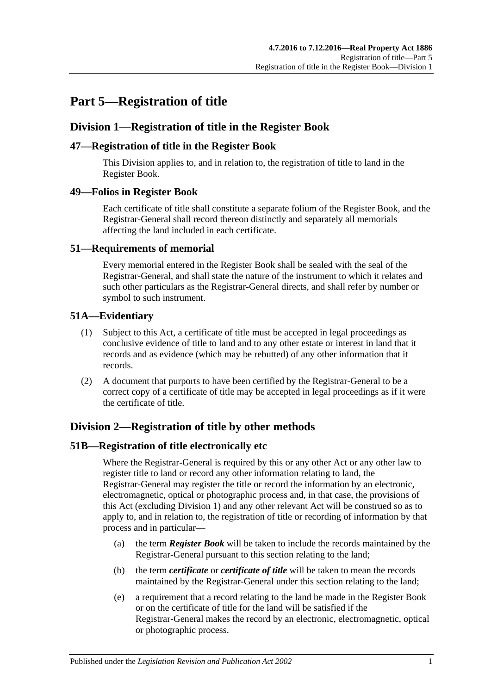## <span id="page-24-0"></span>**Part 5—Registration of title**

## <span id="page-24-1"></span>**Division 1—Registration of title in the Register Book**

## <span id="page-24-2"></span>**47—Registration of title in the Register Book**

This Division applies to, and in relation to, the registration of title to land in the Register Book.

## <span id="page-24-3"></span>**49—Folios in Register Book**

Each certificate of title shall constitute a separate folium of the Register Book, and the Registrar-General shall record thereon distinctly and separately all memorials affecting the land included in each certificate.

## <span id="page-24-4"></span>**51—Requirements of memorial**

Every memorial entered in the Register Book shall be sealed with the seal of the Registrar-General, and shall state the nature of the instrument to which it relates and such other particulars as the Registrar-General directs, and shall refer by number or symbol to such instrument.

## <span id="page-24-5"></span>**51A—Evidentiary**

- (1) Subject to this Act, a certificate of title must be accepted in legal proceedings as conclusive evidence of title to land and to any other estate or interest in land that it records and as evidence (which may be rebutted) of any other information that it records.
- (2) A document that purports to have been certified by the Registrar-General to be a correct copy of a certificate of title may be accepted in legal proceedings as if it were the certificate of title.

## <span id="page-24-6"></span>**Division 2—Registration of title by other methods**

## <span id="page-24-7"></span>**51B—Registration of title electronically etc**

Where the Registrar-General is required by this or any other Act or any other law to register title to land or record any other information relating to land, the Registrar-General may register the title or record the information by an electronic, electromagnetic, optical or photographic process and, in that case, the provisions of this Act (excluding [Division 1\)](#page-24-1) and any other relevant Act will be construed so as to apply to, and in relation to, the registration of title or recording of information by that process and in particular—

- (a) the term *Register Book* will be taken to include the records maintained by the Registrar-General pursuant to this section relating to the land;
- (b) the term *certificate* or *certificate of title* will be taken to mean the records maintained by the Registrar-General under this section relating to the land;
- (e) a requirement that a record relating to the land be made in the Register Book or on the certificate of title for the land will be satisfied if the Registrar-General makes the record by an electronic, electromagnetic, optical or photographic process.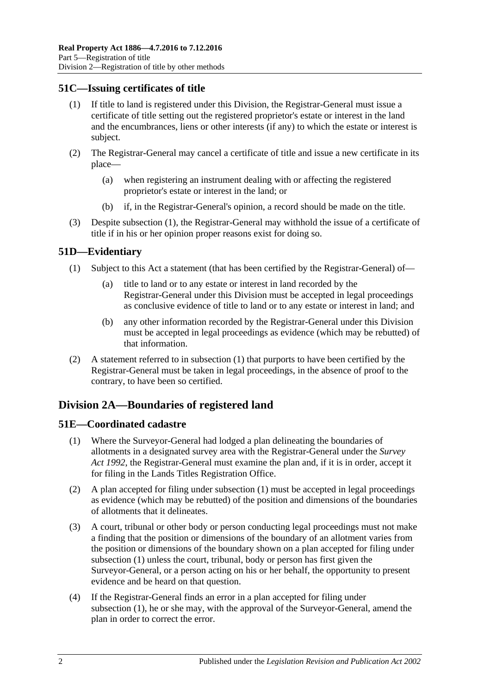## <span id="page-25-4"></span><span id="page-25-0"></span>**51C—Issuing certificates of title**

- (1) If title to land is registered under this Division, the Registrar-General must issue a certificate of title setting out the registered proprietor's estate or interest in the land and the encumbrances, liens or other interests (if any) to which the estate or interest is subject.
- (2) The Registrar-General may cancel a certificate of title and issue a new certificate in its place—
	- (a) when registering an instrument dealing with or affecting the registered proprietor's estate or interest in the land; or
	- (b) if, in the Registrar-General's opinion, a record should be made on the title.
- (3) Despite [subsection](#page-25-4) (1), the Registrar-General may withhold the issue of a certificate of title if in his or her opinion proper reasons exist for doing so.

## <span id="page-25-5"></span><span id="page-25-1"></span>**51D—Evidentiary**

- (1) Subject to this Act a statement (that has been certified by the Registrar-General) of
	- title to land or to any estate or interest in land recorded by the Registrar-General under this Division must be accepted in legal proceedings as conclusive evidence of title to land or to any estate or interest in land; and
	- (b) any other information recorded by the Registrar-General under this Division must be accepted in legal proceedings as evidence (which may be rebutted) of that information.
- (2) A statement referred to in [subsection](#page-25-5) (1) that purports to have been certified by the Registrar-General must be taken in legal proceedings, in the absence of proof to the contrary, to have been so certified.

## <span id="page-25-2"></span>**Division 2A—Boundaries of registered land**

## <span id="page-25-6"></span><span id="page-25-3"></span>**51E—Coordinated cadastre**

- (1) Where the Surveyor-General had lodged a plan delineating the boundaries of allotments in a designated survey area with the Registrar-General under the *[Survey](http://www.legislation.sa.gov.au/index.aspx?action=legref&type=act&legtitle=Survey%20Act%201992)  Act [1992](http://www.legislation.sa.gov.au/index.aspx?action=legref&type=act&legtitle=Survey%20Act%201992)*, the Registrar-General must examine the plan and, if it is in order, accept it for filing in the Lands Titles Registration Office.
- (2) A plan accepted for filing under [subsection](#page-25-6) (1) must be accepted in legal proceedings as evidence (which may be rebutted) of the position and dimensions of the boundaries of allotments that it delineates.
- (3) A court, tribunal or other body or person conducting legal proceedings must not make a finding that the position or dimensions of the boundary of an allotment varies from the position or dimensions of the boundary shown on a plan accepted for filing under [subsection](#page-25-6) (1) unless the court, tribunal, body or person has first given the Surveyor-General, or a person acting on his or her behalf, the opportunity to present evidence and be heard on that question.
- <span id="page-25-7"></span>(4) If the Registrar-General finds an error in a plan accepted for filing under [subsection](#page-25-6) (1), he or she may, with the approval of the Surveyor-General, amend the plan in order to correct the error.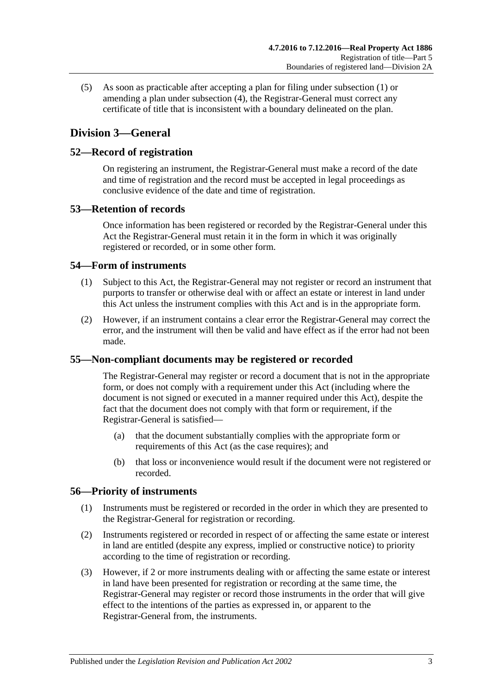(5) As soon as practicable after accepting a plan for filing under [subsection](#page-25-6) (1) or amending a plan under [subsection](#page-25-7) (4), the Registrar-General must correct any certificate of title that is inconsistent with a boundary delineated on the plan.

## <span id="page-26-0"></span>**Division 3—General**

## <span id="page-26-1"></span>**52—Record of registration**

On registering an instrument, the Registrar-General must make a record of the date and time of registration and the record must be accepted in legal proceedings as conclusive evidence of the date and time of registration.

## <span id="page-26-2"></span>**53—Retention of records**

Once information has been registered or recorded by the Registrar-General under this Act the Registrar-General must retain it in the form in which it was originally registered or recorded, or in some other form.

## <span id="page-26-3"></span>**54—Form of instruments**

- (1) Subject to this Act, the Registrar-General may not register or record an instrument that purports to transfer or otherwise deal with or affect an estate or interest in land under this Act unless the instrument complies with this Act and is in the appropriate form.
- (2) However, if an instrument contains a clear error the Registrar-General may correct the error, and the instrument will then be valid and have effect as if the error had not been made.

## <span id="page-26-4"></span>**55—Non-compliant documents may be registered or recorded**

The Registrar-General may register or record a document that is not in the appropriate form, or does not comply with a requirement under this Act (including where the document is not signed or executed in a manner required under this Act), despite the fact that the document does not comply with that form or requirement, if the Registrar-General is satisfied—

- (a) that the document substantially complies with the appropriate form or requirements of this Act (as the case requires); and
- (b) that loss or inconvenience would result if the document were not registered or recorded.

## <span id="page-26-6"></span><span id="page-26-5"></span>**56—Priority of instruments**

- (1) Instruments must be registered or recorded in the order in which they are presented to the Registrar-General for registration or recording.
- <span id="page-26-7"></span>(2) Instruments registered or recorded in respect of or affecting the same estate or interest in land are entitled (despite any express, implied or constructive notice) to priority according to the time of registration or recording.
- <span id="page-26-8"></span>(3) However, if 2 or more instruments dealing with or affecting the same estate or interest in land have been presented for registration or recording at the same time, the Registrar-General may register or record those instruments in the order that will give effect to the intentions of the parties as expressed in, or apparent to the Registrar-General from, the instruments.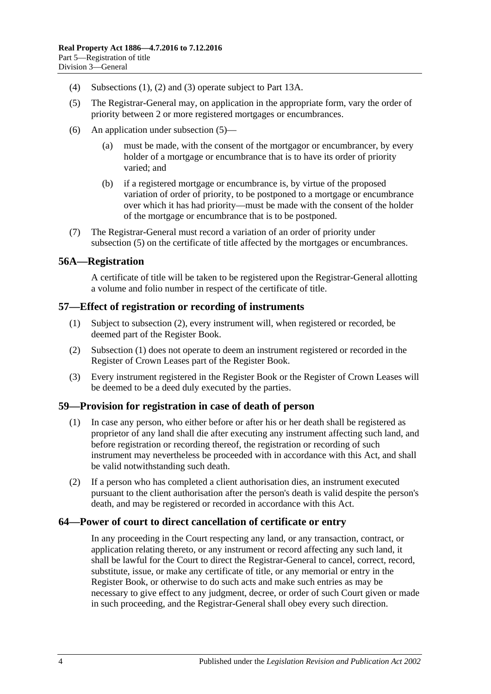- (4) [Subsections](#page-26-6) (1), [\(2\)](#page-26-7) and [\(3\)](#page-26-8) operate subject to Part [13A.](#page-70-0)
- <span id="page-27-4"></span>(5) The Registrar-General may, on application in the appropriate form, vary the order of priority between 2 or more registered mortgages or encumbrances.
- (6) An application under [subsection](#page-27-4) (5)—
	- (a) must be made, with the consent of the mortgagor or encumbrancer, by every holder of a mortgage or encumbrance that is to have its order of priority varied; and
	- (b) if a registered mortgage or encumbrance is, by virtue of the proposed variation of order of priority, to be postponed to a mortgage or encumbrance over which it has had priority—must be made with the consent of the holder of the mortgage or encumbrance that is to be postponed.
- (7) The Registrar-General must record a variation of an order of priority under [subsection](#page-27-4) (5) on the certificate of title affected by the mortgages or encumbrances.

#### <span id="page-27-0"></span>**56A—Registration**

A certificate of title will be taken to be registered upon the Registrar-General allotting a volume and folio number in respect of the certificate of title.

#### <span id="page-27-6"></span><span id="page-27-1"></span>**57—Effect of registration or recording of instruments**

- (1) Subject to [subsection](#page-27-5) (2), every instrument will, when registered or recorded, be deemed part of the Register Book.
- <span id="page-27-5"></span>(2) [Subsection](#page-27-6) (1) does not operate to deem an instrument registered or recorded in the Register of Crown Leases part of the Register Book.
- (3) Every instrument registered in the Register Book or the Register of Crown Leases will be deemed to be a deed duly executed by the parties.

## <span id="page-27-2"></span>**59—Provision for registration in case of death of person**

- (1) In case any person, who either before or after his or her death shall be registered as proprietor of any land shall die after executing any instrument affecting such land, and before registration or recording thereof, the registration or recording of such instrument may nevertheless be proceeded with in accordance with this Act, and shall be valid notwithstanding such death.
- (2) If a person who has completed a client authorisation dies, an instrument executed pursuant to the client authorisation after the person's death is valid despite the person's death, and may be registered or recorded in accordance with this Act.

#### <span id="page-27-3"></span>**64—Power of court to direct cancellation of certificate or entry**

In any proceeding in the Court respecting any land, or any transaction, contract, or application relating thereto, or any instrument or record affecting any such land, it shall be lawful for the Court to direct the Registrar-General to cancel, correct, record, substitute, issue, or make any certificate of title, or any memorial or entry in the Register Book, or otherwise to do such acts and make such entries as may be necessary to give effect to any judgment, decree, or order of such Court given or made in such proceeding, and the Registrar-General shall obey every such direction.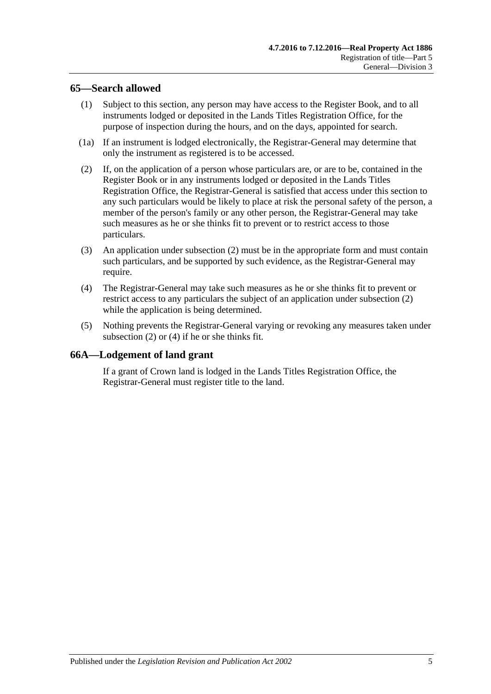## <span id="page-28-0"></span>**65—Search allowed**

- (1) Subject to this section, any person may have access to the Register Book, and to all instruments lodged or deposited in the Lands Titles Registration Office, for the purpose of inspection during the hours, and on the days, appointed for search.
- (1a) If an instrument is lodged electronically, the Registrar-General may determine that only the instrument as registered is to be accessed.
- <span id="page-28-2"></span>(2) If, on the application of a person whose particulars are, or are to be, contained in the Register Book or in any instruments lodged or deposited in the Lands Titles Registration Office, the Registrar-General is satisfied that access under this section to any such particulars would be likely to place at risk the personal safety of the person, a member of the person's family or any other person, the Registrar-General may take such measures as he or she thinks fit to prevent or to restrict access to those particulars.
- (3) An application under [subsection](#page-28-2) (2) must be in the appropriate form and must contain such particulars, and be supported by such evidence, as the Registrar-General may require.
- <span id="page-28-3"></span>(4) The Registrar-General may take such measures as he or she thinks fit to prevent or restrict access to any particulars the subject of an application under [subsection](#page-28-2) (2) while the application is being determined.
- (5) Nothing prevents the Registrar-General varying or revoking any measures taken under [subsection](#page-28-2) (2) or [\(4\)](#page-28-3) if he or she thinks fit.

## <span id="page-28-1"></span>**66A—Lodgement of land grant**

If a grant of Crown land is lodged in the Lands Titles Registration Office, the Registrar-General must register title to the land.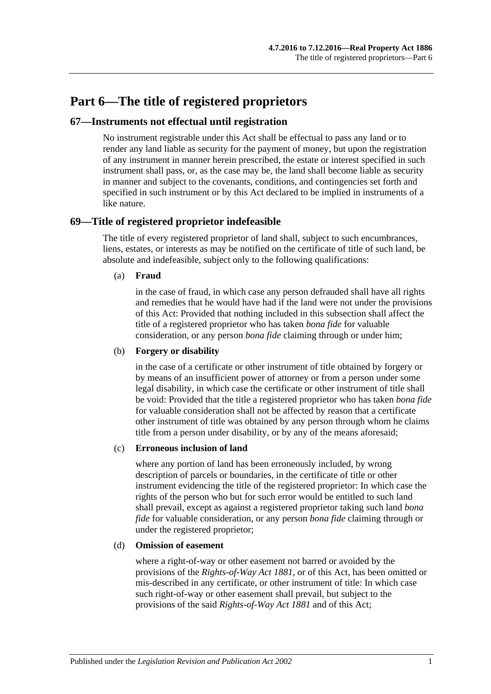## <span id="page-30-0"></span>**Part 6—The title of registered proprietors**

## <span id="page-30-1"></span>**67—Instruments not effectual until registration**

No instrument registrable under this Act shall be effectual to pass any land or to render any land liable as security for the payment of money, but upon the registration of any instrument in manner herein prescribed, the estate or interest specified in such instrument shall pass, or, as the case may be, the land shall become liable as security in manner and subject to the covenants, conditions, and contingencies set forth and specified in such instrument or by this Act declared to be implied in instruments of a like nature.

## <span id="page-30-2"></span>**69—Title of registered proprietor indefeasible**

The title of every registered proprietor of land shall, subject to such encumbrances, liens, estates, or interests as may be notified on the certificate of title of such land, be absolute and indefeasible, subject only to the following qualifications:

#### (a) **Fraud**

in the case of fraud, in which case any person defrauded shall have all rights and remedies that he would have had if the land were not under the provisions of this Act: Provided that nothing included in this subsection shall affect the title of a registered proprietor who has taken *bona fide* for valuable consideration, or any person *bona fide* claiming through or under him;

#### (b) **Forgery or disability**

in the case of a certificate or other instrument of title obtained by forgery or by means of an insufficient power of attorney or from a person under some legal disability, in which case the certificate or other instrument of title shall be void: Provided that the title a registered proprietor who has taken *bona fide* for valuable consideration shall not be affected by reason that a certificate other instrument of title was obtained by any person through whom he claims title from a person under disability, or by any of the means aforesaid;

#### (c) **Erroneous inclusion of land**

where any portion of land has been erroneously included, by wrong description of parcels or boundaries, in the certificate of title or other instrument evidencing the title of the registered proprietor: In which case the rights of the person who but for such error would be entitled to such land shall prevail, except as against a registered proprietor taking such land *bona fide* for valuable consideration, or any person *bona fide* claiming through or under the registered proprietor;

#### (d) **Omission of easement**

where a right-of-way or other easement not barred or avoided by the provisions of the *[Rights-of-Way Act](http://www.legislation.sa.gov.au/index.aspx?action=legref&type=act&legtitle=Rights-of-Way%20Act%201881) 1881*, or of this Act, has been omitted or mis-described in any certificate, or other instrument of title: In which case such right-of-way or other easement shall prevail, but subject to the provisions of the said *[Rights-of-Way Act](http://www.legislation.sa.gov.au/index.aspx?action=legref&type=act&legtitle=Rights-of-Way%20Act%201881) 1881* and of this Act;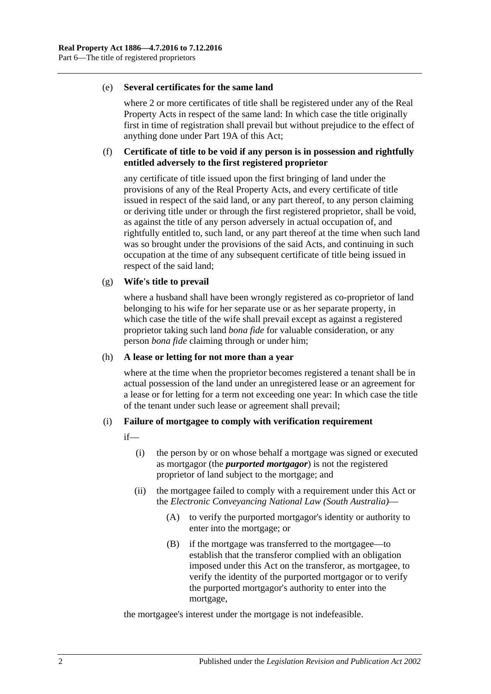#### (e) **Several certificates for the same land**

where 2 or more certificates of title shall be registered under any of the Real Property Acts in respect of the same land: In which case the title originally first in time of registration shall prevail but without prejudice to the effect of anything done under [Part 19A](#page-104-0) of this Act;

#### (f) **Certificate of title to be void if any person is in possession and rightfully entitled adversely to the first registered proprietor**

any certificate of title issued upon the first bringing of land under the provisions of any of the Real Property Acts, and every certificate of title issued in respect of the said land, or any part thereof, to any person claiming or deriving title under or through the first registered proprietor, shall be void, as against the title of any person adversely in actual occupation of, and rightfully entitled to, such land, or any part thereof at the time when such land was so brought under the provisions of the said Acts, and continuing in such occupation at the time of any subsequent certificate of title being issued in respect of the said land;

#### (g) **Wife's title to prevail**

where a husband shall have been wrongly registered as co-proprietor of land belonging to his wife for her separate use or as her separate property, in which case the title of the wife shall prevail except as against a registered proprietor taking such land *bona fide* for valuable consideration, or any person *bona fide* claiming through or under him;

#### (h) **A lease or letting for not more than a year**

where at the time when the proprietor becomes registered a tenant shall be in actual possession of the land under an unregistered lease or an agreement for a lease or for letting for a term not exceeding one year: In which case the title of the tenant under such lease or agreement shall prevail;

#### (i) **Failure of mortgagee to comply with verification requirement**

if—

- (i) the person by or on whose behalf a mortgage was signed or executed as mortgagor (the *purported mortgagor*) is not the registered proprietor of land subject to the mortgage; and
- (ii) the mortgagee failed to comply with a requirement under this Act or the *[Electronic Conveyancing National Law \(South Australia\)](http://www.legislation.sa.gov.au/index.aspx?action=legref&type=act&legtitle=Electronic%20Conveyancing%20National%20Law%20(South%20Australia))*—
	- (A) to verify the purported mortgagor's identity or authority to enter into the mortgage; or
	- (B) if the mortgage was transferred to the mortgagee—to establish that the transferor complied with an obligation imposed under this Act on the transferor, as mortgagee, to verify the identity of the purported mortgagor or to verify the purported mortgagor's authority to enter into the mortgage,

the mortgagee's interest under the mortgage is not indefeasible.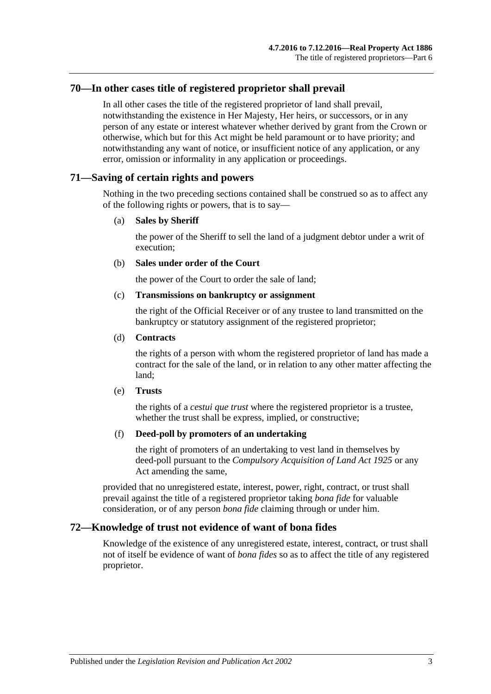## <span id="page-32-0"></span>**70—In other cases title of registered proprietor shall prevail**

In all other cases the title of the registered proprietor of land shall prevail, notwithstanding the existence in Her Majesty, Her heirs, or successors, or in any person of any estate or interest whatever whether derived by grant from the Crown or otherwise, which but for this Act might be held paramount or to have priority; and notwithstanding any want of notice, or insufficient notice of any application, or any error, omission or informality in any application or proceedings.

### <span id="page-32-1"></span>**71—Saving of certain rights and powers**

Nothing in the two preceding sections contained shall be construed so as to affect any of the following rights or powers, that is to say—

#### (a) **Sales by Sheriff**

the power of the Sheriff to sell the land of a judgment debtor under a writ of execution;

#### (b) **Sales under order of the Court**

the power of the Court to order the sale of land;

#### (c) **Transmissions on bankruptcy or assignment**

the right of the Official Receiver or of any trustee to land transmitted on the bankruptcy or statutory assignment of the registered proprietor;

#### (d) **Contracts**

the rights of a person with whom the registered proprietor of land has made a contract for the sale of the land, or in relation to any other matter affecting the land;

#### (e) **Trusts**

the rights of a *cestui que trust* where the registered proprietor is a trustee, whether the trust shall be express, implied, or constructive;

#### (f) **Deed-poll by promoters of an undertaking**

the right of promoters of an undertaking to vest land in themselves by deed-poll pursuant to the *[Compulsory Acquisition of Land Act](http://www.legislation.sa.gov.au/index.aspx?action=legref&type=act&legtitle=Compulsory%20Acquisition%20of%20Land%20Act%201925) 1925* or any Act amending the same,

provided that no unregistered estate, interest, power, right, contract, or trust shall prevail against the title of a registered proprietor taking *bona fide* for valuable consideration, or of any person *bona fide* claiming through or under him.

## <span id="page-32-2"></span>**72—Knowledge of trust not evidence of want of bona fides**

Knowledge of the existence of any unregistered estate, interest, contract, or trust shall not of itself be evidence of want of *bona fides* so as to affect the title of any registered proprietor.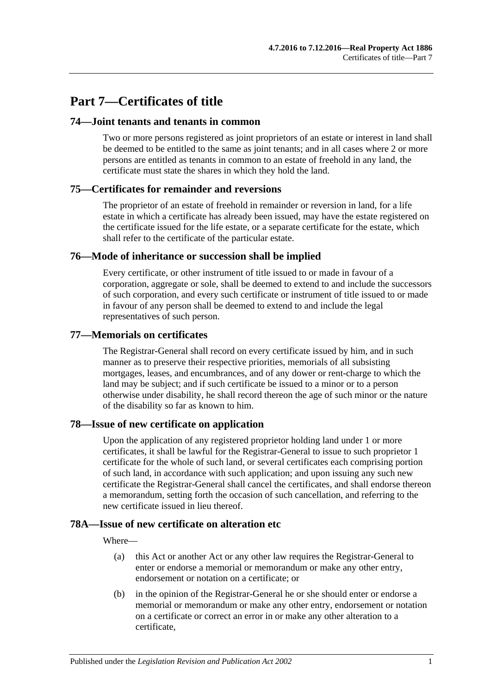## <span id="page-34-0"></span>**Part 7—Certificates of title**

### <span id="page-34-1"></span>**74—Joint tenants and tenants in common**

Two or more persons registered as joint proprietors of an estate or interest in land shall be deemed to be entitled to the same as joint tenants; and in all cases where 2 or more persons are entitled as tenants in common to an estate of freehold in any land, the certificate must state the shares in which they hold the land.

## <span id="page-34-2"></span>**75—Certificates for remainder and reversions**

The proprietor of an estate of freehold in remainder or reversion in land, for a life estate in which a certificate has already been issued, may have the estate registered on the certificate issued for the life estate, or a separate certificate for the estate, which shall refer to the certificate of the particular estate.

#### <span id="page-34-3"></span>**76—Mode of inheritance or succession shall be implied**

Every certificate, or other instrument of title issued to or made in favour of a corporation, aggregate or sole, shall be deemed to extend to and include the successors of such corporation, and every such certificate or instrument of title issued to or made in favour of any person shall be deemed to extend to and include the legal representatives of such person.

#### <span id="page-34-4"></span>**77—Memorials on certificates**

The Registrar-General shall record on every certificate issued by him, and in such manner as to preserve their respective priorities, memorials of all subsisting mortgages, leases, and encumbrances, and of any dower or rent-charge to which the land may be subject; and if such certificate be issued to a minor or to a person otherwise under disability, he shall record thereon the age of such minor or the nature of the disability so far as known to him.

## <span id="page-34-5"></span>**78—Issue of new certificate on application**

Upon the application of any registered proprietor holding land under 1 or more certificates, it shall be lawful for the Registrar-General to issue to such proprietor 1 certificate for the whole of such land, or several certificates each comprising portion of such land, in accordance with such application; and upon issuing any such new certificate the Registrar-General shall cancel the certificates, and shall endorse thereon a memorandum, setting forth the occasion of such cancellation, and referring to the new certificate issued in lieu thereof.

## <span id="page-34-6"></span>**78A—Issue of new certificate on alteration etc**

Where—

- (a) this Act or another Act or any other law requires the Registrar-General to enter or endorse a memorial or memorandum or make any other entry, endorsement or notation on a certificate; or
- (b) in the opinion of the Registrar-General he or she should enter or endorse a memorial or memorandum or make any other entry, endorsement or notation on a certificate or correct an error in or make any other alteration to a certificate,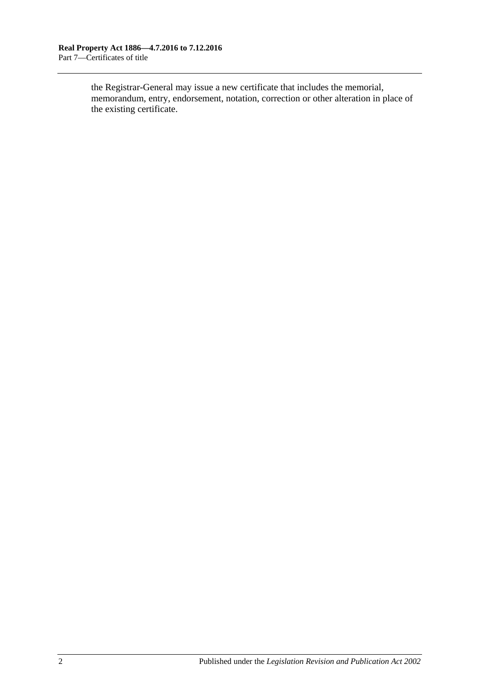the Registrar-General may issue a new certificate that includes the memorial, memorandum, entry, endorsement, notation, correction or other alteration in place of the existing certificate.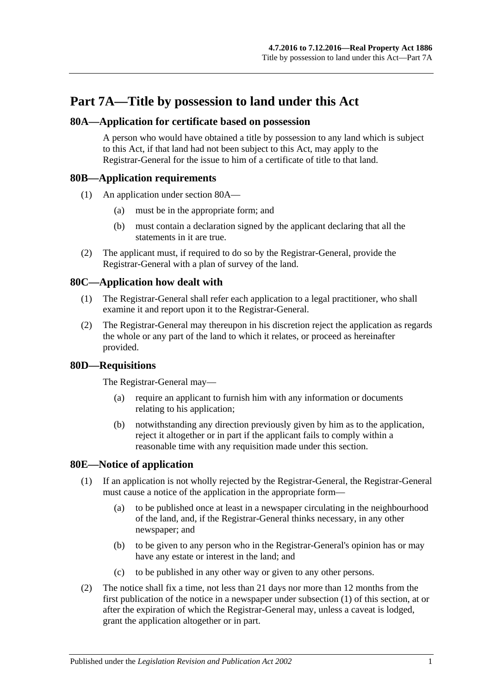# **Part 7A—Title by possession to land under this Act**

## <span id="page-36-0"></span>**80A—Application for certificate based on possession**

A person who would have obtained a title by possession to any land which is subject to this Act, if that land had not been subject to this Act, may apply to the Registrar-General for the issue to him of a certificate of title to that land.

### **80B—Application requirements**

- (1) An application under [section](#page-36-0) 80A—
	- (a) must be in the appropriate form; and
	- (b) must contain a declaration signed by the applicant declaring that all the statements in it are true.
- (2) The applicant must, if required to do so by the Registrar-General, provide the Registrar-General with a plan of survey of the land.

## **80C—Application how dealt with**

- (1) The Registrar-General shall refer each application to a legal practitioner, who shall examine it and report upon it to the Registrar-General.
- (2) The Registrar-General may thereupon in his discretion reject the application as regards the whole or any part of the land to which it relates, or proceed as hereinafter provided.

## **80D—Requisitions**

The Registrar-General may—

- (a) require an applicant to furnish him with any information or documents relating to his application;
- (b) notwithstanding any direction previously given by him as to the application, reject it altogether or in part if the applicant fails to comply within a reasonable time with any requisition made under this section.

## <span id="page-36-2"></span><span id="page-36-1"></span>**80E—Notice of application**

- (1) If an application is not wholly rejected by the Registrar-General, the Registrar-General must cause a notice of the application in the appropriate form—
	- (a) to be published once at least in a newspaper circulating in the neighbourhood of the land, and, if the Registrar-General thinks necessary, in any other newspaper; and
	- (b) to be given to any person who in the Registrar-General's opinion has or may have any estate or interest in the land; and
	- (c) to be published in any other way or given to any other persons.
- (2) The notice shall fix a time, not less than 21 days nor more than 12 months from the first publication of the notice in a newspaper under [subsection](#page-36-1) (1) of this section, at or after the expiration of which the Registrar-General may, unless a caveat is lodged, grant the application altogether or in part.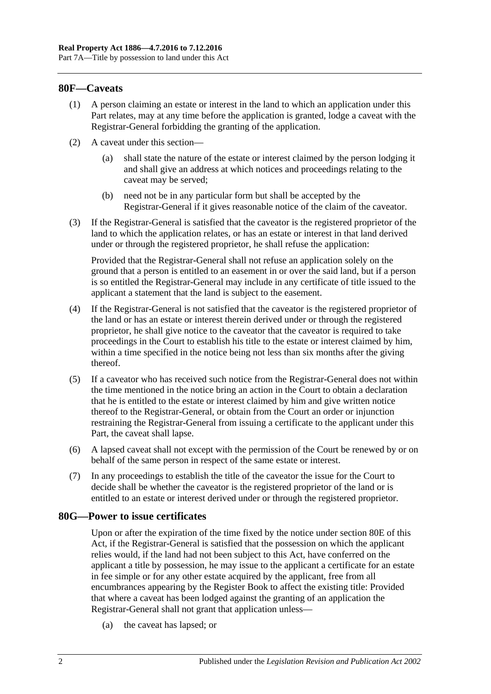### **80F—Caveats**

- (1) A person claiming an estate or interest in the land to which an application under this Part relates, may at any time before the application is granted, lodge a caveat with the Registrar-General forbidding the granting of the application.
- (2) A caveat under this section—
	- (a) shall state the nature of the estate or interest claimed by the person lodging it and shall give an address at which notices and proceedings relating to the caveat may be served;
	- (b) need not be in any particular form but shall be accepted by the Registrar-General if it gives reasonable notice of the claim of the caveator.
- (3) If the Registrar-General is satisfied that the caveator is the registered proprietor of the land to which the application relates, or has an estate or interest in that land derived under or through the registered proprietor, he shall refuse the application:

Provided that the Registrar-General shall not refuse an application solely on the ground that a person is entitled to an easement in or over the said land, but if a person is so entitled the Registrar-General may include in any certificate of title issued to the applicant a statement that the land is subject to the easement.

- (4) If the Registrar-General is not satisfied that the caveator is the registered proprietor of the land or has an estate or interest therein derived under or through the registered proprietor, he shall give notice to the caveator that the caveator is required to take proceedings in the Court to establish his title to the estate or interest claimed by him, within a time specified in the notice being not less than six months after the giving thereof.
- (5) If a caveator who has received such notice from the Registrar-General does not within the time mentioned in the notice bring an action in the Court to obtain a declaration that he is entitled to the estate or interest claimed by him and give written notice thereof to the Registrar-General, or obtain from the Court an order or injunction restraining the Registrar-General from issuing a certificate to the applicant under this Part, the caveat shall lapse.
- (6) A lapsed caveat shall not except with the permission of the Court be renewed by or on behalf of the same person in respect of the same estate or interest.
- (7) In any proceedings to establish the title of the caveator the issue for the Court to decide shall be whether the caveator is the registered proprietor of the land or is entitled to an estate or interest derived under or through the registered proprietor.

#### **80G—Power to issue certificates**

Upon or after the expiration of the time fixed by the notice under [section](#page-36-2) 80E of this Act, if the Registrar-General is satisfied that the possession on which the applicant relies would, if the land had not been subject to this Act, have conferred on the applicant a title by possession, he may issue to the applicant a certificate for an estate in fee simple or for any other estate acquired by the applicant, free from all encumbrances appearing by the Register Book to affect the existing title: Provided that where a caveat has been lodged against the granting of an application the Registrar-General shall not grant that application unless—

(a) the caveat has lapsed; or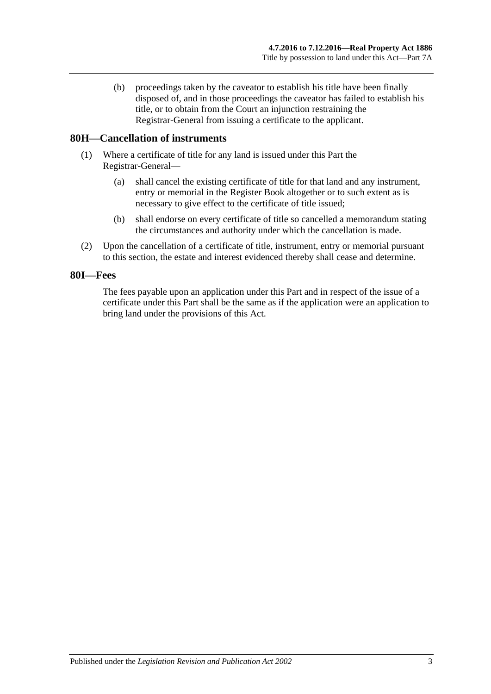(b) proceedings taken by the caveator to establish his title have been finally disposed of, and in those proceedings the caveator has failed to establish his title, or to obtain from the Court an injunction restraining the Registrar-General from issuing a certificate to the applicant.

## **80H—Cancellation of instruments**

- (1) Where a certificate of title for any land is issued under this Part the Registrar-General—
	- (a) shall cancel the existing certificate of title for that land and any instrument, entry or memorial in the Register Book altogether or to such extent as is necessary to give effect to the certificate of title issued;
	- (b) shall endorse on every certificate of title so cancelled a memorandum stating the circumstances and authority under which the cancellation is made.
- (2) Upon the cancellation of a certificate of title, instrument, entry or memorial pursuant to this section, the estate and interest evidenced thereby shall cease and determine.

### **80I—Fees**

The fees payable upon an application under this Part and in respect of the issue of a certificate under this Part shall be the same as if the application were an application to bring land under the provisions of this Act.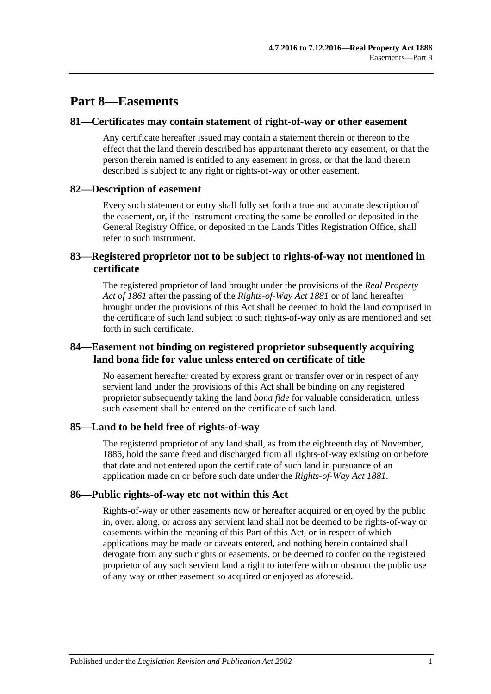# **Part 8—Easements**

#### **81—Certificates may contain statement of right-of-way or other easement**

Any certificate hereafter issued may contain a statement therein or thereon to the effect that the land therein described has appurtenant thereto any easement, or that the person therein named is entitled to any easement in gross, or that the land therein described is subject to any right or rights-of-way or other easement.

#### **82—Description of easement**

Every such statement or entry shall fully set forth a true and accurate description of the easement, or, if the instrument creating the same be enrolled or deposited in the General Registry Office, or deposited in the Lands Titles Registration Office, shall refer to such instrument.

## **83—Registered proprietor not to be subject to rights-of-way not mentioned in certificate**

The registered proprietor of land brought under the provisions of the *[Real Property](http://www.legislation.sa.gov.au/index.aspx?action=legref&type=act&legtitle=Real%20Property%20Act%20of%201861)  [Act of](http://www.legislation.sa.gov.au/index.aspx?action=legref&type=act&legtitle=Real%20Property%20Act%20of%201861) 1861* after the passing of the *[Rights-of-Way Act](http://www.legislation.sa.gov.au/index.aspx?action=legref&type=act&legtitle=Rights-of-Way%20Act%201881) 1881* or of land hereafter brought under the provisions of this Act shall be deemed to hold the land comprised in the certificate of such land subject to such rights-of-way only as are mentioned and set forth in such certificate.

## **84—Easement not binding on registered proprietor subsequently acquiring land bona fide for value unless entered on certificate of title**

No easement hereafter created by express grant or transfer over or in respect of any servient land under the provisions of this Act shall be binding on any registered proprietor subsequently taking the land *bona fide* for valuable consideration, unless such easement shall be entered on the certificate of such land.

#### **85—Land to be held free of rights-of-way**

The registered proprietor of any land shall, as from the eighteenth day of November, 1886, hold the same freed and discharged from all rights-of-way existing on or before that date and not entered upon the certificate of such land in pursuance of an application made on or before such date under the *[Rights-of-Way Act](http://www.legislation.sa.gov.au/index.aspx?action=legref&type=act&legtitle=Rights-of-Way%20Act%201881) 1881*.

#### **86—Public rights-of-way etc not within this Act**

Rights-of-way or other easements now or hereafter acquired or enjoyed by the public in, over, along, or across any servient land shall not be deemed to be rights-of-way or easements within the meaning of this Part of this Act, or in respect of which applications may be made or caveats entered, and nothing herein contained shall derogate from any such rights or easements, or be deemed to confer on the registered proprietor of any such servient land a right to interfere with or obstruct the public use of any way or other easement so acquired or enjoyed as aforesaid.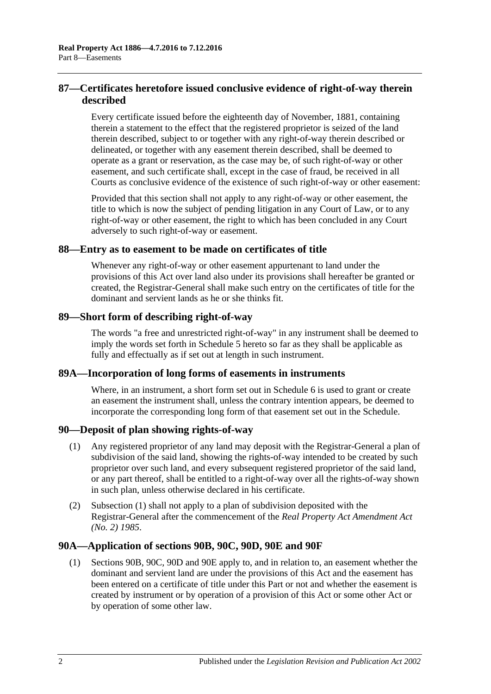# **87—Certificates heretofore issued conclusive evidence of right-of-way therein described**

Every certificate issued before the eighteenth day of November, 1881, containing therein a statement to the effect that the registered proprietor is seized of the land therein described, subject to or together with any right-of-way therein described or delineated, or together with any easement therein described, shall be deemed to operate as a grant or reservation, as the case may be, of such right-of-way or other easement, and such certificate shall, except in the case of fraud, be received in all Courts as conclusive evidence of the existence of such right-of-way or other easement:

Provided that this section shall not apply to any right-of-way or other easement, the title to which is now the subject of pending litigation in any Court of Law, or to any right-of-way or other easement, the right to which has been concluded in any Court adversely to such right-of-way or easement.

### **88—Entry as to easement to be made on certificates of title**

Whenever any right-of-way or other easement appurtenant to land under the provisions of this Act over land also under its provisions shall hereafter be granted or created, the Registrar-General shall make such entry on the certificates of title for the dominant and servient lands as he or she thinks fit.

### **89—Short form of describing right-of-way**

The words "a free and unrestricted right-of-way" in any instrument shall be deemed to imply the words set forth in [Schedule 5](#page-144-0) hereto so far as they shall be applicable as fully and effectually as if set out at length in such instrument.

#### **89A—Incorporation of long forms of easements in instruments**

Where, in an instrument, a short form set out in [Schedule 6](#page-144-1) is used to grant or create an easement the instrument shall, unless the contrary intention appears, be deemed to incorporate the corresponding long form of that easement set out in the Schedule.

#### <span id="page-41-0"></span>**90—Deposit of plan showing rights-of-way**

- (1) Any registered proprietor of any land may deposit with the Registrar-General a plan of subdivision of the said land, showing the rights-of-way intended to be created by such proprietor over such land, and every subsequent registered proprietor of the said land, or any part thereof, shall be entitled to a right-of-way over all the rights-of-way shown in such plan, unless otherwise declared in his certificate.
- (2) [Subsection](#page-41-0) (1) shall not apply to a plan of subdivision deposited with the Registrar-General after the commencement of the *[Real Property Act Amendment Act](http://www.legislation.sa.gov.au/index.aspx?action=legref&type=act&legtitle=Real%20Property%20Act%20Amendment%20Act%20(No.%202)%201985)  (No. 2) [1985](http://www.legislation.sa.gov.au/index.aspx?action=legref&type=act&legtitle=Real%20Property%20Act%20Amendment%20Act%20(No.%202)%201985)*.

#### **90A—Application of [sections](#page-42-0) 90B, [90C,](#page-44-0) [90D,](#page-45-0) [90E](#page-45-1) and [90F](#page-45-2)**

(1) [Sections](#page-42-0) 90B, [90C,](#page-44-0) [90D](#page-45-0) and [90E](#page-45-1) apply to, and in relation to, an easement whether the dominant and servient land are under the provisions of this Act and the easement has been entered on a certificate of title under this Part or not and whether the easement is created by instrument or by operation of a provision of this Act or some other Act or by operation of some other law.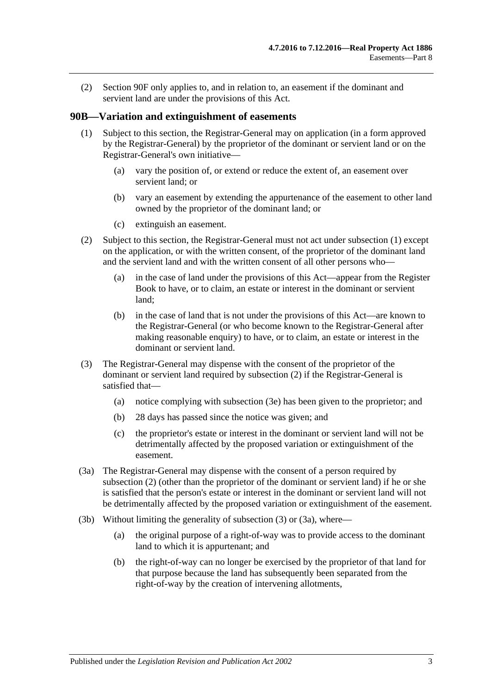(2) [Section](#page-45-2) 90F only applies to, and in relation to, an easement if the dominant and servient land are under the provisions of this Act.

## <span id="page-42-1"></span><span id="page-42-0"></span>**90B—Variation and extinguishment of easements**

- (1) Subject to this section, the Registrar-General may on application (in a form approved by the Registrar-General) by the proprietor of the dominant or servient land or on the Registrar-General's own initiative—
	- (a) vary the position of, or extend or reduce the extent of, an easement over servient land; or
	- (b) vary an easement by extending the appurtenance of the easement to other land owned by the proprietor of the dominant land; or
	- (c) extinguish an easement.
- <span id="page-42-2"></span>(2) Subject to this section, the Registrar-General must not act under [subsection](#page-42-1) (1) except on the application, or with the written consent, of the proprietor of the dominant land and the servient land and with the written consent of all other persons who—
	- (a) in the case of land under the provisions of this Act—appear from the Register Book to have, or to claim, an estate or interest in the dominant or servient land;
	- (b) in the case of land that is not under the provisions of this Act—are known to the Registrar-General (or who become known to the Registrar-General after making reasonable enquiry) to have, or to claim, an estate or interest in the dominant or servient land.
- <span id="page-42-3"></span>(3) The Registrar-General may dispense with the consent of the proprietor of the dominant or servient land required by [subsection](#page-42-2) (2) if the Registrar-General is satisfied that—
	- (a) notice complying with [subsection](#page-43-0) (3e) has been given to the proprietor; and
	- (b) 28 days has passed since the notice was given; and
	- (c) the proprietor's estate or interest in the dominant or servient land will not be detrimentally affected by the proposed variation or extinguishment of the easement.
- <span id="page-42-4"></span>(3a) The Registrar-General may dispense with the consent of a person required by [subsection](#page-42-2) (2) (other than the proprietor of the dominant or servient land) if he or she is satisfied that the person's estate or interest in the dominant or servient land will not be detrimentally affected by the proposed variation or extinguishment of the easement.
- <span id="page-42-5"></span>(3b) Without limiting the generality of [subsection](#page-42-3) (3) or [\(3a\),](#page-42-4) where—
	- (a) the original purpose of a right-of-way was to provide access to the dominant land to which it is appurtenant; and
	- (b) the right-of-way can no longer be exercised by the proprietor of that land for that purpose because the land has subsequently been separated from the right-of-way by the creation of intervening allotments,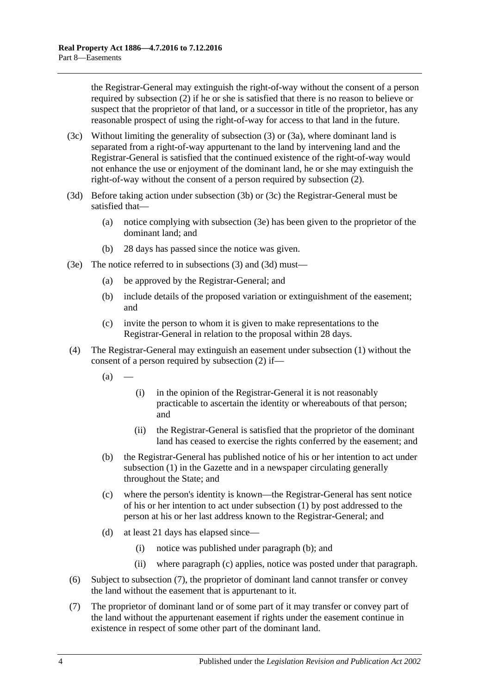the Registrar-General may extinguish the right-of-way without the consent of a person required by [subsection](#page-42-2) (2) if he or she is satisfied that there is no reason to believe or suspect that the proprietor of that land, or a successor in title of the proprietor, has any reasonable prospect of using the right-of-way for access to that land in the future.

- <span id="page-43-1"></span>(3c) Without limiting the generality of [subsection](#page-42-3) (3) or [\(3a\),](#page-42-4) where dominant land is separated from a right-of-way appurtenant to the land by intervening land and the Registrar-General is satisfied that the continued existence of the right-of-way would not enhance the use or enjoyment of the dominant land, he or she may extinguish the right-of-way without the consent of a person required by [subsection](#page-42-2) (2).
- <span id="page-43-2"></span>(3d) Before taking action under [subsection](#page-42-5) (3b) or [\(3c\)](#page-43-1) the Registrar-General must be satisfied that—
	- (a) notice complying with [subsection](#page-43-0) (3e) has been given to the proprietor of the dominant land; and
	- (b) 28 days has passed since the notice was given.
- <span id="page-43-0"></span>(3e) The notice referred to in [subsections](#page-42-3) (3) and [\(3d\)](#page-43-2) must—
	- (a) be approved by the Registrar-General; and
	- (b) include details of the proposed variation or extinguishment of the easement; and
	- (c) invite the person to whom it is given to make representations to the Registrar-General in relation to the proposal within 28 days.
- <span id="page-43-3"></span>(4) The Registrar-General may extinguish an easement under [subsection](#page-42-1) (1) without the consent of a person required by [subsection](#page-42-2) (2) if—
	- $(a)$ 
		- (i) in the opinion of the Registrar-General it is not reasonably practicable to ascertain the identity or whereabouts of that person; and
		- (ii) the Registrar-General is satisfied that the proprietor of the dominant land has ceased to exercise the rights conferred by the easement; and
	- (b) the Registrar-General has published notice of his or her intention to act under [subsection](#page-42-1) (1) in the Gazette and in a newspaper circulating generally throughout the State; and
	- (c) where the person's identity is known—the Registrar-General has sent notice of his or her intention to act under [subsection](#page-42-1) (1) by post addressed to the person at his or her last address known to the Registrar-General; and
	- (d) at least 21 days has elapsed since—
		- (i) notice was published under [paragraph](#page-43-3) (b); and
		- (ii) where [paragraph](#page-43-4) (c) applies, notice was posted under that paragraph.
- <span id="page-43-4"></span>(6) Subject to [subsection](#page-43-5) (7), the proprietor of dominant land cannot transfer or convey the land without the easement that is appurtenant to it.
- <span id="page-43-5"></span>(7) The proprietor of dominant land or of some part of it may transfer or convey part of the land without the appurtenant easement if rights under the easement continue in existence in respect of some other part of the dominant land.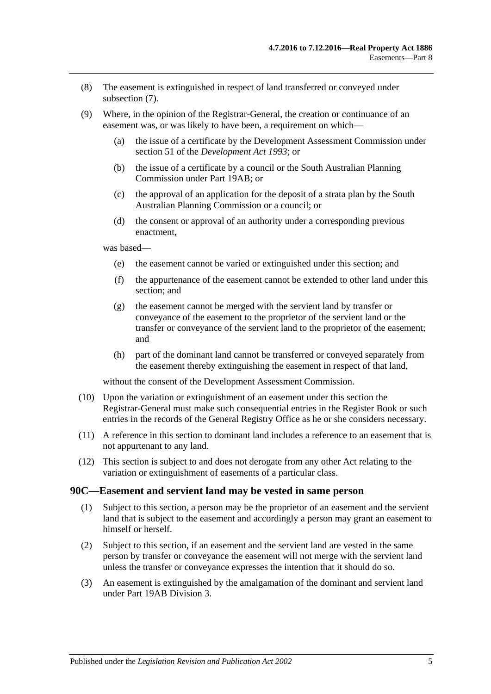- (8) The easement is extinguished in respect of land transferred or conveyed under [subsection](#page-43-5) (7).
- (9) Where, in the opinion of the Registrar-General, the creation or continuance of an easement was, or was likely to have been, a requirement on which—
	- (a) the issue of a certificate by the Development Assessment Commission under section 51 of the *[Development Act](http://www.legislation.sa.gov.au/index.aspx?action=legref&type=act&legtitle=Development%20Act%201993) 1993*; or
	- (b) the issue of a certificate by a council or the South Australian Planning Commission under [Part 19AB;](#page-108-0) or
	- (c) the approval of an application for the deposit of a strata plan by the South Australian Planning Commission or a council; or
	- (d) the consent or approval of an authority under a corresponding previous enactment,

was based—

- (e) the easement cannot be varied or extinguished under this section; and
- (f) the appurtenance of the easement cannot be extended to other land under this section; and
- (g) the easement cannot be merged with the servient land by transfer or conveyance of the easement to the proprietor of the servient land or the transfer or conveyance of the servient land to the proprietor of the easement; and
- (h) part of the dominant land cannot be transferred or conveyed separately from the easement thereby extinguishing the easement in respect of that land,

without the consent of the Development Assessment Commission.

- (10) Upon the variation or extinguishment of an easement under this section the Registrar-General must make such consequential entries in the Register Book or such entries in the records of the General Registry Office as he or she considers necessary.
- (11) A reference in this section to dominant land includes a reference to an easement that is not appurtenant to any land.
- (12) This section is subject to and does not derogate from any other Act relating to the variation or extinguishment of easements of a particular class.

#### <span id="page-44-0"></span>**90C—Easement and servient land may be vested in same person**

- (1) Subject to this section, a person may be the proprietor of an easement and the servient land that is subject to the easement and accordingly a person may grant an easement to himself or herself.
- (2) Subject to this section, if an easement and the servient land are vested in the same person by transfer or conveyance the easement will not merge with the servient land unless the transfer or conveyance expresses the intention that it should do so.
- (3) An easement is extinguished by the amalgamation of the dominant and servient land under [Part 19AB](#page-108-0) [Division 3.](#page-118-0)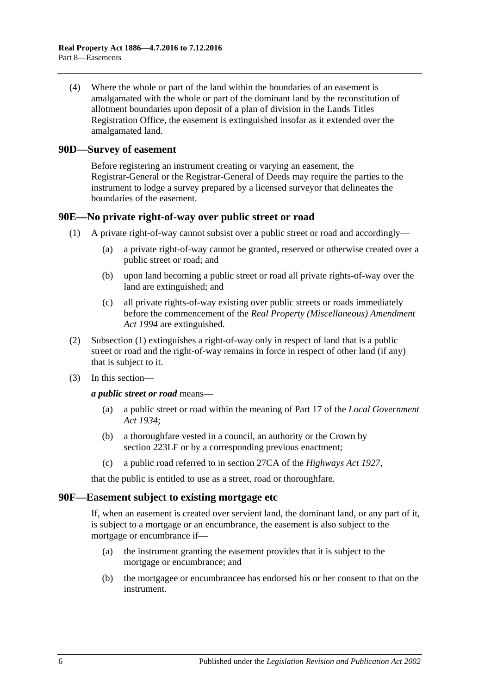(4) Where the whole or part of the land within the boundaries of an easement is amalgamated with the whole or part of the dominant land by the reconstitution of allotment boundaries upon deposit of a plan of division in the Lands Titles Registration Office, the easement is extinguished insofar as it extended over the amalgamated land.

#### <span id="page-45-0"></span>**90D—Survey of easement**

Before registering an instrument creating or varying an easement, the Registrar-General or the Registrar-General of Deeds may require the parties to the instrument to lodge a survey prepared by a licensed surveyor that delineates the boundaries of the easement.

### <span id="page-45-3"></span><span id="page-45-1"></span>**90E—No private right-of-way over public street or road**

- (1) A private right-of-way cannot subsist over a public street or road and accordingly—
	- (a) a private right-of-way cannot be granted, reserved or otherwise created over a public street or road; and
	- (b) upon land becoming a public street or road all private rights-of-way over the land are extinguished; and
	- (c) all private rights-of-way existing over public streets or roads immediately before the commencement of the *[Real Property \(Miscellaneous\) Amendment](http://www.legislation.sa.gov.au/index.aspx?action=legref&type=act&legtitle=Real%20Property%20(Miscellaneous)%20Amendment%20Act%201994)  Act [1994](http://www.legislation.sa.gov.au/index.aspx?action=legref&type=act&legtitle=Real%20Property%20(Miscellaneous)%20Amendment%20Act%201994)* are extinguished.
- (2) [Subsection](#page-45-3) (1) extinguishes a right-of-way only in respect of land that is a public street or road and the right-of-way remains in force in respect of other land (if any) that is subject to it.
- (3) In this section—

*a public street or road* means—

- (a) a public street or road within the meaning of Part 17 of the *[Local Government](http://www.legislation.sa.gov.au/index.aspx?action=legref&type=act&legtitle=Local%20Government%20Act%201934)  Act [1934](http://www.legislation.sa.gov.au/index.aspx?action=legref&type=act&legtitle=Local%20Government%20Act%201934)*;
- (b) a thoroughfare vested in a council, an authority or the Crown by [section](#page-115-0) 223LF or by a corresponding previous enactment;
- (c) a public road referred to in section 27CA of the *[Highways Act](http://www.legislation.sa.gov.au/index.aspx?action=legref&type=act&legtitle=Highways%20Act%201927) 1927*,

that the public is entitled to use as a street, road or thoroughfare.

#### <span id="page-45-2"></span>**90F—Easement subject to existing mortgage etc**

If, when an easement is created over servient land, the dominant land, or any part of it, is subject to a mortgage or an encumbrance, the easement is also subject to the mortgage or encumbrance if—

- (a) the instrument granting the easement provides that it is subject to the mortgage or encumbrance; and
- (b) the mortgagee or encumbrancee has endorsed his or her consent to that on the instrument.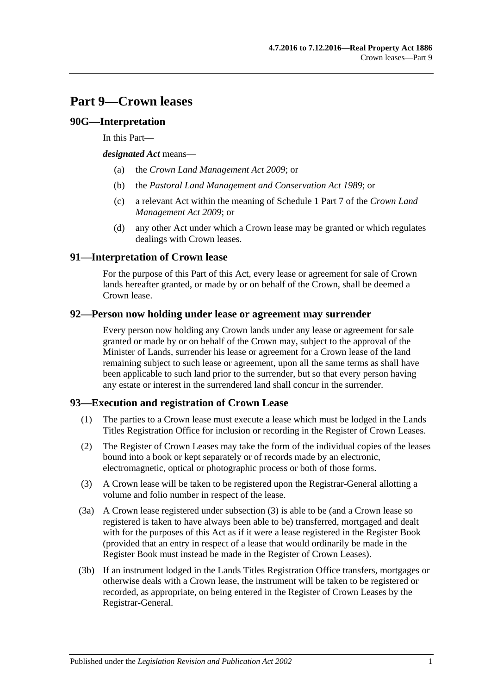# **Part 9—Crown leases**

## **90G—Interpretation**

In this Part—

*designated Act* means—

- (a) the *[Crown Land Management Act](http://www.legislation.sa.gov.au/index.aspx?action=legref&type=act&legtitle=Crown%20Land%20Management%20Act%202009) 2009*; or
- (b) the *[Pastoral Land Management and Conservation Act](http://www.legislation.sa.gov.au/index.aspx?action=legref&type=act&legtitle=Pastoral%20Land%20Management%20and%20Conservation%20Act%201989) 1989*; or
- (c) a relevant Act within the meaning of Schedule 1 Part 7 of the *[Crown Land](http://www.legislation.sa.gov.au/index.aspx?action=legref&type=act&legtitle=Crown%20Land%20Management%20Act%202009)  [Management Act](http://www.legislation.sa.gov.au/index.aspx?action=legref&type=act&legtitle=Crown%20Land%20Management%20Act%202009) 2009*; or
- (d) any other Act under which a Crown lease may be granted or which regulates dealings with Crown leases.

# **91—Interpretation of Crown lease**

For the purpose of this Part of this Act, every lease or agreement for sale of Crown lands hereafter granted, or made by or on behalf of the Crown, shall be deemed a Crown lease.

## **92—Person now holding under lease or agreement may surrender**

Every person now holding any Crown lands under any lease or agreement for sale granted or made by or on behalf of the Crown may, subject to the approval of the Minister of Lands, surrender his lease or agreement for a Crown lease of the land remaining subject to such lease or agreement, upon all the same terms as shall have been applicable to such land prior to the surrender, but so that every person having any estate or interest in the surrendered land shall concur in the surrender.

## <span id="page-46-1"></span>**93—Execution and registration of Crown Lease**

- (1) The parties to a Crown lease must execute a lease which must be lodged in the Lands Titles Registration Office for inclusion or recording in the Register of Crown Leases.
- (2) The Register of Crown Leases may take the form of the individual copies of the leases bound into a book or kept separately or of records made by an electronic, electromagnetic, optical or photographic process or both of those forms.
- <span id="page-46-0"></span>(3) A Crown lease will be taken to be registered upon the Registrar-General allotting a volume and folio number in respect of the lease.
- (3a) A Crown lease registered under [subsection](#page-46-0) (3) is able to be (and a Crown lease so registered is taken to have always been able to be) transferred, mortgaged and dealt with for the purposes of this Act as if it were a lease registered in the Register Book (provided that an entry in respect of a lease that would ordinarily be made in the Register Book must instead be made in the Register of Crown Leases).
- (3b) If an instrument lodged in the Lands Titles Registration Office transfers, mortgages or otherwise deals with a Crown lease, the instrument will be taken to be registered or recorded, as appropriate, on being entered in the Register of Crown Leases by the Registrar-General.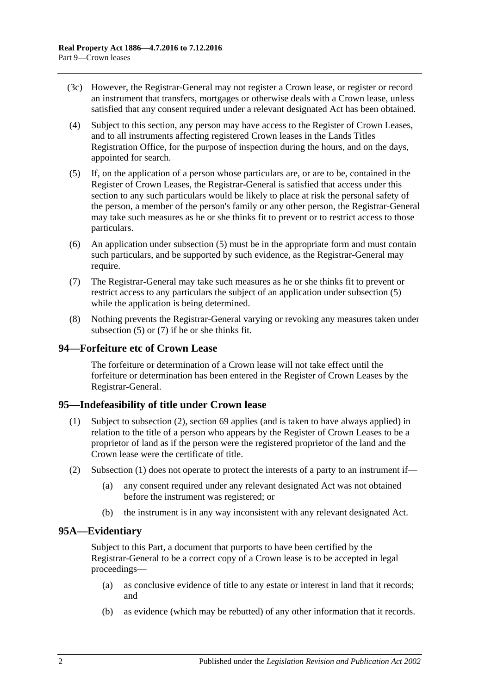- (3c) However, the Registrar-General may not register a Crown lease, or register or record an instrument that transfers, mortgages or otherwise deals with a Crown lease, unless satisfied that any consent required under a relevant designated Act has been obtained.
- (4) Subject to this section, any person may have access to the Register of Crown Leases, and to all instruments affecting registered Crown leases in the Lands Titles Registration Office, for the purpose of inspection during the hours, and on the days, appointed for search.
- <span id="page-47-0"></span>(5) If, on the application of a person whose particulars are, or are to be, contained in the Register of Crown Leases, the Registrar-General is satisfied that access under this section to any such particulars would be likely to place at risk the personal safety of the person, a member of the person's family or any other person, the Registrar-General may take such measures as he or she thinks fit to prevent or to restrict access to those particulars.
- (6) An application under [subsection](#page-47-0) (5) must be in the appropriate form and must contain such particulars, and be supported by such evidence, as the Registrar-General may require.
- <span id="page-47-1"></span>(7) The Registrar-General may take such measures as he or she thinks fit to prevent or restrict access to any particulars the subject of an application under [subsection](#page-47-0) (5) while the application is being determined.
- (8) Nothing prevents the Registrar-General varying or revoking any measures taken under [subsection](#page-47-0) (5) or [\(7\)](#page-47-1) if he or she thinks fit.

## **94—Forfeiture etc of Crown Lease**

The forfeiture or determination of a Crown lease will not take effect until the forfeiture or determination has been entered in the Register of Crown Leases by the Registrar-General.

#### <span id="page-47-4"></span><span id="page-47-3"></span>**95—Indefeasibility of title under Crown lease**

- (1) Subject to [subsection](#page-47-2) (2), [section](#page-30-0) 69 applies (and is taken to have always applied) in relation to the title of a person who appears by the Register of Crown Leases to be a proprietor of land as if the person were the registered proprietor of the land and the Crown lease were the certificate of title.
- <span id="page-47-2"></span>(2) [Subsection](#page-47-3) (1) does not operate to protect the interests of a party to an instrument if—
	- (a) any consent required under any relevant designated Act was not obtained before the instrument was registered; or
	- (b) the instrument is in any way inconsistent with any relevant designated Act.

## **95A—Evidentiary**

Subject to this Part, a document that purports to have been certified by the Registrar-General to be a correct copy of a Crown lease is to be accepted in legal proceedings—

- (a) as conclusive evidence of title to any estate or interest in land that it records; and
- (b) as evidence (which may be rebutted) of any other information that it records.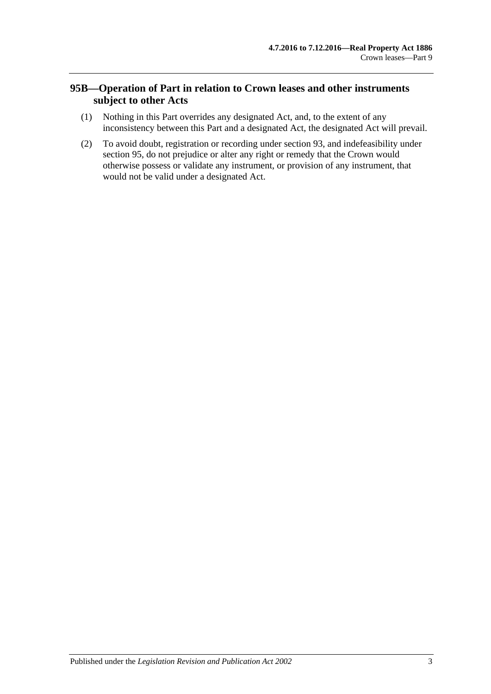# **95B—Operation of Part in relation to Crown leases and other instruments subject to other Acts**

- (1) Nothing in this Part overrides any designated Act, and, to the extent of any inconsistency between this Part and a designated Act, the designated Act will prevail.
- (2) To avoid doubt, registration or recording under [section](#page-46-1) 93, and indefeasibility under [section](#page-47-4) 95, do not prejudice or alter any right or remedy that the Crown would otherwise possess or validate any instrument, or provision of any instrument, that would not be valid under a designated Act.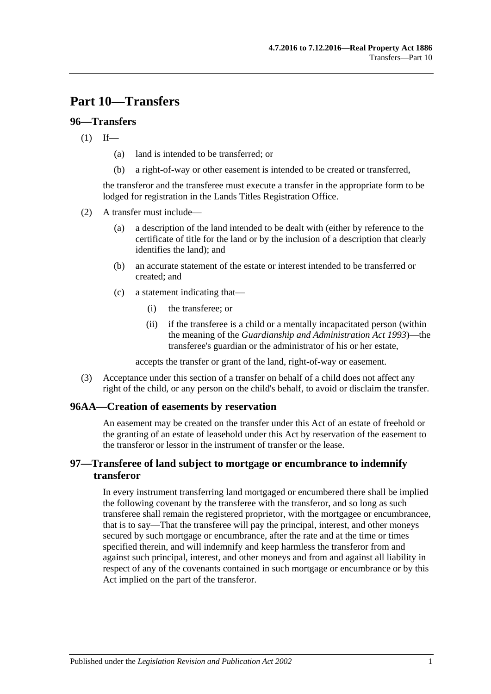# **Part 10—Transfers**

## **96—Transfers**

 $(1)$  If—

- (a) land is intended to be transferred; or
- (b) a right-of-way or other easement is intended to be created or transferred,

the transferor and the transferee must execute a transfer in the appropriate form to be lodged for registration in the Lands Titles Registration Office.

- (2) A transfer must include—
	- (a) a description of the land intended to be dealt with (either by reference to the certificate of title for the land or by the inclusion of a description that clearly identifies the land); and
	- (b) an accurate statement of the estate or interest intended to be transferred or created; and
	- (c) a statement indicating that—
		- (i) the transferee; or
		- (ii) if the transferee is a child or a mentally incapacitated person (within the meaning of the *[Guardianship and Administration Act](http://www.legislation.sa.gov.au/index.aspx?action=legref&type=act&legtitle=Guardianship%20and%20Administration%20Act%201993) 1993*)—the transferee's guardian or the administrator of his or her estate,

accepts the transfer or grant of the land, right-of-way or easement.

(3) Acceptance under this section of a transfer on behalf of a child does not affect any right of the child, or any person on the child's behalf, to avoid or disclaim the transfer.

#### **96AA—Creation of easements by reservation**

An easement may be created on the transfer under this Act of an estate of freehold or the granting of an estate of leasehold under this Act by reservation of the easement to the transferor or lessor in the instrument of transfer or the lease.

# **97—Transferee of land subject to mortgage or encumbrance to indemnify transferor**

In every instrument transferring land mortgaged or encumbered there shall be implied the following covenant by the transferee with the transferor, and so long as such transferee shall remain the registered proprietor, with the mortgagee or encumbrancee, that is to say—That the transferee will pay the principal, interest, and other moneys secured by such mortgage or encumbrance, after the rate and at the time or times specified therein, and will indemnify and keep harmless the transferor from and against such principal, interest, and other moneys and from and against all liability in respect of any of the covenants contained in such mortgage or encumbrance or by this Act implied on the part of the transferor.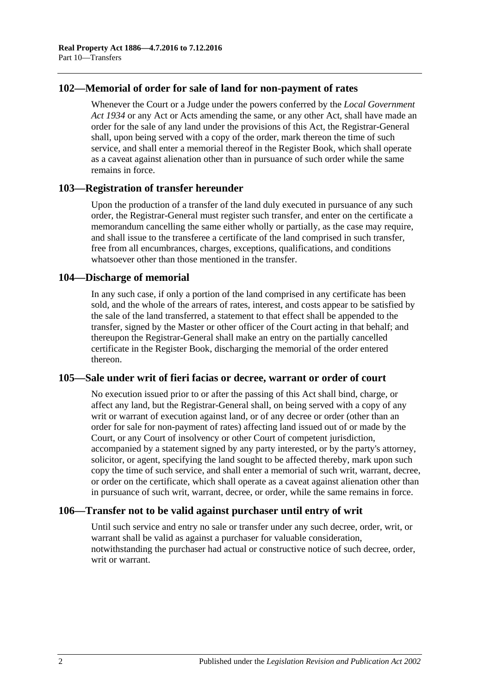## **102—Memorial of order for sale of land for non-payment of rates**

Whenever the Court or a Judge under the powers conferred by the *[Local Government](http://www.legislation.sa.gov.au/index.aspx?action=legref&type=act&legtitle=Local%20Government%20Act%201934)  Act [1934](http://www.legislation.sa.gov.au/index.aspx?action=legref&type=act&legtitle=Local%20Government%20Act%201934)* or any Act or Acts amending the same, or any other Act, shall have made an order for the sale of any land under the provisions of this Act, the Registrar-General shall, upon being served with a copy of the order, mark thereon the time of such service, and shall enter a memorial thereof in the Register Book, which shall operate as a caveat against alienation other than in pursuance of such order while the same remains in force.

#### **103—Registration of transfer hereunder**

Upon the production of a transfer of the land duly executed in pursuance of any such order, the Registrar-General must register such transfer, and enter on the certificate a memorandum cancelling the same either wholly or partially, as the case may require, and shall issue to the transferee a certificate of the land comprised in such transfer, free from all encumbrances, charges, exceptions, qualifications, and conditions whatsoever other than those mentioned in the transfer.

#### **104—Discharge of memorial**

In any such case, if only a portion of the land comprised in any certificate has been sold, and the whole of the arrears of rates, interest, and costs appear to be satisfied by the sale of the land transferred, a statement to that effect shall be appended to the transfer, signed by the Master or other officer of the Court acting in that behalf; and thereupon the Registrar-General shall make an entry on the partially cancelled certificate in the Register Book, discharging the memorial of the order entered thereon.

#### **105—Sale under writ of fieri facias or decree, warrant or order of court**

No execution issued prior to or after the passing of this Act shall bind, charge, or affect any land, but the Registrar-General shall, on being served with a copy of any writ or warrant of execution against land, or of any decree or order (other than an order for sale for non-payment of rates) affecting land issued out of or made by the Court, or any Court of insolvency or other Court of competent jurisdiction, accompanied by a statement signed by any party interested, or by the party's attorney, solicitor, or agent, specifying the land sought to be affected thereby, mark upon such copy the time of such service, and shall enter a memorial of such writ, warrant, decree, or order on the certificate, which shall operate as a caveat against alienation other than in pursuance of such writ, warrant, decree, or order, while the same remains in force.

## **106—Transfer not to be valid against purchaser until entry of writ**

Until such service and entry no sale or transfer under any such decree, order, writ, or warrant shall be valid as against a purchaser for valuable consideration, notwithstanding the purchaser had actual or constructive notice of such decree, order, writ or warrant.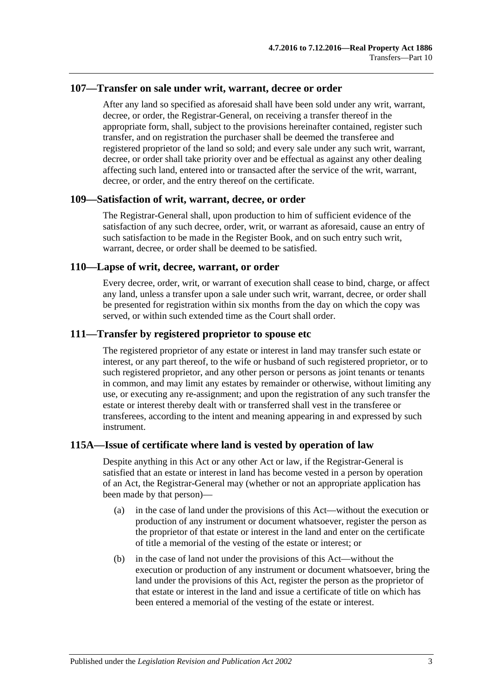#### **107—Transfer on sale under writ, warrant, decree or order**

After any land so specified as aforesaid shall have been sold under any writ, warrant, decree, or order, the Registrar-General, on receiving a transfer thereof in the appropriate form, shall, subject to the provisions hereinafter contained, register such transfer, and on registration the purchaser shall be deemed the transferee and registered proprietor of the land so sold; and every sale under any such writ, warrant, decree, or order shall take priority over and be effectual as against any other dealing affecting such land, entered into or transacted after the service of the writ, warrant, decree, or order, and the entry thereof on the certificate.

#### **109—Satisfaction of writ, warrant, decree, or order**

The Registrar-General shall, upon production to him of sufficient evidence of the satisfaction of any such decree, order, writ, or warrant as aforesaid, cause an entry of such satisfaction to be made in the Register Book, and on such entry such writ, warrant, decree, or order shall be deemed to be satisfied.

### **110—Lapse of writ, decree, warrant, or order**

Every decree, order, writ, or warrant of execution shall cease to bind, charge, or affect any land, unless a transfer upon a sale under such writ, warrant, decree, or order shall be presented for registration within six months from the day on which the copy was served, or within such extended time as the Court shall order.

### **111—Transfer by registered proprietor to spouse etc**

The registered proprietor of any estate or interest in land may transfer such estate or interest, or any part thereof, to the wife or husband of such registered proprietor, or to such registered proprietor, and any other person or persons as joint tenants or tenants in common, and may limit any estates by remainder or otherwise, without limiting any use, or executing any re-assignment; and upon the registration of any such transfer the estate or interest thereby dealt with or transferred shall vest in the transferee or transferees, according to the intent and meaning appearing in and expressed by such instrument.

## **115A—Issue of certificate where land is vested by operation of law**

Despite anything in this Act or any other Act or law, if the Registrar-General is satisfied that an estate or interest in land has become vested in a person by operation of an Act, the Registrar-General may (whether or not an appropriate application has been made by that person)—

- (a) in the case of land under the provisions of this Act—without the execution or production of any instrument or document whatsoever, register the person as the proprietor of that estate or interest in the land and enter on the certificate of title a memorial of the vesting of the estate or interest; or
- (b) in the case of land not under the provisions of this Act—without the execution or production of any instrument or document whatsoever, bring the land under the provisions of this Act, register the person as the proprietor of that estate or interest in the land and issue a certificate of title on which has been entered a memorial of the vesting of the estate or interest.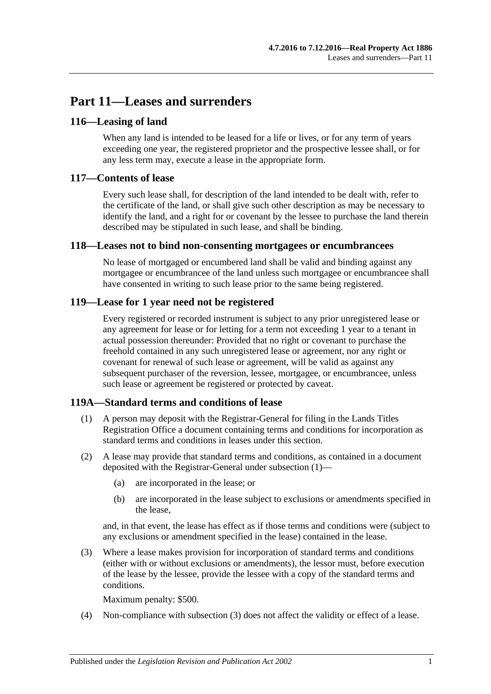# **Part 11—Leases and surrenders**

# **116—Leasing of land**

When any land is intended to be leased for a life or lives, or for any term of years exceeding one year, the registered proprietor and the prospective lessee shall, or for any less term may, execute a lease in the appropriate form.

# **117—Contents of lease**

Every such lease shall, for description of the land intended to be dealt with, refer to the certificate of the land, or shall give such other description as may be necessary to identify the land, and a right for or covenant by the lessee to purchase the land therein described may be stipulated in such lease, and shall be binding.

## **118—Leases not to bind non-consenting mortgagees or encumbrancees**

No lease of mortgaged or encumbered land shall be valid and binding against any mortgagee or encumbrancee of the land unless such mortgagee or encumbrancee shall have consented in writing to such lease prior to the same being registered.

# **119—Lease for 1 year need not be registered**

Every registered or recorded instrument is subject to any prior unregistered lease or any agreement for lease or for letting for a term not exceeding 1 year to a tenant in actual possession thereunder: Provided that no right or covenant to purchase the freehold contained in any such unregistered lease or agreement, nor any right or covenant for renewal of such lease or agreement, will be valid as against any subsequent purchaser of the reversion, lessee, mortgagee, or encumbrancee, unless such lease or agreement be registered or protected by caveat.

## <span id="page-54-0"></span>**119A—Standard terms and conditions of lease**

- (1) A person may deposit with the Registrar-General for filing in the Lands Titles Registration Office a document containing terms and conditions for incorporation as standard terms and conditions in leases under this section.
- (2) A lease may provide that standard terms and conditions, as contained in a document deposited with the Registrar-General under [subsection](#page-54-0) (1)—
	- (a) are incorporated in the lease; or
	- (b) are incorporated in the lease subject to exclusions or amendments specified in the lease,

and, in that event, the lease has effect as if those terms and conditions were (subject to any exclusions or amendment specified in the lease) contained in the lease.

<span id="page-54-1"></span>(3) Where a lease makes provision for incorporation of standard terms and conditions (either with or without exclusions or amendments), the lessor must, before execution of the lease by the lessee, provide the lessee with a copy of the standard terms and conditions.

Maximum penalty: \$500.

(4) Non-compliance with [subsection](#page-54-1) (3) does not affect the validity or effect of a lease.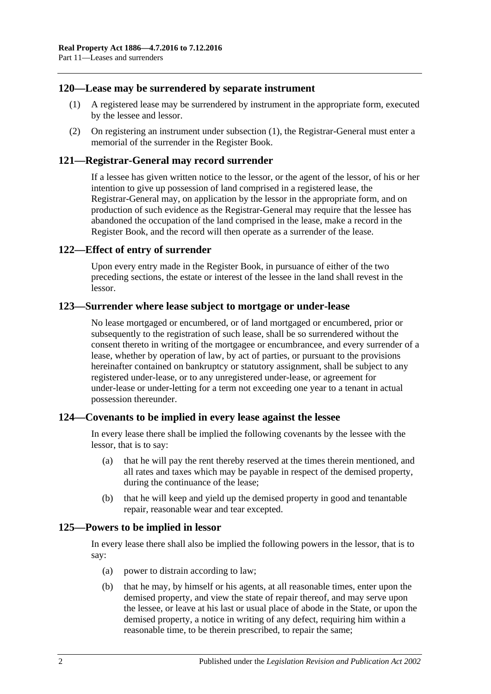## <span id="page-55-0"></span>**120—Lease may be surrendered by separate instrument**

- (1) A registered lease may be surrendered by instrument in the appropriate form, executed by the lessee and lessor.
- (2) On registering an instrument under [subsection](#page-55-0) (1), the Registrar-General must enter a memorial of the surrender in the Register Book.

### **121—Registrar-General may record surrender**

If a lessee has given written notice to the lessor, or the agent of the lessor, of his or her intention to give up possession of land comprised in a registered lease, the Registrar-General may, on application by the lessor in the appropriate form, and on production of such evidence as the Registrar-General may require that the lessee has abandoned the occupation of the land comprised in the lease, make a record in the Register Book, and the record will then operate as a surrender of the lease.

### **122—Effect of entry of surrender**

Upon every entry made in the Register Book, in pursuance of either of the two preceding sections, the estate or interest of the lessee in the land shall revest in the lessor.

#### **123—Surrender where lease subject to mortgage or under-lease**

No lease mortgaged or encumbered, or of land mortgaged or encumbered, prior or subsequently to the registration of such lease, shall be so surrendered without the consent thereto in writing of the mortgagee or encumbrancee, and every surrender of a lease, whether by operation of law, by act of parties, or pursuant to the provisions hereinafter contained on bankruptcy or statutory assignment, shall be subject to any registered under-lease, or to any unregistered under-lease, or agreement for under-lease or under-letting for a term not exceeding one year to a tenant in actual possession thereunder.

## **124—Covenants to be implied in every lease against the lessee**

In every lease there shall be implied the following covenants by the lessee with the lessor, that is to say:

- (a) that he will pay the rent thereby reserved at the times therein mentioned, and all rates and taxes which may be payable in respect of the demised property, during the continuance of the lease;
- (b) that he will keep and yield up the demised property in good and tenantable repair, reasonable wear and tear excepted.

#### **125—Powers to be implied in lessor**

In every lease there shall also be implied the following powers in the lessor, that is to say:

- (a) power to distrain according to law;
- (b) that he may, by himself or his agents, at all reasonable times, enter upon the demised property, and view the state of repair thereof, and may serve upon the lessee, or leave at his last or usual place of abode in the State, or upon the demised property, a notice in writing of any defect, requiring him within a reasonable time, to be therein prescribed, to repair the same;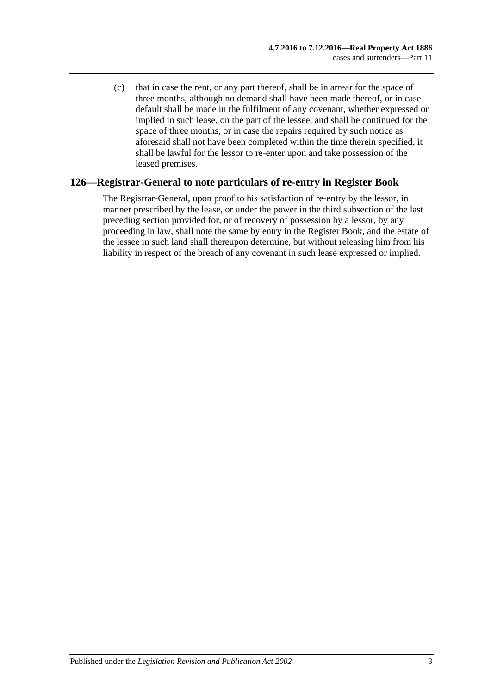(c) that in case the rent, or any part thereof, shall be in arrear for the space of three months, although no demand shall have been made thereof, or in case default shall be made in the fulfilment of any covenant, whether expressed or implied in such lease, on the part of the lessee, and shall be continued for the space of three months, or in case the repairs required by such notice as aforesaid shall not have been completed within the time therein specified, it shall be lawful for the lessor to re-enter upon and take possession of the leased premises.

## **126—Registrar-General to note particulars of re-entry in Register Book**

The Registrar-General, upon proof to his satisfaction of re-entry by the lessor, in manner prescribed by the lease, or under the power in the third subsection of the last preceding section provided for, or of recovery of possession by a lessor, by any proceeding in law, shall note the same by entry in the Register Book, and the estate of the lessee in such land shall thereupon determine, but without releasing him from his liability in respect of the breach of any covenant in such lease expressed or implied.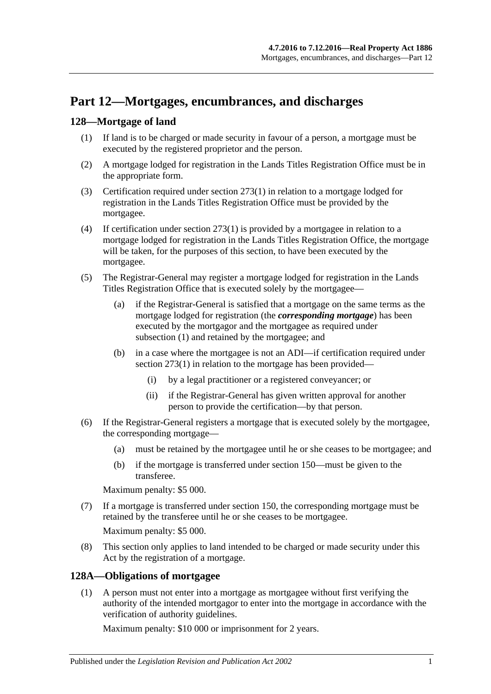# **Part 12—Mortgages, encumbrances, and discharges**

# <span id="page-58-2"></span><span id="page-58-0"></span>**128—Mortgage of land**

- (1) If land is to be charged or made security in favour of a person, a mortgage must be executed by the registered proprietor and the person.
- (2) A mortgage lodged for registration in the Lands Titles Registration Office must be in the appropriate form.
- (3) Certification required under [section](#page-133-0) 273(1) in relation to a mortgage lodged for registration in the Lands Titles Registration Office must be provided by the mortgagee.
- (4) If certification under [section](#page-133-0) 273(1) is provided by a mortgagee in relation to a mortgage lodged for registration in the Lands Titles Registration Office, the mortgage will be taken, for the purposes of this section, to have been executed by the mortgagee.
- (5) The Registrar-General may register a mortgage lodged for registration in the Lands Titles Registration Office that is executed solely by the mortgagee—
	- (a) if the Registrar-General is satisfied that a mortgage on the same terms as the mortgage lodged for registration (the *corresponding mortgage*) has been executed by the mortgagor and the mortgagee as required under [subsection](#page-58-0) (1) and retained by the mortgagee; and
	- (b) in a case where the mortgagee is not an ADI—if certification required under [section](#page-133-0) 273(1) in relation to the mortgage has been provided—
		- (i) by a legal practitioner or a registered conveyancer; or
		- (ii) if the Registrar-General has given written approval for another person to provide the certification—by that person.
- (6) If the Registrar-General registers a mortgage that is executed solely by the mortgagee, the corresponding mortgage—
	- (a) must be retained by the mortgagee until he or she ceases to be mortgagee; and
	- (b) if the mortgage is transferred under [section](#page-66-0) 150—must be given to the transferee.

Maximum penalty: \$5 000.

(7) If a mortgage is transferred under [section](#page-66-0) 150, the corresponding mortgage must be retained by the transferee until he or she ceases to be mortgagee.

Maximum penalty: \$5 000.

(8) This section only applies to land intended to be charged or made security under this Act by the registration of a mortgage.

## <span id="page-58-1"></span>**128A—Obligations of mortgagee**

(1) A person must not enter into a mortgage as mortgagee without first verifying the authority of the intended mortgagor to enter into the mortgage in accordance with the verification of authority guidelines.

Maximum penalty: \$10 000 or imprisonment for 2 years.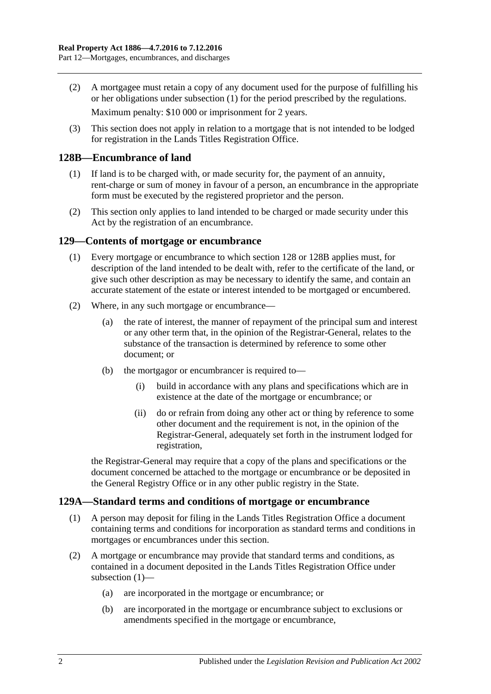(2) A mortgagee must retain a copy of any document used for the purpose of fulfilling his or her obligations under [subsection](#page-58-1) (1) for the period prescribed by the regulations.

Maximum penalty: \$10 000 or imprisonment for 2 years.

(3) This section does not apply in relation to a mortgage that is not intended to be lodged for registration in the Lands Titles Registration Office.

### <span id="page-59-0"></span>**128B—Encumbrance of land**

- (1) If land is to be charged with, or made security for, the payment of an annuity, rent-charge or sum of money in favour of a person, an encumbrance in the appropriate form must be executed by the registered proprietor and the person.
- (2) This section only applies to land intended to be charged or made security under this Act by the registration of an encumbrance.

#### **129—Contents of mortgage or encumbrance**

- (1) Every mortgage or encumbrance to which [section](#page-58-2) 128 or [128B](#page-59-0) applies must, for description of the land intended to be dealt with, refer to the certificate of the land, or give such other description as may be necessary to identify the same, and contain an accurate statement of the estate or interest intended to be mortgaged or encumbered.
- (2) Where, in any such mortgage or encumbrance—
	- (a) the rate of interest, the manner of repayment of the principal sum and interest or any other term that, in the opinion of the Registrar-General, relates to the substance of the transaction is determined by reference to some other document; or
	- (b) the mortgagor or encumbrancer is required to—
		- (i) build in accordance with any plans and specifications which are in existence at the date of the mortgage or encumbrance; or
		- (ii) do or refrain from doing any other act or thing by reference to some other document and the requirement is not, in the opinion of the Registrar-General, adequately set forth in the instrument lodged for registration,

the Registrar-General may require that a copy of the plans and specifications or the document concerned be attached to the mortgage or encumbrance or be deposited in the General Registry Office or in any other public registry in the State.

#### <span id="page-59-1"></span>**129A—Standard terms and conditions of mortgage or encumbrance**

- (1) A person may deposit for filing in the Lands Titles Registration Office a document containing terms and conditions for incorporation as standard terms and conditions in mortgages or encumbrances under this section.
- (2) A mortgage or encumbrance may provide that standard terms and conditions, as contained in a document deposited in the Lands Titles Registration Office under [subsection](#page-59-1) (1)—
	- (a) are incorporated in the mortgage or encumbrance; or
	- (b) are incorporated in the mortgage or encumbrance subject to exclusions or amendments specified in the mortgage or encumbrance,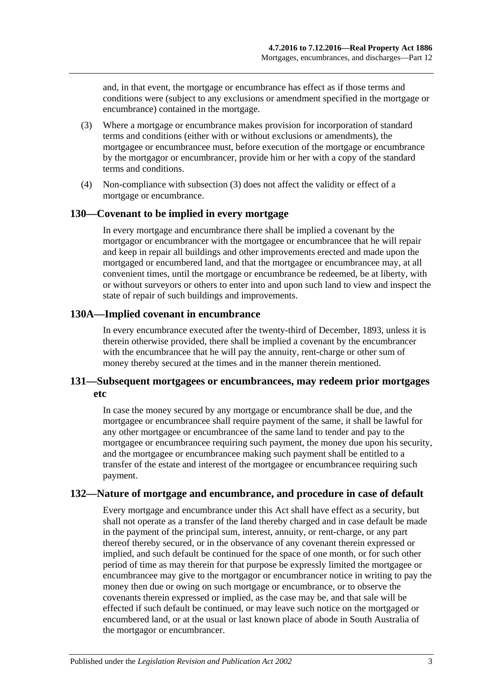and, in that event, the mortgage or encumbrance has effect as if those terms and conditions were (subject to any exclusions or amendment specified in the mortgage or encumbrance) contained in the mortgage.

- <span id="page-60-0"></span>(3) Where a mortgage or encumbrance makes provision for incorporation of standard terms and conditions (either with or without exclusions or amendments), the mortgagee or encumbrancee must, before execution of the mortgage or encumbrance by the mortgagor or encumbrancer, provide him or her with a copy of the standard terms and conditions.
- (4) Non-compliance with [subsection](#page-60-0) (3) does not affect the validity or effect of a mortgage or encumbrance.

#### **130—Covenant to be implied in every mortgage**

In every mortgage and encumbrance there shall be implied a covenant by the mortgagor or encumbrancer with the mortgagee or encumbrancee that he will repair and keep in repair all buildings and other improvements erected and made upon the mortgaged or encumbered land, and that the mortgagee or encumbrancee may, at all convenient times, until the mortgage or encumbrance be redeemed, be at liberty, with or without surveyors or others to enter into and upon such land to view and inspect the state of repair of such buildings and improvements.

## **130A—Implied covenant in encumbrance**

In every encumbrance executed after the twenty-third of December, 1893, unless it is therein otherwise provided, there shall be implied a covenant by the encumbrancer with the encumbrancee that he will pay the annuity, rent-charge or other sum of money thereby secured at the times and in the manner therein mentioned.

## **131—Subsequent mortgagees or encumbrancees, may redeem prior mortgages etc**

In case the money secured by any mortgage or encumbrance shall be due, and the mortgagee or encumbrancee shall require payment of the same, it shall be lawful for any other mortgagee or encumbrancee of the same land to tender and pay to the mortgagee or encumbrancee requiring such payment, the money due upon his security, and the mortgagee or encumbrancee making such payment shall be entitled to a transfer of the estate and interest of the mortgagee or encumbrancee requiring such payment.

## **132—Nature of mortgage and encumbrance, and procedure in case of default**

Every mortgage and encumbrance under this Act shall have effect as a security, but shall not operate as a transfer of the land thereby charged and in case default be made in the payment of the principal sum, interest, annuity, or rent-charge, or any part thereof thereby secured, or in the observance of any covenant therein expressed or implied, and such default be continued for the space of one month, or for such other period of time as may therein for that purpose be expressly limited the mortgagee or encumbrancee may give to the mortgagor or encumbrancer notice in writing to pay the money then due or owing on such mortgage or encumbrance, or to observe the covenants therein expressed or implied, as the case may be, and that sale will be effected if such default be continued, or may leave such notice on the mortgaged or encumbered land, or at the usual or last known place of abode in South Australia of the mortgagor or encumbrancer.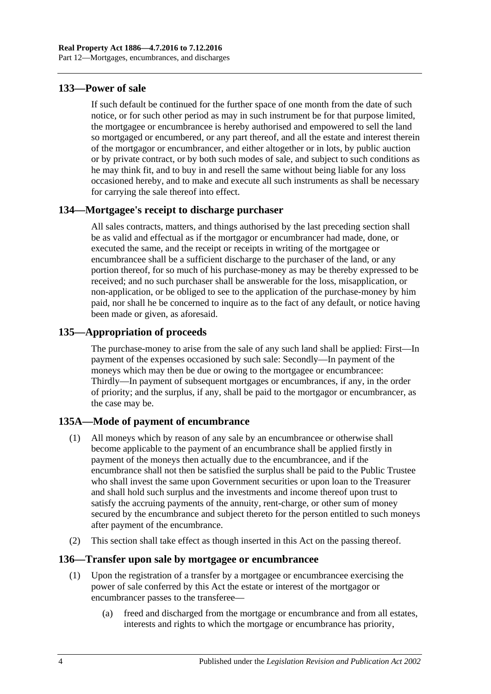# **133—Power of sale**

If such default be continued for the further space of one month from the date of such notice, or for such other period as may in such instrument be for that purpose limited, the mortgagee or encumbrancee is hereby authorised and empowered to sell the land so mortgaged or encumbered, or any part thereof, and all the estate and interest therein of the mortgagor or encumbrancer, and either altogether or in lots, by public auction or by private contract, or by both such modes of sale, and subject to such conditions as he may think fit, and to buy in and resell the same without being liable for any loss occasioned hereby, and to make and execute all such instruments as shall be necessary for carrying the sale thereof into effect.

# **134—Mortgagee's receipt to discharge purchaser**

All sales contracts, matters, and things authorised by the last preceding section shall be as valid and effectual as if the mortgagor or encumbrancer had made, done, or executed the same, and the receipt or receipts in writing of the mortgagee or encumbrancee shall be a sufficient discharge to the purchaser of the land, or any portion thereof, for so much of his purchase-money as may be thereby expressed to be received; and no such purchaser shall be answerable for the loss, misapplication, or non-application, or be obliged to see to the application of the purchase-money by him paid, nor shall he be concerned to inquire as to the fact of any default, or notice having been made or given, as aforesaid.

## **135—Appropriation of proceeds**

The purchase-money to arise from the sale of any such land shall be applied: First—In payment of the expenses occasioned by such sale: Secondly—In payment of the moneys which may then be due or owing to the mortgagee or encumbrancee: Thirdly—In payment of subsequent mortgages or encumbrances, if any, in the order of priority; and the surplus, if any, shall be paid to the mortgagor or encumbrancer, as the case may be.

# **135A—Mode of payment of encumbrance**

- (1) All moneys which by reason of any sale by an encumbrancee or otherwise shall become applicable to the payment of an encumbrance shall be applied firstly in payment of the moneys then actually due to the encumbrancee, and if the encumbrance shall not then be satisfied the surplus shall be paid to the Public Trustee who shall invest the same upon Government securities or upon loan to the Treasurer and shall hold such surplus and the investments and income thereof upon trust to satisfy the accruing payments of the annuity, rent-charge, or other sum of money secured by the encumbrance and subject thereto for the person entitled to such moneys after payment of the encumbrance.
- (2) This section shall take effect as though inserted in this Act on the passing thereof.

## **136—Transfer upon sale by mortgagee or encumbrancee**

- (1) Upon the registration of a transfer by a mortgagee or encumbrancee exercising the power of sale conferred by this Act the estate or interest of the mortgagor or encumbrancer passes to the transferee—
	- (a) freed and discharged from the mortgage or encumbrance and from all estates, interests and rights to which the mortgage or encumbrance has priority,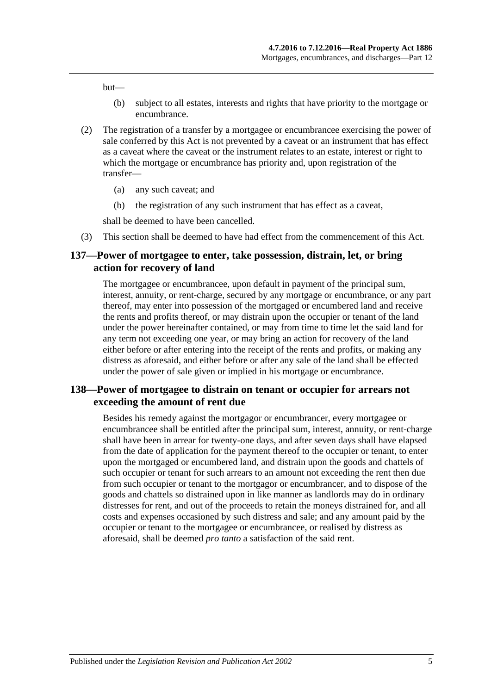but—

- (b) subject to all estates, interests and rights that have priority to the mortgage or encumbrance.
- (2) The registration of a transfer by a mortgagee or encumbrancee exercising the power of sale conferred by this Act is not prevented by a caveat or an instrument that has effect as a caveat where the caveat or the instrument relates to an estate, interest or right to which the mortgage or encumbrance has priority and, upon registration of the transfer—
	- (a) any such caveat; and
	- (b) the registration of any such instrument that has effect as a caveat,

shall be deemed to have been cancelled.

(3) This section shall be deemed to have had effect from the commencement of this Act.

### **137—Power of mortgagee to enter, take possession, distrain, let, or bring action for recovery of land**

The mortgagee or encumbrancee, upon default in payment of the principal sum, interest, annuity, or rent-charge, secured by any mortgage or encumbrance, or any part thereof, may enter into possession of the mortgaged or encumbered land and receive the rents and profits thereof, or may distrain upon the occupier or tenant of the land under the power hereinafter contained, or may from time to time let the said land for any term not exceeding one year, or may bring an action for recovery of the land either before or after entering into the receipt of the rents and profits, or making any distress as aforesaid, and either before or after any sale of the land shall be effected under the power of sale given or implied in his mortgage or encumbrance.

## **138—Power of mortgagee to distrain on tenant or occupier for arrears not exceeding the amount of rent due**

Besides his remedy against the mortgagor or encumbrancer, every mortgagee or encumbrancee shall be entitled after the principal sum, interest, annuity, or rent-charge shall have been in arrear for twenty-one days, and after seven days shall have elapsed from the date of application for the payment thereof to the occupier or tenant, to enter upon the mortgaged or encumbered land, and distrain upon the goods and chattels of such occupier or tenant for such arrears to an amount not exceeding the rent then due from such occupier or tenant to the mortgagor or encumbrancer, and to dispose of the goods and chattels so distrained upon in like manner as landlords may do in ordinary distresses for rent, and out of the proceeds to retain the moneys distrained for, and all costs and expenses occasioned by such distress and sale; and any amount paid by the occupier or tenant to the mortgagee or encumbrancee, or realised by distress as aforesaid, shall be deemed *pro tanto* a satisfaction of the said rent.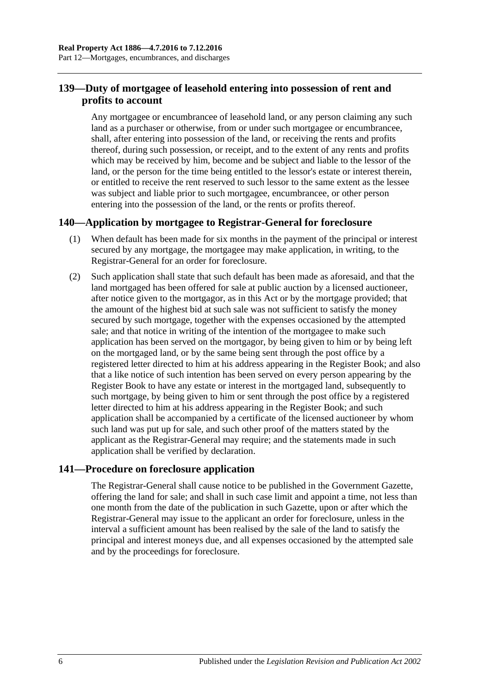# **139—Duty of mortgagee of leasehold entering into possession of rent and profits to account**

Any mortgagee or encumbrancee of leasehold land, or any person claiming any such land as a purchaser or otherwise, from or under such mortgagee or encumbrancee, shall, after entering into possession of the land, or receiving the rents and profits thereof, during such possession, or receipt, and to the extent of any rents and profits which may be received by him, become and be subject and liable to the lessor of the land, or the person for the time being entitled to the lessor's estate or interest therein, or entitled to receive the rent reserved to such lessor to the same extent as the lessee was subject and liable prior to such mortgagee, encumbrancee, or other person entering into the possession of the land, or the rents or profits thereof.

## **140—Application by mortgagee to Registrar-General for foreclosure**

- (1) When default has been made for six months in the payment of the principal or interest secured by any mortgage, the mortgagee may make application, in writing, to the Registrar-General for an order for foreclosure.
- (2) Such application shall state that such default has been made as aforesaid, and that the land mortgaged has been offered for sale at public auction by a licensed auctioneer, after notice given to the mortgagor, as in this Act or by the mortgage provided; that the amount of the highest bid at such sale was not sufficient to satisfy the money secured by such mortgage, together with the expenses occasioned by the attempted sale; and that notice in writing of the intention of the mortgagee to make such application has been served on the mortgagor, by being given to him or by being left on the mortgaged land, or by the same being sent through the post office by a registered letter directed to him at his address appearing in the Register Book; and also that a like notice of such intention has been served on every person appearing by the Register Book to have any estate or interest in the mortgaged land, subsequently to such mortgage, by being given to him or sent through the post office by a registered letter directed to him at his address appearing in the Register Book; and such application shall be accompanied by a certificate of the licensed auctioneer by whom such land was put up for sale, and such other proof of the matters stated by the applicant as the Registrar-General may require; and the statements made in such application shall be verified by declaration.

## **141—Procedure on foreclosure application**

The Registrar-General shall cause notice to be published in the Government Gazette, offering the land for sale; and shall in such case limit and appoint a time, not less than one month from the date of the publication in such Gazette, upon or after which the Registrar-General may issue to the applicant an order for foreclosure, unless in the interval a sufficient amount has been realised by the sale of the land to satisfy the principal and interest moneys due, and all expenses occasioned by the attempted sale and by the proceedings for foreclosure.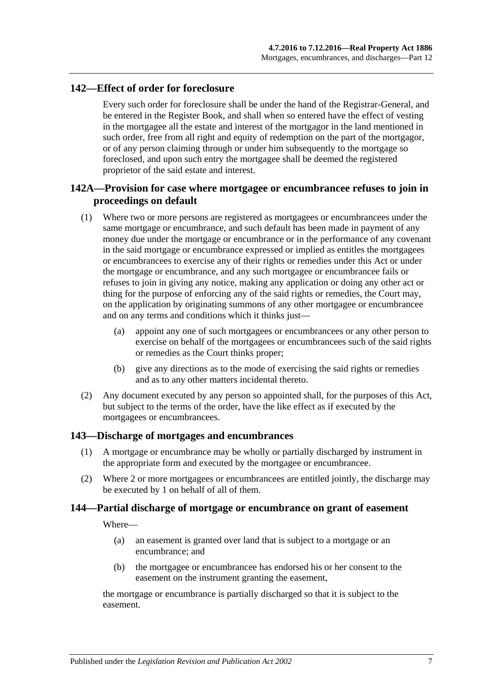## **142—Effect of order for foreclosure**

Every such order for foreclosure shall be under the hand of the Registrar-General, and be entered in the Register Book, and shall when so entered have the effect of vesting in the mortgagee all the estate and interest of the mortgagor in the land mentioned in such order, free from all right and equity of redemption on the part of the mortgagor, or of any person claiming through or under him subsequently to the mortgage so foreclosed, and upon such entry the mortgagee shall be deemed the registered proprietor of the said estate and interest.

# **142A—Provision for case where mortgagee or encumbrancee refuses to join in proceedings on default**

- (1) Where two or more persons are registered as mortgagees or encumbrancees under the same mortgage or encumbrance, and such default has been made in payment of any money due under the mortgage or encumbrance or in the performance of any covenant in the said mortgage or encumbrance expressed or implied as entitles the mortgagees or encumbrancees to exercise any of their rights or remedies under this Act or under the mortgage or encumbrance, and any such mortgagee or encumbrancee fails or refuses to join in giving any notice, making any application or doing any other act or thing for the purpose of enforcing any of the said rights or remedies, the Court may, on the application by originating summons of any other mortgagee or encumbrancee and on any terms and conditions which it thinks just—
	- (a) appoint any one of such mortgagees or encumbrancees or any other person to exercise on behalf of the mortgagees or encumbrancees such of the said rights or remedies as the Court thinks proper;
	- (b) give any directions as to the mode of exercising the said rights or remedies and as to any other matters incidental thereto.
- (2) Any document executed by any person so appointed shall, for the purposes of this Act, but subject to the terms of the order, have the like effect as if executed by the mortgagees or encumbrancees.

#### **143—Discharge of mortgages and encumbrances**

- (1) A mortgage or encumbrance may be wholly or partially discharged by instrument in the appropriate form and executed by the mortgagee or encumbrancee.
- (2) Where 2 or more mortgagees or encumbrancees are entitled jointly, the discharge may be executed by 1 on behalf of all of them.

#### **144—Partial discharge of mortgage or encumbrance on grant of easement**

Where—

- (a) an easement is granted over land that is subject to a mortgage or an encumbrance; and
- (b) the mortgagee or encumbrancee has endorsed his or her consent to the easement on the instrument granting the easement,

the mortgage or encumbrance is partially discharged so that it is subject to the easement.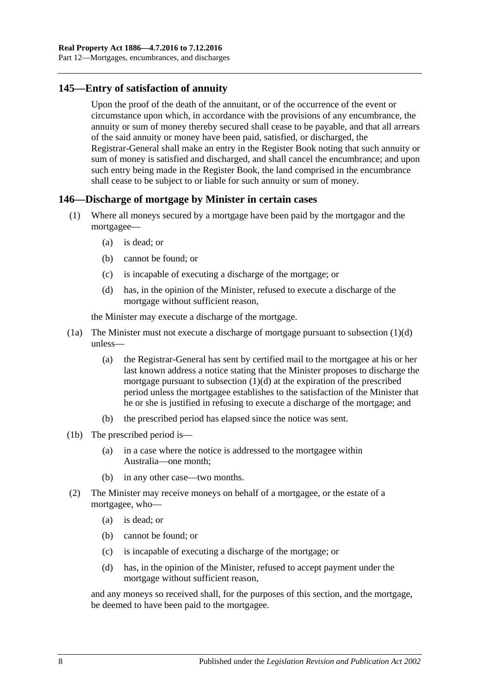# **145—Entry of satisfaction of annuity**

Upon the proof of the death of the annuitant, or of the occurrence of the event or circumstance upon which, in accordance with the provisions of any encumbrance, the annuity or sum of money thereby secured shall cease to be payable, and that all arrears of the said annuity or money have been paid, satisfied, or discharged, the Registrar-General shall make an entry in the Register Book noting that such annuity or sum of money is satisfied and discharged, and shall cancel the encumbrance; and upon such entry being made in the Register Book, the land comprised in the encumbrance shall cease to be subject to or liable for such annuity or sum of money.

## **146—Discharge of mortgage by Minister in certain cases**

- (1) Where all moneys secured by a mortgage have been paid by the mortgagor and the mortgagee—
	- (a) is dead; or
	- (b) cannot be found; or
	- (c) is incapable of executing a discharge of the mortgage; or
	- (d) has, in the opinion of the Minister, refused to execute a discharge of the mortgage without sufficient reason,

<span id="page-65-0"></span>the Minister may execute a discharge of the mortgage.

- (1a) The Minister must not execute a discharge of mortgage pursuant to [subsection](#page-65-0) (1)(d) unless—
	- (a) the Registrar-General has sent by certified mail to the mortgagee at his or her last known address a notice stating that the Minister proposes to discharge the mortgage pursuant to [subsection](#page-65-0)  $(1)(d)$  at the expiration of the prescribed period unless the mortgagee establishes to the satisfaction of the Minister that he or she is justified in refusing to execute a discharge of the mortgage; and
	- (b) the prescribed period has elapsed since the notice was sent.
- (1b) The prescribed period is—
	- (a) in a case where the notice is addressed to the mortgagee within Australia—one month;
	- (b) in any other case—two months.
- <span id="page-65-1"></span>(2) The Minister may receive moneys on behalf of a mortgagee, or the estate of a mortgagee, who—
	- (a) is dead; or
	- (b) cannot be found; or
	- (c) is incapable of executing a discharge of the mortgage; or
	- (d) has, in the opinion of the Minister, refused to accept payment under the mortgage without sufficient reason,

and any moneys so received shall, for the purposes of this section, and the mortgage, be deemed to have been paid to the mortgagee.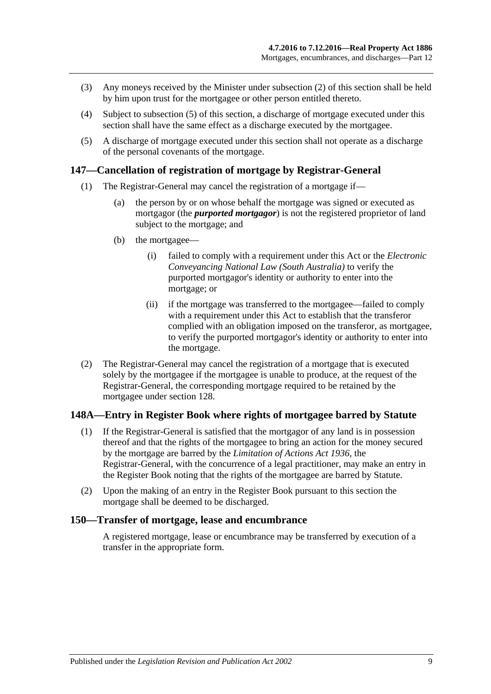- (3) Any moneys received by the Minister under [subsection](#page-65-1) (2) of this section shall be held by him upon trust for the mortgagee or other person entitled thereto.
- (4) Subject to [subsection](#page-66-1) (5) of this section, a discharge of mortgage executed under this section shall have the same effect as a discharge executed by the mortgagee.
- <span id="page-66-1"></span>(5) A discharge of mortgage executed under this section shall not operate as a discharge of the personal covenants of the mortgage.

#### **147—Cancellation of registration of mortgage by Registrar-General**

- (1) The Registrar-General may cancel the registration of a mortgage if—
	- (a) the person by or on whose behalf the mortgage was signed or executed as mortgagor (the *purported mortgagor*) is not the registered proprietor of land subject to the mortgage; and
	- (b) the mortgagee—
		- (i) failed to comply with a requirement under this Act or the *[Electronic](http://www.legislation.sa.gov.au/index.aspx?action=legref&type=act&legtitle=Electronic%20Conveyancing%20National%20Law%20(South%20Australia))  [Conveyancing National Law \(South Australia\)](http://www.legislation.sa.gov.au/index.aspx?action=legref&type=act&legtitle=Electronic%20Conveyancing%20National%20Law%20(South%20Australia))* to verify the purported mortgagor's identity or authority to enter into the mortgage; or
		- (ii) if the mortgage was transferred to the mortgagee—failed to comply with a requirement under this Act to establish that the transferor complied with an obligation imposed on the transferor, as mortgagee, to verify the purported mortgagor's identity or authority to enter into the mortgage.
- (2) The Registrar-General may cancel the registration of a mortgage that is executed solely by the mortgagee if the mortgagee is unable to produce, at the request of the Registrar-General, the corresponding mortgage required to be retained by the mortgagee under [section](#page-58-2) 128.

## **148A—Entry in Register Book where rights of mortgagee barred by Statute**

- (1) If the Registrar-General is satisfied that the mortgagor of any land is in possession thereof and that the rights of the mortgagee to bring an action for the money secured by the mortgage are barred by the *[Limitation of Actions Act](http://www.legislation.sa.gov.au/index.aspx?action=legref&type=act&legtitle=Limitation%20of%20Actions%20Act%201936) 1936*, the Registrar-General, with the concurrence of a legal practitioner, may make an entry in the Register Book noting that the rights of the mortgagee are barred by Statute.
- (2) Upon the making of an entry in the Register Book pursuant to this section the mortgage shall be deemed to be discharged.

### <span id="page-66-0"></span>**150—Transfer of mortgage, lease and encumbrance**

A registered mortgage, lease or encumbrance may be transferred by execution of a transfer in the appropriate form.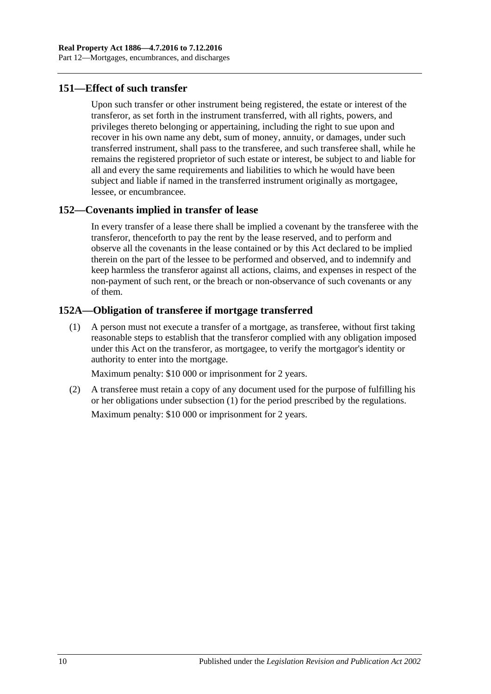## **151—Effect of such transfer**

Upon such transfer or other instrument being registered, the estate or interest of the transferor, as set forth in the instrument transferred, with all rights, powers, and privileges thereto belonging or appertaining, including the right to sue upon and recover in his own name any debt, sum of money, annuity, or damages, under such transferred instrument, shall pass to the transferee, and such transferee shall, while he remains the registered proprietor of such estate or interest, be subject to and liable for all and every the same requirements and liabilities to which he would have been subject and liable if named in the transferred instrument originally as mortgagee, lessee, or encumbrancee.

## **152—Covenants implied in transfer of lease**

In every transfer of a lease there shall be implied a covenant by the transferee with the transferor, thenceforth to pay the rent by the lease reserved, and to perform and observe all the covenants in the lease contained or by this Act declared to be implied therein on the part of the lessee to be performed and observed, and to indemnify and keep harmless the transferor against all actions, claims, and expenses in respect of the non-payment of such rent, or the breach or non-observance of such covenants or any of them.

## <span id="page-67-0"></span>**152A—Obligation of transferee if mortgage transferred**

(1) A person must not execute a transfer of a mortgage, as transferee, without first taking reasonable steps to establish that the transferor complied with any obligation imposed under this Act on the transferor, as mortgagee, to verify the mortgagor's identity or authority to enter into the mortgage.

Maximum penalty: \$10 000 or imprisonment for 2 years.

(2) A transferee must retain a copy of any document used for the purpose of fulfilling his or her obligations under [subsection](#page-67-0) (1) for the period prescribed by the regulations. Maximum penalty: \$10 000 or imprisonment for 2 years.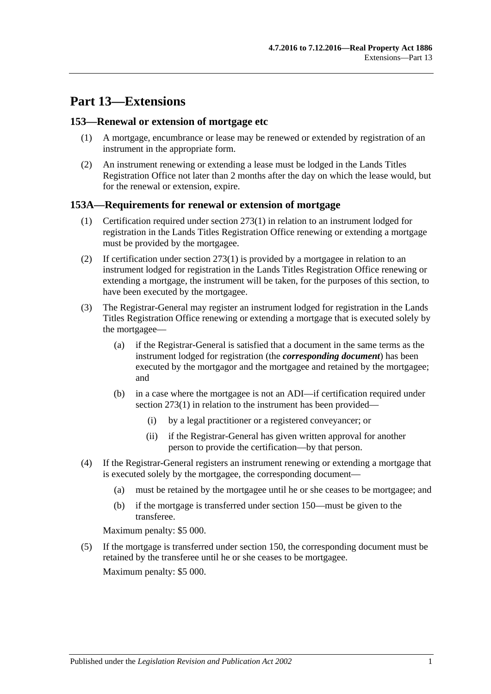# **Part 13—Extensions**

### **153—Renewal or extension of mortgage etc**

- (1) A mortgage, encumbrance or lease may be renewed or extended by registration of an instrument in the appropriate form.
- (2) An instrument renewing or extending a lease must be lodged in the Lands Titles Registration Office not later than 2 months after the day on which the lease would, but for the renewal or extension, expire.

### **153A—Requirements for renewal or extension of mortgage**

- (1) Certification required under [section](#page-133-0) 273(1) in relation to an instrument lodged for registration in the Lands Titles Registration Office renewing or extending a mortgage must be provided by the mortgagee.
- (2) If certification under [section](#page-133-0)  $273(1)$  is provided by a mortgagee in relation to an instrument lodged for registration in the Lands Titles Registration Office renewing or extending a mortgage, the instrument will be taken, for the purposes of this section, to have been executed by the mortgagee.
- (3) The Registrar-General may register an instrument lodged for registration in the Lands Titles Registration Office renewing or extending a mortgage that is executed solely by the mortgagee—
	- (a) if the Registrar-General is satisfied that a document in the same terms as the instrument lodged for registration (the *corresponding document*) has been executed by the mortgagor and the mortgagee and retained by the mortgagee; and
	- (b) in a case where the mortgagee is not an ADI—if certification required under [section](#page-133-0) 273(1) in relation to the instrument has been provided—
		- (i) by a legal practitioner or a registered conveyancer; or
		- (ii) if the Registrar-General has given written approval for another person to provide the certification—by that person.
- (4) If the Registrar-General registers an instrument renewing or extending a mortgage that is executed solely by the mortgagee, the corresponding document—
	- (a) must be retained by the mortgagee until he or she ceases to be mortgagee; and
	- (b) if the mortgage is transferred under [section](#page-66-0) 150—must be given to the transferee.

Maximum penalty: \$5 000.

(5) If the mortgage is transferred under [section](#page-66-0) 150, the corresponding document must be retained by the transferee until he or she ceases to be mortgagee. Maximum penalty: \$5 000.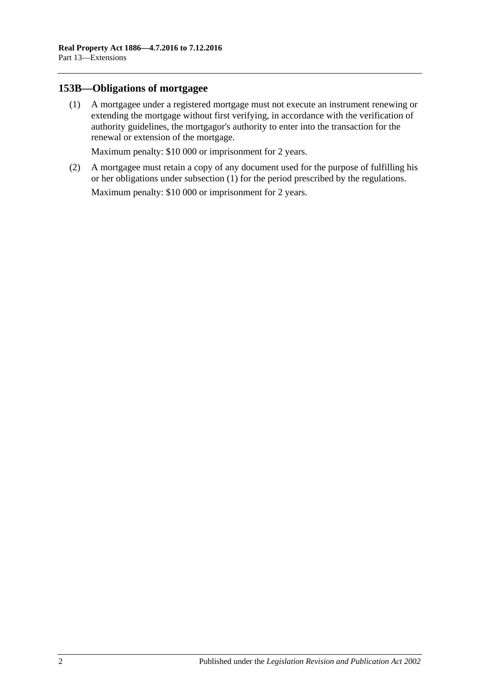## <span id="page-69-0"></span>**153B—Obligations of mortgagee**

(1) A mortgagee under a registered mortgage must not execute an instrument renewing or extending the mortgage without first verifying, in accordance with the verification of authority guidelines, the mortgagor's authority to enter into the transaction for the renewal or extension of the mortgage.

Maximum penalty: \$10 000 or imprisonment for 2 years.

(2) A mortgagee must retain a copy of any document used for the purpose of fulfilling his or her obligations under [subsection](#page-69-0) (1) for the period prescribed by the regulations.

Maximum penalty: \$10 000 or imprisonment for 2 years.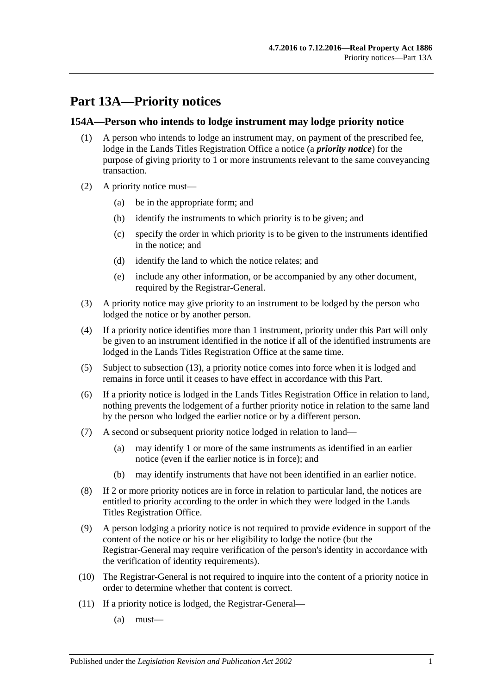# **Part 13A—Priority notices**

## **154A—Person who intends to lodge instrument may lodge priority notice**

- (1) A person who intends to lodge an instrument may, on payment of the prescribed fee, lodge in the Lands Titles Registration Office a notice (a *priority notice*) for the purpose of giving priority to 1 or more instruments relevant to the same conveyancing transaction.
- (2) A priority notice must—
	- (a) be in the appropriate form; and
	- (b) identify the instruments to which priority is to be given; and
	- (c) specify the order in which priority is to be given to the instruments identified in the notice; and
	- (d) identify the land to which the notice relates; and
	- (e) include any other information, or be accompanied by any other document, required by the Registrar-General.
- (3) A priority notice may give priority to an instrument to be lodged by the person who lodged the notice or by another person.
- <span id="page-70-0"></span>(4) If a priority notice identifies more than 1 instrument, priority under this Part will only be given to an instrument identified in the notice if all of the identified instruments are lodged in the Lands Titles Registration Office at the same time.
- (5) Subject to [subsection](#page-71-0) (13), a priority notice comes into force when it is lodged and remains in force until it ceases to have effect in accordance with this Part.
- (6) If a priority notice is lodged in the Lands Titles Registration Office in relation to land, nothing prevents the lodgement of a further priority notice in relation to the same land by the person who lodged the earlier notice or by a different person.
- (7) A second or subsequent priority notice lodged in relation to land—
	- (a) may identify 1 or more of the same instruments as identified in an earlier notice (even if the earlier notice is in force); and
	- (b) may identify instruments that have not been identified in an earlier notice.
- (8) If 2 or more priority notices are in force in relation to particular land, the notices are entitled to priority according to the order in which they were lodged in the Lands Titles Registration Office.
- (9) A person lodging a priority notice is not required to provide evidence in support of the content of the notice or his or her eligibility to lodge the notice (but the Registrar-General may require verification of the person's identity in accordance with the verification of identity requirements).
- (10) The Registrar-General is not required to inquire into the content of a priority notice in order to determine whether that content is correct.
- (11) If a priority notice is lodged, the Registrar-General—
	- $(a)$  must—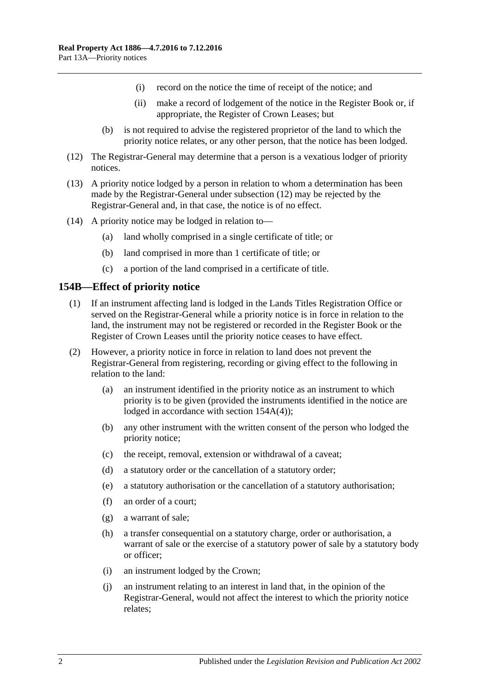- (i) record on the notice the time of receipt of the notice; and
- (ii) make a record of lodgement of the notice in the Register Book or, if appropriate, the Register of Crown Leases; but
- (b) is not required to advise the registered proprietor of the land to which the priority notice relates, or any other person, that the notice has been lodged.
- <span id="page-71-1"></span>(12) The Registrar-General may determine that a person is a vexatious lodger of priority notices.
- <span id="page-71-0"></span>(13) A priority notice lodged by a person in relation to whom a determination has been made by the Registrar-General under [subsection](#page-71-1) (12) may be rejected by the Registrar-General and, in that case, the notice is of no effect.
- (14) A priority notice may be lodged in relation to—
	- (a) land wholly comprised in a single certificate of title; or
	- (b) land comprised in more than 1 certificate of title; or
	- (c) a portion of the land comprised in a certificate of title.

#### **154B—Effect of priority notice**

- (1) If an instrument affecting land is lodged in the Lands Titles Registration Office or served on the Registrar-General while a priority notice is in force in relation to the land, the instrument may not be registered or recorded in the Register Book or the Register of Crown Leases until the priority notice ceases to have effect.
- (2) However, a priority notice in force in relation to land does not prevent the Registrar-General from registering, recording or giving effect to the following in relation to the land:
	- (a) an instrument identified in the priority notice as an instrument to which priority is to be given (provided the instruments identified in the notice are lodged in accordance with section [154A\(4\)\)](#page-70-0);
	- (b) any other instrument with the written consent of the person who lodged the priority notice;
	- (c) the receipt, removal, extension or withdrawal of a caveat;
	- (d) a statutory order or the cancellation of a statutory order;
	- (e) a statutory authorisation or the cancellation of a statutory authorisation;
	- (f) an order of a court;
	- (g) a warrant of sale;
	- (h) a transfer consequential on a statutory charge, order or authorisation, a warrant of sale or the exercise of a statutory power of sale by a statutory body or officer;
	- (i) an instrument lodged by the Crown;
	- (j) an instrument relating to an interest in land that, in the opinion of the Registrar-General, would not affect the interest to which the priority notice relates;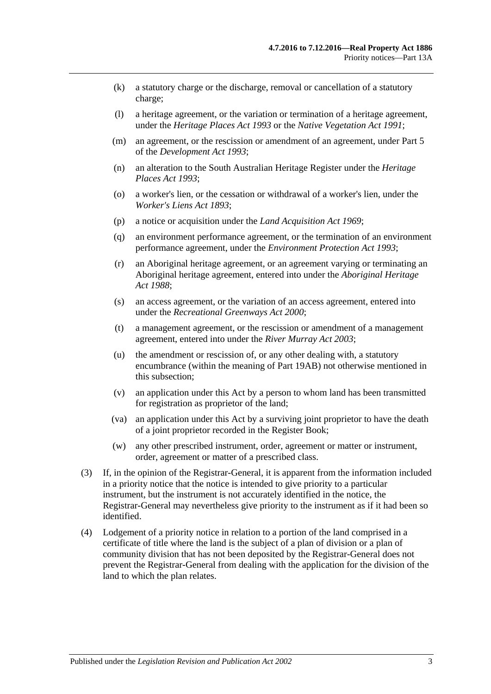- (k) a statutory charge or the discharge, removal or cancellation of a statutory charge;
- (l) a heritage agreement, or the variation or termination of a heritage agreement, under the *[Heritage Places Act](http://www.legislation.sa.gov.au/index.aspx?action=legref&type=act&legtitle=Heritage%20Places%20Act%201993) 1993* or the *[Native Vegetation Act](http://www.legislation.sa.gov.au/index.aspx?action=legref&type=act&legtitle=Native%20Vegetation%20Act%201991) 1991*;
- (m) an agreement, or the rescission or amendment of an agreement, under Part 5 of the *[Development Act](http://www.legislation.sa.gov.au/index.aspx?action=legref&type=act&legtitle=Development%20Act%201993) 1993*;
- (n) an alteration to the South Australian Heritage Register under the *[Heritage](http://www.legislation.sa.gov.au/index.aspx?action=legref&type=act&legtitle=Heritage%20Places%20Act%201993)  [Places Act](http://www.legislation.sa.gov.au/index.aspx?action=legref&type=act&legtitle=Heritage%20Places%20Act%201993) 1993*;
- (o) a worker's lien, or the cessation or withdrawal of a worker's lien, under the *[Worker's Liens Act](http://www.legislation.sa.gov.au/index.aspx?action=legref&type=act&legtitle=Workers%20Liens%20Act%201893) 1893*;
- (p) a notice or acquisition under the *[Land Acquisition Act](http://www.legislation.sa.gov.au/index.aspx?action=legref&type=act&legtitle=Land%20Acquisition%20Act%201969) 1969*;
- (q) an environment performance agreement, or the termination of an environment performance agreement, under the *[Environment Protection Act](http://www.legislation.sa.gov.au/index.aspx?action=legref&type=act&legtitle=Environment%20Protection%20Act%201993) 1993*;
- (r) an Aboriginal heritage agreement, or an agreement varying or terminating an Aboriginal heritage agreement, entered into under the *[Aboriginal Heritage](http://www.legislation.sa.gov.au/index.aspx?action=legref&type=act&legtitle=Aboriginal%20Heritage%20Act%201988)  Act [1988](http://www.legislation.sa.gov.au/index.aspx?action=legref&type=act&legtitle=Aboriginal%20Heritage%20Act%201988)*;
- (s) an access agreement, or the variation of an access agreement, entered into under the *[Recreational Greenways Act](http://www.legislation.sa.gov.au/index.aspx?action=legref&type=act&legtitle=Recreational%20Greenways%20Act%202000) 2000*;
- (t) a management agreement, or the rescission or amendment of a management agreement, entered into under the *[River Murray Act](http://www.legislation.sa.gov.au/index.aspx?action=legref&type=act&legtitle=River%20Murray%20Act%202003) 2003*;
- (u) the amendment or rescission of, or any other dealing with, a statutory encumbrance (within the meaning of [Part 19AB\)](#page-108-0) not otherwise mentioned in this subsection;
- (v) an application under this Act by a person to whom land has been transmitted for registration as proprietor of the land;
- (va) an application under this Act by a surviving joint proprietor to have the death of a joint proprietor recorded in the Register Book;
- (w) any other prescribed instrument, order, agreement or matter or instrument, order, agreement or matter of a prescribed class.
- (3) If, in the opinion of the Registrar-General, it is apparent from the information included in a priority notice that the notice is intended to give priority to a particular instrument, but the instrument is not accurately identified in the notice, the Registrar-General may nevertheless give priority to the instrument as if it had been so identified.
- (4) Lodgement of a priority notice in relation to a portion of the land comprised in a certificate of title where the land is the subject of a plan of division or a plan of community division that has not been deposited by the Registrar-General does not prevent the Registrar-General from dealing with the application for the division of the land to which the plan relates.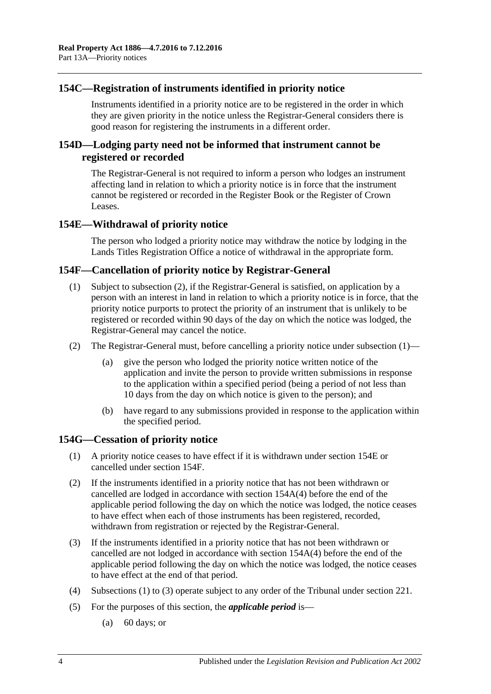# **154C—Registration of instruments identified in priority notice**

Instruments identified in a priority notice are to be registered in the order in which they are given priority in the notice unless the Registrar-General considers there is good reason for registering the instruments in a different order.

# **154D—Lodging party need not be informed that instrument cannot be registered or recorded**

The Registrar-General is not required to inform a person who lodges an instrument affecting land in relation to which a priority notice is in force that the instrument cannot be registered or recorded in the Register Book or the Register of Crown Leases.

# <span id="page-73-2"></span>**154E—Withdrawal of priority notice**

The person who lodged a priority notice may withdraw the notice by lodging in the Lands Titles Registration Office a notice of withdrawal in the appropriate form.

# <span id="page-73-3"></span><span id="page-73-1"></span>**154F—Cancellation of priority notice by Registrar-General**

- (1) Subject to [subsection](#page-73-0) (2), if the Registrar-General is satisfied, on application by a person with an interest in land in relation to which a priority notice is in force, that the priority notice purports to protect the priority of an instrument that is unlikely to be registered or recorded within 90 days of the day on which the notice was lodged, the Registrar-General may cancel the notice.
- <span id="page-73-0"></span>(2) The Registrar-General must, before cancelling a priority notice under [subsection](#page-73-1) (1)—
	- (a) give the person who lodged the priority notice written notice of the application and invite the person to provide written submissions in response to the application within a specified period (being a period of not less than 10 days from the day on which notice is given to the person); and
	- (b) have regard to any submissions provided in response to the application within the specified period.

# <span id="page-73-4"></span>**154G—Cessation of priority notice**

- (1) A priority notice ceases to have effect if it is withdrawn under [section](#page-73-2) 154E or cancelled under [section](#page-73-3) 154F.
- (2) If the instruments identified in a priority notice that has not been withdrawn or cancelled are lodged in accordance with section [154A\(4\)](#page-70-0) before the end of the applicable period following the day on which the notice was lodged, the notice ceases to have effect when each of those instruments has been registered, recorded, withdrawn from registration or rejected by the Registrar-General.
- <span id="page-73-5"></span>(3) If the instruments identified in a priority notice that has not been withdrawn or cancelled are not lodged in accordance with section [154A\(4\)](#page-70-0) before the end of the applicable period following the day on which the notice was lodged, the notice ceases to have effect at the end of that period.
- (4) [Subsections \(1\)](#page-73-4) to [\(3\)](#page-73-5) operate subject to any order of the Tribunal under [section](#page-101-0) 221.
- (5) For the purposes of this section, the *applicable period* is—
	- (a) 60 days; or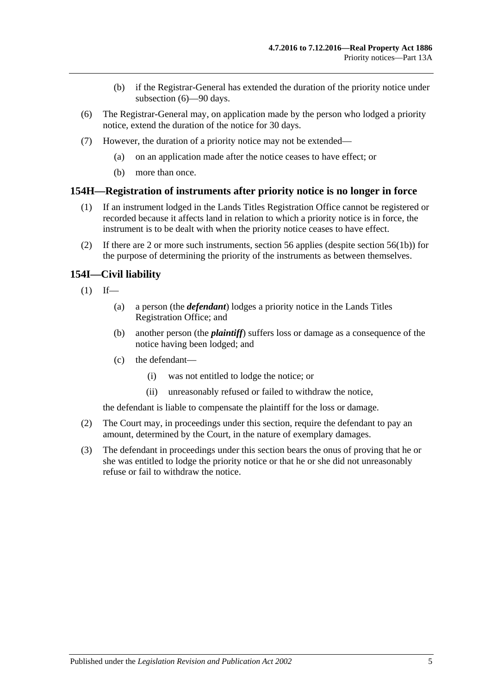- (b) if the Registrar-General has extended the duration of the priority notice under [subsection](#page-74-0) (6)—90 days.
- <span id="page-74-0"></span>(6) The Registrar-General may, on application made by the person who lodged a priority notice, extend the duration of the notice for 30 days.
- (7) However, the duration of a priority notice may not be extended—
	- (a) on an application made after the notice ceases to have effect; or
	- (b) more than once.

## **154H—Registration of instruments after priority notice is no longer in force**

- (1) If an instrument lodged in the Lands Titles Registration Office cannot be registered or recorded because it affects land in relation to which a priority notice is in force, the instrument is to be dealt with when the priority notice ceases to have effect.
- (2) If there are 2 or more such instruments, [section](#page-26-0) 56 applies (despite section 56(1b)) for the purpose of determining the priority of the instruments as between themselves.

# **154I—Civil liability**

- $(1)$  If—
	- (a) a person (the *defendant*) lodges a priority notice in the Lands Titles Registration Office; and
	- (b) another person (the *plaintiff*) suffers loss or damage as a consequence of the notice having been lodged; and
	- (c) the defendant—
		- (i) was not entitled to lodge the notice; or
		- (ii) unreasonably refused or failed to withdraw the notice,

the defendant is liable to compensate the plaintiff for the loss or damage.

- (2) The Court may, in proceedings under this section, require the defendant to pay an amount, determined by the Court, in the nature of exemplary damages.
- (3) The defendant in proceedings under this section bears the onus of proving that he or she was entitled to lodge the priority notice or that he or she did not unreasonably refuse or fail to withdraw the notice.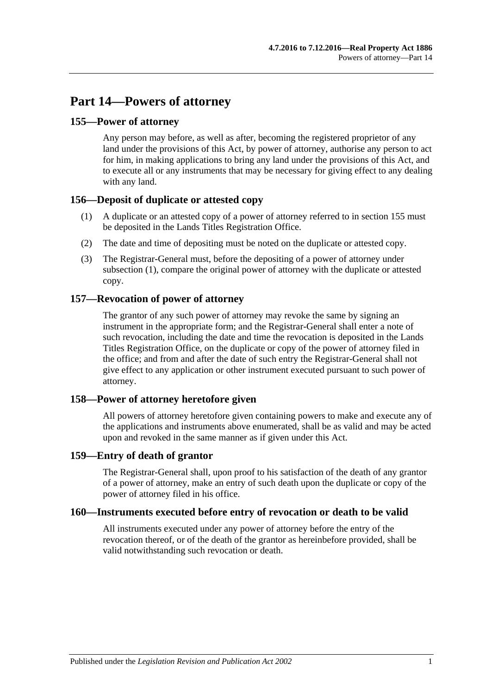# **Part 14—Powers of attorney**

# <span id="page-76-0"></span>**155—Power of attorney**

Any person may before, as well as after, becoming the registered proprietor of any land under the provisions of this Act, by power of attorney, authorise any person to act for him, in making applications to bring any land under the provisions of this Act, and to execute all or any instruments that may be necessary for giving effect to any dealing with any land.

# <span id="page-76-1"></span>**156—Deposit of duplicate or attested copy**

- (1) A duplicate or an attested copy of a power of attorney referred to in [section](#page-76-0) 155 must be deposited in the Lands Titles Registration Office.
- (2) The date and time of depositing must be noted on the duplicate or attested copy.
- (3) The Registrar-General must, before the depositing of a power of attorney under [subsection](#page-76-1) (1), compare the original power of attorney with the duplicate or attested copy.

# **157—Revocation of power of attorney**

The grantor of any such power of attorney may revoke the same by signing an instrument in the appropriate form; and the Registrar-General shall enter a note of such revocation, including the date and time the revocation is deposited in the Lands Titles Registration Office, on the duplicate or copy of the power of attorney filed in the office; and from and after the date of such entry the Registrar-General shall not give effect to any application or other instrument executed pursuant to such power of attorney.

# **158—Power of attorney heretofore given**

All powers of attorney heretofore given containing powers to make and execute any of the applications and instruments above enumerated, shall be as valid and may be acted upon and revoked in the same manner as if given under this Act.

# **159—Entry of death of grantor**

The Registrar-General shall, upon proof to his satisfaction of the death of any grantor of a power of attorney, make an entry of such death upon the duplicate or copy of the power of attorney filed in his office.

# **160—Instruments executed before entry of revocation or death to be valid**

All instruments executed under any power of attorney before the entry of the revocation thereof, or of the death of the grantor as hereinbefore provided, shall be valid notwithstanding such revocation or death.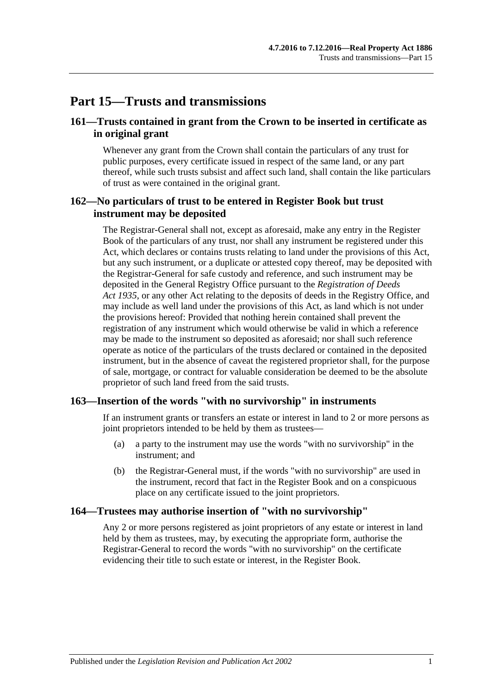# **Part 15—Trusts and transmissions**

# **161—Trusts contained in grant from the Crown to be inserted in certificate as in original grant**

Whenever any grant from the Crown shall contain the particulars of any trust for public purposes, every certificate issued in respect of the same land, or any part thereof, while such trusts subsist and affect such land, shall contain the like particulars of trust as were contained in the original grant.

# **162—No particulars of trust to be entered in Register Book but trust instrument may be deposited**

The Registrar-General shall not, except as aforesaid, make any entry in the Register Book of the particulars of any trust, nor shall any instrument be registered under this Act, which declares or contains trusts relating to land under the provisions of this Act, but any such instrument, or a duplicate or attested copy thereof, may be deposited with the Registrar-General for safe custody and reference, and such instrument may be deposited in the General Registry Office pursuant to the *[Registration of Deeds](http://www.legislation.sa.gov.au/index.aspx?action=legref&type=act&legtitle=Registration%20of%20Deeds%20Act%201935)  Act [1935](http://www.legislation.sa.gov.au/index.aspx?action=legref&type=act&legtitle=Registration%20of%20Deeds%20Act%201935)*, or any other Act relating to the deposits of deeds in the Registry Office, and may include as well land under the provisions of this Act, as land which is not under the provisions hereof: Provided that nothing herein contained shall prevent the registration of any instrument which would otherwise be valid in which a reference may be made to the instrument so deposited as aforesaid; nor shall such reference operate as notice of the particulars of the trusts declared or contained in the deposited instrument, but in the absence of caveat the registered proprietor shall, for the purpose of sale, mortgage, or contract for valuable consideration be deemed to be the absolute proprietor of such land freed from the said trusts.

# **163—Insertion of the words "with no survivorship" in instruments**

If an instrument grants or transfers an estate or interest in land to 2 or more persons as joint proprietors intended to be held by them as trustees—

- (a) a party to the instrument may use the words "with no survivorship" in the instrument; and
- (b) the Registrar-General must, if the words "with no survivorship" are used in the instrument, record that fact in the Register Book and on a conspicuous place on any certificate issued to the joint proprietors.

# **164—Trustees may authorise insertion of "with no survivorship"**

Any 2 or more persons registered as joint proprietors of any estate or interest in land held by them as trustees, may, by executing the appropriate form, authorise the Registrar-General to record the words "with no survivorship" on the certificate evidencing their title to such estate or interest, in the Register Book.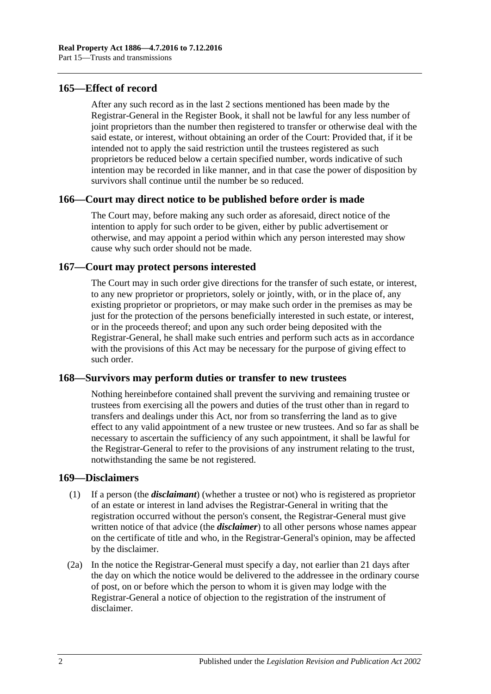## **165—Effect of record**

After any such record as in the last 2 sections mentioned has been made by the Registrar-General in the Register Book, it shall not be lawful for any less number of joint proprietors than the number then registered to transfer or otherwise deal with the said estate, or interest, without obtaining an order of the Court: Provided that, if it be intended not to apply the said restriction until the trustees registered as such proprietors be reduced below a certain specified number, words indicative of such intention may be recorded in like manner, and in that case the power of disposition by survivors shall continue until the number be so reduced.

## **166—Court may direct notice to be published before order is made**

The Court may, before making any such order as aforesaid, direct notice of the intention to apply for such order to be given, either by public advertisement or otherwise, and may appoint a period within which any person interested may show cause why such order should not be made.

# **167—Court may protect persons interested**

The Court may in such order give directions for the transfer of such estate, or interest, to any new proprietor or proprietors, solely or jointly, with, or in the place of, any existing proprietor or proprietors, or may make such order in the premises as may be just for the protection of the persons beneficially interested in such estate, or interest, or in the proceeds thereof; and upon any such order being deposited with the Registrar-General, he shall make such entries and perform such acts as in accordance with the provisions of this Act may be necessary for the purpose of giving effect to such order.

#### **168—Survivors may perform duties or transfer to new trustees**

Nothing hereinbefore contained shall prevent the surviving and remaining trustee or trustees from exercising all the powers and duties of the trust other than in regard to transfers and dealings under this Act, nor from so transferring the land as to give effect to any valid appointment of a new trustee or new trustees. And so far as shall be necessary to ascertain the sufficiency of any such appointment, it shall be lawful for the Registrar-General to refer to the provisions of any instrument relating to the trust, notwithstanding the same be not registered.

#### **169—Disclaimers**

- (1) If a person (the *disclaimant*) (whether a trustee or not) who is registered as proprietor of an estate or interest in land advises the Registrar-General in writing that the registration occurred without the person's consent, the Registrar-General must give written notice of that advice (the *disclaimer*) to all other persons whose names appear on the certificate of title and who, in the Registrar-General's opinion, may be affected by the disclaimer.
- (2a) In the notice the Registrar-General must specify a day, not earlier than 21 days after the day on which the notice would be delivered to the addressee in the ordinary course of post, on or before which the person to whom it is given may lodge with the Registrar-General a notice of objection to the registration of the instrument of disclaimer.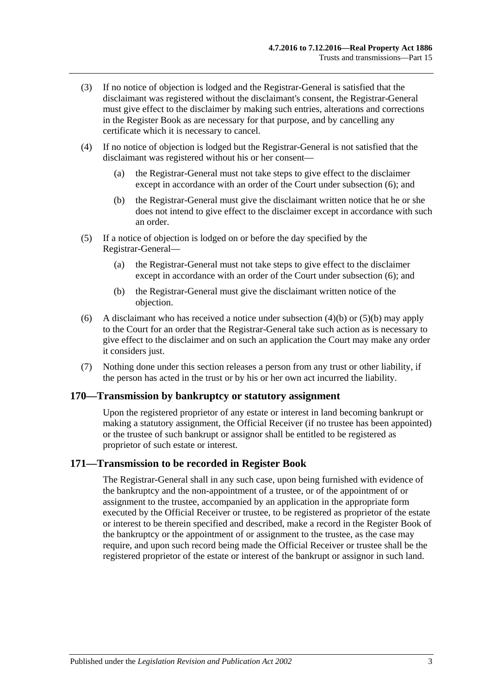- (3) If no notice of objection is lodged and the Registrar-General is satisfied that the disclaimant was registered without the disclaimant's consent, the Registrar-General must give effect to the disclaimer by making such entries, alterations and corrections in the Register Book as are necessary for that purpose, and by cancelling any certificate which it is necessary to cancel.
- (4) If no notice of objection is lodged but the Registrar-General is not satisfied that the disclaimant was registered without his or her consent—
	- (a) the Registrar-General must not take steps to give effect to the disclaimer except in accordance with an order of the Court under [subsection](#page-80-0) (6); and
	- (b) the Registrar-General must give the disclaimant written notice that he or she does not intend to give effect to the disclaimer except in accordance with such an order.
- <span id="page-80-1"></span>(5) If a notice of objection is lodged on or before the day specified by the Registrar-General—
	- (a) the Registrar-General must not take steps to give effect to the disclaimer except in accordance with an order of the Court under [subsection](#page-80-0) (6); and
	- (b) the Registrar-General must give the disclaimant written notice of the objection.
- <span id="page-80-2"></span><span id="page-80-0"></span>(6) A disclaimant who has received a notice under [subsection](#page-80-1) (4)(b) or [\(5\)\(b\)](#page-80-2) may apply to the Court for an order that the Registrar-General take such action as is necessary to give effect to the disclaimer and on such an application the Court may make any order it considers just.
- (7) Nothing done under this section releases a person from any trust or other liability, if the person has acted in the trust or by his or her own act incurred the liability.

#### **170—Transmission by bankruptcy or statutory assignment**

Upon the registered proprietor of any estate or interest in land becoming bankrupt or making a statutory assignment, the Official Receiver (if no trustee has been appointed) or the trustee of such bankrupt or assignor shall be entitled to be registered as proprietor of such estate or interest.

#### **171—Transmission to be recorded in Register Book**

The Registrar-General shall in any such case, upon being furnished with evidence of the bankruptcy and the non-appointment of a trustee, or of the appointment of or assignment to the trustee, accompanied by an application in the appropriate form executed by the Official Receiver or trustee, to be registered as proprietor of the estate or interest to be therein specified and described, make a record in the Register Book of the bankruptcy or the appointment of or assignment to the trustee, as the case may require, and upon such record being made the Official Receiver or trustee shall be the registered proprietor of the estate or interest of the bankrupt or assignor in such land.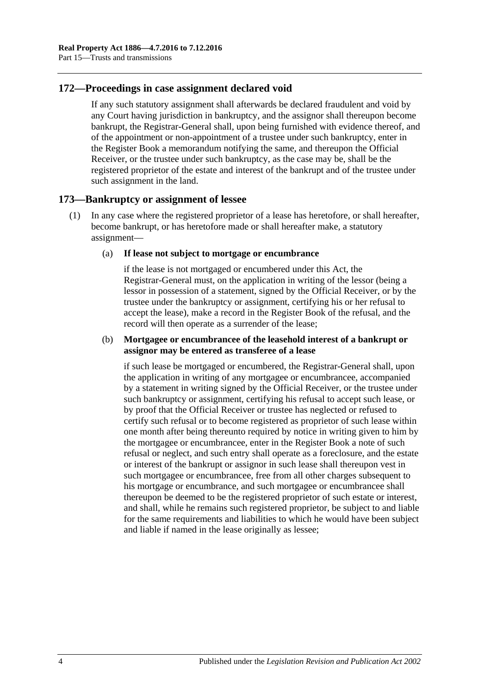# **172—Proceedings in case assignment declared void**

If any such statutory assignment shall afterwards be declared fraudulent and void by any Court having jurisdiction in bankruptcy, and the assignor shall thereupon become bankrupt, the Registrar-General shall, upon being furnished with evidence thereof, and of the appointment or non-appointment of a trustee under such bankruptcy, enter in the Register Book a memorandum notifying the same, and thereupon the Official Receiver, or the trustee under such bankruptcy, as the case may be, shall be the registered proprietor of the estate and interest of the bankrupt and of the trustee under such assignment in the land.

## <span id="page-81-0"></span>**173—Bankruptcy or assignment of lessee**

- (1) In any case where the registered proprietor of a lease has heretofore, or shall hereafter, become bankrupt, or has heretofore made or shall hereafter make, a statutory assignment—
	- (a) **If lease not subject to mortgage or encumbrance**

if the lease is not mortgaged or encumbered under this Act, the Registrar-General must, on the application in writing of the lessor (being a lessor in possession of a statement, signed by the Official Receiver, or by the trustee under the bankruptcy or assignment, certifying his or her refusal to accept the lease), make a record in the Register Book of the refusal, and the record will then operate as a surrender of the lease;

#### (b) **Mortgagee or encumbrancee of the leasehold interest of a bankrupt or assignor may be entered as transferee of a lease**

if such lease be mortgaged or encumbered, the Registrar-General shall, upon the application in writing of any mortgagee or encumbrancee, accompanied by a statement in writing signed by the Official Receiver, or the trustee under such bankruptcy or assignment, certifying his refusal to accept such lease, or by proof that the Official Receiver or trustee has neglected or refused to certify such refusal or to become registered as proprietor of such lease within one month after being thereunto required by notice in writing given to him by the mortgagee or encumbrancee, enter in the Register Book a note of such refusal or neglect, and such entry shall operate as a foreclosure, and the estate or interest of the bankrupt or assignor in such lease shall thereupon vest in such mortgagee or encumbrancee, free from all other charges subsequent to his mortgage or encumbrance, and such mortgagee or encumbrancee shall thereupon be deemed to be the registered proprietor of such estate or interest, and shall, while he remains such registered proprietor, be subject to and liable for the same requirements and liabilities to which he would have been subject and liable if named in the lease originally as lessee;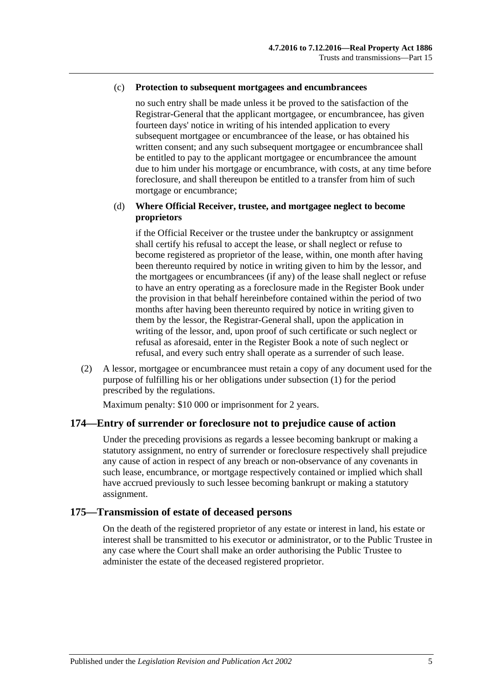#### (c) **Protection to subsequent mortgagees and encumbrancees**

no such entry shall be made unless it be proved to the satisfaction of the Registrar-General that the applicant mortgagee, or encumbrancee, has given fourteen days' notice in writing of his intended application to every subsequent mortgagee or encumbrancee of the lease, or has obtained his written consent; and any such subsequent mortgagee or encumbrancee shall be entitled to pay to the applicant mortgagee or encumbrancee the amount due to him under his mortgage or encumbrance, with costs, at any time before foreclosure, and shall thereupon be entitled to a transfer from him of such mortgage or encumbrance;

#### (d) **Where Official Receiver, trustee, and mortgagee neglect to become proprietors**

if the Official Receiver or the trustee under the bankruptcy or assignment shall certify his refusal to accept the lease, or shall neglect or refuse to become registered as proprietor of the lease, within, one month after having been thereunto required by notice in writing given to him by the lessor, and the mortgagees or encumbrancees (if any) of the lease shall neglect or refuse to have an entry operating as a foreclosure made in the Register Book under the provision in that behalf hereinbefore contained within the period of two months after having been thereunto required by notice in writing given to them by the lessor, the Registrar-General shall, upon the application in writing of the lessor, and, upon proof of such certificate or such neglect or refusal as aforesaid, enter in the Register Book a note of such neglect or refusal, and every such entry shall operate as a surrender of such lease.

(2) A lessor, mortgagee or encumbrancee must retain a copy of any document used for the purpose of fulfilling his or her obligations under [subsection](#page-81-0) (1) for the period prescribed by the regulations.

Maximum penalty: \$10 000 or imprisonment for 2 years.

#### **174—Entry of surrender or foreclosure not to prejudice cause of action**

Under the preceding provisions as regards a lessee becoming bankrupt or making a statutory assignment, no entry of surrender or foreclosure respectively shall prejudice any cause of action in respect of any breach or non-observance of any covenants in such lease, encumbrance, or mortgage respectively contained or implied which shall have accrued previously to such lessee becoming bankrupt or making a statutory assignment.

## **175—Transmission of estate of deceased persons**

On the death of the registered proprietor of any estate or interest in land, his estate or interest shall be transmitted to his executor or administrator, or to the Public Trustee in any case where the Court shall make an order authorising the Public Trustee to administer the estate of the deceased registered proprietor.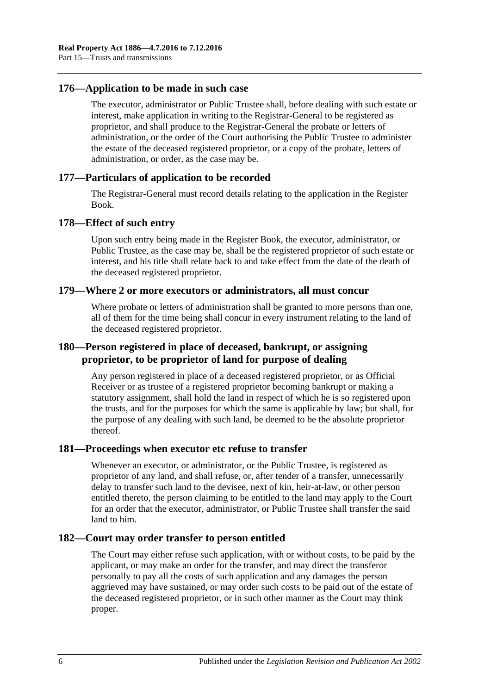## **176—Application to be made in such case**

The executor, administrator or Public Trustee shall, before dealing with such estate or interest, make application in writing to the Registrar-General to be registered as proprietor, and shall produce to the Registrar-General the probate or letters of administration, or the order of the Court authorising the Public Trustee to administer the estate of the deceased registered proprietor, or a copy of the probate, letters of administration, or order, as the case may be.

## **177—Particulars of application to be recorded**

The Registrar-General must record details relating to the application in the Register Book.

#### **178—Effect of such entry**

Upon such entry being made in the Register Book, the executor, administrator, or Public Trustee, as the case may be, shall be the registered proprietor of such estate or interest, and his title shall relate back to and take effect from the date of the death of the deceased registered proprietor.

#### **179—Where 2 or more executors or administrators, all must concur**

Where probate or letters of administration shall be granted to more persons than one, all of them for the time being shall concur in every instrument relating to the land of the deceased registered proprietor.

# **180—Person registered in place of deceased, bankrupt, or assigning proprietor, to be proprietor of land for purpose of dealing**

Any person registered in place of a deceased registered proprietor, or as Official Receiver or as trustee of a registered proprietor becoming bankrupt or making a statutory assignment, shall hold the land in respect of which he is so registered upon the trusts, and for the purposes for which the same is applicable by law; but shall, for the purpose of any dealing with such land, be deemed to be the absolute proprietor thereof.

#### **181—Proceedings when executor etc refuse to transfer**

Whenever an executor, or administrator, or the Public Trustee, is registered as proprietor of any land, and shall refuse, or, after tender of a transfer, unnecessarily delay to transfer such land to the devisee, next of kin, heir-at-law, or other person entitled thereto, the person claiming to be entitled to the land may apply to the Court for an order that the executor, administrator, or Public Trustee shall transfer the said land to him.

# **182—Court may order transfer to person entitled**

The Court may either refuse such application, with or without costs, to be paid by the applicant, or may make an order for the transfer, and may direct the transferor personally to pay all the costs of such application and any damages the person aggrieved may have sustained, or may order such costs to be paid out of the estate of the deceased registered proprietor, or in such other manner as the Court may think proper.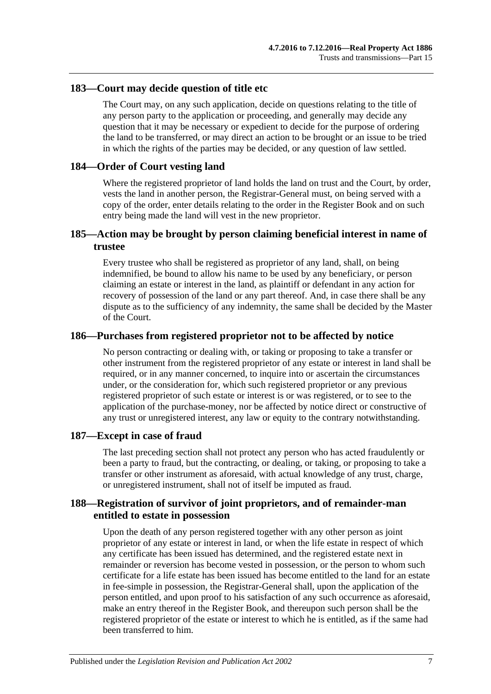## **183—Court may decide question of title etc**

The Court may, on any such application, decide on questions relating to the title of any person party to the application or proceeding, and generally may decide any question that it may be necessary or expedient to decide for the purpose of ordering the land to be transferred, or may direct an action to be brought or an issue to be tried in which the rights of the parties may be decided, or any question of law settled.

## **184—Order of Court vesting land**

Where the registered proprietor of land holds the land on trust and the Court, by order, vests the land in another person, the Registrar-General must, on being served with a copy of the order, enter details relating to the order in the Register Book and on such entry being made the land will vest in the new proprietor.

# **185—Action may be brought by person claiming beneficial interest in name of trustee**

Every trustee who shall be registered as proprietor of any land, shall, on being indemnified, be bound to allow his name to be used by any beneficiary, or person claiming an estate or interest in the land, as plaintiff or defendant in any action for recovery of possession of the land or any part thereof. And, in case there shall be any dispute as to the sufficiency of any indemnity, the same shall be decided by the Master of the Court.

## **186—Purchases from registered proprietor not to be affected by notice**

No person contracting or dealing with, or taking or proposing to take a transfer or other instrument from the registered proprietor of any estate or interest in land shall be required, or in any manner concerned, to inquire into or ascertain the circumstances under, or the consideration for, which such registered proprietor or any previous registered proprietor of such estate or interest is or was registered, or to see to the application of the purchase-money, nor be affected by notice direct or constructive of any trust or unregistered interest, any law or equity to the contrary notwithstanding.

#### **187—Except in case of fraud**

The last preceding section shall not protect any person who has acted fraudulently or been a party to fraud, but the contracting, or dealing, or taking, or proposing to take a transfer or other instrument as aforesaid, with actual knowledge of any trust, charge, or unregistered instrument, shall not of itself be imputed as fraud.

# **188—Registration of survivor of joint proprietors, and of remainder-man entitled to estate in possession**

Upon the death of any person registered together with any other person as joint proprietor of any estate or interest in land, or when the life estate in respect of which any certificate has been issued has determined, and the registered estate next in remainder or reversion has become vested in possession, or the person to whom such certificate for a life estate has been issued has become entitled to the land for an estate in fee-simple in possession, the Registrar-General shall, upon the application of the person entitled, and upon proof to his satisfaction of any such occurrence as aforesaid, make an entry thereof in the Register Book, and thereupon such person shall be the registered proprietor of the estate or interest to which he is entitled, as if the same had been transferred to him.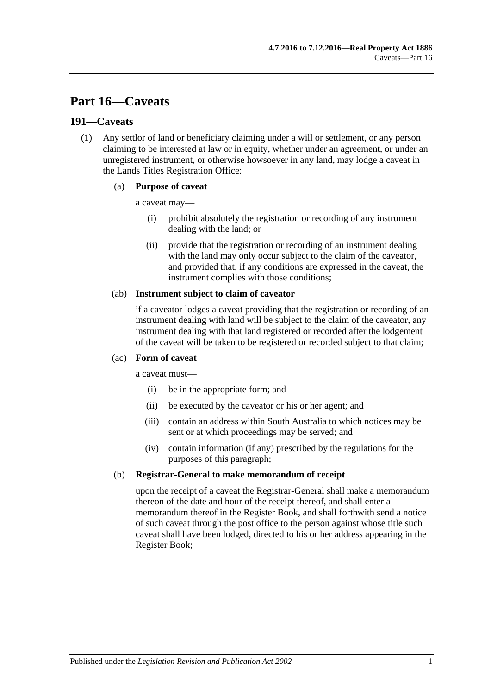# **Part 16—Caveats**

## <span id="page-86-0"></span>**191—Caveats**

(1) Any settlor of land or beneficiary claiming under a will or settlement, or any person claiming to be interested at law or in equity, whether under an agreement, or under an unregistered instrument, or otherwise howsoever in any land, may lodge a caveat in the Lands Titles Registration Office:

#### (a) **Purpose of caveat**

a caveat may—

- (i) prohibit absolutely the registration or recording of any instrument dealing with the land; or
- (ii) provide that the registration or recording of an instrument dealing with the land may only occur subject to the claim of the caveator, and provided that, if any conditions are expressed in the caveat, the instrument complies with those conditions;

#### (ab) **Instrument subject to claim of caveator**

if a caveator lodges a caveat providing that the registration or recording of an instrument dealing with land will be subject to the claim of the caveator, any instrument dealing with that land registered or recorded after the lodgement of the caveat will be taken to be registered or recorded subject to that claim;

#### (ac) **Form of caveat**

a caveat must—

- (i) be in the appropriate form; and
- (ii) be executed by the caveator or his or her agent; and
- (iii) contain an address within South Australia to which notices may be sent or at which proceedings may be served; and
- (iv) contain information (if any) prescribed by the regulations for the purposes of this paragraph;

#### (b) **Registrar-General to make memorandum of receipt**

upon the receipt of a caveat the Registrar-General shall make a memorandum thereon of the date and hour of the receipt thereof, and shall enter a memorandum thereof in the Register Book, and shall forthwith send a notice of such caveat through the post office to the person against whose title such caveat shall have been lodged, directed to his or her address appearing in the Register Book;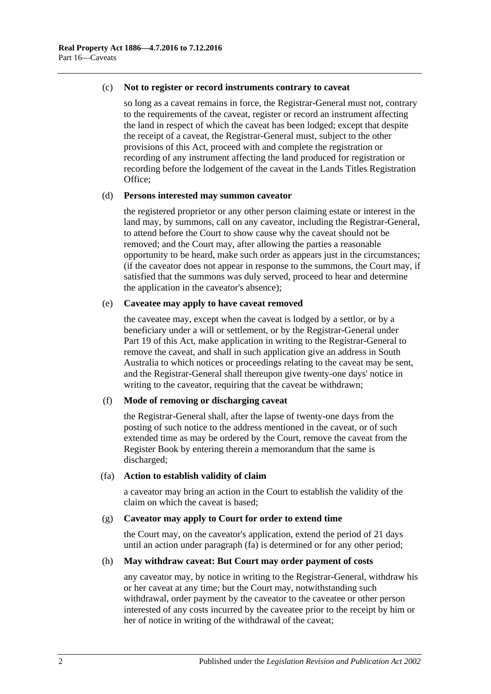#### (c) **Not to register or record instruments contrary to caveat**

so long as a caveat remains in force, the Registrar-General must not, contrary to the requirements of the caveat, register or record an instrument affecting the land in respect of which the caveat has been lodged; except that despite the receipt of a caveat, the Registrar-General must, subject to the other provisions of this Act, proceed with and complete the registration or recording of any instrument affecting the land produced for registration or recording before the lodgement of the caveat in the Lands Titles Registration Office;

#### (d) **Persons interested may summon caveator**

the registered proprietor or any other person claiming estate or interest in the land may, by summons, call on any caveator, including the Registrar-General, to attend before the Court to show cause why the caveat should not be removed; and the Court may, after allowing the parties a reasonable opportunity to be heard, make such order as appears just in the circumstances; (if the caveator does not appear in response to the summons, the Court may, if satisfied that the summons was duly served, proceed to hear and determine the application in the caveator's absence);

#### (e) **Caveatee may apply to have caveat removed**

the caveatee may, except when the caveat is lodged by a settlor, or by a beneficiary under a will or settlement, or by the Registrar-General under [Part](#page-98-0) 19 of this Act, make application in writing to the Registrar-General to remove the caveat, and shall in such application give an address in South Australia to which notices or proceedings relating to the caveat may be sent, and the Registrar-General shall thereupon give twenty-one days' notice in writing to the caveator, requiring that the caveat be withdrawn;

#### (f) **Mode of removing or discharging caveat**

the Registrar-General shall, after the lapse of twenty-one days from the posting of such notice to the address mentioned in the caveat, or of such extended time as may be ordered by the Court, remove the caveat from the Register Book by entering therein a memorandum that the same is discharged;

#### <span id="page-87-0"></span>(fa) **Action to establish validity of claim**

a caveator may bring an action in the Court to establish the validity of the claim on which the caveat is based;

#### (g) **Caveator may apply to Court for order to extend time**

the Court may, on the caveator's application, extend the period of 21 days until an action under [paragraph](#page-87-0) (fa) is determined or for any other period;

#### (h) **May withdraw caveat: But Court may order payment of costs**

any caveator may, by notice in writing to the Registrar-General, withdraw his or her caveat at any time; but the Court may, notwithstanding such withdrawal, order payment by the caveator to the caveatee or other person interested of any costs incurred by the caveatee prior to the receipt by him or her of notice in writing of the withdrawal of the caveat;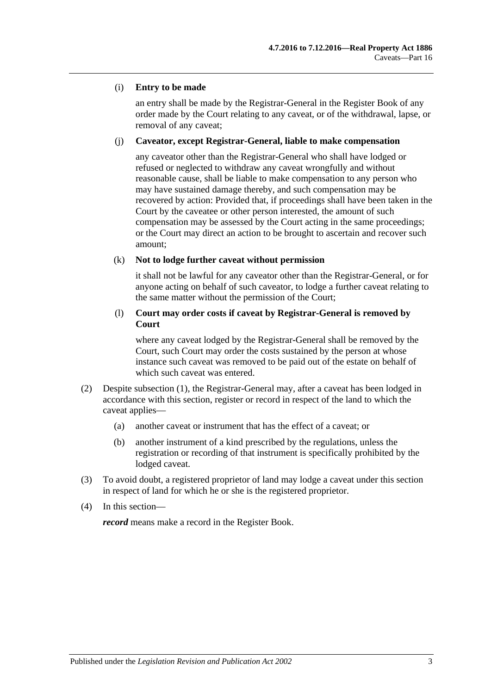#### (i) **Entry to be made**

an entry shall be made by the Registrar-General in the Register Book of any order made by the Court relating to any caveat, or of the withdrawal, lapse, or removal of any caveat;

#### (j) **Caveator, except Registrar-General, liable to make compensation**

any caveator other than the Registrar-General who shall have lodged or refused or neglected to withdraw any caveat wrongfully and without reasonable cause, shall be liable to make compensation to any person who may have sustained damage thereby, and such compensation may be recovered by action: Provided that, if proceedings shall have been taken in the Court by the caveatee or other person interested, the amount of such compensation may be assessed by the Court acting in the same proceedings; or the Court may direct an action to be brought to ascertain and recover such amount;

#### (k) **Not to lodge further caveat without permission**

it shall not be lawful for any caveator other than the Registrar-General, or for anyone acting on behalf of such caveator, to lodge a further caveat relating to the same matter without the permission of the Court;

#### (l) **Court may order costs if caveat by Registrar-General is removed by Court**

where any caveat lodged by the Registrar-General shall be removed by the Court, such Court may order the costs sustained by the person at whose instance such caveat was removed to be paid out of the estate on behalf of which such caveat was entered.

- (2) Despite [subsection](#page-86-0) (1), the Registrar-General may, after a caveat has been lodged in accordance with this section, register or record in respect of the land to which the caveat applies—
	- (a) another caveat or instrument that has the effect of a caveat; or
	- (b) another instrument of a kind prescribed by the regulations, unless the registration or recording of that instrument is specifically prohibited by the lodged caveat.
- (3) To avoid doubt, a registered proprietor of land may lodge a caveat under this section in respect of land for which he or she is the registered proprietor.
- (4) In this section—

*record* means make a record in the Register Book.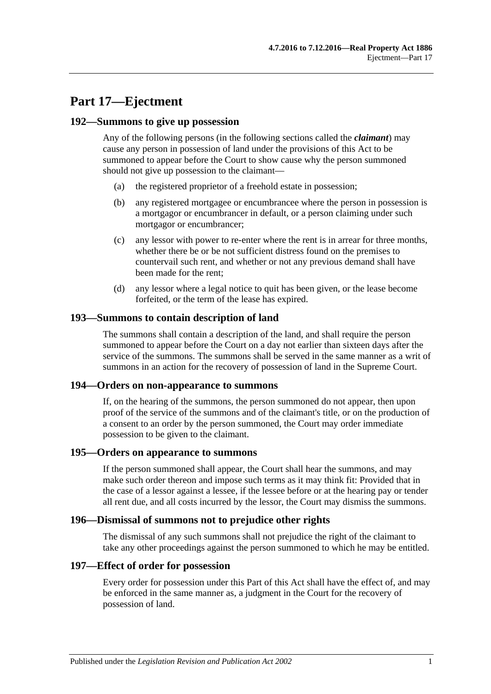# **Part 17—Ejectment**

### **192—Summons to give up possession**

Any of the following persons (in the following sections called the *claimant*) may cause any person in possession of land under the provisions of this Act to be summoned to appear before the Court to show cause why the person summoned should not give up possession to the claimant—

- (a) the registered proprietor of a freehold estate in possession;
- (b) any registered mortgagee or encumbrancee where the person in possession is a mortgagor or encumbrancer in default, or a person claiming under such mortgagor or encumbrancer;
- (c) any lessor with power to re-enter where the rent is in arrear for three months, whether there be or be not sufficient distress found on the premises to countervail such rent, and whether or not any previous demand shall have been made for the rent;
- (d) any lessor where a legal notice to quit has been given, or the lease become forfeited, or the term of the lease has expired.

## **193—Summons to contain description of land**

The summons shall contain a description of the land, and shall require the person summoned to appear before the Court on a day not earlier than sixteen days after the service of the summons. The summons shall be served in the same manner as a writ of summons in an action for the recovery of possession of land in the Supreme Court.

#### **194—Orders on non-appearance to summons**

If, on the hearing of the summons, the person summoned do not appear, then upon proof of the service of the summons and of the claimant's title, or on the production of a consent to an order by the person summoned, the Court may order immediate possession to be given to the claimant.

#### **195—Orders on appearance to summons**

If the person summoned shall appear, the Court shall hear the summons, and may make such order thereon and impose such terms as it may think fit: Provided that in the case of a lessor against a lessee, if the lessee before or at the hearing pay or tender all rent due, and all costs incurred by the lessor, the Court may dismiss the summons.

#### **196—Dismissal of summons not to prejudice other rights**

The dismissal of any such summons shall not prejudice the right of the claimant to take any other proceedings against the person summoned to which he may be entitled.

#### **197—Effect of order for possession**

Every order for possession under this Part of this Act shall have the effect of, and may be enforced in the same manner as, a judgment in the Court for the recovery of possession of land.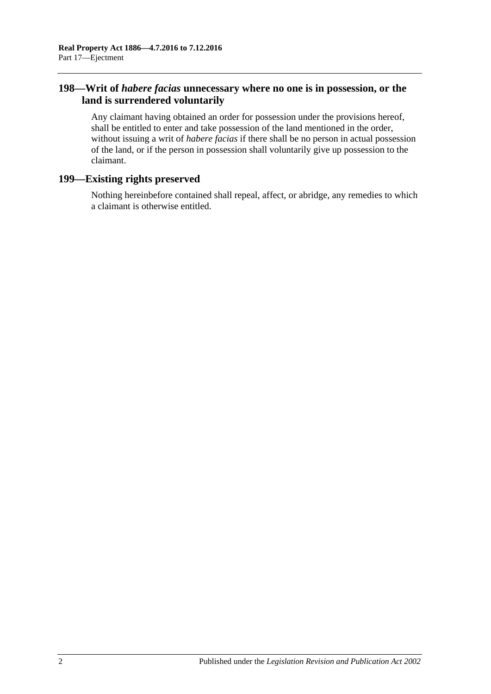# **198—Writ of** *habere facias* **unnecessary where no one is in possession, or the land is surrendered voluntarily**

Any claimant having obtained an order for possession under the provisions hereof, shall be entitled to enter and take possession of the land mentioned in the order, without issuing a writ of *habere facias* if there shall be no person in actual possession of the land, or if the person in possession shall voluntarily give up possession to the claimant.

# **199—Existing rights preserved**

Nothing hereinbefore contained shall repeal, affect, or abridge, any remedies to which a claimant is otherwise entitled.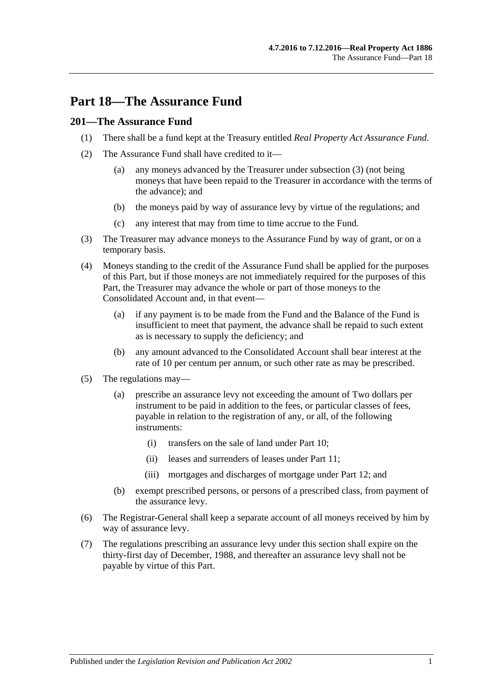# **Part 18—The Assurance Fund**

# **201—The Assurance Fund**

- (1) There shall be a fund kept at the Treasury entitled *Real Property Act Assurance Fund*.
- (2) The Assurance Fund shall have credited to it—
	- (a) any moneys advanced by the Treasurer under [subsection](#page-92-0) (3) (not being moneys that have been repaid to the Treasurer in accordance with the terms of the advance); and
	- (b) the moneys paid by way of assurance levy by virtue of the regulations; and
	- (c) any interest that may from time to time accrue to the Fund.
- <span id="page-92-0"></span>(3) The Treasurer may advance moneys to the Assurance Fund by way of grant, or on a temporary basis.
- (4) Moneys standing to the credit of the Assurance Fund shall be applied for the purposes of this Part, but if those moneys are not immediately required for the purposes of this Part, the Treasurer may advance the whole or part of those moneys to the Consolidated Account and, in that event—
	- (a) if any payment is to be made from the Fund and the Balance of the Fund is insufficient to meet that payment, the advance shall be repaid to such extent as is necessary to supply the deficiency; and
	- (b) any amount advanced to the Consolidated Account shall bear interest at the rate of 10 per centum per annum, or such other rate as may be prescribed.
- (5) The regulations may—
	- (a) prescribe an assurance levy not exceeding the amount of Two dollars per instrument to be paid in addition to the fees, or particular classes of fees, payable in relation to the registration of any, or all, of the following instruments:
		- (i) transfers on the sale of land under [Part 10;](#page-50-0)
		- (ii) leases and surrenders of leases under [Part 11;](#page-54-0)
		- (iii) mortgages and discharges of mortgage under [Part 12;](#page-58-0) and
	- (b) exempt prescribed persons, or persons of a prescribed class, from payment of the assurance levy.
- (6) The Registrar-General shall keep a separate account of all moneys received by him by way of assurance levy.
- (7) The regulations prescribing an assurance levy under this section shall expire on the thirty-first day of December, 1988, and thereafter an assurance levy shall not be payable by virtue of this Part.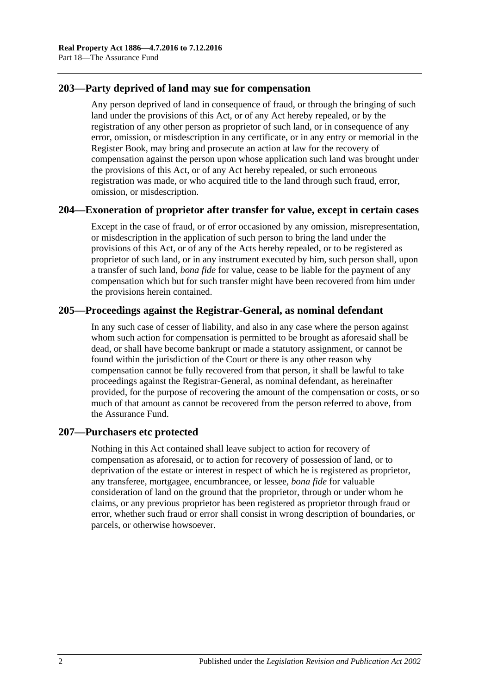# **203—Party deprived of land may sue for compensation**

Any person deprived of land in consequence of fraud, or through the bringing of such land under the provisions of this Act, or of any Act hereby repealed, or by the registration of any other person as proprietor of such land, or in consequence of any error, omission, or misdescription in any certificate, or in any entry or memorial in the Register Book, may bring and prosecute an action at law for the recovery of compensation against the person upon whose application such land was brought under the provisions of this Act, or of any Act hereby repealed, or such erroneous registration was made, or who acquired title to the land through such fraud, error, omission, or misdescription.

# **204—Exoneration of proprietor after transfer for value, except in certain cases**

Except in the case of fraud, or of error occasioned by any omission, misrepresentation, or misdescription in the application of such person to bring the land under the provisions of this Act, or of any of the Acts hereby repealed, or to be registered as proprietor of such land, or in any instrument executed by him, such person shall, upon a transfer of such land, *bona fide* for value, cease to be liable for the payment of any compensation which but for such transfer might have been recovered from him under the provisions herein contained.

# **205—Proceedings against the Registrar-General, as nominal defendant**

In any such case of cesser of liability, and also in any case where the person against whom such action for compensation is permitted to be brought as aforesaid shall be dead, or shall have become bankrupt or made a statutory assignment, or cannot be found within the jurisdiction of the Court or there is any other reason why compensation cannot be fully recovered from that person, it shall be lawful to take proceedings against the Registrar-General, as nominal defendant, as hereinafter provided, for the purpose of recovering the amount of the compensation or costs, or so much of that amount as cannot be recovered from the person referred to above, from the Assurance Fund.

# **207—Purchasers etc protected**

Nothing in this Act contained shall leave subject to action for recovery of compensation as aforesaid, or to action for recovery of possession of land, or to deprivation of the estate or interest in respect of which he is registered as proprietor, any transferee, mortgagee, encumbrancee, or lessee, *bona fide* for valuable consideration of land on the ground that the proprietor, through or under whom he claims, or any previous proprietor has been registered as proprietor through fraud or error, whether such fraud or error shall consist in wrong description of boundaries, or parcels, or otherwise howsoever.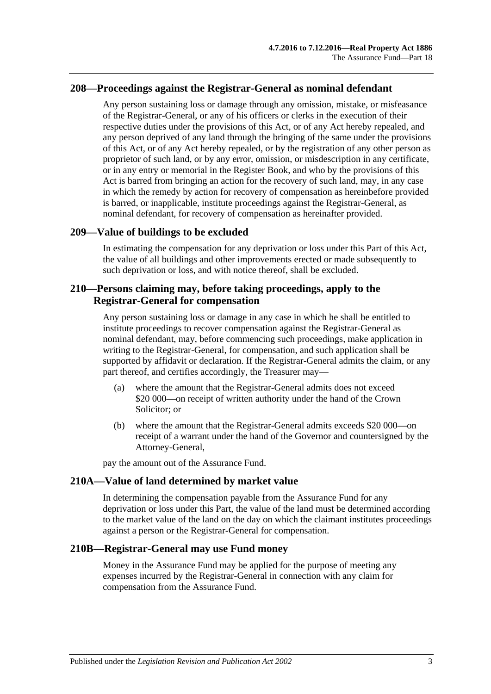## **208—Proceedings against the Registrar-General as nominal defendant**

Any person sustaining loss or damage through any omission, mistake, or misfeasance of the Registrar-General, or any of his officers or clerks in the execution of their respective duties under the provisions of this Act, or of any Act hereby repealed, and any person deprived of any land through the bringing of the same under the provisions of this Act, or of any Act hereby repealed, or by the registration of any other person as proprietor of such land, or by any error, omission, or misdescription in any certificate, or in any entry or memorial in the Register Book, and who by the provisions of this Act is barred from bringing an action for the recovery of such land, may, in any case in which the remedy by action for recovery of compensation as hereinbefore provided is barred, or inapplicable, institute proceedings against the Registrar-General, as nominal defendant, for recovery of compensation as hereinafter provided.

#### **209—Value of buildings to be excluded**

In estimating the compensation for any deprivation or loss under this Part of this Act, the value of all buildings and other improvements erected or made subsequently to such deprivation or loss, and with notice thereof, shall be excluded.

## **210—Persons claiming may, before taking proceedings, apply to the Registrar-General for compensation**

Any person sustaining loss or damage in any case in which he shall be entitled to institute proceedings to recover compensation against the Registrar-General as nominal defendant, may, before commencing such proceedings, make application in writing to the Registrar-General, for compensation, and such application shall be supported by affidavit or declaration. If the Registrar-General admits the claim, or any part thereof, and certifies accordingly, the Treasurer may—

- (a) where the amount that the Registrar-General admits does not exceed \$20 000—on receipt of written authority under the hand of the Crown Solicitor; or
- (b) where the amount that the Registrar-General admits exceeds \$20 000—on receipt of a warrant under the hand of the Governor and countersigned by the Attorney-General,

pay the amount out of the Assurance Fund.

#### **210A—Value of land determined by market value**

In determining the compensation payable from the Assurance Fund for any deprivation or loss under this Part, the value of the land must be determined according to the market value of the land on the day on which the claimant institutes proceedings against a person or the Registrar-General for compensation.

#### **210B—Registrar-General may use Fund money**

Money in the Assurance Fund may be applied for the purpose of meeting any expenses incurred by the Registrar-General in connection with any claim for compensation from the Assurance Fund.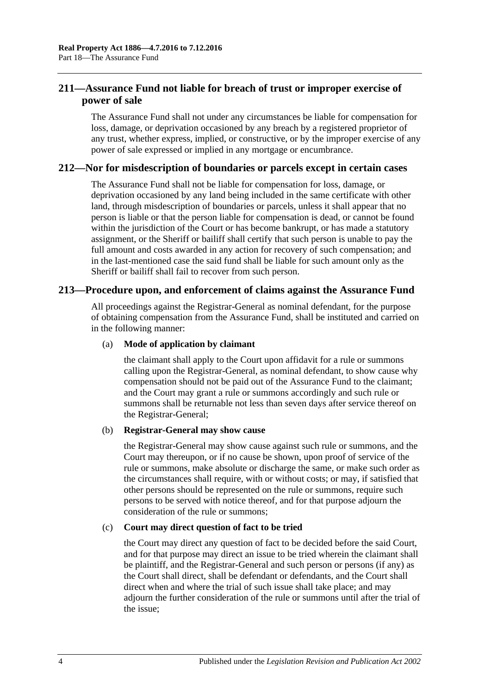# **211—Assurance Fund not liable for breach of trust or improper exercise of power of sale**

The Assurance Fund shall not under any circumstances be liable for compensation for loss, damage, or deprivation occasioned by any breach by a registered proprietor of any trust, whether express, implied, or constructive, or by the improper exercise of any power of sale expressed or implied in any mortgage or encumbrance.

## **212—Nor for misdescription of boundaries or parcels except in certain cases**

The Assurance Fund shall not be liable for compensation for loss, damage, or deprivation occasioned by any land being included in the same certificate with other land, through misdescription of boundaries or parcels, unless it shall appear that no person is liable or that the person liable for compensation is dead, or cannot be found within the jurisdiction of the Court or has become bankrupt, or has made a statutory assignment, or the Sheriff or bailiff shall certify that such person is unable to pay the full amount and costs awarded in any action for recovery of such compensation; and in the last-mentioned case the said fund shall be liable for such amount only as the Sheriff or bailiff shall fail to recover from such person.

## **213—Procedure upon, and enforcement of claims against the Assurance Fund**

All proceedings against the Registrar-General as nominal defendant, for the purpose of obtaining compensation from the Assurance Fund, shall be instituted and carried on in the following manner:

#### (a) **Mode of application by claimant**

the claimant shall apply to the Court upon affidavit for a rule or summons calling upon the Registrar-General, as nominal defendant, to show cause why compensation should not be paid out of the Assurance Fund to the claimant; and the Court may grant a rule or summons accordingly and such rule or summons shall be returnable not less than seven days after service thereof on the Registrar-General;

#### (b) **Registrar-General may show cause**

the Registrar-General may show cause against such rule or summons, and the Court may thereupon, or if no cause be shown, upon proof of service of the rule or summons, make absolute or discharge the same, or make such order as the circumstances shall require, with or without costs; or may, if satisfied that other persons should be represented on the rule or summons, require such persons to be served with notice thereof, and for that purpose adjourn the consideration of the rule or summons;

#### (c) **Court may direct question of fact to be tried**

the Court may direct any question of fact to be decided before the said Court, and for that purpose may direct an issue to be tried wherein the claimant shall be plaintiff, and the Registrar-General and such person or persons (if any) as the Court shall direct, shall be defendant or defendants, and the Court shall direct when and where the trial of such issue shall take place; and may adjourn the further consideration of the rule or summons until after the trial of the issue;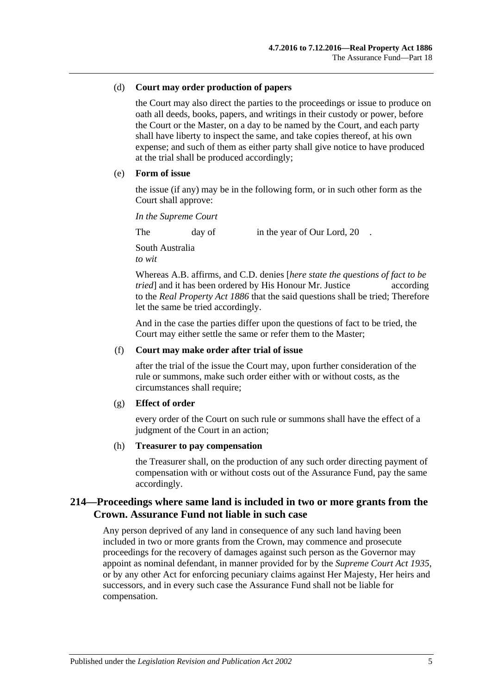#### (d) **Court may order production of papers**

the Court may also direct the parties to the proceedings or issue to produce on oath all deeds, books, papers, and writings in their custody or power, before the Court or the Master, on a day to be named by the Court, and each party shall have liberty to inspect the same, and take copies thereof, at his own expense; and such of them as either party shall give notice to have produced at the trial shall be produced accordingly;

#### (e) **Form of issue**

the issue (if any) may be in the following form, or in such other form as the Court shall approve:

*In the Supreme Court*

The day of in the year of Our Lord, 20.

South Australia *to wit*

Whereas A.B. affirms, and C.D. denies [*here state the questions of fact to be tried* and it has been ordered by His Honour Mr. Justice according to the *[Real Property Act](http://www.legislation.sa.gov.au/index.aspx?action=legref&type=act&legtitle=Real%20Property%20Act%201886) 1886* that the said questions shall be tried; Therefore let the same be tried accordingly.

And in the case the parties differ upon the questions of fact to be tried, the Court may either settle the same or refer them to the Master;

#### (f) **Court may make order after trial of issue**

after the trial of the issue the Court may, upon further consideration of the rule or summons, make such order either with or without costs, as the circumstances shall require;

#### (g) **Effect of order**

every order of the Court on such rule or summons shall have the effect of a judgment of the Court in an action;

#### (h) **Treasurer to pay compensation**

the Treasurer shall, on the production of any such order directing payment of compensation with or without costs out of the Assurance Fund, pay the same accordingly.

# **214—Proceedings where same land is included in two or more grants from the Crown. Assurance Fund not liable in such case**

Any person deprived of any land in consequence of any such land having been included in two or more grants from the Crown, may commence and prosecute proceedings for the recovery of damages against such person as the Governor may appoint as nominal defendant, in manner provided for by the *[Supreme Court Act](http://www.legislation.sa.gov.au/index.aspx?action=legref&type=act&legtitle=Supreme%20Court%20Act%201935) 1935*, or by any other Act for enforcing pecuniary claims against Her Majesty, Her heirs and successors, and in every such case the Assurance Fund shall not be liable for compensation.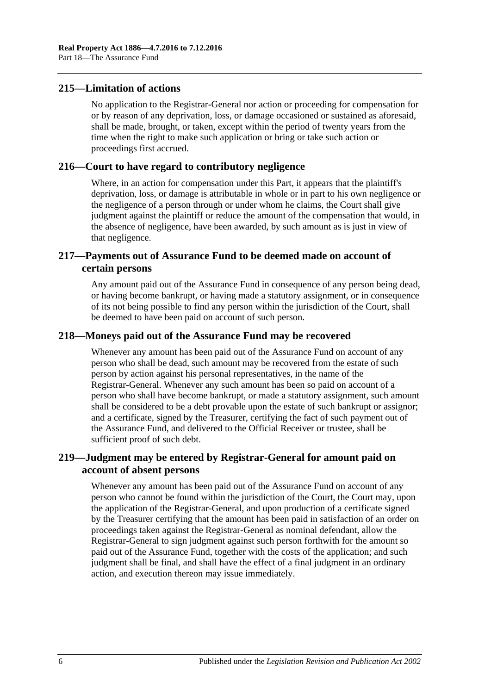## **215—Limitation of actions**

No application to the Registrar-General nor action or proceeding for compensation for or by reason of any deprivation, loss, or damage occasioned or sustained as aforesaid, shall be made, brought, or taken, except within the period of twenty years from the time when the right to make such application or bring or take such action or proceedings first accrued.

## **216—Court to have regard to contributory negligence**

Where, in an action for compensation under this Part, it appears that the plaintiff's deprivation, loss, or damage is attributable in whole or in part to his own negligence or the negligence of a person through or under whom he claims, the Court shall give judgment against the plaintiff or reduce the amount of the compensation that would, in the absence of negligence, have been awarded, by such amount as is just in view of that negligence.

# **217—Payments out of Assurance Fund to be deemed made on account of certain persons**

Any amount paid out of the Assurance Fund in consequence of any person being dead, or having become bankrupt, or having made a statutory assignment, or in consequence of its not being possible to find any person within the jurisdiction of the Court, shall be deemed to have been paid on account of such person.

## **218—Moneys paid out of the Assurance Fund may be recovered**

Whenever any amount has been paid out of the Assurance Fund on account of any person who shall be dead, such amount may be recovered from the estate of such person by action against his personal representatives, in the name of the Registrar-General. Whenever any such amount has been so paid on account of a person who shall have become bankrupt, or made a statutory assignment, such amount shall be considered to be a debt provable upon the estate of such bankrupt or assignor; and a certificate, signed by the Treasurer, certifying the fact of such payment out of the Assurance Fund, and delivered to the Official Receiver or trustee, shall be sufficient proof of such debt.

# **219—Judgment may be entered by Registrar-General for amount paid on account of absent persons**

Whenever any amount has been paid out of the Assurance Fund on account of any person who cannot be found within the jurisdiction of the Court, the Court may, upon the application of the Registrar-General, and upon production of a certificate signed by the Treasurer certifying that the amount has been paid in satisfaction of an order on proceedings taken against the Registrar-General as nominal defendant, allow the Registrar-General to sign judgment against such person forthwith for the amount so paid out of the Assurance Fund, together with the costs of the application; and such judgment shall be final, and shall have the effect of a final judgment in an ordinary action, and execution thereon may issue immediately.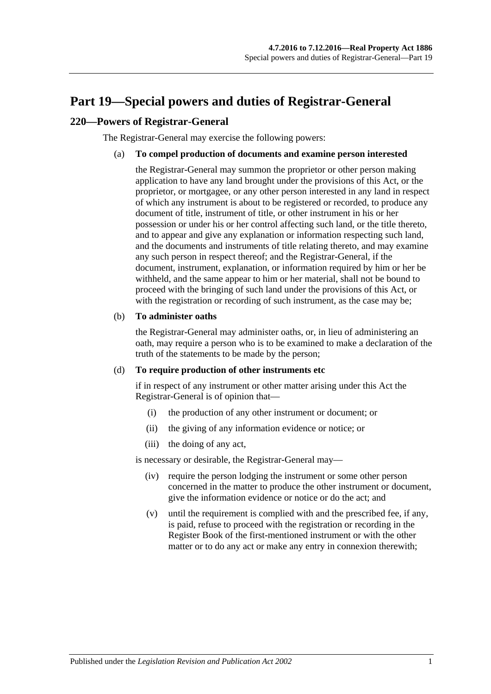# <span id="page-98-0"></span>**Part 19—Special powers and duties of Registrar-General**

# **220—Powers of Registrar-General**

The Registrar-General may exercise the following powers:

#### (a) **To compel production of documents and examine person interested**

the Registrar-General may summon the proprietor or other person making application to have any land brought under the provisions of this Act, or the proprietor, or mortgagee, or any other person interested in any land in respect of which any instrument is about to be registered or recorded, to produce any document of title, instrument of title, or other instrument in his or her possession or under his or her control affecting such land, or the title thereto, and to appear and give any explanation or information respecting such land, and the documents and instruments of title relating thereto, and may examine any such person in respect thereof; and the Registrar-General, if the document, instrument, explanation, or information required by him or her be withheld, and the same appear to him or her material, shall not be bound to proceed with the bringing of such land under the provisions of this Act, or with the registration or recording of such instrument, as the case may be;

#### (b) **To administer oaths**

the Registrar-General may administer oaths, or, in lieu of administering an oath, may require a person who is to be examined to make a declaration of the truth of the statements to be made by the person;

#### <span id="page-98-1"></span>(d) **To require production of other instruments etc**

if in respect of any instrument or other matter arising under this Act the Registrar-General is of opinion that—

- (i) the production of any other instrument or document; or
- (ii) the giving of any information evidence or notice; or
- (iii) the doing of any act,

is necessary or desirable, the Registrar-General may—

- (iv) require the person lodging the instrument or some other person concerned in the matter to produce the other instrument or document, give the information evidence or notice or do the act; and
- (v) until the requirement is complied with and the prescribed fee, if any, is paid, refuse to proceed with the registration or recording in the Register Book of the first-mentioned instrument or with the other matter or to do any act or make any entry in connexion therewith;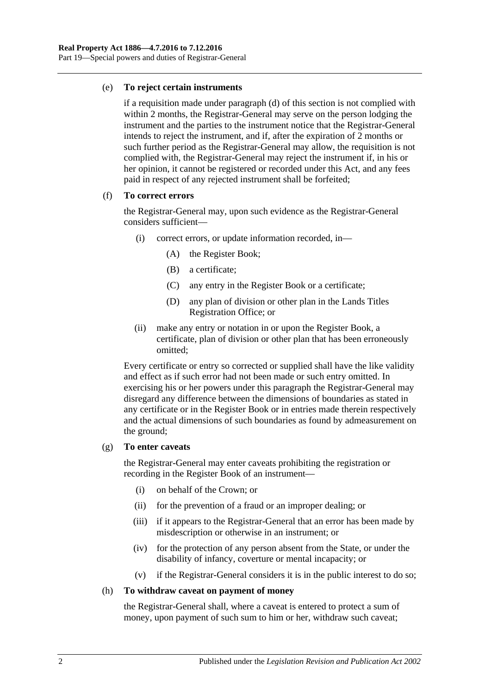#### (e) **To reject certain instruments**

if a requisition made under [paragraph](#page-98-1) (d) of this section is not complied with within 2 months, the Registrar-General may serve on the person lodging the instrument and the parties to the instrument notice that the Registrar-General intends to reject the instrument, and if, after the expiration of 2 months or such further period as the Registrar-General may allow, the requisition is not complied with, the Registrar-General may reject the instrument if, in his or her opinion, it cannot be registered or recorded under this Act, and any fees paid in respect of any rejected instrument shall be forfeited;

#### (f) **To correct errors**

the Registrar-General may, upon such evidence as the Registrar-General considers sufficient—

- (i) correct errors, or update information recorded, in—
	- (A) the Register Book;
	- (B) a certificate;
	- (C) any entry in the Register Book or a certificate;
	- (D) any plan of division or other plan in the Lands Titles Registration Office; or
- (ii) make any entry or notation in or upon the Register Book, a certificate, plan of division or other plan that has been erroneously omitted;

Every certificate or entry so corrected or supplied shall have the like validity and effect as if such error had not been made or such entry omitted. In exercising his or her powers under this paragraph the Registrar-General may disregard any difference between the dimensions of boundaries as stated in any certificate or in the Register Book or in entries made therein respectively and the actual dimensions of such boundaries as found by admeasurement on the ground;

#### (g) **To enter caveats**

the Registrar-General may enter caveats prohibiting the registration or recording in the Register Book of an instrument—

- (i) on behalf of the Crown; or
- (ii) for the prevention of a fraud or an improper dealing; or
- (iii) if it appears to the Registrar-General that an error has been made by misdescription or otherwise in an instrument; or
- (iv) for the protection of any person absent from the State, or under the disability of infancy, coverture or mental incapacity; or
- (v) if the Registrar-General considers it is in the public interest to do so;

#### (h) **To withdraw caveat on payment of money**

the Registrar-General shall, where a caveat is entered to protect a sum of money, upon payment of such sum to him or her, withdraw such caveat;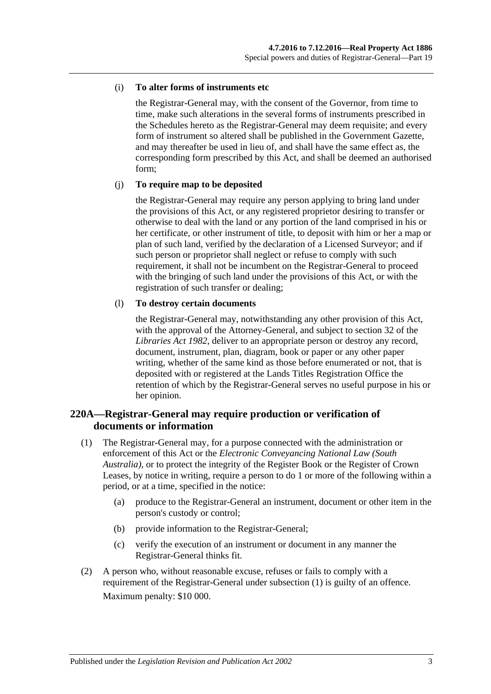#### (i) **To alter forms of instruments etc**

the Registrar-General may, with the consent of the Governor, from time to time, make such alterations in the several forms of instruments prescribed in the Schedules hereto as the Registrar-General may deem requisite; and every form of instrument so altered shall be published in the Government Gazette, and may thereafter be used in lieu of, and shall have the same effect as, the corresponding form prescribed by this Act, and shall be deemed an authorised form;

#### (j) **To require map to be deposited**

the Registrar-General may require any person applying to bring land under the provisions of this Act, or any registered proprietor desiring to transfer or otherwise to deal with the land or any portion of the land comprised in his or her certificate, or other instrument of title, to deposit with him or her a map or plan of such land, verified by the declaration of a Licensed Surveyor; and if such person or proprietor shall neglect or refuse to comply with such requirement, it shall not be incumbent on the Registrar-General to proceed with the bringing of such land under the provisions of this Act, or with the registration of such transfer or dealing;

#### (l) **To destroy certain documents**

the Registrar-General may, notwithstanding any other provision of this Act, with the approval of the Attorney-General, and subject to section 32 of the *[Libraries Act](http://www.legislation.sa.gov.au/index.aspx?action=legref&type=act&legtitle=Libraries%20Act%201982) 1982*, deliver to an appropriate person or destroy any record, document, instrument, plan, diagram, book or paper or any other paper writing, whether of the same kind as those before enumerated or not, that is deposited with or registered at the Lands Titles Registration Office the retention of which by the Registrar-General serves no useful purpose in his or her opinion.

# **220A—Registrar-General may require production or verification of documents or information**

- <span id="page-100-0"></span>(1) The Registrar-General may, for a purpose connected with the administration or enforcement of this Act or the *Electronic Conveyancing National Law (South Australia)*, or to protect the integrity of the Register Book or the Register of Crown Leases, by notice in writing, require a person to do 1 or more of the following within a period, or at a time, specified in the notice:
	- (a) produce to the Registrar-General an instrument, document or other item in the person's custody or control;
	- (b) provide information to the Registrar-General;
	- (c) verify the execution of an instrument or document in any manner the Registrar-General thinks fit.
- (2) A person who, without reasonable excuse, refuses or fails to comply with a requirement of the Registrar-General under [subsection](#page-100-0) (1) is guilty of an offence. Maximum penalty: \$10 000.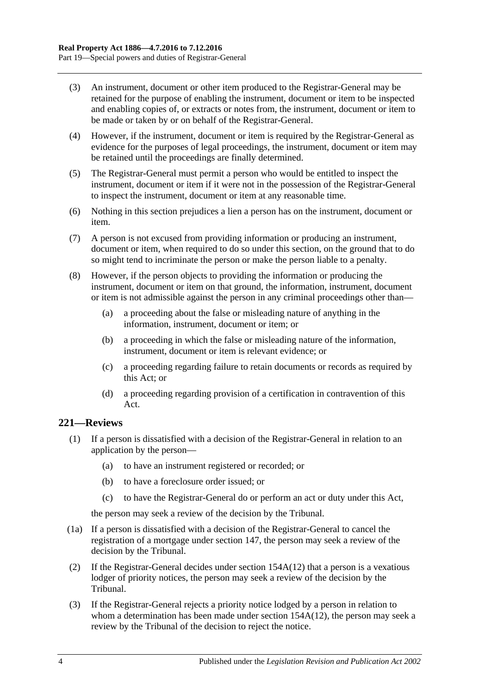- (3) An instrument, document or other item produced to the Registrar-General may be retained for the purpose of enabling the instrument, document or item to be inspected and enabling copies of, or extracts or notes from, the instrument, document or item to be made or taken by or on behalf of the Registrar-General.
- (4) However, if the instrument, document or item is required by the Registrar-General as evidence for the purposes of legal proceedings, the instrument, document or item may be retained until the proceedings are finally determined.
- (5) The Registrar-General must permit a person who would be entitled to inspect the instrument, document or item if it were not in the possession of the Registrar-General to inspect the instrument, document or item at any reasonable time.
- (6) Nothing in this section prejudices a lien a person has on the instrument, document or item.
- (7) A person is not excused from providing information or producing an instrument, document or item, when required to do so under this section, on the ground that to do so might tend to incriminate the person or make the person liable to a penalty.
- (8) However, if the person objects to providing the information or producing the instrument, document or item on that ground, the information, instrument, document or item is not admissible against the person in any criminal proceedings other than—
	- (a) a proceeding about the false or misleading nature of anything in the information, instrument, document or item; or
	- (b) a proceeding in which the false or misleading nature of the information, instrument, document or item is relevant evidence; or
	- (c) a proceeding regarding failure to retain documents or records as required by this Act; or
	- (d) a proceeding regarding provision of a certification in contravention of this Act.

# <span id="page-101-0"></span>**221—Reviews**

- (1) If a person is dissatisfied with a decision of the Registrar-General in relation to an application by the person—
	- (a) to have an instrument registered or recorded; or
	- (b) to have a foreclosure order issued; or
	- (c) to have the Registrar-General do or perform an act or duty under this Act,

the person may seek a review of the decision by the Tribunal.

- (1a) If a person is dissatisfied with a decision of the Registrar-General to cancel the registration of a mortgage under [section](#page-66-0) 147, the person may seek a review of the decision by the Tribunal.
- (2) If the Registrar-General decides under section [154A\(12\)](#page-71-0) that a person is a vexatious lodger of priority notices, the person may seek a review of the decision by the Tribunal.
- (3) If the Registrar-General rejects a priority notice lodged by a person in relation to whom a determination has been made under section [154A\(12\),](#page-71-0) the person may seek a review by the Tribunal of the decision to reject the notice.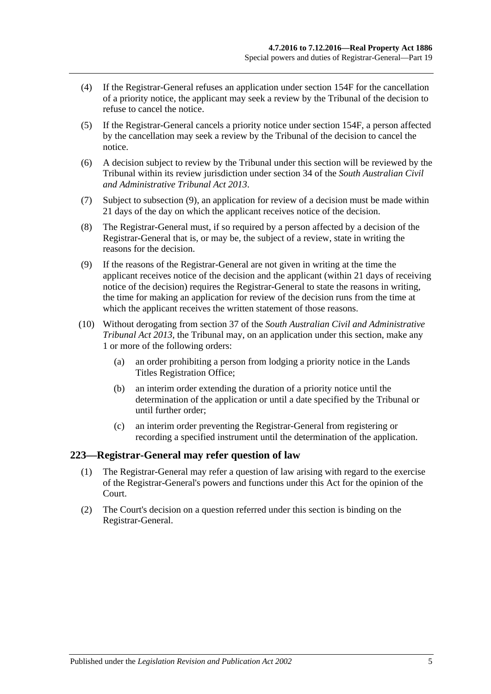- (4) If the Registrar-General refuses an application under [section](#page-73-3) 154F for the cancellation of a priority notice, the applicant may seek a review by the Tribunal of the decision to refuse to cancel the notice.
- (5) If the Registrar-General cancels a priority notice under [section](#page-73-3) 154F, a person affected by the cancellation may seek a review by the Tribunal of the decision to cancel the notice.
- (6) A decision subject to review by the Tribunal under this section will be reviewed by the Tribunal within its review jurisdiction under section 34 of the *[South Australian Civil](http://www.legislation.sa.gov.au/index.aspx?action=legref&type=act&legtitle=South%20Australian%20Civil%20and%20Administrative%20Tribunal%20Act%202013)  [and Administrative Tribunal Act](http://www.legislation.sa.gov.au/index.aspx?action=legref&type=act&legtitle=South%20Australian%20Civil%20and%20Administrative%20Tribunal%20Act%202013) 2013*.
- (7) Subject to [subsection](#page-102-0) (9), an application for review of a decision must be made within 21 days of the day on which the applicant receives notice of the decision.
- (8) The Registrar-General must, if so required by a person affected by a decision of the Registrar-General that is, or may be, the subject of a review, state in writing the reasons for the decision.
- <span id="page-102-0"></span>(9) If the reasons of the Registrar-General are not given in writing at the time the applicant receives notice of the decision and the applicant (within 21 days of receiving notice of the decision) requires the Registrar-General to state the reasons in writing, the time for making an application for review of the decision runs from the time at which the applicant receives the written statement of those reasons.
- (10) Without derogating from section 37 of the *[South Australian Civil and Administrative](http://www.legislation.sa.gov.au/index.aspx?action=legref&type=act&legtitle=South%20Australian%20Civil%20and%20Administrative%20Tribunal%20Act%202013)  [Tribunal Act](http://www.legislation.sa.gov.au/index.aspx?action=legref&type=act&legtitle=South%20Australian%20Civil%20and%20Administrative%20Tribunal%20Act%202013) 2013*, the Tribunal may, on an application under this section, make any 1 or more of the following orders:
	- (a) an order prohibiting a person from lodging a priority notice in the Lands Titles Registration Office;
	- (b) an interim order extending the duration of a priority notice until the determination of the application or until a date specified by the Tribunal or until further order;
	- (c) an interim order preventing the Registrar-General from registering or recording a specified instrument until the determination of the application.

#### **223—Registrar-General may refer question of law**

- (1) The Registrar-General may refer a question of law arising with regard to the exercise of the Registrar-General's powers and functions under this Act for the opinion of the Court.
- (2) The Court's decision on a question referred under this section is binding on the Registrar-General.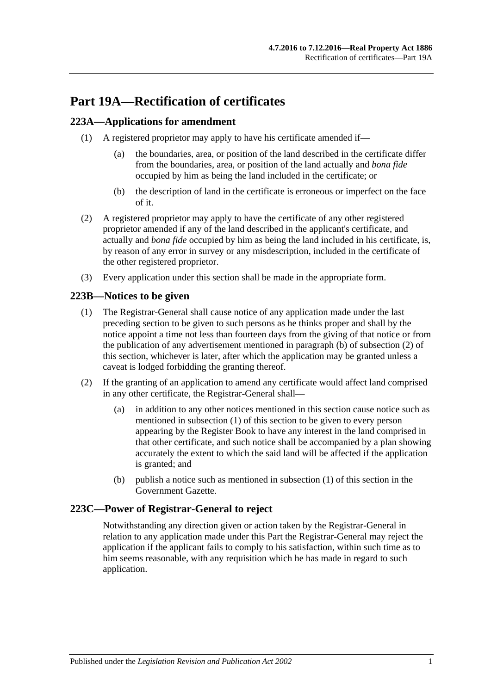# **Part 19A—Rectification of certificates**

# <span id="page-104-3"></span>**223A—Applications for amendment**

- (1) A registered proprietor may apply to have his certificate amended if—
	- (a) the boundaries, area, or position of the land described in the certificate differ from the boundaries, area, or position of the land actually and *bona fide* occupied by him as being the land included in the certificate; or
	- (b) the description of land in the certificate is erroneous or imperfect on the face of it.
- (2) A registered proprietor may apply to have the certificate of any other registered proprietor amended if any of the land described in the applicant's certificate, and actually and *bona fide* occupied by him as being the land included in his certificate, is, by reason of any error in survey or any misdescription, included in the certificate of the other registered proprietor.
- (3) Every application under this section shall be made in the appropriate form.

# <span id="page-104-2"></span>**223B—Notices to be given**

- (1) The Registrar-General shall cause notice of any application made under the last preceding section to be given to such persons as he thinks proper and shall by the notice appoint a time not less than fourteen days from the giving of that notice or from the publication of any advertisement mentioned in [paragraph](#page-104-0) (b) of [subsection](#page-104-1) (2) of this section, whichever is later, after which the application may be granted unless a caveat is lodged forbidding the granting thereof.
- <span id="page-104-1"></span>(2) If the granting of an application to amend any certificate would affect land comprised in any other certificate, the Registrar-General shall—
	- (a) in addition to any other notices mentioned in this section cause notice such as mentioned in [subsection](#page-104-2) (1) of this section to be given to every person appearing by the Register Book to have any interest in the land comprised in that other certificate, and such notice shall be accompanied by a plan showing accurately the extent to which the said land will be affected if the application is granted; and
	- (b) publish a notice such as mentioned in [subsection](#page-104-2) (1) of this section in the Government Gazette.

# <span id="page-104-0"></span>**223C—Power of Registrar-General to reject**

Notwithstanding any direction given or action taken by the Registrar-General in relation to any application made under this Part the Registrar-General may reject the application if the applicant fails to comply to his satisfaction, within such time as to him seems reasonable, with any requisition which he has made in regard to such application.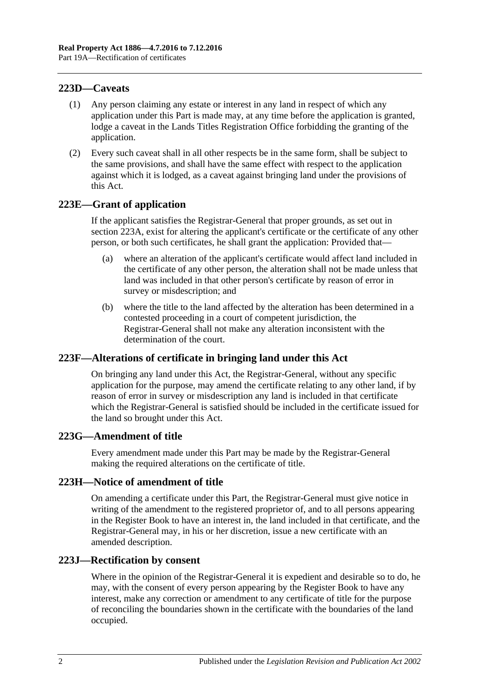# **223D—Caveats**

- (1) Any person claiming any estate or interest in any land in respect of which any application under this Part is made may, at any time before the application is granted, lodge a caveat in the Lands Titles Registration Office forbidding the granting of the application.
- (2) Every such caveat shall in all other respects be in the same form, shall be subject to the same provisions, and shall have the same effect with respect to the application against which it is lodged, as a caveat against bringing land under the provisions of this Act.

## **223E—Grant of application**

If the applicant satisfies the Registrar-General that proper grounds, as set out in [section](#page-104-3) 223A, exist for altering the applicant's certificate or the certificate of any other person, or both such certificates, he shall grant the application: Provided that—

- (a) where an alteration of the applicant's certificate would affect land included in the certificate of any other person, the alteration shall not be made unless that land was included in that other person's certificate by reason of error in survey or misdescription; and
- (b) where the title to the land affected by the alteration has been determined in a contested proceeding in a court of competent jurisdiction, the Registrar-General shall not make any alteration inconsistent with the determination of the court.

# **223F—Alterations of certificate in bringing land under this Act**

On bringing any land under this Act, the Registrar-General, without any specific application for the purpose, may amend the certificate relating to any other land, if by reason of error in survey or misdescription any land is included in that certificate which the Registrar-General is satisfied should be included in the certificate issued for the land so brought under this Act.

#### **223G—Amendment of title**

Every amendment made under this Part may be made by the Registrar-General making the required alterations on the certificate of title.

#### **223H—Notice of amendment of title**

On amending a certificate under this Part, the Registrar-General must give notice in writing of the amendment to the registered proprietor of, and to all persons appearing in the Register Book to have an interest in, the land included in that certificate, and the Registrar-General may, in his or her discretion, issue a new certificate with an amended description.

#### **223J—Rectification by consent**

Where in the opinion of the Registrar-General it is expedient and desirable so to do, he may, with the consent of every person appearing by the Register Book to have any interest, make any correction or amendment to any certificate of title for the purpose of reconciling the boundaries shown in the certificate with the boundaries of the land occupied.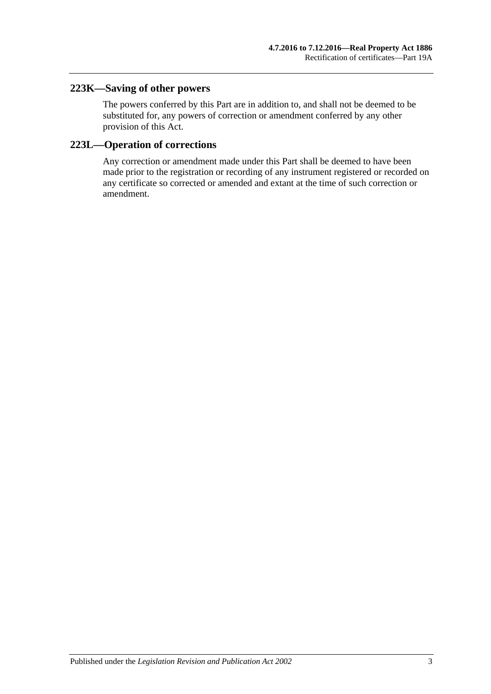# **223K—Saving of other powers**

The powers conferred by this Part are in addition to, and shall not be deemed to be substituted for, any powers of correction or amendment conferred by any other provision of this Act.

# **223L—Operation of corrections**

Any correction or amendment made under this Part shall be deemed to have been made prior to the registration or recording of any instrument registered or recorded on any certificate so corrected or amended and extant at the time of such correction or amendment.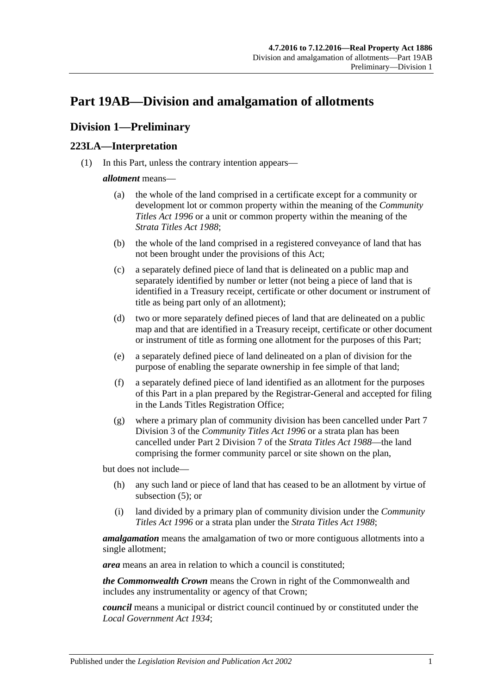# <span id="page-108-2"></span>**Part 19AB—Division and amalgamation of allotments**

# **Division 1—Preliminary**

# <span id="page-108-1"></span>**223LA—Interpretation**

(1) In this Part, unless the contrary intention appears—

#### *allotment* means—

- (a) the whole of the land comprised in a certificate except for a community or development lot or common property within the meaning of the *[Community](http://www.legislation.sa.gov.au/index.aspx?action=legref&type=act&legtitle=Community%20Titles%20Act%201996)  [Titles Act](http://www.legislation.sa.gov.au/index.aspx?action=legref&type=act&legtitle=Community%20Titles%20Act%201996) 1996* or a unit or common property within the meaning of the *[Strata Titles Act](http://www.legislation.sa.gov.au/index.aspx?action=legref&type=act&legtitle=Strata%20Titles%20Act%201988) 1988*;
- (b) the whole of the land comprised in a registered conveyance of land that has not been brought under the provisions of this Act;
- (c) a separately defined piece of land that is delineated on a public map and separately identified by number or letter (not being a piece of land that is identified in a Treasury receipt, certificate or other document or instrument of title as being part only of an allotment);
- (d) two or more separately defined pieces of land that are delineated on a public map and that are identified in a Treasury receipt, certificate or other document or instrument of title as forming one allotment for the purposes of this Part;
- <span id="page-108-0"></span>(e) a separately defined piece of land delineated on a plan of division for the purpose of enabling the separate ownership in fee simple of that land;
- (f) a separately defined piece of land identified as an allotment for the purposes of this Part in a plan prepared by the Registrar-General and accepted for filing in the Lands Titles Registration Office;
- (g) where a primary plan of community division has been cancelled under Part 7 Division 3 of the *[Community Titles Act](http://www.legislation.sa.gov.au/index.aspx?action=legref&type=act&legtitle=Community%20Titles%20Act%201996) 1996* or a strata plan has been cancelled under Part 2 Division 7 of the *[Strata Titles Act](http://www.legislation.sa.gov.au/index.aspx?action=legref&type=act&legtitle=Strata%20Titles%20Act%201988) 1988*—the land comprising the former community parcel or site shown on the plan,

but does not include—

- (h) any such land or piece of land that has ceased to be an allotment by virtue of [subsection](#page-110-0) (5); or
- (i) land divided by a primary plan of community division under the *[Community](http://www.legislation.sa.gov.au/index.aspx?action=legref&type=act&legtitle=Community%20Titles%20Act%201996)  [Titles Act](http://www.legislation.sa.gov.au/index.aspx?action=legref&type=act&legtitle=Community%20Titles%20Act%201996) 1996* or a strata plan under the *[Strata Titles Act](http://www.legislation.sa.gov.au/index.aspx?action=legref&type=act&legtitle=Strata%20Titles%20Act%201988) 1988*;

*amalgamation* means the amalgamation of two or more contiguous allotments into a single allotment;

*area* means an area in relation to which a council is constituted;

*the Commonwealth Crown* means the Crown in right of the Commonwealth and includes any instrumentality or agency of that Crown;

*council* means a municipal or district council continued by or constituted under the *[Local Government Act](http://www.legislation.sa.gov.au/index.aspx?action=legref&type=act&legtitle=Local%20Government%20Act%201934) 1934*;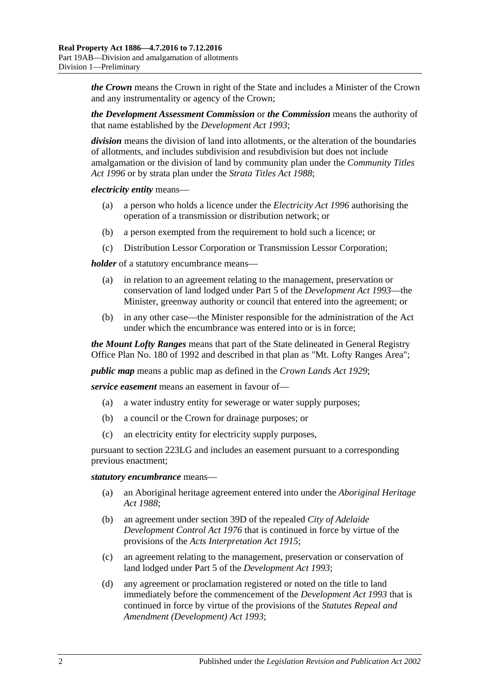*the Crown* means the Crown in right of the State and includes a Minister of the Crown and any instrumentality or agency of the Crown;

*the Development Assessment Commission* or *the Commission* means the authority of that name established by the *[Development Act](http://www.legislation.sa.gov.au/index.aspx?action=legref&type=act&legtitle=Development%20Act%201993) 1993*;

*division* means the division of land into allotments, or the alteration of the boundaries of allotments, and includes subdivision and resubdivision but does not include amalgamation or the division of land by community plan under the *[Community Titles](http://www.legislation.sa.gov.au/index.aspx?action=legref&type=act&legtitle=Community%20Titles%20Act%201996)  Act [1996](http://www.legislation.sa.gov.au/index.aspx?action=legref&type=act&legtitle=Community%20Titles%20Act%201996)* or by strata plan under the *[Strata Titles Act](http://www.legislation.sa.gov.au/index.aspx?action=legref&type=act&legtitle=Strata%20Titles%20Act%201988) 1988*;

*electricity entity* means—

- (a) a person who holds a licence under the *[Electricity Act](http://www.legislation.sa.gov.au/index.aspx?action=legref&type=act&legtitle=Electricity%20Act%201996) 1996* authorising the operation of a transmission or distribution network; or
- (b) a person exempted from the requirement to hold such a licence; or
- (c) Distribution Lessor Corporation or Transmission Lessor Corporation;

*holder* of a statutory encumbrance means—

- (a) in relation to an agreement relating to the management, preservation or conservation of land lodged under Part 5 of the *[Development Act](http://www.legislation.sa.gov.au/index.aspx?action=legref&type=act&legtitle=Development%20Act%201993) 1993*—the Minister, greenway authority or council that entered into the agreement; or
- (b) in any other case—the Minister responsible for the administration of the Act under which the encumbrance was entered into or is in force;

*the Mount Lofty Ranges* means that part of the State delineated in General Registry Office Plan No. 180 of 1992 and described in that plan as "Mt. Lofty Ranges Area";

*public map* means a public map as defined in the *[Crown Lands Act](http://www.legislation.sa.gov.au/index.aspx?action=legref&type=act&legtitle=Crown%20Lands%20Act%201929) 1929*;

*service easement* means an easement in favour of—

- (a) a water industry entity for sewerage or water supply purposes;
- (b) a council or the Crown for drainage purposes; or
- (c) an electricity entity for electricity supply purposes,

pursuant to [section](#page-116-0) 223LG and includes an easement pursuant to a corresponding previous enactment;

#### *statutory encumbrance* means—

- (a) an Aboriginal heritage agreement entered into under the *[Aboriginal Heritage](http://www.legislation.sa.gov.au/index.aspx?action=legref&type=act&legtitle=Aboriginal%20Heritage%20Act%201988)  Act [1988](http://www.legislation.sa.gov.au/index.aspx?action=legref&type=act&legtitle=Aboriginal%20Heritage%20Act%201988)*;
- (b) an agreement under section 39D of the repealed *[City of Adelaide](http://www.legislation.sa.gov.au/index.aspx?action=legref&type=act&legtitle=City%20of%20Adelaide%20Development%20Control%20Act%201976)  [Development Control Act](http://www.legislation.sa.gov.au/index.aspx?action=legref&type=act&legtitle=City%20of%20Adelaide%20Development%20Control%20Act%201976) 1976* that is continued in force by virtue of the provisions of the *[Acts Interpretation Act](http://www.legislation.sa.gov.au/index.aspx?action=legref&type=act&legtitle=Acts%20Interpretation%20Act%201915) 1915*;
- (c) an agreement relating to the management, preservation or conservation of land lodged under Part 5 of the *[Development Act](http://www.legislation.sa.gov.au/index.aspx?action=legref&type=act&legtitle=Development%20Act%201993) 1993*;
- (d) any agreement or proclamation registered or noted on the title to land immediately before the commencement of the *[Development Act](http://www.legislation.sa.gov.au/index.aspx?action=legref&type=act&legtitle=Development%20Act%201993) 1993* that is continued in force by virtue of the provisions of the *[Statutes Repeal and](http://www.legislation.sa.gov.au/index.aspx?action=legref&type=act&legtitle=Statutes%20Repeal%20and%20Amendment%20(Development)%20Act%201993)  [Amendment \(Development\) Act](http://www.legislation.sa.gov.au/index.aspx?action=legref&type=act&legtitle=Statutes%20Repeal%20and%20Amendment%20(Development)%20Act%201993) 1993*;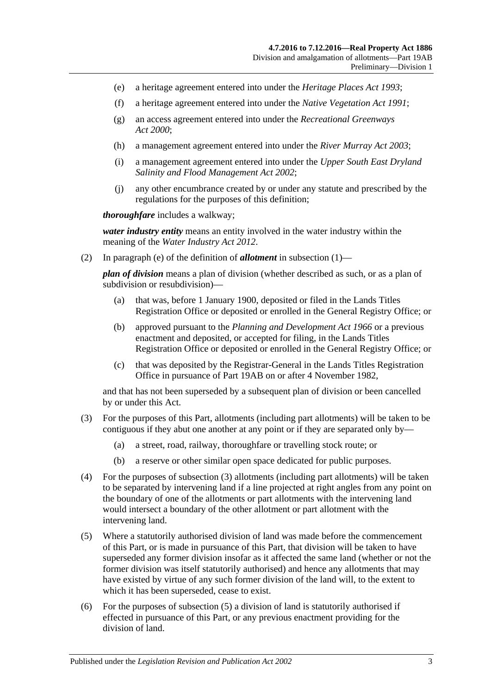- (e) a heritage agreement entered into under the *[Heritage Places Act](http://www.legislation.sa.gov.au/index.aspx?action=legref&type=act&legtitle=Heritage%20Places%20Act%201993) 1993*;
- (f) a heritage agreement entered into under the *[Native Vegetation Act](http://www.legislation.sa.gov.au/index.aspx?action=legref&type=act&legtitle=Native%20Vegetation%20Act%201991) 1991*;
- (g) an access agreement entered into under the *[Recreational Greenways](http://www.legislation.sa.gov.au/index.aspx?action=legref&type=act&legtitle=Recreational%20Greenways%20Act%202000)  Act [2000](http://www.legislation.sa.gov.au/index.aspx?action=legref&type=act&legtitle=Recreational%20Greenways%20Act%202000)*;
- (h) a management agreement entered into under the *[River Murray Act](http://www.legislation.sa.gov.au/index.aspx?action=legref&type=act&legtitle=River%20Murray%20Act%202003) 2003*;
- (i) a management agreement entered into under the *[Upper South East Dryland](http://www.legislation.sa.gov.au/index.aspx?action=legref&type=act&legtitle=Upper%20South%20East%20Dryland%20Salinity%20and%20Flood%20Management%20Act%202002)  [Salinity and Flood Management Act](http://www.legislation.sa.gov.au/index.aspx?action=legref&type=act&legtitle=Upper%20South%20East%20Dryland%20Salinity%20and%20Flood%20Management%20Act%202002) 2002*;
- (j) any other encumbrance created by or under any statute and prescribed by the regulations for the purposes of this definition;

*thoroughfare* includes a walkway;

*water industry entity* means an entity involved in the water industry within the meaning of the *[Water Industry Act](http://www.legislation.sa.gov.au/index.aspx?action=legref&type=act&legtitle=Water%20Industry%20Act%202012) 2012*.

(2) In [paragraph](#page-108-0) (e) of the definition of *allotment* in [subsection](#page-108-1) (1)—

*plan of division* means a plan of division (whether described as such, or as a plan of subdivision or resubdivision)—

- (a) that was, before 1 January 1900, deposited or filed in the Lands Titles Registration Office or deposited or enrolled in the General Registry Office; or
- (b) approved pursuant to the *[Planning and Development Act](http://www.legislation.sa.gov.au/index.aspx?action=legref&type=act&legtitle=Planning%20and%20Development%20Act%201966) 1966* or a previous enactment and deposited, or accepted for filing, in the Lands Titles Registration Office or deposited or enrolled in the General Registry Office; or
- (c) that was deposited by the Registrar-General in the Lands Titles Registration Office in pursuance of [Part 19AB](#page-108-2) on or after 4 November 1982,

and that has not been superseded by a subsequent plan of division or been cancelled by or under this Act.

- <span id="page-110-1"></span>(3) For the purposes of this Part, allotments (including part allotments) will be taken to be contiguous if they abut one another at any point or if they are separated only by—
	- (a) a street, road, railway, thoroughfare or travelling stock route; or
	- (b) a reserve or other similar open space dedicated for public purposes.
- (4) For the purposes of [subsection](#page-110-1) (3) allotments (including part allotments) will be taken to be separated by intervening land if a line projected at right angles from any point on the boundary of one of the allotments or part allotments with the intervening land would intersect a boundary of the other allotment or part allotment with the intervening land.
- <span id="page-110-0"></span>(5) Where a statutorily authorised division of land was made before the commencement of this Part, or is made in pursuance of this Part, that division will be taken to have superseded any former division insofar as it affected the same land (whether or not the former division was itself statutorily authorised) and hence any allotments that may have existed by virtue of any such former division of the land will, to the extent to which it has been superseded, cease to exist.
- (6) For the purposes of [subsection](#page-110-0) (5) a division of land is statutorily authorised if effected in pursuance of this Part, or any previous enactment providing for the division of land.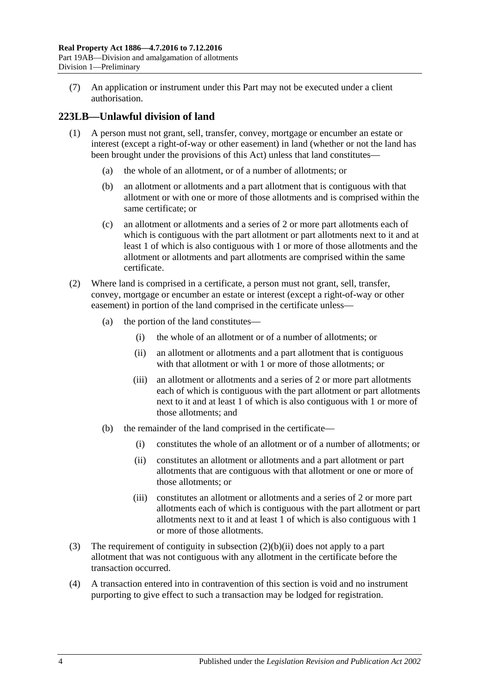(7) An application or instrument under this Part may not be executed under a client authorisation.

# **223LB—Unlawful division of land**

- (1) A person must not grant, sell, transfer, convey, mortgage or encumber an estate or interest (except a right-of-way or other easement) in land (whether or not the land has been brought under the provisions of this Act) unless that land constitutes—
	- (a) the whole of an allotment, or of a number of allotments; or
	- (b) an allotment or allotments and a part allotment that is contiguous with that allotment or with one or more of those allotments and is comprised within the same certificate; or
	- (c) an allotment or allotments and a series of 2 or more part allotments each of which is contiguous with the part allotment or part allotments next to it and at least 1 of which is also contiguous with 1 or more of those allotments and the allotment or allotments and part allotments are comprised within the same certificate.
- (2) Where land is comprised in a certificate, a person must not grant, sell, transfer, convey, mortgage or encumber an estate or interest (except a right-of-way or other easement) in portion of the land comprised in the certificate unless—
	- (a) the portion of the land constitutes—
		- (i) the whole of an allotment or of a number of allotments; or
		- (ii) an allotment or allotments and a part allotment that is contiguous with that allotment or with 1 or more of those allotments; or
		- (iii) an allotment or allotments and a series of 2 or more part allotments each of which is contiguous with the part allotment or part allotments next to it and at least 1 of which is also contiguous with 1 or more of those allotments; and
	- (b) the remainder of the land comprised in the certificate—
		- (i) constitutes the whole of an allotment or of a number of allotments; or
		- (ii) constitutes an allotment or allotments and a part allotment or part allotments that are contiguous with that allotment or one or more of those allotments; or
		- (iii) constitutes an allotment or allotments and a series of 2 or more part allotments each of which is contiguous with the part allotment or part allotments next to it and at least 1 of which is also contiguous with 1 or more of those allotments.
- <span id="page-111-0"></span>(3) The requirement of contiguity in [subsection](#page-111-0) (2)(b)(ii) does not apply to a part allotment that was not contiguous with any allotment in the certificate before the transaction occurred.
- (4) A transaction entered into in contravention of this section is void and no instrument purporting to give effect to such a transaction may be lodged for registration.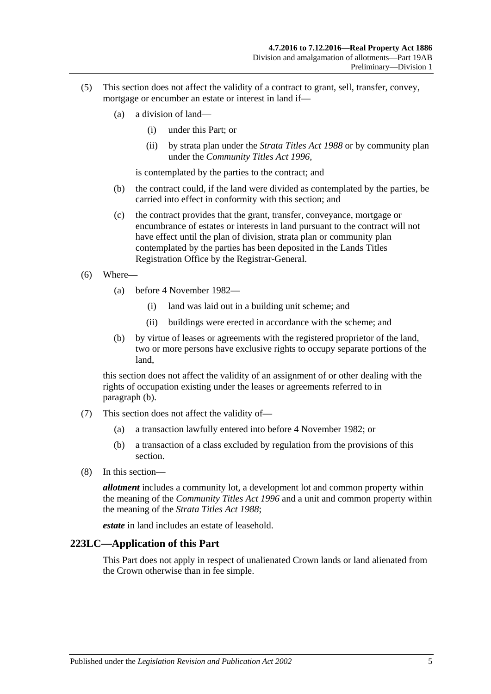- (5) This section does not affect the validity of a contract to grant, sell, transfer, convey, mortgage or encumber an estate or interest in land if—
	- (a) a division of land—
		- (i) under this Part; or
		- (ii) by strata plan under the *[Strata Titles Act](http://www.legislation.sa.gov.au/index.aspx?action=legref&type=act&legtitle=Strata%20Titles%20Act%201988) 1988* or by community plan under the *[Community Titles Act](http://www.legislation.sa.gov.au/index.aspx?action=legref&type=act&legtitle=Community%20Titles%20Act%201996) 1996*,

is contemplated by the parties to the contract; and

- (b) the contract could, if the land were divided as contemplated by the parties, be carried into effect in conformity with this section; and
- (c) the contract provides that the grant, transfer, conveyance, mortgage or encumbrance of estates or interests in land pursuant to the contract will not have effect until the plan of division, strata plan or community plan contemplated by the parties has been deposited in the Lands Titles Registration Office by the Registrar-General.
- (6) Where—
	- (a) before 4 November 1982—
		- (i) land was laid out in a building unit scheme; and
		- (ii) buildings were erected in accordance with the scheme; and
	- (b) by virtue of leases or agreements with the registered proprietor of the land, two or more persons have exclusive rights to occupy separate portions of the land,

<span id="page-112-0"></span>this section does not affect the validity of an assignment of or other dealing with the rights of occupation existing under the leases or agreements referred to in [paragraph](#page-112-0) (b).

- (7) This section does not affect the validity of—
	- (a) a transaction lawfully entered into before 4 November 1982; or
	- (b) a transaction of a class excluded by regulation from the provisions of this section.
- (8) In this section—

*allotment* includes a community lot, a development lot and common property within the meaning of the *[Community Titles Act](http://www.legislation.sa.gov.au/index.aspx?action=legref&type=act&legtitle=Community%20Titles%20Act%201996) 1996* and a unit and common property within the meaning of the *[Strata Titles Act](http://www.legislation.sa.gov.au/index.aspx?action=legref&type=act&legtitle=Strata%20Titles%20Act%201988) 1988*;

*estate* in land includes an estate of leasehold.

#### **223LC—Application of this Part**

This Part does not apply in respect of unalienated Crown lands or land alienated from the Crown otherwise than in fee simple.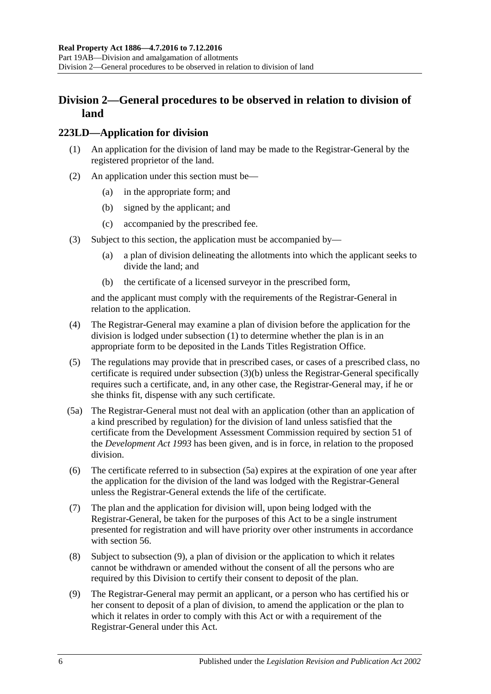# **Division 2—General procedures to be observed in relation to division of land**

#### <span id="page-113-0"></span>**223LD—Application for division**

- (1) An application for the division of land may be made to the Registrar-General by the registered proprietor of the land.
- (2) An application under this section must be—
	- (a) in the appropriate form; and
	- (b) signed by the applicant; and
	- (c) accompanied by the prescribed fee.
- <span id="page-113-1"></span>(3) Subject to this section, the application must be accompanied by—
	- (a) a plan of division delineating the allotments into which the applicant seeks to divide the land; and
	- (b) the certificate of a licensed surveyor in the prescribed form,

and the applicant must comply with the requirements of the Registrar-General in relation to the application.

- (4) The Registrar-General may examine a plan of division before the application for the division is lodged under [subsection](#page-113-0) (1) to determine whether the plan is in an appropriate form to be deposited in the Lands Titles Registration Office.
- (5) The regulations may provide that in prescribed cases, or cases of a prescribed class, no certificate is required under [subsection](#page-113-1) (3)(b) unless the Registrar-General specifically requires such a certificate, and, in any other case, the Registrar-General may, if he or she thinks fit, dispense with any such certificate.
- <span id="page-113-2"></span>(5a) The Registrar-General must not deal with an application (other than an application of a kind prescribed by regulation) for the division of land unless satisfied that the certificate from the Development Assessment Commission required by section 51 of the *[Development Act](http://www.legislation.sa.gov.au/index.aspx?action=legref&type=act&legtitle=Development%20Act%201993) 1993* has been given, and is in force, in relation to the proposed division.
- (6) The certificate referred to in [subsection](#page-113-2) (5a) expires at the expiration of one year after the application for the division of the land was lodged with the Registrar-General unless the Registrar-General extends the life of the certificate.
- (7) The plan and the application for division will, upon being lodged with the Registrar-General, be taken for the purposes of this Act to be a single instrument presented for registration and will have priority over other instruments in accordance with [section](#page-26-0) 56.
- (8) Subject to [subsection](#page-113-3) (9), a plan of division or the application to which it relates cannot be withdrawn or amended without the consent of all the persons who are required by this Division to certify their consent to deposit of the plan.
- <span id="page-113-3"></span>(9) The Registrar-General may permit an applicant, or a person who has certified his or her consent to deposit of a plan of division, to amend the application or the plan to which it relates in order to comply with this Act or with a requirement of the Registrar-General under this Act.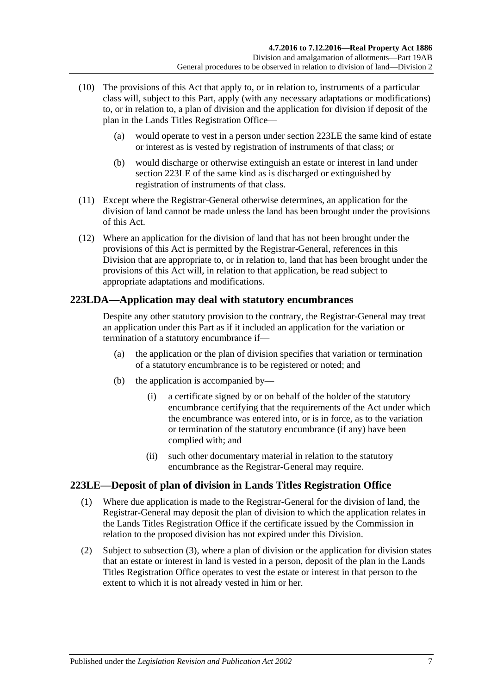- (10) The provisions of this Act that apply to, or in relation to, instruments of a particular class will, subject to this Part, apply (with any necessary adaptations or modifications) to, or in relation to, a plan of division and the application for division if deposit of the plan in the Lands Titles Registration Office—
	- (a) would operate to vest in a person under [section](#page-114-0) 223LE the same kind of estate or interest as is vested by registration of instruments of that class; or
	- (b) would discharge or otherwise extinguish an estate or interest in land under [section](#page-114-0) 223LE of the same kind as is discharged or extinguished by registration of instruments of that class.
- (11) Except where the Registrar-General otherwise determines, an application for the division of land cannot be made unless the land has been brought under the provisions of this Act.
- (12) Where an application for the division of land that has not been brought under the provisions of this Act is permitted by the Registrar-General, references in this Division that are appropriate to, or in relation to, land that has been brought under the provisions of this Act will, in relation to that application, be read subject to appropriate adaptations and modifications.

# **223LDA—Application may deal with statutory encumbrances**

Despite any other statutory provision to the contrary, the Registrar-General may treat an application under this Part as if it included an application for the variation or termination of a statutory encumbrance if—

- (a) the application or the plan of division specifies that variation or termination of a statutory encumbrance is to be registered or noted; and
- (b) the application is accompanied by—
	- (i) a certificate signed by or on behalf of the holder of the statutory encumbrance certifying that the requirements of the Act under which the encumbrance was entered into, or is in force, as to the variation or termination of the statutory encumbrance (if any) have been complied with; and
	- (ii) such other documentary material in relation to the statutory encumbrance as the Registrar-General may require.

# <span id="page-114-0"></span>**223LE—Deposit of plan of division in Lands Titles Registration Office**

- (1) Where due application is made to the Registrar-General for the division of land, the Registrar-General may deposit the plan of division to which the application relates in the Lands Titles Registration Office if the certificate issued by the Commission in relation to the proposed division has not expired under this Division.
- <span id="page-114-1"></span>(2) Subject to [subsection](#page-115-0) (3), where a plan of division or the application for division states that an estate or interest in land is vested in a person, deposit of the plan in the Lands Titles Registration Office operates to vest the estate or interest in that person to the extent to which it is not already vested in him or her.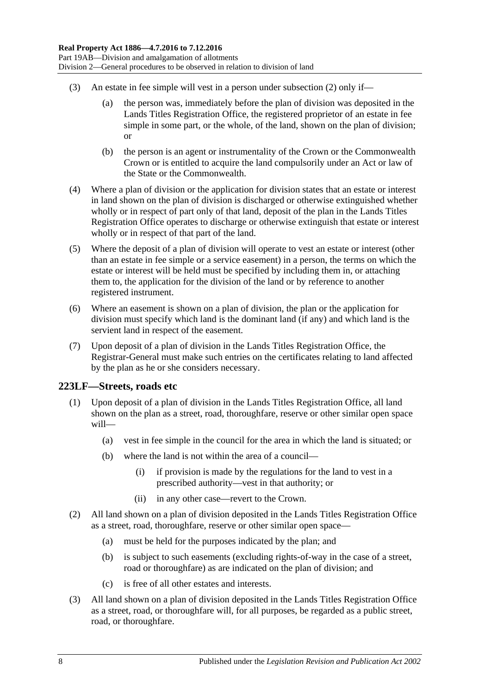- <span id="page-115-0"></span>(3) An estate in fee simple will vest in a person under [subsection](#page-114-1) (2) only if—
	- (a) the person was, immediately before the plan of division was deposited in the Lands Titles Registration Office, the registered proprietor of an estate in fee simple in some part, or the whole, of the land, shown on the plan of division; or
	- (b) the person is an agent or instrumentality of the Crown or the Commonwealth Crown or is entitled to acquire the land compulsorily under an Act or law of the State or the Commonwealth.
- (4) Where a plan of division or the application for division states that an estate or interest in land shown on the plan of division is discharged or otherwise extinguished whether wholly or in respect of part only of that land, deposit of the plan in the Lands Titles Registration Office operates to discharge or otherwise extinguish that estate or interest wholly or in respect of that part of the land.
- (5) Where the deposit of a plan of division will operate to vest an estate or interest (other than an estate in fee simple or a service easement) in a person, the terms on which the estate or interest will be held must be specified by including them in, or attaching them to, the application for the division of the land or by reference to another registered instrument.
- (6) Where an easement is shown on a plan of division, the plan or the application for division must specify which land is the dominant land (if any) and which land is the servient land in respect of the easement.
- (7) Upon deposit of a plan of division in the Lands Titles Registration Office, the Registrar-General must make such entries on the certificates relating to land affected by the plan as he or she considers necessary.

## <span id="page-115-3"></span>**223LF—Streets, roads etc**

- (1) Upon deposit of a plan of division in the Lands Titles Registration Office, all land shown on the plan as a street, road, thoroughfare, reserve or other similar open space will—
	- (a) vest in fee simple in the council for the area in which the land is situated; or
	- (b) where the land is not within the area of a council—
		- (i) if provision is made by the regulations for the land to vest in a prescribed authority—vest in that authority; or
		- (ii) in any other case—revert to the Crown.
- <span id="page-115-1"></span>(2) All land shown on a plan of division deposited in the Lands Titles Registration Office as a street, road, thoroughfare, reserve or other similar open space—
	- (a) must be held for the purposes indicated by the plan; and
	- (b) is subject to such easements (excluding rights-of-way in the case of a street, road or thoroughfare) as are indicated on the plan of division; and
	- (c) is free of all other estates and interests.
- <span id="page-115-2"></span>(3) All land shown on a plan of division deposited in the Lands Titles Registration Office as a street, road, or thoroughfare will, for all purposes, be regarded as a public street, road, or thoroughfare.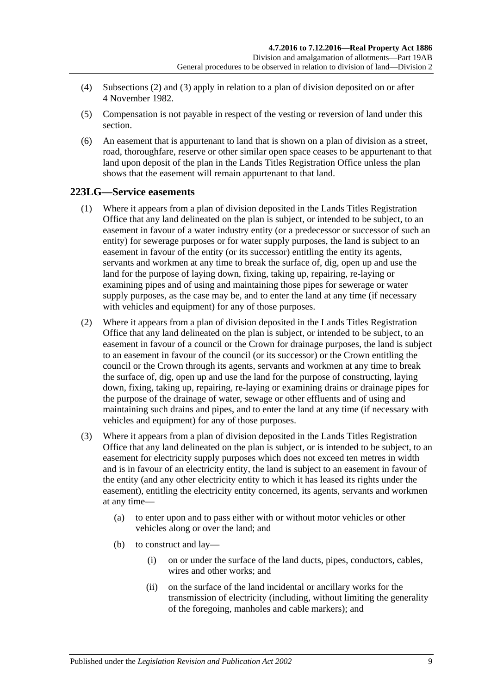- (4) [Subsections](#page-115-1) (2) and [\(3\)](#page-115-2) apply in relation to a plan of division deposited on or after 4 November 1982.
- (5) Compensation is not payable in respect of the vesting or reversion of land under this section.
- (6) An easement that is appurtenant to land that is shown on a plan of division as a street, road, thoroughfare, reserve or other similar open space ceases to be appurtenant to that land upon deposit of the plan in the Lands Titles Registration Office unless the plan shows that the easement will remain appurtenant to that land.

## <span id="page-116-1"></span><span id="page-116-0"></span>**223LG—Service easements**

- (1) Where it appears from a plan of division deposited in the Lands Titles Registration Office that any land delineated on the plan is subject, or intended to be subject, to an easement in favour of a water industry entity (or a predecessor or successor of such an entity) for sewerage purposes or for water supply purposes, the land is subject to an easement in favour of the entity (or its successor) entitling the entity its agents, servants and workmen at any time to break the surface of, dig, open up and use the land for the purpose of laying down, fixing, taking up, repairing, re-laying or examining pipes and of using and maintaining those pipes for sewerage or water supply purposes, as the case may be, and to enter the land at any time (if necessary with vehicles and equipment) for any of those purposes.
- <span id="page-116-2"></span>(2) Where it appears from a plan of division deposited in the Lands Titles Registration Office that any land delineated on the plan is subject, or intended to be subject, to an easement in favour of a council or the Crown for drainage purposes, the land is subject to an easement in favour of the council (or its successor) or the Crown entitling the council or the Crown through its agents, servants and workmen at any time to break the surface of, dig, open up and use the land for the purpose of constructing, laying down, fixing, taking up, repairing, re-laying or examining drains or drainage pipes for the purpose of the drainage of water, sewage or other effluents and of using and maintaining such drains and pipes, and to enter the land at any time (if necessary with vehicles and equipment) for any of those purposes.
- <span id="page-116-3"></span>(3) Where it appears from a plan of division deposited in the Lands Titles Registration Office that any land delineated on the plan is subject, or is intended to be subject, to an easement for electricity supply purposes which does not exceed ten metres in width and is in favour of an electricity entity, the land is subject to an easement in favour of the entity (and any other electricity entity to which it has leased its rights under the easement), entitling the electricity entity concerned, its agents, servants and workmen at any time—
	- (a) to enter upon and to pass either with or without motor vehicles or other vehicles along or over the land; and
	- (b) to construct and lay—
		- (i) on or under the surface of the land ducts, pipes, conductors, cables, wires and other works; and
		- (ii) on the surface of the land incidental or ancillary works for the transmission of electricity (including, without limiting the generality of the foregoing, manholes and cable markers); and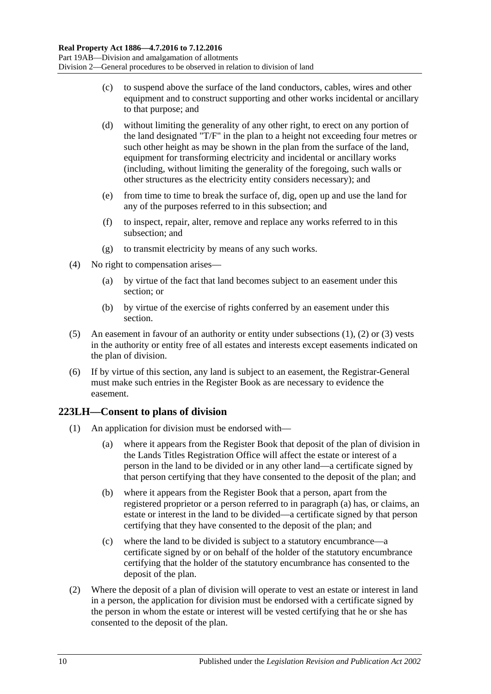- (c) to suspend above the surface of the land conductors, cables, wires and other equipment and to construct supporting and other works incidental or ancillary to that purpose; and
- (d) without limiting the generality of any other right, to erect on any portion of the land designated "T/F" in the plan to a height not exceeding four metres or such other height as may be shown in the plan from the surface of the land, equipment for transforming electricity and incidental or ancillary works (including, without limiting the generality of the foregoing, such walls or other structures as the electricity entity considers necessary); and
- (e) from time to time to break the surface of, dig, open up and use the land for any of the purposes referred to in this subsection; and
- (f) to inspect, repair, alter, remove and replace any works referred to in this subsection; and
- (g) to transmit electricity by means of any such works.
- (4) No right to compensation arises—
	- (a) by virtue of the fact that land becomes subject to an easement under this section; or
	- (b) by virtue of the exercise of rights conferred by an easement under this section.
- (5) An easement in favour of an authority or entity under [subsections](#page-116-1) (1), [\(2\)](#page-116-2) or [\(3\)](#page-116-3) vests in the authority or entity free of all estates and interests except easements indicated on the plan of division.
- (6) If by virtue of this section, any land is subject to an easement, the Registrar-General must make such entries in the Register Book as are necessary to evidence the easement.

# **223LH—Consent to plans of division**

- <span id="page-117-0"></span>(1) An application for division must be endorsed with—
	- (a) where it appears from the Register Book that deposit of the plan of division in the Lands Titles Registration Office will affect the estate or interest of a person in the land to be divided or in any other land—a certificate signed by that person certifying that they have consented to the deposit of the plan; and
	- (b) where it appears from the Register Book that a person, apart from the registered proprietor or a person referred to in [paragraph](#page-117-0) (a) has, or claims, an estate or interest in the land to be divided—a certificate signed by that person certifying that they have consented to the deposit of the plan; and
	- (c) where the land to be divided is subject to a statutory encumbrance—a certificate signed by or on behalf of the holder of the statutory encumbrance certifying that the holder of the statutory encumbrance has consented to the deposit of the plan.
- <span id="page-117-1"></span>(2) Where the deposit of a plan of division will operate to vest an estate or interest in land in a person, the application for division must be endorsed with a certificate signed by the person in whom the estate or interest will be vested certifying that he or she has consented to the deposit of the plan.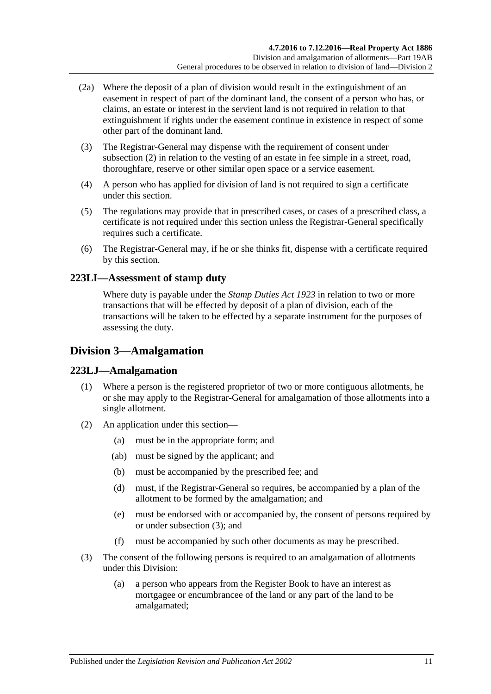- (2a) Where the deposit of a plan of division would result in the extinguishment of an easement in respect of part of the dominant land, the consent of a person who has, or claims, an estate or interest in the servient land is not required in relation to that extinguishment if rights under the easement continue in existence in respect of some other part of the dominant land.
- (3) The Registrar-General may dispense with the requirement of consent under [subsection](#page-117-1) (2) in relation to the vesting of an estate in fee simple in a street, road, thoroughfare, reserve or other similar open space or a service easement.
- (4) A person who has applied for division of land is not required to sign a certificate under this section.
- (5) The regulations may provide that in prescribed cases, or cases of a prescribed class, a certificate is not required under this section unless the Registrar-General specifically requires such a certificate.
- (6) The Registrar-General may, if he or she thinks fit, dispense with a certificate required by this section.

## **223LI—Assessment of stamp duty**

Where duty is payable under the *[Stamp Duties Act](http://www.legislation.sa.gov.au/index.aspx?action=legref&type=act&legtitle=Stamp%20Duties%20Act%201923) 1923* in relation to two or more transactions that will be effected by deposit of a plan of division, each of the transactions will be taken to be effected by a separate instrument for the purposes of assessing the duty.

# **Division 3—Amalgamation**

## **223LJ—Amalgamation**

- (1) Where a person is the registered proprietor of two or more contiguous allotments, he or she may apply to the Registrar-General for amalgamation of those allotments into a single allotment.
- (2) An application under this section—
	- (a) must be in the appropriate form; and
	- (ab) must be signed by the applicant; and
	- (b) must be accompanied by the prescribed fee; and
	- (d) must, if the Registrar-General so requires, be accompanied by a plan of the allotment to be formed by the amalgamation; and
	- (e) must be endorsed with or accompanied by, the consent of persons required by or under [subsection](#page-118-0) (3); and
	- (f) must be accompanied by such other documents as may be prescribed.
- <span id="page-118-0"></span>(3) The consent of the following persons is required to an amalgamation of allotments under this Division:
	- (a) a person who appears from the Register Book to have an interest as mortgagee or encumbrancee of the land or any part of the land to be amalgamated;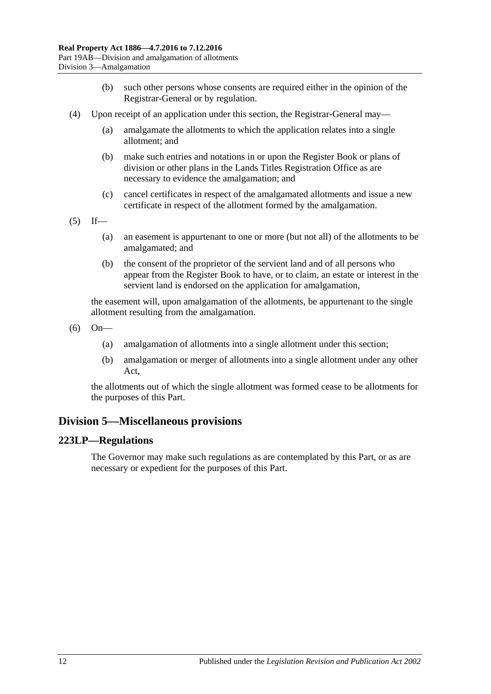- (b) such other persons whose consents are required either in the opinion of the Registrar-General or by regulation.
- (4) Upon receipt of an application under this section, the Registrar-General may—
	- (a) amalgamate the allotments to which the application relates into a single allotment; and
	- (b) make such entries and notations in or upon the Register Book or plans of division or other plans in the Lands Titles Registration Office as are necessary to evidence the amalgamation; and
	- (c) cancel certificates in respect of the amalgamated allotments and issue a new certificate in respect of the allotment formed by the amalgamation.
- $(5)$  If—
	- (a) an easement is appurtenant to one or more (but not all) of the allotments to be amalgamated; and
	- (b) the consent of the proprietor of the servient land and of all persons who appear from the Register Book to have, or to claim, an estate or interest in the servient land is endorsed on the application for amalgamation,

the easement will, upon amalgamation of the allotments, be appurtenant to the single allotment resulting from the amalgamation.

- (6) On—
	- (a) amalgamation of allotments into a single allotment under this section;
	- (b) amalgamation or merger of allotments into a single allotment under any other Act,

the allotments out of which the single allotment was formed cease to be allotments for the purposes of this Part.

# **Division 5—Miscellaneous provisions**

## **223LP—Regulations**

The Governor may make such regulations as are contemplated by this Part, or as are necessary or expedient for the purposes of this Part.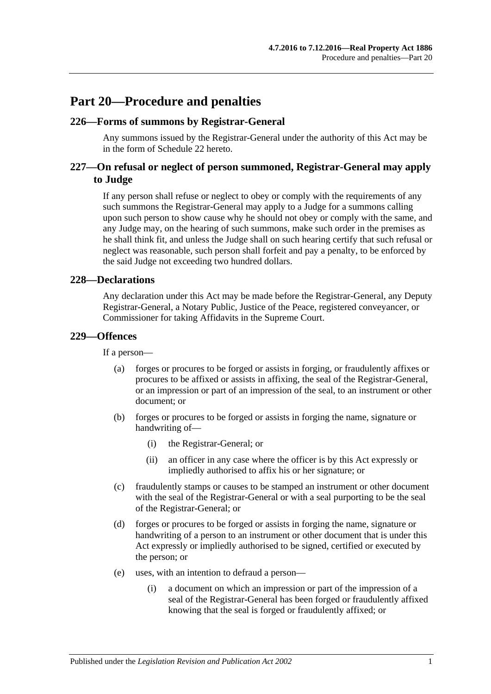# **Part 20—Procedure and penalties**

#### **226—Forms of summons by Registrar-General**

Any summons issued by the Registrar-General under the authority of this Act may be in the form of [Schedule 22](#page-149-0) hereto.

## **227—On refusal or neglect of person summoned, Registrar-General may apply to Judge**

If any person shall refuse or neglect to obey or comply with the requirements of any such summons the Registrar-General may apply to a Judge for a summons calling upon such person to show cause why he should not obey or comply with the same, and any Judge may, on the hearing of such summons, make such order in the premises as he shall think fit, and unless the Judge shall on such hearing certify that such refusal or neglect was reasonable, such person shall forfeit and pay a penalty, to be enforced by the said Judge not exceeding two hundred dollars.

#### **228—Declarations**

Any declaration under this Act may be made before the Registrar-General, any Deputy Registrar-General, a Notary Public, Justice of the Peace, registered conveyancer, or Commissioner for taking Affidavits in the Supreme Court.

#### **229—Offences**

If a person—

- (a) forges or procures to be forged or assists in forging, or fraudulently affixes or procures to be affixed or assists in affixing, the seal of the Registrar-General, or an impression or part of an impression of the seal, to an instrument or other document; or
- (b) forges or procures to be forged or assists in forging the name, signature or handwriting of—
	- (i) the Registrar-General; or
	- (ii) an officer in any case where the officer is by this Act expressly or impliedly authorised to affix his or her signature; or
- (c) fraudulently stamps or causes to be stamped an instrument or other document with the seal of the Registrar-General or with a seal purporting to be the seal of the Registrar-General; or
- (d) forges or procures to be forged or assists in forging the name, signature or handwriting of a person to an instrument or other document that is under this Act expressly or impliedly authorised to be signed, certified or executed by the person; or
- (e) uses, with an intention to defraud a person—
	- (i) a document on which an impression or part of the impression of a seal of the Registrar-General has been forged or fraudulently affixed knowing that the seal is forged or fraudulently affixed; or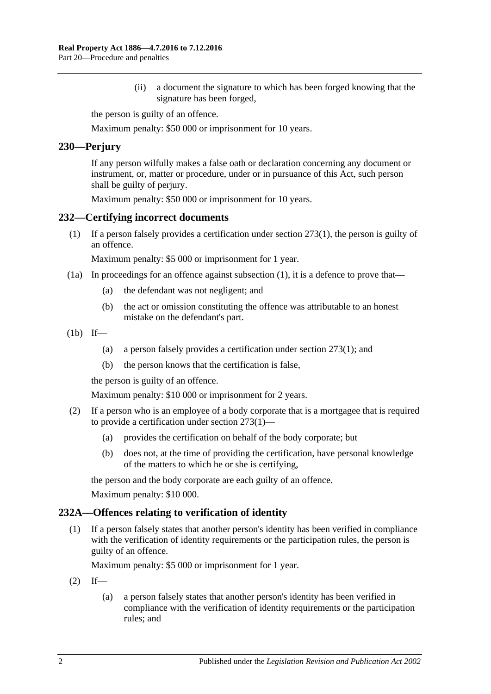(ii) a document the signature to which has been forged knowing that the signature has been forged,

the person is guilty of an offence.

Maximum penalty: \$50 000 or imprisonment for 10 years.

#### **230—Perjury**

If any person wilfully makes a false oath or declaration concerning any document or instrument, or, matter or procedure, under or in pursuance of this Act, such person shall be guilty of perjury.

Maximum penalty: \$50 000 or imprisonment for 10 years.

#### <span id="page-121-0"></span>**232—Certifying incorrect documents**

(1) If a person falsely provides a certification under [section](#page-133-0) 273(1), the person is guilty of an offence.

Maximum penalty: \$5 000 or imprisonment for 1 year.

- (1a) In proceedings for an offence against [subsection](#page-121-0) (1), it is a defence to prove that—
	- (a) the defendant was not negligent; and
	- (b) the act or omission constituting the offence was attributable to an honest mistake on the defendant's part.

 $(lb)$  If—

- (a) a person falsely provides a certification under [section](#page-133-0) 273(1); and
- (b) the person knows that the certification is false,

the person is guilty of an offence.

Maximum penalty: \$10 000 or imprisonment for 2 years.

- (2) If a person who is an employee of a body corporate that is a mortgagee that is required to provide a certification under [section](#page-133-0) 273(1)—
	- (a) provides the certification on behalf of the body corporate; but
	- (b) does not, at the time of providing the certification, have personal knowledge of the matters to which he or she is certifying,

the person and the body corporate are each guilty of an offence. Maximum penalty: \$10 000.

# **232A—Offences relating to verification of identity**

(1) If a person falsely states that another person's identity has been verified in compliance with the verification of identity requirements or the participation rules, the person is guilty of an offence.

Maximum penalty: \$5 000 or imprisonment for 1 year.

- $(2)$  If—
	- (a) a person falsely states that another person's identity has been verified in compliance with the verification of identity requirements or the participation rules; and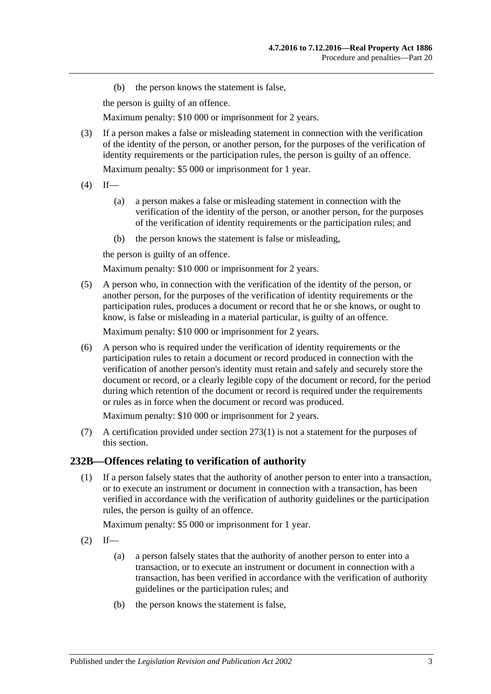(b) the person knows the statement is false,

the person is guilty of an offence.

Maximum penalty: \$10 000 or imprisonment for 2 years.

(3) If a person makes a false or misleading statement in connection with the verification of the identity of the person, or another person, for the purposes of the verification of identity requirements or the participation rules, the person is guilty of an offence.

Maximum penalty: \$5 000 or imprisonment for 1 year.

- $(4)$  If—
	- (a) a person makes a false or misleading statement in connection with the verification of the identity of the person, or another person, for the purposes of the verification of identity requirements or the participation rules; and
	- (b) the person knows the statement is false or misleading,

the person is guilty of an offence.

Maximum penalty: \$10 000 or imprisonment for 2 years.

(5) A person who, in connection with the verification of the identity of the person, or another person, for the purposes of the verification of identity requirements or the participation rules, produces a document or record that he or she knows, or ought to know, is false or misleading in a material particular, is guilty of an offence.

Maximum penalty: \$10 000 or imprisonment for 2 years.

(6) A person who is required under the verification of identity requirements or the participation rules to retain a document or record produced in connection with the verification of another person's identity must retain and safely and securely store the document or record, or a clearly legible copy of the document or record, for the period during which retention of the document or record is required under the requirements or rules as in force when the document or record was produced.

Maximum penalty: \$10 000 or imprisonment for 2 years.

(7) A certification provided under [section](#page-133-0) 273(1) is not a statement for the purposes of this section.

#### **232B—Offences relating to verification of authority**

(1) If a person falsely states that the authority of another person to enter into a transaction, or to execute an instrument or document in connection with a transaction, has been verified in accordance with the verification of authority guidelines or the participation rules, the person is guilty of an offence.

Maximum penalty: \$5 000 or imprisonment for 1 year.

- $(2)$  If—
	- (a) a person falsely states that the authority of another person to enter into a transaction, or to execute an instrument or document in connection with a transaction, has been verified in accordance with the verification of authority guidelines or the participation rules; and
	- (b) the person knows the statement is false,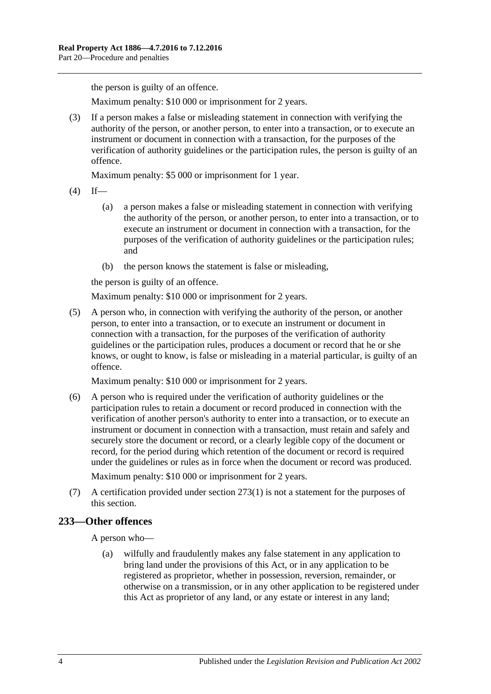the person is guilty of an offence.

Maximum penalty: \$10 000 or imprisonment for 2 years.

(3) If a person makes a false or misleading statement in connection with verifying the authority of the person, or another person, to enter into a transaction, or to execute an instrument or document in connection with a transaction, for the purposes of the verification of authority guidelines or the participation rules, the person is guilty of an offence.

Maximum penalty: \$5 000 or imprisonment for 1 year.

- $(4)$  If—
	- (a) a person makes a false or misleading statement in connection with verifying the authority of the person, or another person, to enter into a transaction, or to execute an instrument or document in connection with a transaction, for the purposes of the verification of authority guidelines or the participation rules; and
	- (b) the person knows the statement is false or misleading,

the person is guilty of an offence.

Maximum penalty: \$10 000 or imprisonment for 2 years.

(5) A person who, in connection with verifying the authority of the person, or another person, to enter into a transaction, or to execute an instrument or document in connection with a transaction, for the purposes of the verification of authority guidelines or the participation rules, produces a document or record that he or she knows, or ought to know, is false or misleading in a material particular, is guilty of an offence.

Maximum penalty: \$10 000 or imprisonment for 2 years.

(6) A person who is required under the verification of authority guidelines or the participation rules to retain a document or record produced in connection with the verification of another person's authority to enter into a transaction, or to execute an instrument or document in connection with a transaction, must retain and safely and securely store the document or record, or a clearly legible copy of the document or record, for the period during which retention of the document or record is required under the guidelines or rules as in force when the document or record was produced.

Maximum penalty: \$10 000 or imprisonment for 2 years.

(7) A certification provided under [section](#page-133-0) 273(1) is not a statement for the purposes of this section.

## **233—Other offences**

A person who—

(a) wilfully and fraudulently makes any false statement in any application to bring land under the provisions of this Act, or in any application to be registered as proprietor, whether in possession, reversion, remainder, or otherwise on a transmission, or in any other application to be registered under this Act as proprietor of any land, or any estate or interest in any land;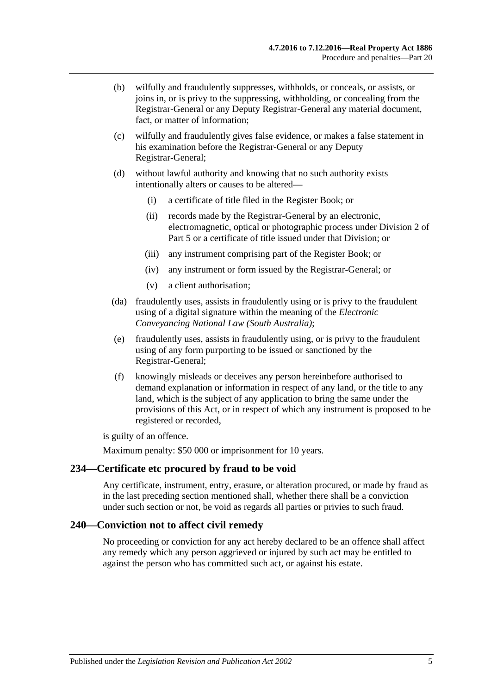- (b) wilfully and fraudulently suppresses, withholds, or conceals, or assists, or joins in, or is privy to the suppressing, withholding, or concealing from the Registrar-General or any Deputy Registrar-General any material document, fact, or matter of information;
- (c) wilfully and fraudulently gives false evidence, or makes a false statement in his examination before the Registrar-General or any Deputy Registrar-General;
- (d) without lawful authority and knowing that no such authority exists intentionally alters or causes to be altered—
	- (i) a certificate of title filed in the Register Book; or
	- (ii) records made by the Registrar-General by an electronic, electromagnetic, optical or photographic process under [Division 2](#page-24-0) of [Part 5](#page-24-1) or a certificate of title issued under that Division; or
	- (iii) any instrument comprising part of the Register Book; or
	- (iv) any instrument or form issued by the Registrar-General; or
	- (v) a client authorisation;
- (da) fraudulently uses, assists in fraudulently using or is privy to the fraudulent using of a digital signature within the meaning of the *[Electronic](http://www.legislation.sa.gov.au/index.aspx?action=legref&type=act&legtitle=Electronic%20Conveyancing%20National%20Law%20(South%20Australia))  [Conveyancing National Law \(South Australia\)](http://www.legislation.sa.gov.au/index.aspx?action=legref&type=act&legtitle=Electronic%20Conveyancing%20National%20Law%20(South%20Australia))*;
- (e) fraudulently uses, assists in fraudulently using, or is privy to the fraudulent using of any form purporting to be issued or sanctioned by the Registrar-General;
- (f) knowingly misleads or deceives any person hereinbefore authorised to demand explanation or information in respect of any land, or the title to any land, which is the subject of any application to bring the same under the provisions of this Act, or in respect of which any instrument is proposed to be registered or recorded,

is guilty of an offence.

Maximum penalty: \$50 000 or imprisonment for 10 years.

## **234—Certificate etc procured by fraud to be void**

Any certificate, instrument, entry, erasure, or alteration procured, or made by fraud as in the last preceding section mentioned shall, whether there shall be a conviction under such section or not, be void as regards all parties or privies to such fraud.

## **240—Conviction not to affect civil remedy**

No proceeding or conviction for any act hereby declared to be an offence shall affect any remedy which any person aggrieved or injured by such act may be entitled to against the person who has committed such act, or against his estate.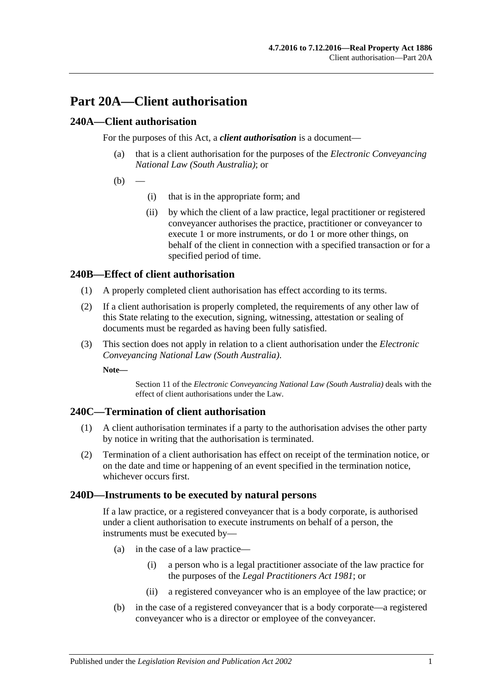# **Part 20A—Client authorisation**

## **240A—Client authorisation**

For the purposes of this Act, a *client authorisation* is a document—

- (a) that is a client authorisation for the purposes of the *[Electronic Conveyancing](http://www.legislation.sa.gov.au/index.aspx?action=legref&type=act&legtitle=Electronic%20Conveyancing%20National%20Law%20(South%20Australia))  [National Law \(South Australia\)](http://www.legislation.sa.gov.au/index.aspx?action=legref&type=act&legtitle=Electronic%20Conveyancing%20National%20Law%20(South%20Australia))*; or
- $(b)$ 
	- (i) that is in the appropriate form; and
	- (ii) by which the client of a law practice, legal practitioner or registered conveyancer authorises the practice, practitioner or conveyancer to execute 1 or more instruments, or do 1 or more other things, on behalf of the client in connection with a specified transaction or for a specified period of time.

## **240B—Effect of client authorisation**

- (1) A properly completed client authorisation has effect according to its terms.
- (2) If a client authorisation is properly completed, the requirements of any other law of this State relating to the execution, signing, witnessing, attestation or sealing of documents must be regarded as having been fully satisfied.
- (3) This section does not apply in relation to a client authorisation under the *[Electronic](http://www.legislation.sa.gov.au/index.aspx?action=legref&type=act&legtitle=Electronic%20Conveyancing%20National%20Law%20(South%20Australia))  [Conveyancing National Law \(South Australia\)](http://www.legislation.sa.gov.au/index.aspx?action=legref&type=act&legtitle=Electronic%20Conveyancing%20National%20Law%20(South%20Australia))*.

**Note—**

Section 11 of the *[Electronic Conveyancing National Law \(South Australia\)](http://www.legislation.sa.gov.au/index.aspx?action=legref&type=act&legtitle=Electronic%20Conveyancing%20National%20Law%20(South%20Australia))* deals with the effect of client authorisations under the Law.

## **240C—Termination of client authorisation**

- (1) A client authorisation terminates if a party to the authorisation advises the other party by notice in writing that the authorisation is terminated.
- (2) Termination of a client authorisation has effect on receipt of the termination notice, or on the date and time or happening of an event specified in the termination notice, whichever occurs first.

## **240D—Instruments to be executed by natural persons**

If a law practice, or a registered conveyancer that is a body corporate, is authorised under a client authorisation to execute instruments on behalf of a person, the instruments must be executed by—

- (a) in the case of a law practice—
	- (i) a person who is a legal practitioner associate of the law practice for the purposes of the *[Legal Practitioners Act](http://www.legislation.sa.gov.au/index.aspx?action=legref&type=act&legtitle=Legal%20Practitioners%20Act%201981) 1981*; or
	- (ii) a registered conveyancer who is an employee of the law practice; or
- (b) in the case of a registered conveyancer that is a body corporate—a registered conveyancer who is a director or employee of the conveyancer.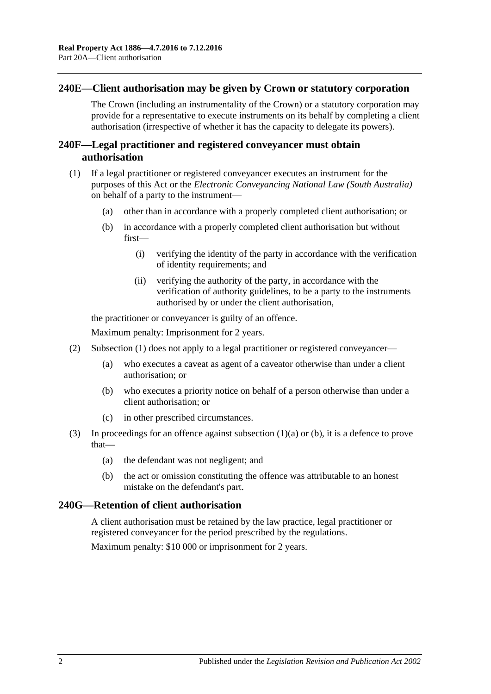#### **240E—Client authorisation may be given by Crown or statutory corporation**

The Crown (including an instrumentality of the Crown) or a statutory corporation may provide for a representative to execute instruments on its behalf by completing a client authorisation (irrespective of whether it has the capacity to delegate its powers).

## **240F—Legal practitioner and registered conveyancer must obtain authorisation**

- <span id="page-127-1"></span><span id="page-127-0"></span>(1) If a legal practitioner or registered conveyancer executes an instrument for the purposes of this Act or the *[Electronic Conveyancing National Law \(South Australia\)](http://www.legislation.sa.gov.au/index.aspx?action=legref&type=act&legtitle=Electronic%20Conveyancing%20National%20Law%20(South%20Australia))* on behalf of a party to the instrument—
	- (a) other than in accordance with a properly completed client authorisation; or
	- (b) in accordance with a properly completed client authorisation but without first—
		- (i) verifying the identity of the party in accordance with the verification of identity requirements; and
		- (ii) verifying the authority of the party, in accordance with the verification of authority guidelines, to be a party to the instruments authorised by or under the client authorisation,

the practitioner or conveyancer is guilty of an offence.

Maximum penalty: Imprisonment for 2 years.

- (2) [Subsection](#page-127-0) (1) does not apply to a legal practitioner or registered conveyancer—
	- (a) who executes a caveat as agent of a caveator otherwise than under a client authorisation; or
	- (b) who executes a priority notice on behalf of a person otherwise than under a client authorisation; or
	- (c) in other prescribed circumstances.
- (3) In proceedings for an offence against [subsection](#page-127-1) (1)(a) or [\(b\),](#page-127-2) it is a defence to prove that—
	- (a) the defendant was not negligent; and
	- (b) the act or omission constituting the offence was attributable to an honest mistake on the defendant's part.

## <span id="page-127-2"></span>**240G—Retention of client authorisation**

A client authorisation must be retained by the law practice, legal practitioner or registered conveyancer for the period prescribed by the regulations.

Maximum penalty: \$10 000 or imprisonment for 2 years.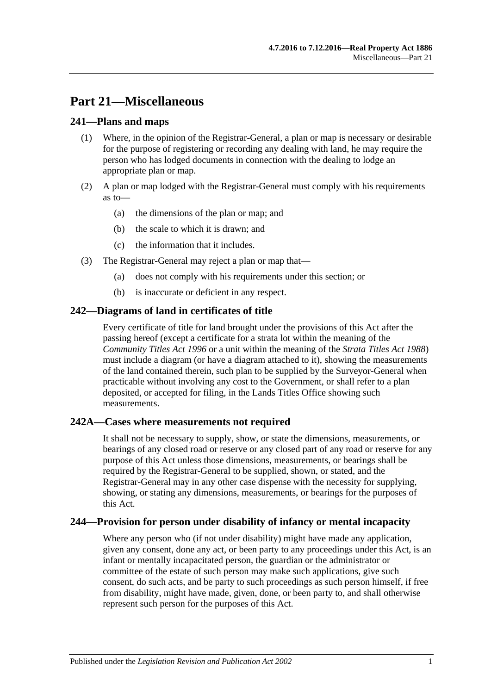# **Part 21—Miscellaneous**

## **241—Plans and maps**

- (1) Where, in the opinion of the Registrar-General, a plan or map is necessary or desirable for the purpose of registering or recording any dealing with land, he may require the person who has lodged documents in connection with the dealing to lodge an appropriate plan or map.
- (2) A plan or map lodged with the Registrar-General must comply with his requirements as to—
	- (a) the dimensions of the plan or map; and
	- (b) the scale to which it is drawn; and
	- (c) the information that it includes.
- (3) The Registrar-General may reject a plan or map that—
	- (a) does not comply with his requirements under this section; or
	- (b) is inaccurate or deficient in any respect.

## **242—Diagrams of land in certificates of title**

Every certificate of title for land brought under the provisions of this Act after the passing hereof (except a certificate for a strata lot within the meaning of the *[Community Titles Act](http://www.legislation.sa.gov.au/index.aspx?action=legref&type=act&legtitle=Community%20Titles%20Act%201996) 1996* or a unit within the meaning of the *[Strata Titles Act](http://www.legislation.sa.gov.au/index.aspx?action=legref&type=act&legtitle=Strata%20Titles%20Act%201988) 1988*) must include a diagram (or have a diagram attached to it), showing the measurements of the land contained therein, such plan to be supplied by the Surveyor-General when practicable without involving any cost to the Government, or shall refer to a plan deposited, or accepted for filing, in the Lands Titles Office showing such measurements.

## **242A—Cases where measurements not required**

It shall not be necessary to supply, show, or state the dimensions, measurements, or bearings of any closed road or reserve or any closed part of any road or reserve for any purpose of this Act unless those dimensions, measurements, or bearings shall be required by the Registrar-General to be supplied, shown, or stated, and the Registrar-General may in any other case dispense with the necessity for supplying, showing, or stating any dimensions, measurements, or bearings for the purposes of this Act.

## **244—Provision for person under disability of infancy or mental incapacity**

Where any person who (if not under disability) might have made any application, given any consent, done any act, or been party to any proceedings under this Act, is an infant or mentally incapacitated person, the guardian or the administrator or committee of the estate of such person may make such applications, give such consent, do such acts, and be party to such proceedings as such person himself, if free from disability, might have made, given, done, or been party to, and shall otherwise represent such person for the purposes of this Act.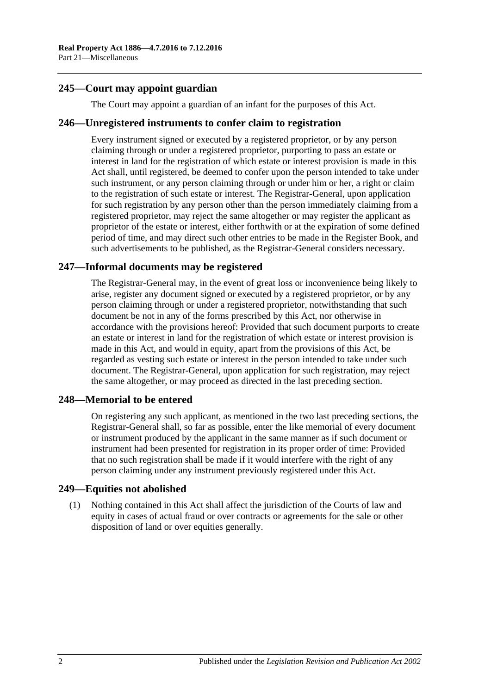## **245—Court may appoint guardian**

The Court may appoint a guardian of an infant for the purposes of this Act.

#### **246—Unregistered instruments to confer claim to registration**

Every instrument signed or executed by a registered proprietor, or by any person claiming through or under a registered proprietor, purporting to pass an estate or interest in land for the registration of which estate or interest provision is made in this Act shall, until registered, be deemed to confer upon the person intended to take under such instrument, or any person claiming through or under him or her, a right or claim to the registration of such estate or interest. The Registrar-General, upon application for such registration by any person other than the person immediately claiming from a registered proprietor, may reject the same altogether or may register the applicant as proprietor of the estate or interest, either forthwith or at the expiration of some defined period of time, and may direct such other entries to be made in the Register Book, and such advertisements to be published, as the Registrar-General considers necessary.

## **247—Informal documents may be registered**

The Registrar-General may, in the event of great loss or inconvenience being likely to arise, register any document signed or executed by a registered proprietor, or by any person claiming through or under a registered proprietor, notwithstanding that such document be not in any of the forms prescribed by this Act, nor otherwise in accordance with the provisions hereof: Provided that such document purports to create an estate or interest in land for the registration of which estate or interest provision is made in this Act, and would in equity, apart from the provisions of this Act, be regarded as vesting such estate or interest in the person intended to take under such document. The Registrar-General, upon application for such registration, may reject the same altogether, or may proceed as directed in the last preceding section.

## **248—Memorial to be entered**

On registering any such applicant, as mentioned in the two last preceding sections, the Registrar-General shall, so far as possible, enter the like memorial of every document or instrument produced by the applicant in the same manner as if such document or instrument had been presented for registration in its proper order of time: Provided that no such registration shall be made if it would interfere with the right of any person claiming under any instrument previously registered under this Act.

#### **249—Equities not abolished**

(1) Nothing contained in this Act shall affect the jurisdiction of the Courts of law and equity in cases of actual fraud or over contracts or agreements for the sale or other disposition of land or over equities generally.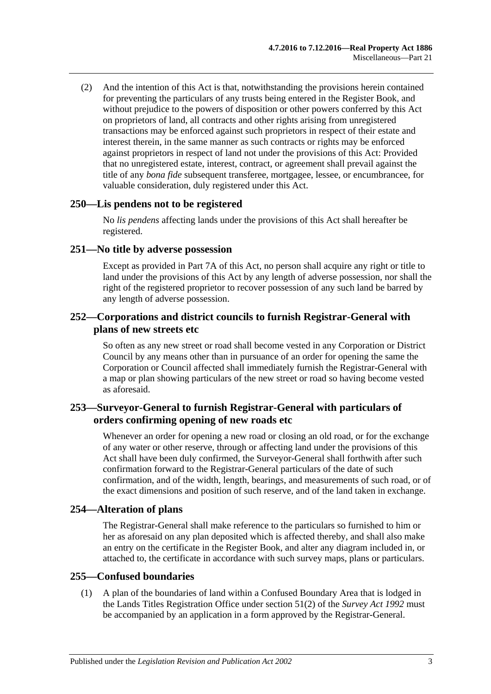(2) And the intention of this Act is that, notwithstanding the provisions herein contained for preventing the particulars of any trusts being entered in the Register Book, and without prejudice to the powers of disposition or other powers conferred by this Act on proprietors of land, all contracts and other rights arising from unregistered transactions may be enforced against such proprietors in respect of their estate and interest therein, in the same manner as such contracts or rights may be enforced against proprietors in respect of land not under the provisions of this Act: Provided that no unregistered estate, interest, contract, or agreement shall prevail against the title of any *bona fide* subsequent transferee, mortgagee, lessee, or encumbrancee, for valuable consideration, duly registered under this Act.

#### **250—Lis pendens not to be registered**

No *lis pendens* affecting lands under the provisions of this Act shall hereafter be registered.

#### **251—No title by adverse possession**

Except as provided in [Part 7A](#page-36-0) of this Act, no person shall acquire any right or title to land under the provisions of this Act by any length of adverse possession, nor shall the right of the registered proprietor to recover possession of any such land be barred by any length of adverse possession.

#### **252—Corporations and district councils to furnish Registrar-General with plans of new streets etc**

So often as any new street or road shall become vested in any Corporation or District Council by any means other than in pursuance of an order for opening the same the Corporation or Council affected shall immediately furnish the Registrar-General with a map or plan showing particulars of the new street or road so having become vested as aforesaid.

## **253—Surveyor-General to furnish Registrar-General with particulars of orders confirming opening of new roads etc**

Whenever an order for opening a new road or closing an old road, or for the exchange of any water or other reserve, through or affecting land under the provisions of this Act shall have been duly confirmed, the Surveyor-General shall forthwith after such confirmation forward to the Registrar-General particulars of the date of such confirmation, and of the width, length, bearings, and measurements of such road, or of the exact dimensions and position of such reserve, and of the land taken in exchange.

## **254—Alteration of plans**

The Registrar-General shall make reference to the particulars so furnished to him or her as aforesaid on any plan deposited which is affected thereby, and shall also make an entry on the certificate in the Register Book, and alter any diagram included in, or attached to, the certificate in accordance with such survey maps, plans or particulars.

## <span id="page-130-0"></span>**255—Confused boundaries**

(1) A plan of the boundaries of land within a Confused Boundary Area that is lodged in the Lands Titles Registration Office under section 51(2) of the *[Survey Act](http://www.legislation.sa.gov.au/index.aspx?action=legref&type=act&legtitle=Survey%20Act%201992) 1992* must be accompanied by an application in a form approved by the Registrar-General.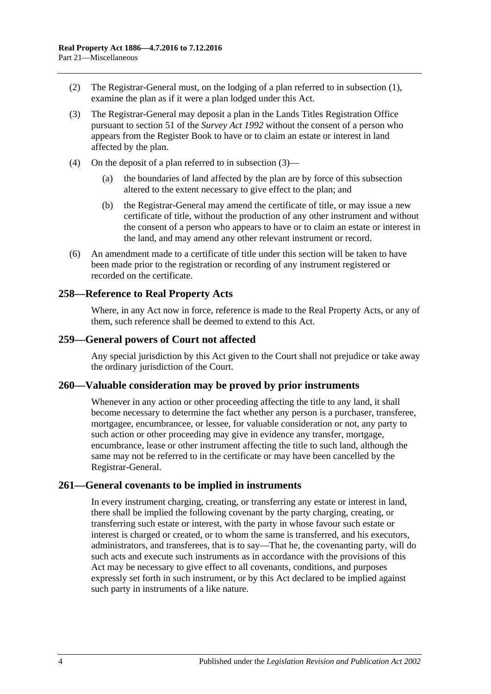- (2) The Registrar-General must, on the lodging of a plan referred to in [subsection](#page-130-0) (1), examine the plan as if it were a plan lodged under this Act.
- <span id="page-131-0"></span>(3) The Registrar-General may deposit a plan in the Lands Titles Registration Office pursuant to section 51 of the *[Survey Act](http://www.legislation.sa.gov.au/index.aspx?action=legref&type=act&legtitle=Survey%20Act%201992) 1992* without the consent of a person who appears from the Register Book to have or to claim an estate or interest in land affected by the plan.
- (4) On the deposit of a plan referred to in [subsection](#page-131-0) (3)—
	- (a) the boundaries of land affected by the plan are by force of this subsection altered to the extent necessary to give effect to the plan; and
	- (b) the Registrar-General may amend the certificate of title, or may issue a new certificate of title, without the production of any other instrument and without the consent of a person who appears to have or to claim an estate or interest in the land, and may amend any other relevant instrument or record.
- (6) An amendment made to a certificate of title under this section will be taken to have been made prior to the registration or recording of any instrument registered or recorded on the certificate.

#### **258—Reference to Real Property Acts**

Where, in any Act now in force, reference is made to the Real Property Acts, or any of them, such reference shall be deemed to extend to this Act.

#### **259—General powers of Court not affected**

Any special jurisdiction by this Act given to the Court shall not prejudice or take away the ordinary jurisdiction of the Court.

#### **260—Valuable consideration may be proved by prior instruments**

Whenever in any action or other proceeding affecting the title to any land, it shall become necessary to determine the fact whether any person is a purchaser, transferee, mortgagee, encumbrancee, or lessee, for valuable consideration or not, any party to such action or other proceeding may give in evidence any transfer, mortgage, encumbrance, lease or other instrument affecting the title to such land, although the same may not be referred to in the certificate or may have been cancelled by the Registrar-General.

#### **261—General covenants to be implied in instruments**

In every instrument charging, creating, or transferring any estate or interest in land, there shall be implied the following covenant by the party charging, creating, or transferring such estate or interest, with the party in whose favour such estate or interest is charged or created, or to whom the same is transferred, and his executors, administrators, and transferees, that is to say—That he, the covenanting party, will do such acts and execute such instruments as in accordance with the provisions of this Act may be necessary to give effect to all covenants, conditions, and purposes expressly set forth in such instrument, or by this Act declared to be implied against such party in instruments of a like nature.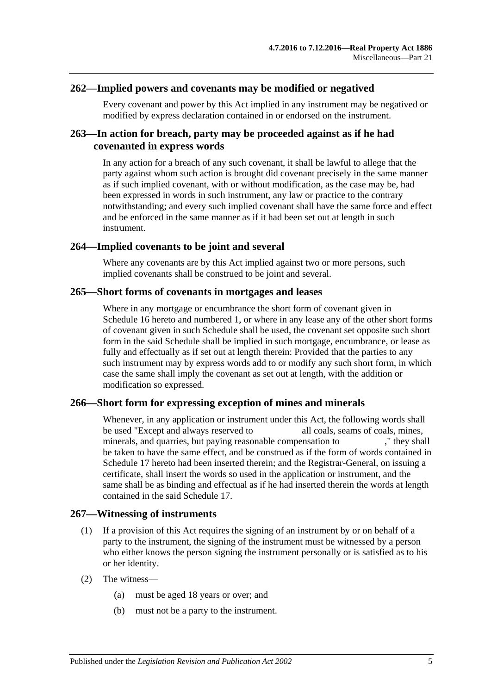#### **262—Implied powers and covenants may be modified or negatived**

Every covenant and power by this Act implied in any instrument may be negatived or modified by express declaration contained in or endorsed on the instrument.

## **263—In action for breach, party may be proceeded against as if he had covenanted in express words**

In any action for a breach of any such covenant, it shall be lawful to allege that the party against whom such action is brought did covenant precisely in the same manner as if such implied covenant, with or without modification, as the case may be, had been expressed in words in such instrument, any law or practice to the contrary notwithstanding; and every such implied covenant shall have the same force and effect and be enforced in the same manner as if it had been set out at length in such instrument.

#### **264—Implied covenants to be joint and several**

Where any covenants are by this Act implied against two or more persons, such implied covenants shall be construed to be joint and several.

#### **265—Short forms of covenants in mortgages and leases**

Where in any mortgage or encumbrance the short form of covenant given in [Schedule](#page-147-0) 16 hereto and numbered 1, or where in any lease any of the other short forms of covenant given in such Schedule shall be used, the covenant set opposite such short form in the said Schedule shall be implied in such mortgage, encumbrance, or lease as fully and effectually as if set out at length therein: Provided that the parties to any such instrument may by express words add to or modify any such short form, in which case the same shall imply the covenant as set out at length, with the addition or modification so expressed.

#### **266—Short form for expressing exception of mines and minerals**

Whenever, in any application or instrument under this Act, the following words shall be used "Except and always reserved to all coals, seams of coals, mines, minerals, and quarries, but paying reasonable compensation to  $\blacksquare$ , they shall be taken to have the same effect, and be construed as if the form of words contained in [Schedule 17](#page-149-1) hereto had been inserted therein; and the Registrar-General, on issuing a certificate, shall insert the words so used in the application or instrument, and the same shall be as binding and effectual as if he had inserted therein the words at length contained in the said [Schedule 17.](#page-149-1)

## **267—Witnessing of instruments**

- (1) If a provision of this Act requires the signing of an instrument by or on behalf of a party to the instrument, the signing of the instrument must be witnessed by a person who either knows the person signing the instrument personally or is satisfied as to his or her identity.
- (2) The witness—
	- (a) must be aged 18 years or over; and
	- (b) must not be a party to the instrument.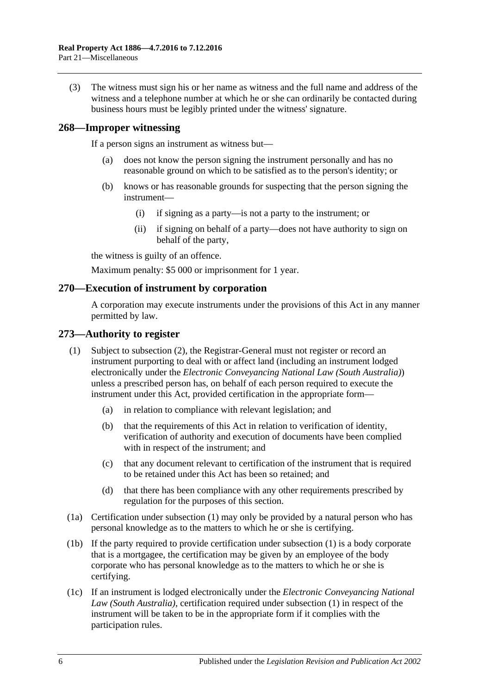(3) The witness must sign his or her name as witness and the full name and address of the witness and a telephone number at which he or she can ordinarily be contacted during business hours must be legibly printed under the witness' signature.

#### **268—Improper witnessing**

If a person signs an instrument as witness but—

- (a) does not know the person signing the instrument personally and has no reasonable ground on which to be satisfied as to the person's identity; or
- (b) knows or has reasonable grounds for suspecting that the person signing the instrument—
	- (i) if signing as a party—is not a party to the instrument; or
	- (ii) if signing on behalf of a party—does not have authority to sign on behalf of the party,

the witness is guilty of an offence.

Maximum penalty: \$5 000 or imprisonment for 1 year.

#### **270—Execution of instrument by corporation**

A corporation may execute instruments under the provisions of this Act in any manner permitted by law.

#### <span id="page-133-0"></span>**273—Authority to register**

- (1) Subject to [subsection](#page-134-0) (2), the Registrar-General must not register or record an instrument purporting to deal with or affect land (including an instrument lodged electronically under the *[Electronic Conveyancing National Law \(South Australia\)](http://www.legislation.sa.gov.au/index.aspx?action=legref&type=act&legtitle=Electronic%20Conveyancing%20National%20Law%20(South%20Australia))*) unless a prescribed person has, on behalf of each person required to execute the instrument under this Act, provided certification in the appropriate form—
	- (a) in relation to compliance with relevant legislation; and
	- (b) that the requirements of this Act in relation to verification of identity, verification of authority and execution of documents have been complied with in respect of the instrument; and
	- (c) that any document relevant to certification of the instrument that is required to be retained under this Act has been so retained; and
	- (d) that there has been compliance with any other requirements prescribed by regulation for the purposes of this section.
- (1a) Certification under [subsection](#page-133-0) (1) may only be provided by a natural person who has personal knowledge as to the matters to which he or she is certifying.
- (1b) If the party required to provide certification under [subsection](#page-133-0) (1) is a body corporate that is a mortgagee, the certification may be given by an employee of the body corporate who has personal knowledge as to the matters to which he or she is certifying.
- (1c) If an instrument is lodged electronically under the *Electronic Conveyancing National Law (South Australia)*, certification required under [subsection](#page-133-0) (1) in respect of the instrument will be taken to be in the appropriate form if it complies with the participation rules.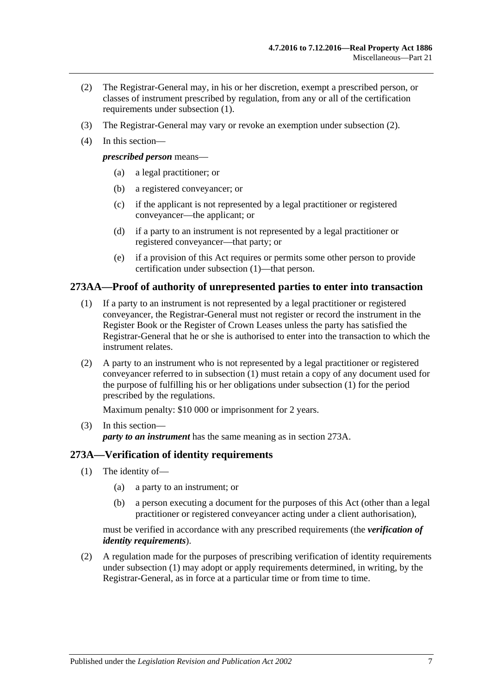- <span id="page-134-0"></span>(2) The Registrar-General may, in his or her discretion, exempt a prescribed person, or classes of instrument prescribed by regulation, from any or all of the certification requirements under [subsection](#page-133-0) (1).
- (3) The Registrar-General may vary or revoke an exemption under [subsection](#page-134-0) (2).
- (4) In this section—

*prescribed person* means—

- (a) a legal practitioner; or
- (b) a registered conveyancer; or
- (c) if the applicant is not represented by a legal practitioner or registered conveyancer—the applicant; or
- (d) if a party to an instrument is not represented by a legal practitioner or registered conveyancer—that party; or
- (e) if a provision of this Act requires or permits some other person to provide certification under [subsection](#page-133-0) (1)—that person.

#### <span id="page-134-1"></span>**273AA—Proof of authority of unrepresented parties to enter into transaction**

- (1) If a party to an instrument is not represented by a legal practitioner or registered conveyancer, the Registrar-General must not register or record the instrument in the Register Book or the Register of Crown Leases unless the party has satisfied the Registrar-General that he or she is authorised to enter into the transaction to which the instrument relates.
- (2) A party to an instrument who is not represented by a legal practitioner or registered conveyancer referred to in [subsection](#page-134-1) (1) must retain a copy of any document used for the purpose of fulfilling his or her obligations under [subsection](#page-134-1) (1) for the period prescribed by the regulations.

Maximum penalty: \$10 000 or imprisonment for 2 years.

(3) In this section *party to an instrument* has the same meaning as in [section](#page-134-2) 273A.

## <span id="page-134-3"></span><span id="page-134-2"></span>**273A—Verification of identity requirements**

- (1) The identity of—
	- (a) a party to an instrument; or
	- (b) a person executing a document for the purposes of this Act (other than a legal practitioner or registered conveyancer acting under a client authorisation),

must be verified in accordance with any prescribed requirements (the *verification of identity requirements*).

(2) A regulation made for the purposes of prescribing verification of identity requirements under [subsection](#page-134-3) (1) may adopt or apply requirements determined, in writing, by the Registrar-General, as in force at a particular time or from time to time.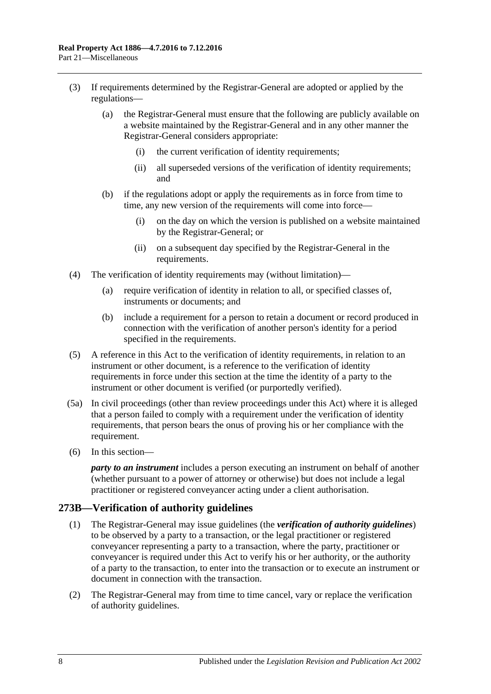- (3) If requirements determined by the Registrar-General are adopted or applied by the regulations—
	- (a) the Registrar-General must ensure that the following are publicly available on a website maintained by the Registrar-General and in any other manner the Registrar-General considers appropriate:
		- (i) the current verification of identity requirements;
		- (ii) all superseded versions of the verification of identity requirements; and
	- (b) if the regulations adopt or apply the requirements as in force from time to time, any new version of the requirements will come into force—
		- (i) on the day on which the version is published on a website maintained by the Registrar-General; or
		- (ii) on a subsequent day specified by the Registrar-General in the requirements.
- (4) The verification of identity requirements may (without limitation)—
	- (a) require verification of identity in relation to all, or specified classes of, instruments or documents; and
	- (b) include a requirement for a person to retain a document or record produced in connection with the verification of another person's identity for a period specified in the requirements.
- (5) A reference in this Act to the verification of identity requirements, in relation to an instrument or other document, is a reference to the verification of identity requirements in force under this section at the time the identity of a party to the instrument or other document is verified (or purportedly verified).
- (5a) In civil proceedings (other than review proceedings under this Act) where it is alleged that a person failed to comply with a requirement under the verification of identity requirements, that person bears the onus of proving his or her compliance with the requirement.
- (6) In this section—

*party to an instrument* includes a person executing an instrument on behalf of another (whether pursuant to a power of attorney or otherwise) but does not include a legal practitioner or registered conveyancer acting under a client authorisation.

## **273B—Verification of authority guidelines**

- (1) The Registrar-General may issue guidelines (the *verification of authority guidelines*) to be observed by a party to a transaction, or the legal practitioner or registered conveyancer representing a party to a transaction, where the party, practitioner or conveyancer is required under this Act to verify his or her authority, or the authority of a party to the transaction, to enter into the transaction or to execute an instrument or document in connection with the transaction.
- (2) The Registrar-General may from time to time cancel, vary or replace the verification of authority guidelines.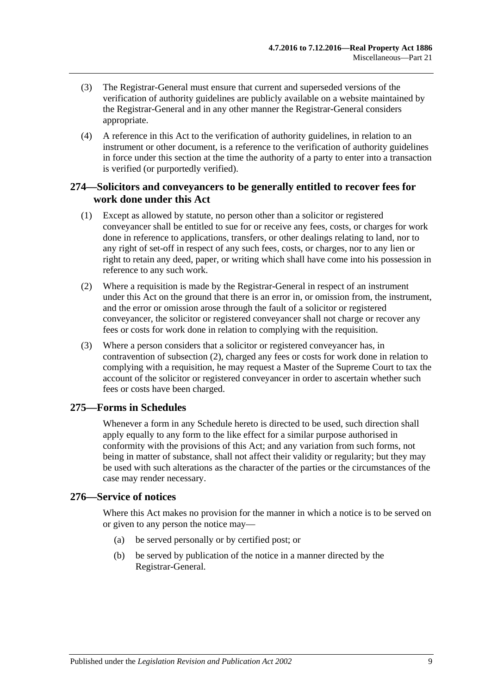- (3) The Registrar-General must ensure that current and superseded versions of the verification of authority guidelines are publicly available on a website maintained by the Registrar-General and in any other manner the Registrar-General considers appropriate.
- (4) A reference in this Act to the verification of authority guidelines, in relation to an instrument or other document, is a reference to the verification of authority guidelines in force under this section at the time the authority of a party to enter into a transaction is verified (or purportedly verified).

## **274—Solicitors and conveyancers to be generally entitled to recover fees for work done under this Act**

- (1) Except as allowed by statute, no person other than a solicitor or registered conveyancer shall be entitled to sue for or receive any fees, costs, or charges for work done in reference to applications, transfers, or other dealings relating to land, nor to any right of set-off in respect of any such fees, costs, or charges, nor to any lien or right to retain any deed, paper, or writing which shall have come into his possession in reference to any such work.
- <span id="page-136-0"></span>(2) Where a requisition is made by the Registrar-General in respect of an instrument under this Act on the ground that there is an error in, or omission from, the instrument, and the error or omission arose through the fault of a solicitor or registered conveyancer, the solicitor or registered conveyancer shall not charge or recover any fees or costs for work done in relation to complying with the requisition.
- (3) Where a person considers that a solicitor or registered conveyancer has, in contravention of [subsection](#page-136-0) (2), charged any fees or costs for work done in relation to complying with a requisition, he may request a Master of the Supreme Court to tax the account of the solicitor or registered conveyancer in order to ascertain whether such fees or costs have been charged.

## **275—Forms in Schedules**

Whenever a form in any Schedule hereto is directed to be used, such direction shall apply equally to any form to the like effect for a similar purpose authorised in conformity with the provisions of this Act; and any variation from such forms, not being in matter of substance, shall not affect their validity or regularity; but they may be used with such alterations as the character of the parties or the circumstances of the case may render necessary.

## **276—Service of notices**

Where this Act makes no provision for the manner in which a notice is to be served on or given to any person the notice may—

- (a) be served personally or by certified post; or
- (b) be served by publication of the notice in a manner directed by the Registrar-General.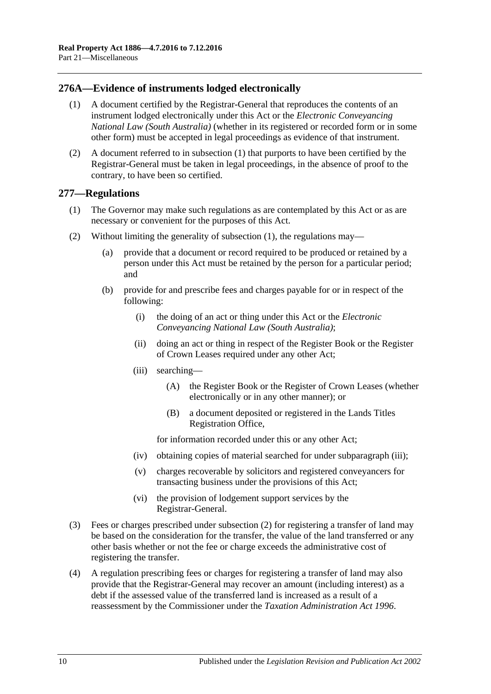## <span id="page-137-0"></span>**276A—Evidence of instruments lodged electronically**

- (1) A document certified by the Registrar-General that reproduces the contents of an instrument lodged electronically under this Act or the *[Electronic Conveyancing](http://www.legislation.sa.gov.au/index.aspx?action=legref&type=act&legtitle=Electronic%20Conveyancing%20National%20Law%20(South%20Australia))  [National Law \(South Australia\)](http://www.legislation.sa.gov.au/index.aspx?action=legref&type=act&legtitle=Electronic%20Conveyancing%20National%20Law%20(South%20Australia))* (whether in its registered or recorded form or in some other form) must be accepted in legal proceedings as evidence of that instrument.
- (2) A document referred to in [subsection](#page-137-0) (1) that purports to have been certified by the Registrar-General must be taken in legal proceedings, in the absence of proof to the contrary, to have been so certified.

#### <span id="page-137-1"></span>**277—Regulations**

- (1) The Governor may make such regulations as are contemplated by this Act or as are necessary or convenient for the purposes of this Act.
- <span id="page-137-3"></span>(2) Without limiting the generality of [subsection](#page-137-1) (1), the regulations may—
	- (a) provide that a document or record required to be produced or retained by a person under this Act must be retained by the person for a particular period; and
	- (b) provide for and prescribe fees and charges payable for or in respect of the following:
		- (i) the doing of an act or thing under this Act or the *[Electronic](http://www.legislation.sa.gov.au/index.aspx?action=legref&type=act&legtitle=Electronic%20Conveyancing%20National%20Law%20(South%20Australia))  [Conveyancing National Law \(South Australia\)](http://www.legislation.sa.gov.au/index.aspx?action=legref&type=act&legtitle=Electronic%20Conveyancing%20National%20Law%20(South%20Australia))*;
		- (ii) doing an act or thing in respect of the Register Book or the Register of Crown Leases required under any other Act;
		- (iii) searching—
			- (A) the Register Book or the Register of Crown Leases (whether electronically or in any other manner); or
			- (B) a document deposited or registered in the Lands Titles Registration Office,

for information recorded under this or any other Act;

- <span id="page-137-2"></span>(iv) obtaining copies of material searched for under [subparagraph](#page-137-2) (iii);
- (v) charges recoverable by solicitors and registered conveyancers for transacting business under the provisions of this Act;
- (vi) the provision of lodgement support services by the Registrar-General.
- (3) Fees or charges prescribed under [subsection](#page-137-3) (2) for registering a transfer of land may be based on the consideration for the transfer, the value of the land transferred or any other basis whether or not the fee or charge exceeds the administrative cost of registering the transfer.
- (4) A regulation prescribing fees or charges for registering a transfer of land may also provide that the Registrar-General may recover an amount (including interest) as a debt if the assessed value of the transferred land is increased as a result of a reassessment by the Commissioner under the *[Taxation Administration Act](http://www.legislation.sa.gov.au/index.aspx?action=legref&type=act&legtitle=Taxation%20Administration%20Act%201996) 1996*.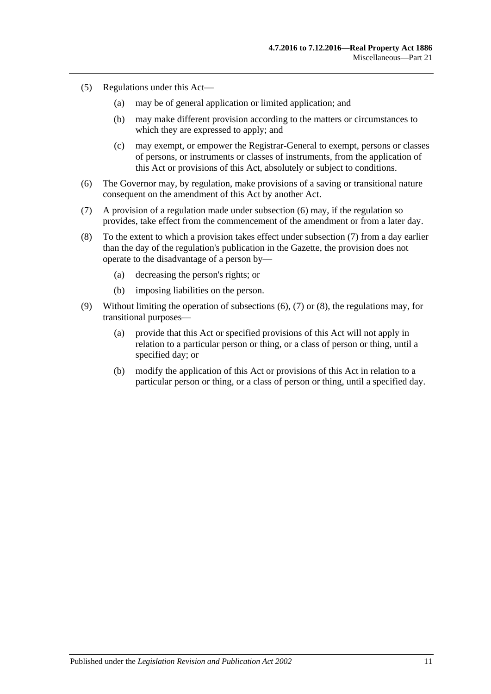- (5) Regulations under this Act—
	- (a) may be of general application or limited application; and
	- (b) may make different provision according to the matters or circumstances to which they are expressed to apply; and
	- (c) may exempt, or empower the Registrar-General to exempt, persons or classes of persons, or instruments or classes of instruments, from the application of this Act or provisions of this Act, absolutely or subject to conditions.
- <span id="page-138-0"></span>(6) The Governor may, by regulation, make provisions of a saving or transitional nature consequent on the amendment of this Act by another Act.
- <span id="page-138-1"></span>(7) A provision of a regulation made under [subsection](#page-138-0) (6) may, if the regulation so provides, take effect from the commencement of the amendment or from a later day.
- <span id="page-138-2"></span>(8) To the extent to which a provision takes effect under [subsection](#page-138-1) (7) from a day earlier than the day of the regulation's publication in the Gazette, the provision does not operate to the disadvantage of a person by—
	- (a) decreasing the person's rights; or
	- (b) imposing liabilities on the person.
- (9) Without limiting the operation of [subsections \(6\),](#page-138-0) [\(7\)](#page-138-1) or [\(8\),](#page-138-2) the regulations may, for transitional purposes—
	- (a) provide that this Act or specified provisions of this Act will not apply in relation to a particular person or thing, or a class of person or thing, until a specified day; or
	- (b) modify the application of this Act or provisions of this Act in relation to a particular person or thing, or a class of person or thing, until a specified day.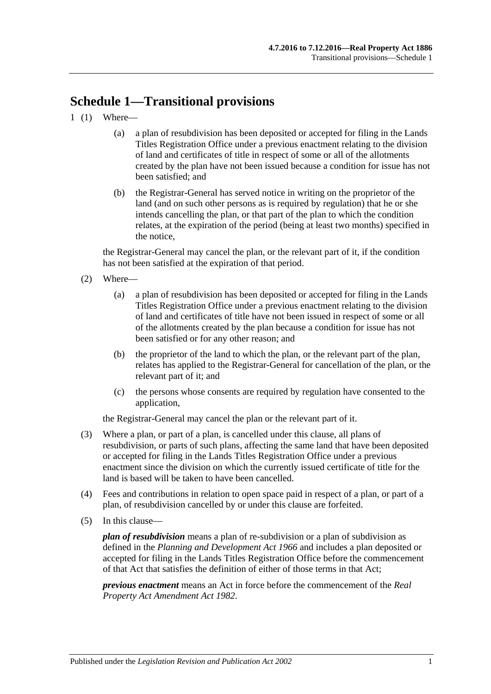# **Schedule 1—Transitional provisions**

- 1 (1) Where—
	- (a) a plan of resubdivision has been deposited or accepted for filing in the Lands Titles Registration Office under a previous enactment relating to the division of land and certificates of title in respect of some or all of the allotments created by the plan have not been issued because a condition for issue has not been satisfied; and
	- (b) the Registrar-General has served notice in writing on the proprietor of the land (and on such other persons as is required by regulation) that he or she intends cancelling the plan, or that part of the plan to which the condition relates, at the expiration of the period (being at least two months) specified in the notice,

the Registrar-General may cancel the plan, or the relevant part of it, if the condition has not been satisfied at the expiration of that period.

- (2) Where—
	- (a) a plan of resubdivision has been deposited or accepted for filing in the Lands Titles Registration Office under a previous enactment relating to the division of land and certificates of title have not been issued in respect of some or all of the allotments created by the plan because a condition for issue has not been satisfied or for any other reason; and
	- (b) the proprietor of the land to which the plan, or the relevant part of the plan, relates has applied to the Registrar-General for cancellation of the plan, or the relevant part of it; and
	- (c) the persons whose consents are required by regulation have consented to the application,

the Registrar-General may cancel the plan or the relevant part of it.

- (3) Where a plan, or part of a plan, is cancelled under this clause, all plans of resubdivision, or parts of such plans, affecting the same land that have been deposited or accepted for filing in the Lands Titles Registration Office under a previous enactment since the division on which the currently issued certificate of title for the land is based will be taken to have been cancelled.
- (4) Fees and contributions in relation to open space paid in respect of a plan, or part of a plan, of resubdivision cancelled by or under this clause are forfeited.
- (5) In this clause—

*plan of resubdivision* means a plan of re-subdivision or a plan of subdivision as defined in the *[Planning and Development Act](http://www.legislation.sa.gov.au/index.aspx?action=legref&type=act&legtitle=Planning%20and%20Development%20Act%201966) 1966* and includes a plan deposited or accepted for filing in the Lands Titles Registration Office before the commencement of that Act that satisfies the definition of either of those terms in that Act;

*previous enactment* means an Act in force before the commencement of the *[Real](http://www.legislation.sa.gov.au/index.aspx?action=legref&type=act&legtitle=Real%20Property%20Act%20Amendment%20Act%201982)  [Property Act Amendment Act](http://www.legislation.sa.gov.au/index.aspx?action=legref&type=act&legtitle=Real%20Property%20Act%20Amendment%20Act%201982) 1982*.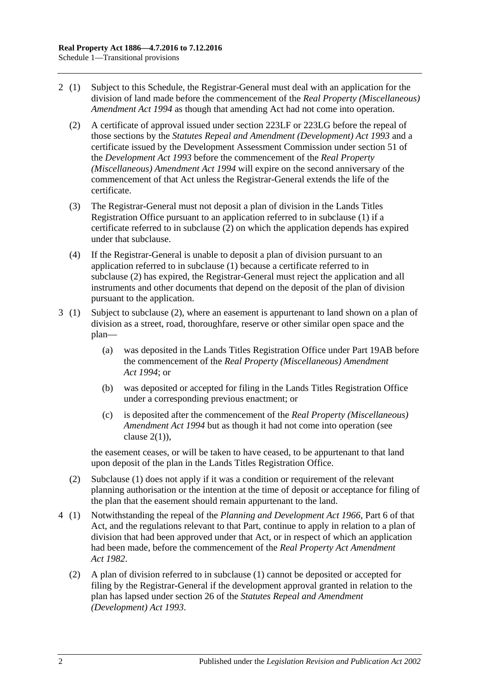- <span id="page-141-0"></span>2 (1) Subject to this Schedule, the Registrar-General must deal with an application for the division of land made before the commencement of the *[Real Property \(Miscellaneous\)](http://www.legislation.sa.gov.au/index.aspx?action=legref&type=act&legtitle=Real%20Property%20(Miscellaneous)%20Amendment%20Act%201994)  [Amendment Act](http://www.legislation.sa.gov.au/index.aspx?action=legref&type=act&legtitle=Real%20Property%20(Miscellaneous)%20Amendment%20Act%201994) 1994* as though that amending Act had not come into operation.
	- (2) A certificate of approval issued under [section](#page-115-3) 223LF or [223LG](#page-116-0) before the repeal of those sections by the *[Statutes Repeal and Amendment \(Development\) Act](http://www.legislation.sa.gov.au/index.aspx?action=legref&type=act&legtitle=Statutes%20Repeal%20and%20Amendment%20(Development)%20Act%201993) 1993* and a certificate issued by the Development Assessment Commission under section 51 of the *[Development Act](http://www.legislation.sa.gov.au/index.aspx?action=legref&type=act&legtitle=Development%20Act%201993) 1993* before the commencement of the *[Real Property](http://www.legislation.sa.gov.au/index.aspx?action=legref&type=act&legtitle=Real%20Property%20(Miscellaneous)%20Amendment%20Act%201994)  [\(Miscellaneous\) Amendment Act](http://www.legislation.sa.gov.au/index.aspx?action=legref&type=act&legtitle=Real%20Property%20(Miscellaneous)%20Amendment%20Act%201994) 1994* will expire on the second anniversary of the commencement of that Act unless the Registrar-General extends the life of the certificate.
	- (3) The Registrar-General must not deposit a plan of division in the Lands Titles Registration Office pursuant to an application referred to in subclause (1) if a certificate referred to in [subclause](#page-141-0) (2) on which the application depends has expired under that subclause.
	- (4) If the Registrar-General is unable to deposit a plan of division pursuant to an application referred to in subclause (1) because a certificate referred to in [subclause](#page-141-0) (2) has expired, the Registrar-General must reject the application and all instruments and other documents that depend on the deposit of the plan of division pursuant to the application.
- 3 (1) Subject to [subclause](#page-141-1) (2), where an easement is appurtenant to land shown on a plan of division as a street, road, thoroughfare, reserve or other similar open space and the plan—
	- (a) was deposited in the Lands Titles Registration Office under [Part 19AB](#page-108-2) before the commencement of the *[Real Property \(Miscellaneous\) Amendment](http://www.legislation.sa.gov.au/index.aspx?action=legref&type=act&legtitle=Real%20Property%20(Miscellaneous)%20Amendment%20Act%201994)  Act [1994](http://www.legislation.sa.gov.au/index.aspx?action=legref&type=act&legtitle=Real%20Property%20(Miscellaneous)%20Amendment%20Act%201994)*; or
	- (b) was deposited or accepted for filing in the Lands Titles Registration Office under a corresponding previous enactment; or
	- (c) is deposited after the commencement of the *[Real Property \(Miscellaneous\)](http://www.legislation.sa.gov.au/index.aspx?action=legref&type=act&legtitle=Real%20Property%20(Miscellaneous)%20Amendment%20Act%201994)  [Amendment Act](http://www.legislation.sa.gov.au/index.aspx?action=legref&type=act&legtitle=Real%20Property%20(Miscellaneous)%20Amendment%20Act%201994) 1994* but as though it had not come into operation (see clause  $2(1)$ ).

the easement ceases, or will be taken to have ceased, to be appurtenant to that land upon deposit of the plan in the Lands Titles Registration Office.

- <span id="page-141-1"></span>(2) Subclause (1) does not apply if it was a condition or requirement of the relevant planning authorisation or the intention at the time of deposit or acceptance for filing of the plan that the easement should remain appurtenant to the land.
- 4 (1) Notwithstanding the repeal of the *[Planning and Development Act](http://www.legislation.sa.gov.au/index.aspx?action=legref&type=act&legtitle=Planning%20and%20Development%20Act%201966) 1966*, Part 6 of that Act, and the regulations relevant to that Part, continue to apply in relation to a plan of division that had been approved under that Act, or in respect of which an application had been made, before the commencement of the *[Real Property Act Amendment](http://www.legislation.sa.gov.au/index.aspx?action=legref&type=act&legtitle=Real%20Property%20Act%20Amendment%20Act%201982)  Act [1982](http://www.legislation.sa.gov.au/index.aspx?action=legref&type=act&legtitle=Real%20Property%20Act%20Amendment%20Act%201982)*.
	- (2) A plan of division referred to in subclause (1) cannot be deposited or accepted for filing by the Registrar-General if the development approval granted in relation to the plan has lapsed under section 26 of the *[Statutes Repeal and Amendment](http://www.legislation.sa.gov.au/index.aspx?action=legref&type=act&legtitle=Statutes%20Repeal%20and%20Amendment%20(Development)%20Act%201993)  [\(Development\) Act](http://www.legislation.sa.gov.au/index.aspx?action=legref&type=act&legtitle=Statutes%20Repeal%20and%20Amendment%20(Development)%20Act%201993) 1993*.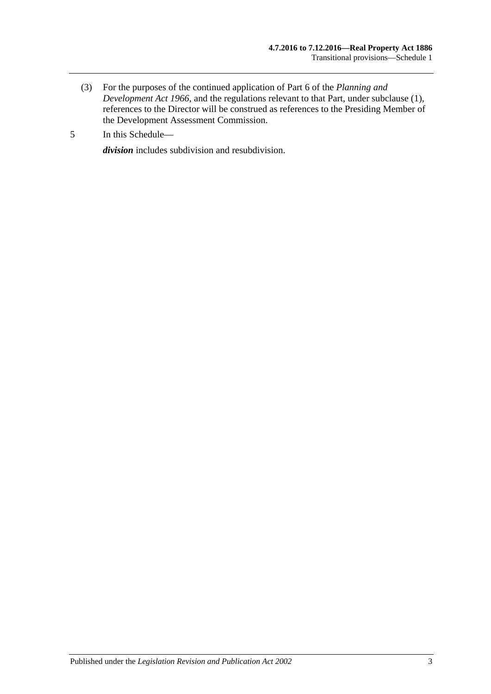- (3) For the purposes of the continued application of Part 6 of the *[Planning and](http://www.legislation.sa.gov.au/index.aspx?action=legref&type=act&legtitle=Planning%20and%20Development%20Act%201966)  [Development Act](http://www.legislation.sa.gov.au/index.aspx?action=legref&type=act&legtitle=Planning%20and%20Development%20Act%201966) 1966*, and the regulations relevant to that Part, under subclause (1), references to the Director will be construed as references to the Presiding Member of the Development Assessment Commission.
- 5 In this Schedule—

*division* includes subdivision and resubdivision.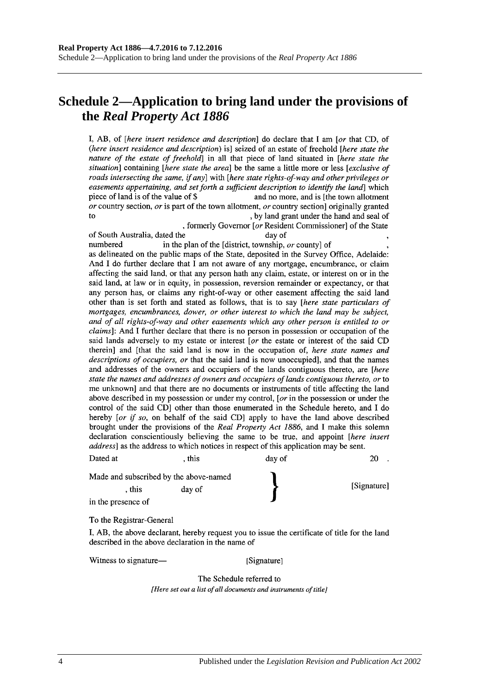# **Schedule 2—Application to bring land under the provisions of the** *Real Property Act 1886*

I, AB, of *[here insert residence and description*] do declare that I am *[or that CD, of* (here insert residence and description) is] seized of an estate of freehold [here state the nature of the estate of freehold] in all that piece of land situated in [here state the situation] containing [here state the area] be the same a little more or less [exclusive of roads intersecting the same, if any] with [here state rights-of-way and other privileges or easements appertaining, and set forth a sufficient description to identify the land which piece of land is of the value of \$ and no more, and is [the town allotment] or country section, or is part of the town allotment, or country section originally granted to , by land grant under the hand and seal of

, formerly Governor [or Resident Commissioner] of the State of South Australia, dated the day of numbered in the plan of the [district, township, or county] of as delineated on the public maps of the State, deposited in the Survey Office, Adelaide: And I do further declare that I am not aware of any mortgage, encumbrance, or claim affecting the said land, or that any person hath any claim, estate, or interest on or in the said land, at law or in equity, in possession, reversion remainder or expectancy, or that any person has, or claims any right-of-way or other easement affecting the said land other than is set forth and stated as follows, that is to say [here state particulars of mortgages, encumbrances, dower, or other interest to which the land may be subject, and of all rights-of-way and other easements which any other person is entitled to or *claims*]: And I further declare that there is no person in possession or occupation of the said lands adversely to my estate or interest [or the estate or interest of the said CD therein] and [that the said land is now in the occupation of, here state names and descriptions of occupiers, or that the said land is now unoccupied], and that the names and addresses of the owners and occupiers of the lands contiguous thereto, are [here state the names and addresses of owners and occupiers of lands contiguous thereto, or to

me unknown and that there are no documents or instruments of title affecting the land above described in my possession or under my control, [ $or$  in the possession or under the control of the said CD] other than those enumerated in the Schedule hereto, and I do hereby [or if so, on behalf of the said CD] apply to have the land above described brought under the provisions of the Real Property Act 1886, and I make this solemn declaration conscientiously believing the same to be true, and appoint [here insert address] as the address to which notices in respect of this application may be sent.

| Dated at                               | . this | day of      | 20 |
|----------------------------------------|--------|-------------|----|
| Made and subscribed by the above-named |        |             |    |
| . this                                 | day of | [Signature] |    |
| in the presence of                     |        |             |    |

To the Registrar-General

I, AB, the above declarant, hereby request you to issue the certificate of title for the land described in the above declaration in the name of

Witness to signature—

[Signature]

The Schedule referred to [Here set out a list of all documents and instruments of title]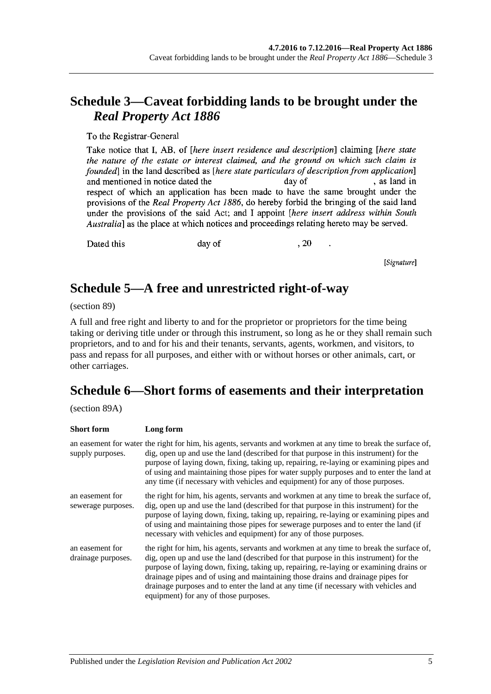# **Schedule 3—Caveat forbidding lands to be brought under the**  *Real Property Act 1886*

To the Registrar-General

Take notice that I, AB, of *[here insert residence and description*] claiming *[here state* the nature of the estate or interest claimed, and the ground on which such claim is founded in the land described as *[here state particulars of description from application*] , as land in and mentioned in notice dated the day of respect of which an application has been made to have the same brought under the provisions of the Real Property Act 1886, do hereby forbid the bringing of the said land under the provisions of the said Act; and I appoint *[here insert address within South* Australia] as the place at which notices and proceedings relating hereto may be served.

Dated this

day of

, 20

[Signature]

# **Schedule 5—A free and unrestricted right-of-way**

(section 89)

A full and free right and liberty to and for the proprietor or proprietors for the time being taking or deriving title under or through this instrument, so long as he or they shall remain such proprietors, and to and for his and their tenants, servants, agents, workmen, and visitors, to pass and repass for all purposes, and either with or without horses or other animals, cart, or other carriages.

# **Schedule 6—Short forms of easements and their interpretation**

(section 89A)

| <b>Short form</b>                     | Long form                                                                                                                                                                                                                                                                                                                                                                                                                                                                                      |
|---------------------------------------|------------------------------------------------------------------------------------------------------------------------------------------------------------------------------------------------------------------------------------------------------------------------------------------------------------------------------------------------------------------------------------------------------------------------------------------------------------------------------------------------|
| supply purposes.                      | an easement for water the right for him, his agents, servants and workmen at any time to break the surface of,<br>dig, open up and use the land (described for that purpose in this instrument) for the<br>purpose of laying down, fixing, taking up, repairing, re-laying or examining pipes and<br>of using and maintaining those pipes for water supply purposes and to enter the land at<br>any time (if necessary with vehicles and equipment) for any of those purposes.                 |
| an easement for<br>sewerage purposes. | the right for him, his agents, servants and workmen at any time to break the surface of,<br>dig, open up and use the land (described for that purpose in this instrument) for the<br>purpose of laying down, fixing, taking up, repairing, re-laying or examining pipes and<br>of using and maintaining those pipes for sewerage purposes and to enter the land (if<br>necessary with vehicles and equipment) for any of those purposes.                                                       |
| an easement for<br>drainage purposes. | the right for him, his agents, servants and workmen at any time to break the surface of,<br>dig, open up and use the land (described for that purpose in this instrument) for the<br>purpose of laying down, fixing, taking up, repairing, re-laying or examining drains or<br>drainage pipes and of using and maintaining those drains and drainage pipes for<br>drainage purposes and to enter the land at any time (if necessary with vehicles and<br>equipment) for any of those purposes. |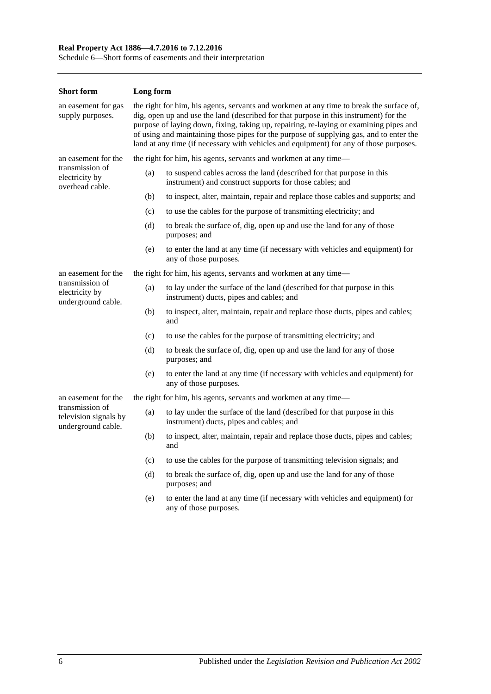### **Real Property Act 1886—4.7.2016 to 7.12.2016**

Schedule 6—Short forms of easements and their interpretation

| <b>Short form</b>                                              | Long form                                                                                                                                                                                                                                                                                                                                                                                                                                                        |                                                                                                                                   |  |
|----------------------------------------------------------------|------------------------------------------------------------------------------------------------------------------------------------------------------------------------------------------------------------------------------------------------------------------------------------------------------------------------------------------------------------------------------------------------------------------------------------------------------------------|-----------------------------------------------------------------------------------------------------------------------------------|--|
| an easement for gas<br>supply purposes.                        | the right for him, his agents, servants and workmen at any time to break the surface of,<br>dig, open up and use the land (described for that purpose in this instrument) for the<br>purpose of laying down, fixing, taking up, repairing, re-laying or examining pipes and<br>of using and maintaining those pipes for the purpose of supplying gas, and to enter the<br>land at any time (if necessary with vehicles and equipment) for any of those purposes. |                                                                                                                                   |  |
| an easement for the                                            |                                                                                                                                                                                                                                                                                                                                                                                                                                                                  | the right for him, his agents, servants and workmen at any time—                                                                  |  |
| transmission of<br>electricity by<br>overhead cable.           | (a)                                                                                                                                                                                                                                                                                                                                                                                                                                                              | to suspend cables across the land (described for that purpose in this<br>instrument) and construct supports for those cables; and |  |
|                                                                | (b)                                                                                                                                                                                                                                                                                                                                                                                                                                                              | to inspect, alter, maintain, repair and replace those cables and supports; and                                                    |  |
|                                                                | (c)                                                                                                                                                                                                                                                                                                                                                                                                                                                              | to use the cables for the purpose of transmitting electricity; and                                                                |  |
|                                                                | (d)                                                                                                                                                                                                                                                                                                                                                                                                                                                              | to break the surface of, dig, open up and use the land for any of those<br>purposes; and                                          |  |
|                                                                | (e)                                                                                                                                                                                                                                                                                                                                                                                                                                                              | to enter the land at any time (if necessary with vehicles and equipment) for<br>any of those purposes.                            |  |
| an easement for the                                            | the right for him, his agents, servants and workmen at any time—                                                                                                                                                                                                                                                                                                                                                                                                 |                                                                                                                                   |  |
| transmission of<br>electricity by<br>underground cable.        | (a)                                                                                                                                                                                                                                                                                                                                                                                                                                                              | to lay under the surface of the land (described for that purpose in this<br>instrument) ducts, pipes and cables; and              |  |
|                                                                | (b)                                                                                                                                                                                                                                                                                                                                                                                                                                                              | to inspect, alter, maintain, repair and replace those ducts, pipes and cables;<br>and                                             |  |
|                                                                | (c)                                                                                                                                                                                                                                                                                                                                                                                                                                                              | to use the cables for the purpose of transmitting electricity; and                                                                |  |
|                                                                | (d)                                                                                                                                                                                                                                                                                                                                                                                                                                                              | to break the surface of, dig, open up and use the land for any of those<br>purposes; and                                          |  |
|                                                                | (e)                                                                                                                                                                                                                                                                                                                                                                                                                                                              | to enter the land at any time (if necessary with vehicles and equipment) for<br>any of those purposes.                            |  |
| an easement for the                                            |                                                                                                                                                                                                                                                                                                                                                                                                                                                                  | the right for him, his agents, servants and workmen at any time—                                                                  |  |
| transmission of<br>television signals by<br>underground cable. | (a)                                                                                                                                                                                                                                                                                                                                                                                                                                                              | to lay under the surface of the land (described for that purpose in this<br>instrument) ducts, pipes and cables; and              |  |
|                                                                | (b)                                                                                                                                                                                                                                                                                                                                                                                                                                                              | to inspect, alter, maintain, repair and replace those ducts, pipes and cables;<br>and                                             |  |
|                                                                | (c)                                                                                                                                                                                                                                                                                                                                                                                                                                                              | to use the cables for the purpose of transmitting television signals; and                                                         |  |
|                                                                | (d)                                                                                                                                                                                                                                                                                                                                                                                                                                                              | to break the surface of, dig, open up and use the land for any of those<br>purposes; and                                          |  |
|                                                                | (e)                                                                                                                                                                                                                                                                                                                                                                                                                                                              | to enter the land at any time (if necessary with vehicles and equipment) for<br>any of those purposes.                            |  |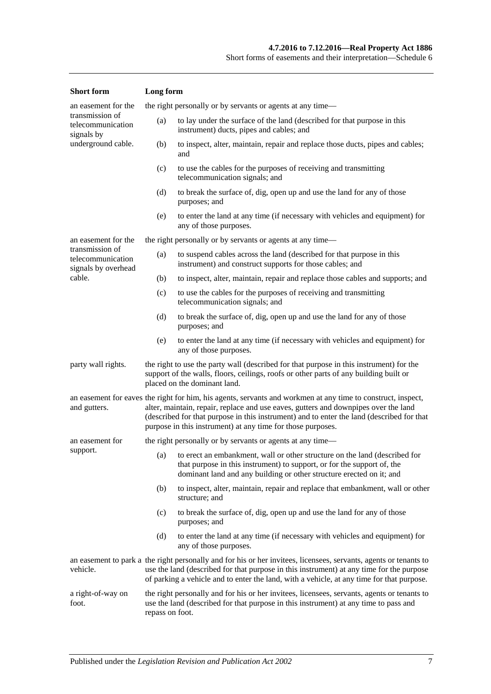| <b>Short</b> form                                                                                                                                                                                                                    | Long form                                                                                                                                                                                                                                                                                                                                                       |                                                                                                                                                                                                                                   |  |
|--------------------------------------------------------------------------------------------------------------------------------------------------------------------------------------------------------------------------------------|-----------------------------------------------------------------------------------------------------------------------------------------------------------------------------------------------------------------------------------------------------------------------------------------------------------------------------------------------------------------|-----------------------------------------------------------------------------------------------------------------------------------------------------------------------------------------------------------------------------------|--|
| an easement for the                                                                                                                                                                                                                  |                                                                                                                                                                                                                                                                                                                                                                 | the right personally or by servants or agents at any time—                                                                                                                                                                        |  |
| transmission of<br>telecommunication<br>signals by                                                                                                                                                                                   | (a)<br>to lay under the surface of the land (described for that purpose in this<br>instrument) ducts, pipes and cables; and                                                                                                                                                                                                                                     |                                                                                                                                                                                                                                   |  |
| underground cable.                                                                                                                                                                                                                   | to inspect, alter, maintain, repair and replace those ducts, pipes and cables;<br>(b)<br>and                                                                                                                                                                                                                                                                    |                                                                                                                                                                                                                                   |  |
|                                                                                                                                                                                                                                      | (c)                                                                                                                                                                                                                                                                                                                                                             | to use the cables for the purposes of receiving and transmitting<br>telecommunication signals; and                                                                                                                                |  |
|                                                                                                                                                                                                                                      | (d)                                                                                                                                                                                                                                                                                                                                                             | to break the surface of, dig, open up and use the land for any of those<br>purposes; and                                                                                                                                          |  |
|                                                                                                                                                                                                                                      | (e)                                                                                                                                                                                                                                                                                                                                                             | to enter the land at any time (if necessary with vehicles and equipment) for<br>any of those purposes.                                                                                                                            |  |
| an easement for the                                                                                                                                                                                                                  |                                                                                                                                                                                                                                                                                                                                                                 | the right personally or by servants or agents at any time—                                                                                                                                                                        |  |
| transmission of<br>telecommunication<br>signals by overhead                                                                                                                                                                          | (a)                                                                                                                                                                                                                                                                                                                                                             | to suspend cables across the land (described for that purpose in this<br>instrument) and construct supports for those cables; and                                                                                                 |  |
| cable.                                                                                                                                                                                                                               | (b)                                                                                                                                                                                                                                                                                                                                                             | to inspect, alter, maintain, repair and replace those cables and supports; and                                                                                                                                                    |  |
|                                                                                                                                                                                                                                      | (c)                                                                                                                                                                                                                                                                                                                                                             | to use the cables for the purposes of receiving and transmitting<br>telecommunication signals; and                                                                                                                                |  |
|                                                                                                                                                                                                                                      | (d)                                                                                                                                                                                                                                                                                                                                                             | to break the surface of, dig, open up and use the land for any of those<br>purposes; and                                                                                                                                          |  |
|                                                                                                                                                                                                                                      | (e)                                                                                                                                                                                                                                                                                                                                                             | to enter the land at any time (if necessary with vehicles and equipment) for<br>any of those purposes.                                                                                                                            |  |
| party wall rights.                                                                                                                                                                                                                   |                                                                                                                                                                                                                                                                                                                                                                 | the right to use the party wall (described for that purpose in this instrument) for the<br>support of the walls, floors, ceilings, roofs or other parts of any building built or<br>placed on the dominant land.                  |  |
| and gutters.                                                                                                                                                                                                                         | an easement for eaves the right for him, his agents, servants and workmen at any time to construct, inspect,<br>alter, maintain, repair, replace and use eaves, gutters and downpipes over the land<br>(described for that purpose in this instrument) and to enter the land (described for that<br>purpose in this instrument) at any time for those purposes. |                                                                                                                                                                                                                                   |  |
| an easement for                                                                                                                                                                                                                      |                                                                                                                                                                                                                                                                                                                                                                 | the right personally or by servants or agents at any time—                                                                                                                                                                        |  |
| support.                                                                                                                                                                                                                             |                                                                                                                                                                                                                                                                                                                                                                 | (a) to erect an embankment, wall or other structure on the land (described for<br>that purpose in this instrument) to support, or for the support of, the<br>dominant land and any building or other structure erected on it; and |  |
|                                                                                                                                                                                                                                      | (b)                                                                                                                                                                                                                                                                                                                                                             | to inspect, alter, maintain, repair and replace that embankment, wall or other<br>structure; and                                                                                                                                  |  |
|                                                                                                                                                                                                                                      | (c)                                                                                                                                                                                                                                                                                                                                                             | to break the surface of, dig, open up and use the land for any of those<br>purposes; and                                                                                                                                          |  |
|                                                                                                                                                                                                                                      | (d)                                                                                                                                                                                                                                                                                                                                                             | to enter the land at any time (if necessary with vehicles and equipment) for<br>any of those purposes.                                                                                                                            |  |
| vehicle.                                                                                                                                                                                                                             | an easement to park a the right personally and for his or her invitees, licensees, servants, agents or tenants to<br>use the land (described for that purpose in this instrument) at any time for the purpose<br>of parking a vehicle and to enter the land, with a vehicle, at any time for that purpose.                                                      |                                                                                                                                                                                                                                   |  |
| the right personally and for his or her invitees, licensees, servants, agents or tenants to<br>a right-of-way on<br>use the land (described for that purpose in this instrument) at any time to pass and<br>foot.<br>repass on foot. |                                                                                                                                                                                                                                                                                                                                                                 |                                                                                                                                                                                                                                   |  |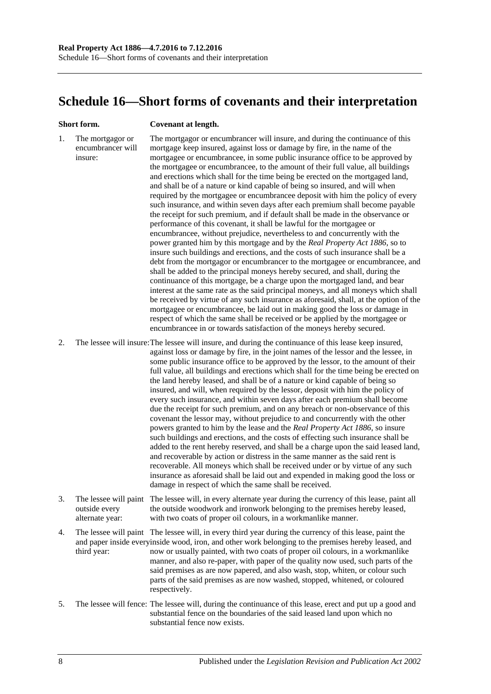# **Schedule 16—Short forms of covenants and their interpretation**

#### **Short form. Covenant at length.**

1. The mortgagor or encumbrancer will insure: The mortgagor or encumbrancer will insure, and during the continuance of this mortgage keep insured, against loss or damage by fire, in the name of the mortgagee or encumbrancee, in some public insurance office to be approved by the mortgagee or encumbrancee, to the amount of their full value, all buildings and erections which shall for the time being be erected on the mortgaged land, and shall be of a nature or kind capable of being so insured, and will when required by the mortgagee or encumbrancee deposit with him the policy of every such insurance, and within seven days after each premium shall become payable the receipt for such premium, and if default shall be made in the observance or performance of this covenant, it shall be lawful for the mortgagee or encumbrancee, without prejudice, nevertheless to and concurrently with the power granted him by this mortgage and by the *[Real Property Act](http://www.legislation.sa.gov.au/index.aspx?action=legref&type=act&legtitle=Real%20Property%20Act%201886) 1886*, so to insure such buildings and erections, and the costs of such insurance shall be a debt from the mortgagor or encumbrancer to the mortgagee or encumbrancee, and shall be added to the principal moneys hereby secured, and shall, during the continuance of this mortgage, be a charge upon the mortgaged land, and bear interest at the same rate as the said principal moneys, and all moneys which shall be received by virtue of any such insurance as aforesaid, shall, at the option of the mortgagee or encumbrancee, be laid out in making good the loss or damage in respect of which the same shall be received or be applied by the mortgagee or encumbrancee in or towards satisfaction of the moneys hereby secured.

2. The lessee will insure:The lessee will insure, and during the continuance of this lease keep insured, against loss or damage by fire, in the joint names of the lessor and the lessee, in some public insurance office to be approved by the lessor, to the amount of their full value, all buildings and erections which shall for the time being be erected on the land hereby leased, and shall be of a nature or kind capable of being so insured, and will, when required by the lessor, deposit with him the policy of every such insurance, and within seven days after each premium shall become due the receipt for such premium, and on any breach or non-observance of this covenant the lessor may, without prejudice to and concurrently with the other powers granted to him by the lease and the *[Real Property Act](http://www.legislation.sa.gov.au/index.aspx?action=legref&type=act&legtitle=Real%20Property%20Act%201886) 1886*, so insure such buildings and erections, and the costs of effecting such insurance shall be added to the rent hereby reserved, and shall be a charge upon the said leased land, and recoverable by action or distress in the same manner as the said rent is recoverable. All moneys which shall be received under or by virtue of any such insurance as aforesaid shall be laid out and expended in making good the loss or damage in respect of which the same shall be received.

- 3. The lessee will paint The lessee will, in every alternate year during the currency of this lease, paint all outside every alternate year: the outside woodwork and ironwork belonging to the premises hereby leased, with two coats of proper oil colours, in a workmanlike manner.
- 4. The lessee will paint The lessee will, in every third year during the currency of this lease, paint the and paper inside everyinside wood, iron, and other work belonging to the premises hereby leased, and third year: now or usually painted, with two coats of proper oil colours, in a workmanlike manner, and also re-paper, with paper of the quality now used, such parts of the said premises as are now papered, and also wash, stop, whiten, or colour such parts of the said premises as are now washed, stopped, whitened, or coloured respectively.
- 5. The lessee will fence: The lessee will, during the continuance of this lease, erect and put up a good and substantial fence on the boundaries of the said leased land upon which no substantial fence now exists.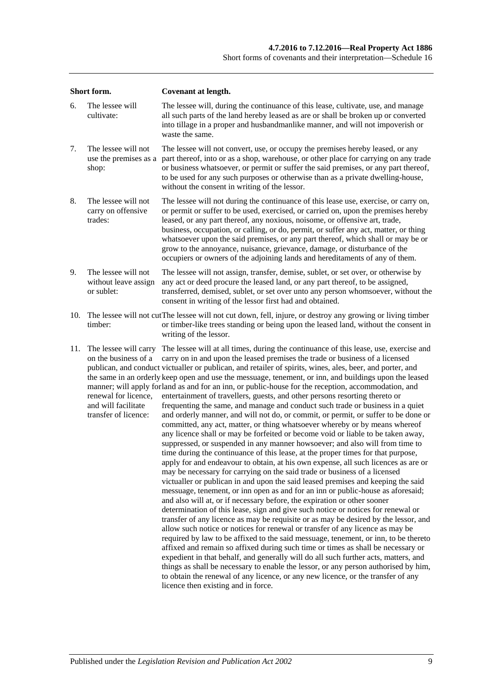| Short form. |                                                                                                                      | Covenant at length.                                                                                                                                                                                                                                                                                                                                                                                                                                                                                                                                                                                                                                                                                                                                                                                                                                                                                                                                                                                                                                                                                                                                                                                                                                                                                                                                                                                                                                                                                                                                                                                                                                                                                                                                                                                                                                                                                                                                                                                                                                                                                                                                                                                                                                                     |  |  |  |
|-------------|----------------------------------------------------------------------------------------------------------------------|-------------------------------------------------------------------------------------------------------------------------------------------------------------------------------------------------------------------------------------------------------------------------------------------------------------------------------------------------------------------------------------------------------------------------------------------------------------------------------------------------------------------------------------------------------------------------------------------------------------------------------------------------------------------------------------------------------------------------------------------------------------------------------------------------------------------------------------------------------------------------------------------------------------------------------------------------------------------------------------------------------------------------------------------------------------------------------------------------------------------------------------------------------------------------------------------------------------------------------------------------------------------------------------------------------------------------------------------------------------------------------------------------------------------------------------------------------------------------------------------------------------------------------------------------------------------------------------------------------------------------------------------------------------------------------------------------------------------------------------------------------------------------------------------------------------------------------------------------------------------------------------------------------------------------------------------------------------------------------------------------------------------------------------------------------------------------------------------------------------------------------------------------------------------------------------------------------------------------------------------------------------------------|--|--|--|
| 6.          | The lessee will<br>cultivate:                                                                                        | The lessee will, during the continuance of this lease, cultivate, use, and manage<br>all such parts of the land hereby leased as are or shall be broken up or converted<br>into tillage in a proper and husbandmanlike manner, and will not impoverish or<br>waste the same.                                                                                                                                                                                                                                                                                                                                                                                                                                                                                                                                                                                                                                                                                                                                                                                                                                                                                                                                                                                                                                                                                                                                                                                                                                                                                                                                                                                                                                                                                                                                                                                                                                                                                                                                                                                                                                                                                                                                                                                            |  |  |  |
| 7.          | The lessee will not<br>use the premises as a<br>shop:                                                                | The lessee will not convert, use, or occupy the premises hereby leased, or any<br>part thereof, into or as a shop, warehouse, or other place for carrying on any trade<br>or business whatsoever, or permit or suffer the said premises, or any part thereof,<br>to be used for any such purposes or otherwise than as a private dwelling-house,<br>without the consent in writing of the lessor.                                                                                                                                                                                                                                                                                                                                                                                                                                                                                                                                                                                                                                                                                                                                                                                                                                                                                                                                                                                                                                                                                                                                                                                                                                                                                                                                                                                                                                                                                                                                                                                                                                                                                                                                                                                                                                                                       |  |  |  |
| 8.          | The lessee will not<br>carry on offensive<br>trades:                                                                 | The lessee will not during the continuance of this lease use, exercise, or carry on,<br>or permit or suffer to be used, exercised, or carried on, upon the premises hereby<br>leased, or any part thereof, any noxious, noisome, or offensive art, trade,<br>business, occupation, or calling, or do, permit, or suffer any act, matter, or thing<br>whatsoever upon the said premises, or any part thereof, which shall or may be or<br>grow to the annoyance, nuisance, grievance, damage, or disturbance of the<br>occupiers or owners of the adjoining lands and hereditaments of any of them.                                                                                                                                                                                                                                                                                                                                                                                                                                                                                                                                                                                                                                                                                                                                                                                                                                                                                                                                                                                                                                                                                                                                                                                                                                                                                                                                                                                                                                                                                                                                                                                                                                                                      |  |  |  |
| 9.          | The lessee will not<br>without leave assign<br>or sublet:                                                            | The lessee will not assign, transfer, demise, sublet, or set over, or otherwise by<br>any act or deed procure the leased land, or any part thereof, to be assigned,<br>transferred, demised, sublet, or set over unto any person whomsoever, without the<br>consent in writing of the lessor first had and obtained.                                                                                                                                                                                                                                                                                                                                                                                                                                                                                                                                                                                                                                                                                                                                                                                                                                                                                                                                                                                                                                                                                                                                                                                                                                                                                                                                                                                                                                                                                                                                                                                                                                                                                                                                                                                                                                                                                                                                                    |  |  |  |
| 10.         | timber:                                                                                                              | The lessee will not cut The lessee will not cut down, fell, injure, or destroy any growing or living timber<br>or timber-like trees standing or being upon the leased land, without the consent in<br>writing of the lessor.                                                                                                                                                                                                                                                                                                                                                                                                                                                                                                                                                                                                                                                                                                                                                                                                                                                                                                                                                                                                                                                                                                                                                                                                                                                                                                                                                                                                                                                                                                                                                                                                                                                                                                                                                                                                                                                                                                                                                                                                                                            |  |  |  |
| 11.         | The lessee will carry<br>on the business of a<br>renewal for licence,<br>and will facilitate<br>transfer of licence: | The lessee will at all times, during the continuance of this lease, use, exercise and<br>carry on in and upon the leased premises the trade or business of a licensed<br>publican, and conduct victualler or publican, and retailer of spirits, wines, ales, beer, and porter, and<br>the same in an orderly keep open and use the messuage, tenement, or inn, and buildings upon the leased<br>manner; will apply forland as and for an inn, or public-house for the reception, accommodation, and<br>entertainment of travellers, guests, and other persons resorting thereto or<br>frequenting the same, and manage and conduct such trade or business in a quiet<br>and orderly manner, and will not do, or commit, or permit, or suffer to be done or<br>committed, any act, matter, or thing whatsoever whereby or by means whereof<br>any licence shall or may be forfeited or become void or liable to be taken away,<br>suppressed, or suspended in any manner howsoever; and also will from time to<br>time during the continuance of this lease, at the proper times for that purpose,<br>apply for and endeavour to obtain, at his own expense, all such licences as are or<br>may be necessary for carrying on the said trade or business of a licensed<br>victualler or publican in and upon the said leased premises and keeping the said<br>messuage, tenement, or inn open as and for an inn or public-house as aforesaid;<br>and also will at, or if necessary before, the expiration or other sooner<br>determination of this lease, sign and give such notice or notices for renewal or<br>transfer of any licence as may be requisite or as may be desired by the lessor, and<br>allow such notice or notices for renewal or transfer of any licence as may be<br>required by law to be affixed to the said messuage, tenement, or inn, to be thereto<br>affixed and remain so affixed during such time or times as shall be necessary or<br>expedient in that behalf, and generally will do all such further acts, matters, and<br>things as shall be necessary to enable the lessor, or any person authorised by him,<br>to obtain the renewal of any licence, or any new licence, or the transfer of any<br>licence then existing and in force. |  |  |  |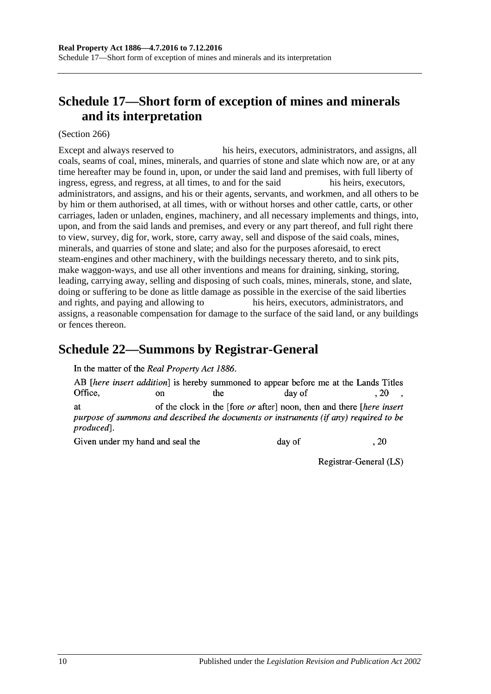# **Schedule 17—Short form of exception of mines and minerals and its interpretation**

(Section 266)

Except and always reserved to his heirs, executors, administrators, and assigns, all coals, seams of coal, mines, minerals, and quarries of stone and slate which now are, or at any time hereafter may be found in, upon, or under the said land and premises, with full liberty of ingress, egress, and regress, at all times, to and for the said his heirs, executors, administrators, and assigns, and his or their agents, servants, and workmen, and all others to be by him or them authorised, at all times, with or without horses and other cattle, carts, or other carriages, laden or unladen, engines, machinery, and all necessary implements and things, into, upon, and from the said lands and premises, and every or any part thereof, and full right there to view, survey, dig for, work, store, carry away, sell and dispose of the said coals, mines, minerals, and quarries of stone and slate; and also for the purposes aforesaid, to erect steam-engines and other machinery, with the buildings necessary thereto, and to sink pits, make waggon-ways, and use all other inventions and means for draining, sinking, storing, leading, carrying away, selling and disposing of such coals, mines, minerals, stone, and slate, doing or suffering to be done as little damage as possible in the exercise of the said liberties and rights, and paying and allowing to his heirs, executors, administrators, and assigns, a reasonable compensation for damage to the surface of the said land, or any buildings or fences thereon.

## **Schedule 22—Summons by Registrar-General**

In the matter of the Real Property Act 1886.

AB *[here insert addition]* is hereby summoned to appear before me at the Lands Titles Office. the  $.20$  $\alpha$ n day of of the clock in the [fore *or* after] noon, then and there *[here insert*] **at** purpose of summons and described the documents or instruments (if any) required to be produced].

Given under my hand and seal the

day of

Registrar-General (LS)

 $.20$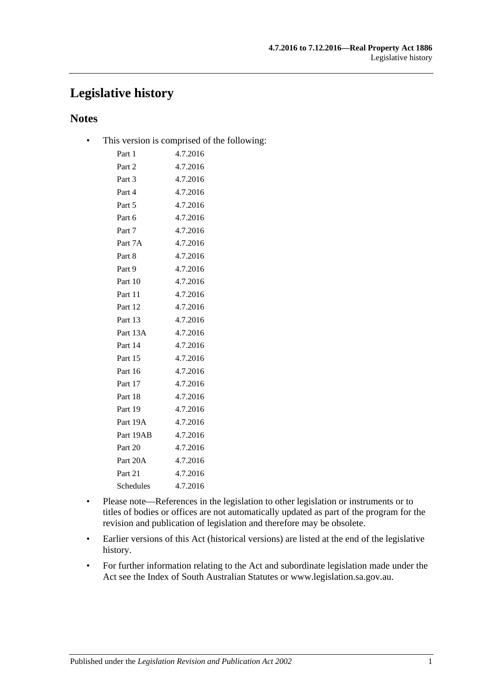# **Legislative history**

### **Notes**

• This version is comprised of the following:

| Part 1    | 4.7.2016 |
|-----------|----------|
| Part 2    | 4.7.2016 |
| Part 3    | 4.7.2016 |
| Part 4    | 4.7.2016 |
| Part 5    | 4.7.2016 |
| Part 6    | 4.7.2016 |
| Part 7    | 4.7.2016 |
| Part 7A   | 4.7.2016 |
| Part 8    | 4.7.2016 |
| Part 9    | 4.7.2016 |
| Part 10   | 4.7.2016 |
| Part 11   | 4.7.2016 |
| Part 12   | 4.7.2016 |
| Part 13   | 4.7.2016 |
| Part 13A  | 4.7.2016 |
| Part 14   | 4.7.2016 |
| Part 15   | 4.7.2016 |
| Part 16   | 4.7.2016 |
| Part 17   | 4.7.2016 |
| Part 18   | 4.7.2016 |
| Part 19   | 4.7.2016 |
| Part 19A  | 4.7.2016 |
| Part 19AB | 4.7.2016 |
| Part 20   | 4.7.2016 |
| Part 20A  | 4.7.2016 |
| Part 21   | 4.7.2016 |
| Schedules | 4.7.2016 |
|           |          |

- Please note—References in the legislation to other legislation or instruments or to titles of bodies or offices are not automatically updated as part of the program for the revision and publication of legislation and therefore may be obsolete.
- Earlier versions of this Act (historical versions) are listed at the end of the legislative history.
- For further information relating to the Act and subordinate legislation made under the Act see the Index of South Australian Statutes or www.legislation.sa.gov.au.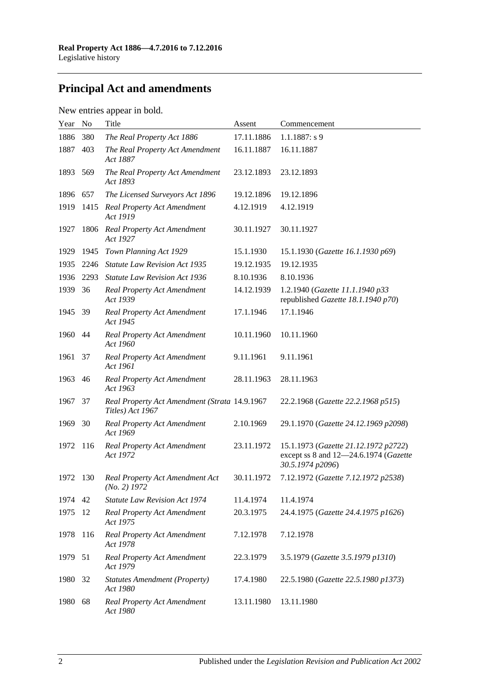# **Principal Act and amendments**

### New entries appear in bold.

| Year | N <sub>o</sub> | Title                                                             | Assent     | Commencement                                                                                      |
|------|----------------|-------------------------------------------------------------------|------------|---------------------------------------------------------------------------------------------------|
| 1886 | 380            | The Real Property Act 1886                                        | 17.11.1886 | $1.1.1887: s$ 9                                                                                   |
| 1887 | 403            | The Real Property Act Amendment<br>Act 1887                       | 16.11.1887 | 16.11.1887                                                                                        |
| 1893 | 569            | The Real Property Act Amendment<br>Act 1893                       | 23.12.1893 | 23.12.1893                                                                                        |
| 1896 | 657            | The Licensed Surveyors Act 1896                                   | 19.12.1896 | 19.12.1896                                                                                        |
| 1919 | 1415           | Real Property Act Amendment<br>Act 1919                           | 4.12.1919  | 4.12.1919                                                                                         |
| 1927 | 1806           | Real Property Act Amendment<br>Act 1927                           | 30.11.1927 | 30.11.1927                                                                                        |
| 1929 | 1945           | Town Planning Act 1929                                            | 15.1.1930  | 15.1.1930 (Gazette 16.1.1930 p69)                                                                 |
| 1935 | 2246           | <b>Statute Law Revision Act 1935</b>                              | 19.12.1935 | 19.12.1935                                                                                        |
| 1936 | 2293           | <b>Statute Law Revision Act 1936</b>                              | 8.10.1936  | 8.10.1936                                                                                         |
| 1939 | 36             | <b>Real Property Act Amendment</b><br>Act 1939                    | 14.12.1939 | 1.2.1940 (Gazette 11.1.1940 p33<br>republished Gazette 18.1.1940 p70)                             |
| 1945 | -39            | <b>Real Property Act Amendment</b><br>Act 1945                    | 17.1.1946  | 17.1.1946                                                                                         |
| 1960 | 44             | <b>Real Property Act Amendment</b><br>Act 1960                    | 10.11.1960 | 10.11.1960                                                                                        |
| 1961 | 37             | <b>Real Property Act Amendment</b><br>Act 1961                    | 9.11.1961  | 9.11.1961                                                                                         |
| 1963 | 46             | <b>Real Property Act Amendment</b><br>Act 1963                    | 28.11.1963 | 28.11.1963                                                                                        |
| 1967 | 37             | Real Property Act Amendment (Strata 14.9.1967<br>Titles) Act 1967 |            | 22.2.1968 (Gazette 22.2.1968 p515)                                                                |
| 1969 | 30             | <b>Real Property Act Amendment</b><br>Act 1969                    | 2.10.1969  | 29.1.1970 (Gazette 24.12.1969 p2098)                                                              |
| 1972 | 116            | <b>Real Property Act Amendment</b><br>Act 1972                    | 23.11.1972 | 15.1.1973 (Gazette 21.12.1972 p2722)<br>except ss 8 and 12-24.6.1974 (Gazette<br>30.5.1974 p2096) |
| 1972 | 130            | Real Property Act Amendment Act<br>$(No. 2)$ 1972                 | 30.11.1972 | 7.12.1972 (Gazette 7.12.1972 p2538)                                                               |
| 1974 | 42             | <b>Statute Law Revision Act 1974</b>                              | 11.4.1974  | 11.4.1974                                                                                         |
| 1975 | 12             | <b>Real Property Act Amendment</b><br>Act 1975                    | 20.3.1975  | 24.4.1975 (Gazette 24.4.1975 p1626)                                                               |
| 1978 | 116            | <b>Real Property Act Amendment</b><br>Act 1978                    | 7.12.1978  | 7.12.1978                                                                                         |
| 1979 | 51             | <b>Real Property Act Amendment</b><br>Act 1979                    | 22.3.1979  | 3.5.1979 (Gazette 3.5.1979 p1310)                                                                 |
| 1980 | 32             | <b>Statutes Amendment (Property)</b><br>Act 1980                  | 17.4.1980  | 22.5.1980 (Gazette 22.5.1980 p1373)                                                               |
| 1980 | 68             | <b>Real Property Act Amendment</b><br>Act 1980                    | 13.11.1980 | 13.11.1980                                                                                        |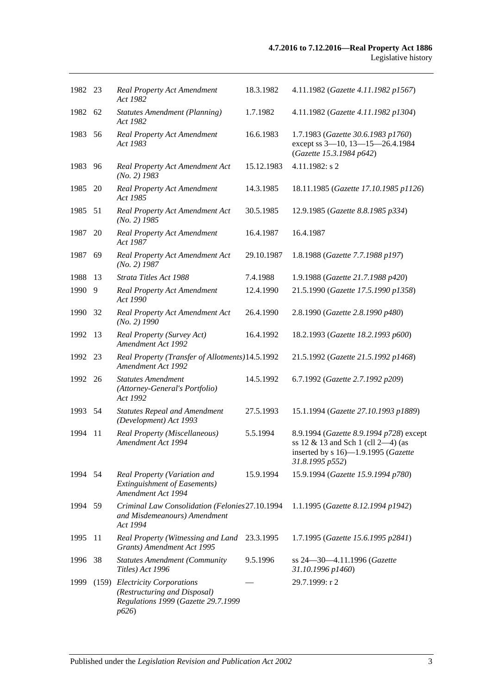| 1982 23 |      | <b>Real Property Act Amendment</b><br>Act 1982                                                                | 18.3.1982  | 4.11.1982 (Gazette 4.11.1982 p1567)                                                                                                                     |
|---------|------|---------------------------------------------------------------------------------------------------------------|------------|---------------------------------------------------------------------------------------------------------------------------------------------------------|
| 1982 62 |      | <b>Statutes Amendment (Planning)</b><br>Act 1982                                                              | 1.7.1982   | 4.11.1982 (Gazette 4.11.1982 p1304)                                                                                                                     |
| 1983    | 56   | Real Property Act Amendment<br>Act 1983                                                                       | 16.6.1983  | 1.7.1983 (Gazette 30.6.1983 p1760)<br>except ss 3-10, 13-15-26.4.1984<br>(Gazette 15.3.1984 p642)                                                       |
| 1983    | 96   | Real Property Act Amendment Act<br>$(No. 2)$ 1983                                                             | 15.12.1983 | 4.11.1982: s 2                                                                                                                                          |
| 1985    | 20   | <b>Real Property Act Amendment</b><br>Act 1985                                                                | 14.3.1985  | 18.11.1985 (Gazette 17.10.1985 p1126)                                                                                                                   |
| 1985    | - 51 | Real Property Act Amendment Act<br>$(No. 2)$ 1985                                                             | 30.5.1985  | 12.9.1985 (Gazette 8.8.1985 p334)                                                                                                                       |
| 1987    | 20   | <b>Real Property Act Amendment</b><br>Act 1987                                                                | 16.4.1987  | 16.4.1987                                                                                                                                               |
| 1987    | 69   | Real Property Act Amendment Act<br>$(No. 2)$ 1987                                                             | 29.10.1987 | 1.8.1988 (Gazette 7.7.1988 p197)                                                                                                                        |
| 1988    | 13   | Strata Titles Act 1988                                                                                        | 7.4.1988   | 1.9.1988 (Gazette 21.7.1988 p420)                                                                                                                       |
| 1990    | 9    | <b>Real Property Act Amendment</b><br>Act 1990                                                                | 12.4.1990  | 21.5.1990 (Gazette 17.5.1990 p1358)                                                                                                                     |
| 1990    | 32   | Real Property Act Amendment Act<br>$(No. 2)$ 1990                                                             | 26.4.1990  | 2.8.1990 (Gazette 2.8.1990 p480)                                                                                                                        |
| 1992    | 13   | Real Property (Survey Act)<br>Amendment Act 1992                                                              | 16.4.1992  | 18.2.1993 (Gazette 18.2.1993 p600)                                                                                                                      |
| 1992    | 23   | Real Property (Transfer of Allotments) 14.5.1992<br>Amendment Act 1992                                        |            | 21.5.1992 (Gazette 21.5.1992 p1468)                                                                                                                     |
| 1992 26 |      | <b>Statutes Amendment</b><br>(Attorney-General's Portfolio)<br>Act 1992                                       | 14.5.1992  | 6.7.1992 (Gazette 2.7.1992 p209)                                                                                                                        |
| 1993 54 |      | <b>Statutes Repeal and Amendment</b><br>(Development) Act 1993                                                | 27.5.1993  | 15.1.1994 (Gazette 27.10.1993 p1889)                                                                                                                    |
| 1994    | 11   | Real Property (Miscellaneous)<br>Amendment Act 1994                                                           | 5.5.1994   | 8.9.1994 (Gazette 8.9.1994 p728) except<br>ss 12 $\&$ 13 and Sch 1 (cll 2-4) (as<br>inserted by s $16$ — $1.9.1995$ ( <i>Gazette</i><br>31.8.1995 p552) |
| 1994    | 54   | Real Property (Variation and<br><b>Extinguishment of Easements)</b><br>Amendment Act 1994                     | 15.9.1994  | 15.9.1994 (Gazette 15.9.1994 p780)                                                                                                                      |
| 1994 59 |      | Criminal Law Consolidation (Felonies 27.10.1994<br>and Misdemeanours) Amendment<br>Act 1994                   |            | 1.1.1995 (Gazette 8.12.1994 p1942)                                                                                                                      |
| 1995    | 11   | Real Property (Witnessing and Land<br>Grants) Amendment Act 1995                                              | 23.3.1995  | 1.7.1995 (Gazette 15.6.1995 p2841)                                                                                                                      |
| 1996    | 38   | <b>Statutes Amendment (Community</b><br>Titles) Act 1996                                                      | 9.5.1996   | ss 24-30-4.11.1996 (Gazette<br>31.10.1996 p1460)                                                                                                        |
| 1999    |      | (159) Electricity Corporations<br>(Restructuring and Disposal)<br>Regulations 1999 (Gazette 29.7.1999<br>p626 |            | 29.7.1999: r 2                                                                                                                                          |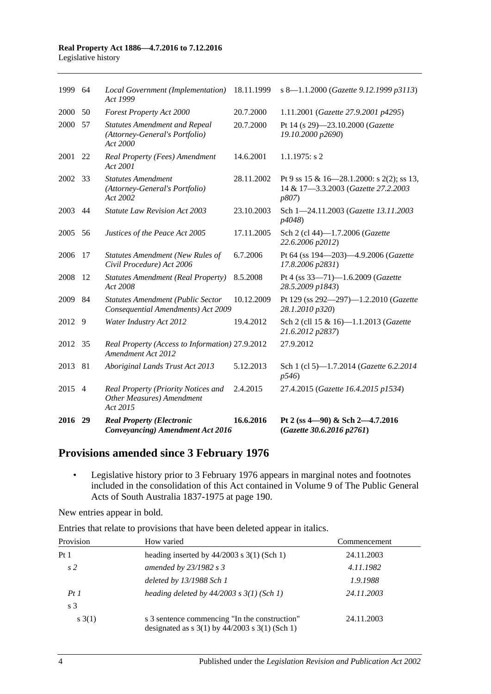# **Real Property Act 1886—4.7.2016 to 7.12.2016**

| Legislative history |  |
|---------------------|--|
|---------------------|--|

| 1999    | 64             | Local Government (Implementation)<br>Act 1999                                      | 18.11.1999 | s 8-1.1.2000 (Gazette 9.12.1999 p3113)                                                    |
|---------|----------------|------------------------------------------------------------------------------------|------------|-------------------------------------------------------------------------------------------|
| 2000    | 50             | <b>Forest Property Act 2000</b>                                                    | 20.7.2000  | 1.11.2001 (Gazette 27.9.2001 p4295)                                                       |
| 2000    | 57             | <b>Statutes Amendment and Repeal</b><br>(Attorney-General's Portfolio)<br>Act 2000 | 20.7.2000  | Pt 14 (s 29)-23.10.2000 (Gazette<br>19.10.2000 p2690)                                     |
| 2001    | 22             | Real Property (Fees) Amendment<br>Act 2001                                         | 14.6.2001  | $1.1.1975$ : s 2                                                                          |
| 2002 33 |                | <b>Statutes Amendment</b><br>(Attorney-General's Portfolio)<br>Act 2002            | 28.11.2002 | Pt 9 ss 15 & 16-28.1.2000: s 2(2); ss 13,<br>14 & 17-3.3.2003 (Gazette 27.2.2003<br>p807) |
| 2003    | 44             | <b>Statute Law Revision Act 2003</b>                                               | 23.10.2003 | Sch 1-24.11.2003 (Gazette 13.11.2003<br>p4048)                                            |
| 2005    | 56             | Justices of the Peace Act 2005                                                     | 17.11.2005 | Sch 2 (cl 44)-1.7.2006 (Gazette<br>22.6.2006 p2012)                                       |
| 2006    | 17             | <b>Statutes Amendment (New Rules of</b><br>Civil Procedure) Act 2006               | 6.7.2006   | Pt 64 (ss 194-203)-4.9.2006 (Gazette<br>17.8.2006 p2831)                                  |
| 2008    | 12             | <b>Statutes Amendment (Real Property)</b><br>Act 2008                              | 8.5.2008   | Pt 4 (ss 33-71)-1.6.2009 (Gazette<br>28.5.2009 p1843)                                     |
| 2009    | 84             | <b>Statutes Amendment (Public Sector</b><br>Consequential Amendments) Act 2009     | 10.12.2009 | Pt 129 (ss 292-297)-1.2.2010 (Gazette<br>28.1.2010 p320)                                  |
| 2012    | 9              | Water Industry Act 2012                                                            | 19.4.2012  | Sch 2 (cll 15 & 16)-1.1.2013 (Gazette<br>21.6.2012 p2837)                                 |
| 2012    | 35             | Real Property (Access to Information) 27.9.2012<br>Amendment Act 2012              |            | 27.9.2012                                                                                 |
| 2013    | 81             | Aboriginal Lands Trust Act 2013                                                    | 5.12.2013  | Sch 1 (cl 5)-1.7.2014 (Gazette 6.2.2014<br>p546                                           |
| 2015    | $\overline{4}$ | Real Property (Priority Notices and<br>Other Measures) Amendment<br>Act 2015       | 2.4.2015   | 27.4.2015 (Gazette 16.4.2015 p1534)                                                       |
| 2016    | 29             | <b>Real Property (Electronic</b><br><b>Conveyancing)</b> Amendment Act 2016        | 16.6.2016  | Pt 2 (ss 4-90) & Sch 2-4.7.2016<br>(Gazette 30.6.2016 p2761)                              |

### **Provisions amended since 3 February 1976**

• Legislative history prior to 3 February 1976 appears in marginal notes and footnotes included in the consolidation of this Act contained in Volume 9 of The Public General Acts of South Australia 1837-1975 at page 190.

New entries appear in bold.

Entries that relate to provisions that have been deleted appear in italics.

| Provision       | How varied                                                                                                                           | Commencement |
|-----------------|--------------------------------------------------------------------------------------------------------------------------------------|--------------|
| Pt <sub>1</sub> | heading inserted by $44/2003$ s 3(1) (Sch 1)                                                                                         | 24.11.2003   |
| s <sub>2</sub>  | amended by $23/1982$ s 3                                                                                                             | 4.11.1982    |
|                 | deleted by 13/1988 Sch 1                                                                                                             | 1.9.1988     |
| PtI             | heading deleted by $44/2003$ s $3(1)$ (Sch 1)                                                                                        | 24.11.2003   |
| s <sub>3</sub>  |                                                                                                                                      |              |
| s(3(1))         | s 3 sentence commencing "In the construction"<br>designated as $s \frac{3(1)}{y} \frac{44}{2003} \frac{s \frac{3(1)}{5}}{h}$ (Sch 1) | 24.11.2003   |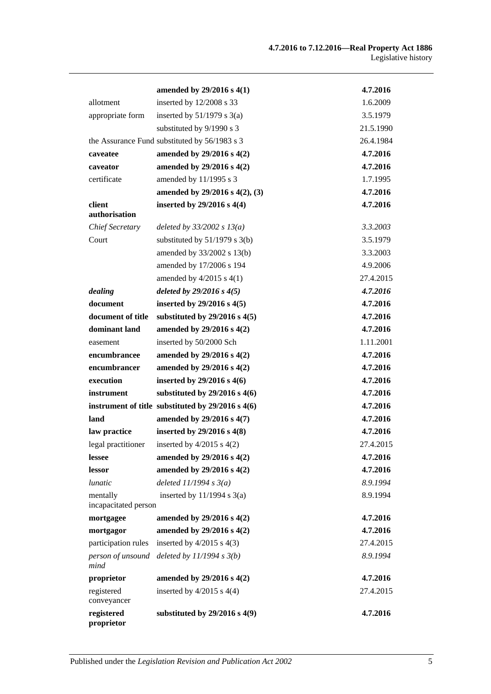|                           | amended by $29/2016$ s $4(1)$                                  | 4.7.2016             |
|---------------------------|----------------------------------------------------------------|----------------------|
| allotment                 | inserted by 12/2008 s 33                                       | 1.6.2009             |
| appropriate form          | inserted by $51/1979$ s 3(a)                                   | 3.5.1979             |
|                           | substituted by 9/1990 s 3                                      | 21.5.1990            |
|                           | the Assurance Fund substituted by 56/1983 s 3                  | 26.4.1984            |
| caveatee                  | amended by 29/2016 s 4(2)                                      | 4.7.2016             |
| caveator                  | amended by 29/2016 s 4(2)                                      | 4.7.2016             |
| certificate               | amended by 11/1995 s 3                                         | 1.7.1995             |
|                           | amended by 29/2016 s 4(2), (3)                                 | 4.7.2016             |
| client                    | inserted by $29/2016$ s $4(4)$                                 | 4.7.2016             |
| authorisation             |                                                                |                      |
| <b>Chief Secretary</b>    | deleted by $33/2002 s 13(a)$                                   | 3.3.2003             |
| Court                     | substituted by $51/1979$ s 3(b)                                | 3.5.1979             |
|                           | amended by 33/2002 s 13(b)                                     | 3.3.2003<br>4.9.2006 |
|                           | amended by 17/2006 s 194                                       | 27.4.2015            |
|                           | amended by $4/2015$ s $4(1)$                                   | 4.7.2016             |
| dealing<br>document       | deleted by $29/2016 s 4(5)$<br>inserted by $29/2016$ s $4(5)$  | 4.7.2016             |
| document of title         |                                                                | 4.7.2016             |
| dominant land             | substituted by $29/2016$ s $4(5)$<br>amended by 29/2016 s 4(2) | 4.7.2016             |
| easement                  | inserted by 50/2000 Sch                                        | 1.11.2001            |
| encumbrancee              | amended by 29/2016 s 4(2)                                      | 4.7.2016             |
| encumbrancer              | amended by 29/2016 s 4(2)                                      | 4.7.2016             |
| execution                 | inserted by $29/2016$ s $4(6)$                                 | 4.7.2016             |
| instrument                | substituted by $29/2016$ s $4(6)$                              | 4.7.2016             |
|                           | instrument of title substituted by $29/2016$ s $4(6)$          | 4.7.2016             |
| land                      | amended by 29/2016 s 4(7)                                      | 4.7.2016             |
| law practice              | inserted by 29/2016 s 4(8)                                     | 4.7.2016             |
| legal practitioner        | inserted by $4/2015$ s $4(2)$                                  | 27.4.2015            |
| lessee                    | amended by 29/2016 s 4(2)                                      | 4.7.2016             |
| lessor                    | amended by 29/2016 s 4(2)                                      | 4.7.2016             |
| <i>lunatic</i>            | deleted $11/1994 s3(a)$                                        | 8.9.1994             |
| mentally                  | inserted by $11/1994$ s $3(a)$                                 | 8.9.1994             |
| incapacitated person      |                                                                |                      |
| mortgagee                 | amended by $29/2016$ s $4(2)$                                  | 4.7.2016             |
| mortgagor                 | amended by 29/2016 s 4(2)                                      | 4.7.2016             |
| participation rules       | inserted by $4/2015$ s $4(3)$                                  | 27.4.2015            |
| person of unsound<br>mind | deleted by $11/1994 s 3(b)$                                    | 8.9.1994             |
| proprietor                | amended by 29/2016 s 4(2)                                      | 4.7.2016             |
| registered<br>conveyancer | inserted by $4/2015$ s $4(4)$                                  | 27.4.2015            |
| registered<br>proprietor  | substituted by $29/2016$ s $4(9)$                              | 4.7.2016             |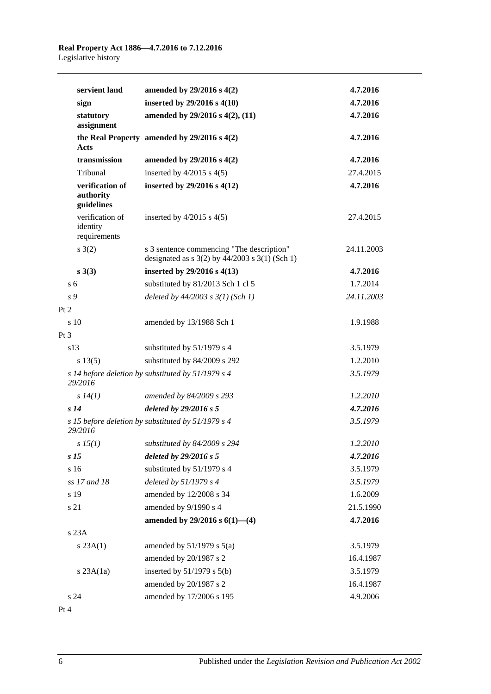| servient land                               | amended by 29/2016 s 4(2)                                                                       | 4.7.2016   |
|---------------------------------------------|-------------------------------------------------------------------------------------------------|------------|
| sign                                        | inserted by $29/2016$ s $4(10)$                                                                 | 4.7.2016   |
| statutory                                   | amended by 29/2016 s 4(2), (11)                                                                 | 4.7.2016   |
| assignment                                  |                                                                                                 |            |
| Acts                                        | the Real Property amended by $29/2016$ s $4(2)$                                                 | 4.7.2016   |
| transmission                                | amended by 29/2016 s 4(2)                                                                       | 4.7.2016   |
| Tribunal                                    | inserted by $4/2015$ s $4(5)$                                                                   | 27.4.2015  |
| verification of<br>authority<br>guidelines  | inserted by $29/2016$ s $4(12)$                                                                 | 4.7.2016   |
| verification of<br>identity<br>requirements | inserted by $4/2015$ s $4(5)$                                                                   | 27.4.2015  |
| $s \; 3(2)$                                 | s 3 sentence commencing "The description"<br>designated as $s$ 3(2) by 44/2003 $s$ 3(1) (Sch 1) | 24.11.2003 |
| $s \; 3(3)$                                 | inserted by 29/2016 s 4(13)                                                                     | 4.7.2016   |
| s <sub>6</sub>                              | substituted by 81/2013 Sch 1 cl 5                                                               | 1.7.2014   |
| s 9                                         | deleted by $44/2003$ s $3(1)$ (Sch 1)                                                           | 24.11.2003 |
| Pt 2                                        |                                                                                                 |            |
| s 10                                        | amended by 13/1988 Sch 1                                                                        | 1.9.1988   |
| Pt 3                                        |                                                                                                 |            |
| s13                                         | substituted by 51/1979 s 4                                                                      | 3.5.1979   |
| s 13(5)                                     | substituted by 84/2009 s 292                                                                    | 1.2.2010   |
| 29/2016                                     | s 14 before deletion by substituted by 51/1979 s 4                                              | 3.5.1979   |
| $s\,I4(1)$                                  | amended by 84/2009 s 293                                                                        | 1.2.2010   |
| s <sub>14</sub>                             | deleted by 29/2016 s 5                                                                          | 4.7.2016   |
| 29/2016                                     | s 15 before deletion by substituted by 51/1979 s 4                                              | 3.5.1979   |
| s 15(1)                                     | substituted by 84/2009 s 294                                                                    | 1.2.2010   |
| s <sub>15</sub>                             | deleted by 29/2016 s 5                                                                          | 4.7.2016   |
| s 16                                        | substituted by 51/1979 s 4                                                                      | 3.5.1979   |
| ss 17 and 18                                | deleted by $51/1979 s 4$                                                                        | 3.5.1979   |
| s 19                                        | amended by 12/2008 s 34                                                                         | 1.6.2009   |
| s 21                                        | amended by 9/1990 s 4                                                                           | 21.5.1990  |
|                                             | amended by $29/2016$ s $6(1)$ —(4)                                                              | 4.7.2016   |
| s 23A                                       |                                                                                                 |            |
| s 23A(1)                                    | amended by $51/1979$ s $5(a)$                                                                   | 3.5.1979   |
|                                             | amended by 20/1987 s 2                                                                          | 16.4.1987  |
| $s$ 23A $(1a)$                              | inserted by $51/1979$ s $5(b)$                                                                  | 3.5.1979   |
|                                             | amended by 20/1987 s 2                                                                          | 16.4.1987  |
| s24                                         | amended by 17/2006 s 195                                                                        | 4.9.2006   |
| Pt 4                                        |                                                                                                 |            |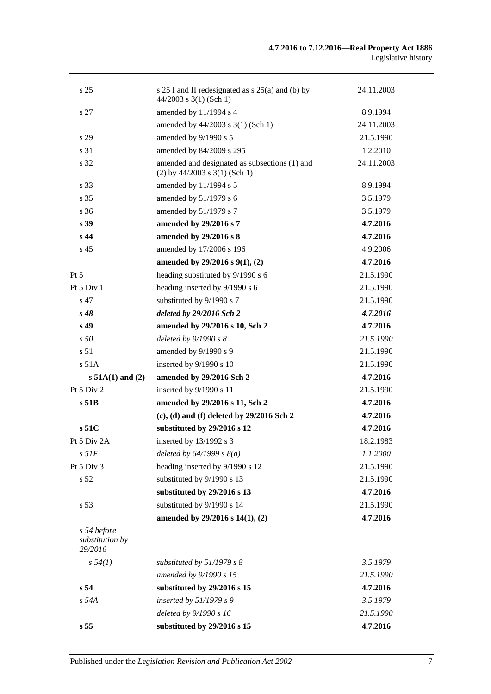| s <sub>25</sub>                           | s 25 I and II redesignated as s 25(a) and (b) by<br>$44/2003$ s 3(1) (Sch 1)     | 24.11.2003 |
|-------------------------------------------|----------------------------------------------------------------------------------|------------|
| s 27                                      | amended by 11/1994 s 4                                                           | 8.9.1994   |
|                                           | amended by 44/2003 s 3(1) (Sch 1)                                                | 24.11.2003 |
| s 29                                      | amended by 9/1990 s 5                                                            | 21.5.1990  |
| s 31                                      | amended by 84/2009 s 295                                                         | 1.2.2010   |
| s 32                                      | amended and designated as subsections (1) and<br>$(2)$ by 44/2003 s 3(1) (Sch 1) | 24.11.2003 |
| s 33                                      | amended by 11/1994 s 5                                                           | 8.9.1994   |
| s <sub>35</sub>                           | amended by 51/1979 s 6                                                           | 3.5.1979   |
| s <sub>36</sub>                           | amended by 51/1979 s 7                                                           | 3.5.1979   |
| s <sub>39</sub>                           | amended by 29/2016 s 7                                                           | 4.7.2016   |
| s <sub>44</sub>                           | amended by 29/2016 s 8                                                           | 4.7.2016   |
| s <sub>45</sub>                           | amended by 17/2006 s 196                                                         | 4.9.2006   |
|                                           | amended by 29/2016 s 9(1), (2)                                                   | 4.7.2016   |
| $Pt\,5$                                   | heading substituted by 9/1990 s 6                                                | 21.5.1990  |
| Pt 5 Div 1                                | heading inserted by 9/1990 s 6                                                   | 21.5.1990  |
| s 47                                      | substituted by 9/1990 s 7                                                        | 21.5.1990  |
| $s\,48$                                   | deleted by 29/2016 Sch 2                                                         | 4.7.2016   |
| s <sub>49</sub>                           | amended by 29/2016 s 10, Sch 2                                                   | 4.7.2016   |
| s50                                       | deleted by $9/1990 s 8$                                                          | 21.5.1990  |
| s 51                                      | amended by 9/1990 s 9                                                            | 21.5.1990  |
| s 51A                                     | inserted by 9/1990 s 10                                                          | 21.5.1990  |
| $s 51A(1)$ and (2)                        | amended by 29/2016 Sch 2                                                         | 4.7.2016   |
| Pt 5 Div 2                                | inserted by 9/1990 s 11                                                          | 21.5.1990  |
| s <sub>51B</sub>                          | amended by 29/2016 s 11, Sch 2                                                   | 4.7.2016   |
|                                           | $(c)$ , (d) and (f) deleted by 29/2016 Sch 2                                     | 4.7.2016   |
| s51C                                      | substituted by 29/2016 s 12                                                      | 4.7.2016   |
| Pt 5 Div 2A                               | inserted by 13/1992 s 3                                                          | 18.2.1983  |
| $s\,51F$                                  | deleted by $64/1999 s 8(a)$                                                      | 1.1.2000   |
| Pt 5 Div 3                                | heading inserted by 9/1990 s 12                                                  | 21.5.1990  |
| s 52                                      | substituted by 9/1990 s 13                                                       | 21.5.1990  |
|                                           | substituted by 29/2016 s 13                                                      | 4.7.2016   |
| s 53                                      | substituted by 9/1990 s 14                                                       | 21.5.1990  |
|                                           | amended by 29/2016 s 14(1), (2)                                                  | 4.7.2016   |
| s 54 before<br>substitution by<br>29/2016 |                                                                                  |            |
| s 54(1)                                   | substituted by $51/1979$ s 8                                                     | 3.5.1979   |
|                                           | amended by 9/1990 s 15                                                           | 21.5.1990  |
| s 54                                      | substituted by 29/2016 s 15                                                      | 4.7.2016   |
| $s$ 54 $A$                                | inserted by $51/1979 s 9$                                                        | 3.5.1979   |
|                                           | deleted by 9/1990 s 16                                                           | 21.5.1990  |
| s <sub>55</sub>                           | substituted by 29/2016 s 15                                                      | 4.7.2016   |
|                                           |                                                                                  |            |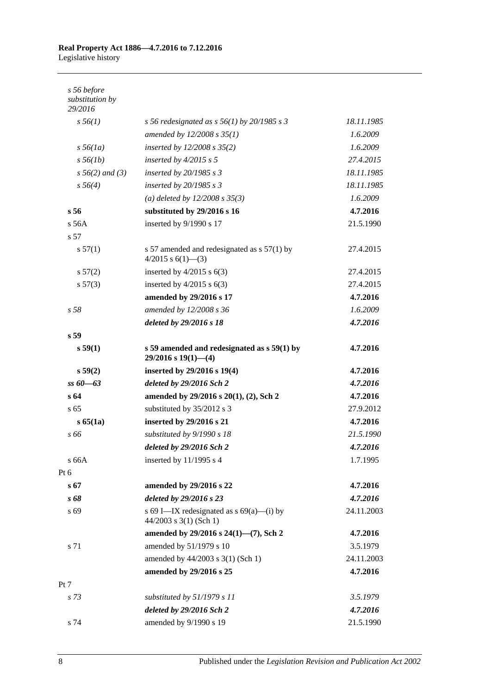| s 56 redesignated as s $56(1)$ by 20/1985 s 3                              | 18.11.1985 |
|----------------------------------------------------------------------------|------------|
| amended by 12/2008 s 35(1)                                                 | 1.6.2009   |
| inserted by $12/2008 s 35(2)$                                              | 1.6.2009   |
| inserted by $4/2015$ s 5                                                   | 27.4.2015  |
| inserted by $20/1985 s3$                                                   | 18.11.1985 |
| inserted by $20/1985 s 3$                                                  | 18.11.1985 |
| (a) deleted by $12/2008 s 35(3)$                                           | 1.6.2009   |
| substituted by 29/2016 s 16                                                | 4.7.2016   |
| inserted by 9/1990 s 17                                                    | 21.5.1990  |
|                                                                            |            |
| s 57 amended and redesignated as $s$ 57(1) by<br>4/2015 s $6(1)$ -(3)      | 27.4.2015  |
| inserted by $4/2015$ s $6(3)$                                              | 27.4.2015  |
| inserted by $4/2015$ s $6(3)$                                              | 27.4.2015  |
| amended by 29/2016 s 17                                                    | 4.7.2016   |
| amended by 12/2008 s 36                                                    | 1.6.2009   |
| deleted by 29/2016 s 18                                                    | 4.7.2016   |
|                                                                            |            |
| s 59 amended and redesignated as $s$ 59(1) by<br>$29/2016$ s $19(1)$ - (4) | 4.7.2016   |
| inserted by 29/2016 s 19(4)                                                | 4.7.2016   |
| deleted by 29/2016 Sch 2                                                   | 4.7.2016   |
| amended by 29/2016 s 20(1), (2), Sch 2                                     | 4.7.2016   |
| substituted by 35/2012 s 3                                                 | 27.9.2012  |
| inserted by 29/2016 s 21                                                   | 4.7.2016   |
| substituted by 9/1990 s 18                                                 | 21.5.1990  |
| deleted by 29/2016 Sch 2                                                   | 4.7.2016   |
| inserted by $11/1995$ s 4                                                  | 1.7.1995   |
|                                                                            |            |
| amended by 29/2016 s 22                                                    | 4.7.2016   |
| deleted by 29/2016 s 23                                                    | 4.7.2016   |
| s 69 I—IX redesignated as $s$ 69(a)—(i) by<br>44/2003 s 3(1) (Sch 1)       | 24.11.2003 |
| amended by 29/2016 s 24(1)-(7), Sch 2                                      | 4.7.2016   |
| amended by 51/1979 s 10                                                    | 3.5.1979   |
| amended by 44/2003 s 3(1) (Sch 1)                                          | 24.11.2003 |
| amended by 29/2016 s 25                                                    | 4.7.2016   |
|                                                                            |            |
| substituted by 51/1979 s 11                                                | 3.5.1979   |
| deleted by 29/2016 Sch 2                                                   | 4.7.2016   |
| amended by 9/1990 s 19                                                     | 21.5.1990  |
|                                                                            |            |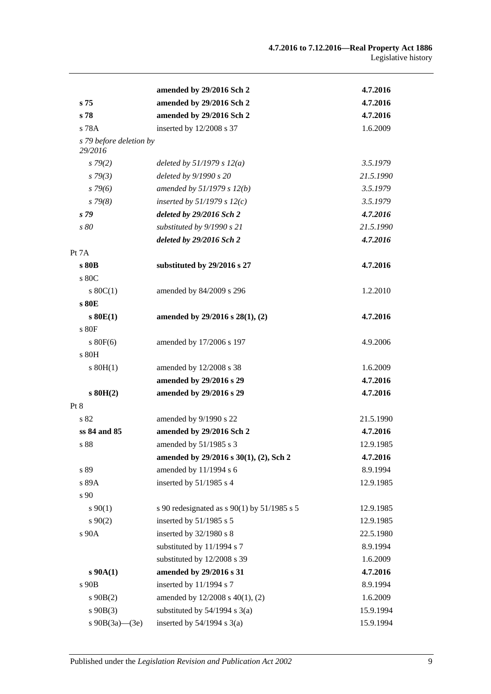|                                    | amended by 29/2016 Sch 2                      | 4.7.2016  |
|------------------------------------|-----------------------------------------------|-----------|
| s <sub>75</sub>                    | amended by 29/2016 Sch 2                      | 4.7.2016  |
| s <sub>78</sub>                    | amended by 29/2016 Sch 2                      | 4.7.2016  |
| s 78A                              | inserted by 12/2008 s 37                      | 1.6.2009  |
| s 79 before deletion by<br>29/2016 |                                               |           |
| s79(2)                             | deleted by $51/1979 s 12(a)$                  | 3.5.1979  |
| $s\,79(3)$                         | deleted by 9/1990 s 20                        | 21.5.1990 |
| $s\,79(6)$                         | amended by 51/1979 s 12(b)                    | 3.5.1979  |
| $s\,79(8)$                         | inserted by $51/1979$ s $12(c)$               | 3.5.1979  |
| s <sub>79</sub>                    | deleted by 29/2016 Sch 2                      | 4.7.2016  |
| s 80                               | substituted by 9/1990 s 21                    | 21.5.1990 |
|                                    | deleted by 29/2016 Sch 2                      | 4.7.2016  |
| Pt 7A                              |                                               |           |
| s 80B                              | substituted by 29/2016 s 27                   | 4.7.2016  |
| s 80C                              |                                               |           |
| $s \ 80C(1)$                       | amended by 84/2009 s 296                      | 1.2.2010  |
| s 80E                              |                                               |           |
| $s$ 80 $E(1)$                      | amended by 29/2016 s 28(1), (2)               | 4.7.2016  |
| s 80F                              |                                               |           |
| $s\ 80F(6)$                        | amended by 17/2006 s 197                      | 4.9.2006  |
| s 80H                              |                                               |           |
| $s$ 80H(1)                         | amended by 12/2008 s 38                       | 1.6.2009  |
|                                    | amended by 29/2016 s 29                       | 4.7.2016  |
| $s$ 80H(2)                         | amended by 29/2016 s 29                       | 4.7.2016  |
| Pt 8                               |                                               |           |
| s 82                               | amended by 9/1990 s 22                        | 21.5.1990 |
| ss 84 and 85                       | amended by 29/2016 Sch 2                      | 4.7.2016  |
| s 88                               | amended by 51/1985 s 3                        | 12.9.1985 |
|                                    | amended by 29/2016 s 30(1), (2), Sch 2        | 4.7.2016  |
| s 89                               | amended by 11/1994 s 6                        | 8.9.1994  |
| s 89A                              | inserted by 51/1985 s 4                       | 12.9.1985 |
| s 90                               |                                               |           |
| $s\,90(1)$                         | s 90 redesignated as $s$ 90(1) by 51/1985 s 5 | 12.9.1985 |
| $s\,90(2)$                         | inserted by 51/1985 s 5                       | 12.9.1985 |
| s 90A                              | inserted by 32/1980 s 8                       | 22.5.1980 |
|                                    | substituted by 11/1994 s 7                    | 8.9.1994  |
|                                    | substituted by 12/2008 s 39                   | 1.6.2009  |
| $s$ 90A(1)                         | amended by 29/2016 s 31                       | 4.7.2016  |
| s 90B                              | inserted by 11/1994 s 7                       | 8.9.1994  |
| $s\ 90B(2)$                        | amended by $12/2008$ s $40(1)$ , (2)          | 1.6.2009  |
| $s\ 90B(3)$                        | substituted by $54/1994$ s $3(a)$             | 15.9.1994 |
| s $90B(3a)$ — $(3e)$               | inserted by $54/1994$ s $3(a)$                | 15.9.1994 |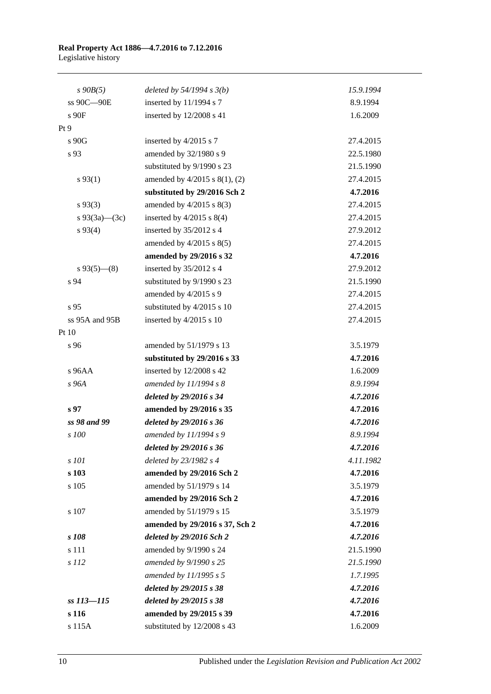| $s$ 90 $B(5)$   | deleted by $54/1994 s 3(b)$    | 15.9.1994 |
|-----------------|--------------------------------|-----------|
| ss 90C-90E      | inserted by 11/1994 s 7        | 8.9.1994  |
| s 90F           | inserted by 12/2008 s 41       | 1.6.2009  |
| Pt 9            |                                |           |
| s 90G           | inserted by 4/2015 s 7         | 27.4.2015 |
| s 93            | amended by 32/1980 s 9         | 22.5.1980 |
|                 | substituted by 9/1990 s 23     | 21.5.1990 |
| $s\,93(1)$      | amended by 4/2015 s 8(1), (2)  | 27.4.2015 |
|                 | substituted by 29/2016 Sch 2   | 4.7.2016  |
| $s\,93(3)$      | amended by $4/2015$ s $8(3)$   | 27.4.2015 |
| s 93(3a)—(3c)   | inserted by $4/2015$ s $8(4)$  | 27.4.2015 |
| $s\,93(4)$      | inserted by 35/2012 s 4        | 27.9.2012 |
|                 | amended by $4/2015$ s $8(5)$   | 27.4.2015 |
|                 | amended by 29/2016 s 32        | 4.7.2016  |
| $s\,93(5)$ (8)  | inserted by 35/2012 s 4        | 27.9.2012 |
| s 94            | substituted by 9/1990 s 23     | 21.5.1990 |
|                 | amended by 4/2015 s 9          | 27.4.2015 |
| s 95            | substituted by 4/2015 s 10     | 27.4.2015 |
| ss 95A and 95B  | inserted by 4/2015 s 10        | 27.4.2015 |
| Pt 10           |                                |           |
| s 96            | amended by 51/1979 s 13        | 3.5.1979  |
|                 | substituted by 29/2016 s 33    | 4.7.2016  |
| $s$ 96AA        | inserted by 12/2008 s 42       | 1.6.2009  |
| s 96A           | amended by 11/1994 s 8         | 8.9.1994  |
|                 | deleted by 29/2016 s 34        | 4.7.2016  |
| s <sub>97</sub> | amended by 29/2016 s 35        | 4.7.2016  |
| ss 98 and 99    | deleted by 29/2016 s 36        | 4.7.2016  |
| s 100           | amended by 11/1994 s 9         | 8.9.1994  |
|                 | deleted by 29/2016 s 36        | 4.7.2016  |
| s 101           | deleted by 23/1982 s 4         | 4.11.1982 |
| s 103           | amended by 29/2016 Sch 2       | 4.7.2016  |
| s 105           | amended by 51/1979 s 14        | 3.5.1979  |
|                 | amended by 29/2016 Sch 2       | 4.7.2016  |
| s 107           | amended by 51/1979 s 15        | 3.5.1979  |
|                 | amended by 29/2016 s 37, Sch 2 | 4.7.2016  |
| s 108           | deleted by 29/2016 Sch 2       | 4.7.2016  |
| s 111           | amended by 9/1990 s 24         | 21.5.1990 |
| s 112           | amended by 9/1990 s 25         | 21.5.1990 |
|                 | amended by 11/1995 s 5         | 1.7.1995  |
|                 | deleted by 29/2015 s 38        | 4.7.2016  |
| ss 113-115      | deleted by 29/2015 s 38        | 4.7.2016  |
| s 116           | amended by 29/2015 s 39        | 4.7.2016  |
| s 115A          | substituted by 12/2008 s 43    | 1.6.2009  |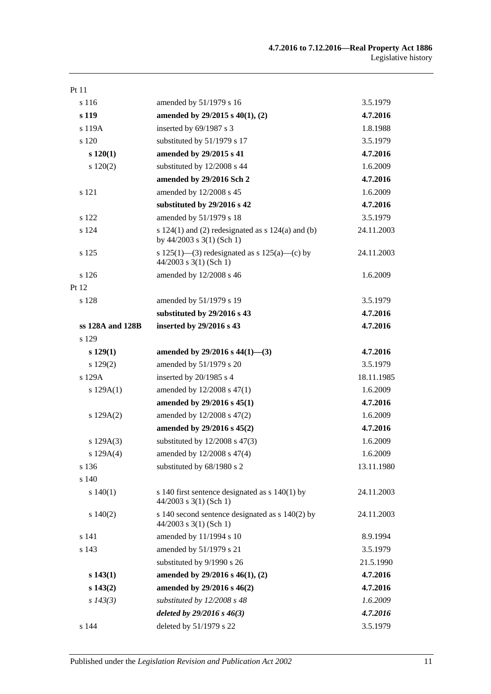| Pt 11            |                                                                                      |            |
|------------------|--------------------------------------------------------------------------------------|------------|
| s 116            | amended by 51/1979 s 16                                                              | 3.5.1979   |
| s 119            | amended by $29/2015$ s $40(1)$ , (2)                                                 | 4.7.2016   |
| s 119A           | inserted by 69/1987 s 3                                                              | 1.8.1988   |
| s 120            | substituted by 51/1979 s 17                                                          | 3.5.1979   |
| $s\ 120(1)$      | amended by 29/2015 s 41                                                              | 4.7.2016   |
| 120(2)           | substituted by 12/2008 s 44                                                          | 1.6.2009   |
|                  | amended by 29/2016 Sch 2                                                             | 4.7.2016   |
| s 121            | amended by 12/2008 s 45                                                              | 1.6.2009   |
|                  | substituted by 29/2016 s 42                                                          | 4.7.2016   |
| s 122            | amended by 51/1979 s 18                                                              | 3.5.1979   |
| s 124            | s $124(1)$ and (2) redesignated as s $124(a)$ and (b)<br>by $44/2003$ s 3(1) (Sch 1) | 24.11.2003 |
| s 125            | s 125(1)—(3) redesignated as s 125(a)—(c) by<br>$44/2003$ s 3(1) (Sch 1)             | 24.11.2003 |
| s 126            | amended by 12/2008 s 46                                                              | 1.6.2009   |
| Pt 12            |                                                                                      |            |
| s 128            | amended by 51/1979 s 19                                                              | 3.5.1979   |
|                  | substituted by 29/2016 s 43                                                          | 4.7.2016   |
| ss 128A and 128B | inserted by 29/2016 s 43                                                             | 4.7.2016   |
| s 129            |                                                                                      |            |
| $s\ 129(1)$      | amended by $29/2016$ s $44(1)$ —(3)                                                  | 4.7.2016   |
| s 129(2)         | amended by 51/1979 s 20                                                              | 3.5.1979   |
| s 129A           | inserted by 20/1985 s 4                                                              | 18.11.1985 |
| s $129A(1)$      | amended by 12/2008 s 47(1)                                                           | 1.6.2009   |
|                  | amended by 29/2016 s 45(1)                                                           | 4.7.2016   |
| s $129A(2)$      | amended by 12/2008 s 47(2)                                                           | 1.6.2009   |
|                  | amended by 29/2016 s 45(2)                                                           | 4.7.2016   |
| s 129A(3)        | substituted by $12/2008$ s $47(3)$                                                   | 1.6.2009   |
| s $129A(4)$      | amended by $12/2008$ s $47(4)$                                                       | 1.6.2009   |
| s 136            | substituted by 68/1980 s 2                                                           | 13.11.1980 |
| s 140            |                                                                                      |            |
| s 140(1)         | s 140 first sentence designated as $s$ 140(1) by<br>$44/2003$ s 3(1) (Sch 1)         | 24.11.2003 |
| 140(2)           | s 140 second sentence designated as s 140(2) by<br>44/2003 s 3(1) (Sch 1)            | 24.11.2003 |
| s 141            | amended by 11/1994 s 10                                                              | 8.9.1994   |
| s 143            | amended by 51/1979 s 21                                                              | 3.5.1979   |
|                  | substituted by 9/1990 s 26                                                           | 21.5.1990  |
| $s\,143(1)$      | amended by 29/2016 s 46(1), (2)                                                      | 4.7.2016   |
| s 143(2)         | amended by 29/2016 s 46(2)                                                           | 4.7.2016   |
| $s\,143(3)$      | substituted by 12/2008 s 48                                                          | 1.6.2009   |
|                  | deleted by 29/2016 s 46(3)                                                           | 4.7.2016   |
| s 144            | deleted by 51/1979 s 22                                                              | 3.5.1979   |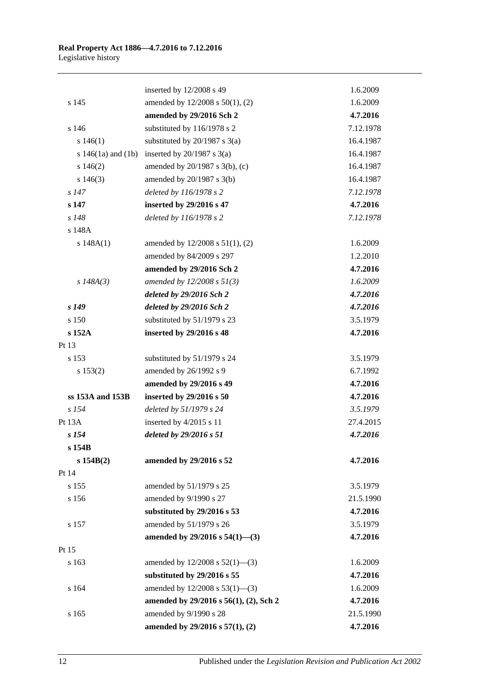|                        | inserted by 12/2008 s 49               | 1.6.2009  |
|------------------------|----------------------------------------|-----------|
| s 145                  | amended by 12/2008 s 50(1), (2)        | 1.6.2009  |
|                        | amended by 29/2016 Sch 2               | 4.7.2016  |
| s 146                  | substituted by 116/1978 s 2            | 7.12.1978 |
| s 146(1)               | substituted by $20/1987$ s $3(a)$      | 16.4.1987 |
| s $146(1a)$ and $(1b)$ | inserted by $20/1987$ s $3(a)$         | 16.4.1987 |
| s 146(2)               | amended by 20/1987 s 3(b), (c)         | 16.4.1987 |
| $s\ 146(3)$            | amended by $20/1987$ s $3(b)$          | 16.4.1987 |
| $s$ 147                | deleted by 116/1978 s 2                | 7.12.1978 |
| s 147                  | inserted by 29/2016 s 47               | 4.7.2016  |
| s 148                  | deleted by 116/1978 s 2                | 7.12.1978 |
| s 148A                 |                                        |           |
| s 148A(1)              | amended by 12/2008 s 51(1), (2)        | 1.6.2009  |
|                        | amended by 84/2009 s 297               | 1.2.2010  |
|                        | amended by 29/2016 Sch 2               | 4.7.2016  |
| s $148A(3)$            | amended by $12/2008 s 51(3)$           | 1.6.2009  |
|                        | deleted by 29/2016 Sch 2               | 4.7.2016  |
| s <sub>149</sub>       | deleted by 29/2016 Sch 2               | 4.7.2016  |
| s 150                  | substituted by 51/1979 s 23            | 3.5.1979  |
| s 152A                 | inserted by 29/2016 s 48               | 4.7.2016  |
| Pt 13                  |                                        |           |
| s 153                  | substituted by 51/1979 s 24            | 3.5.1979  |
| s 153(2)               | amended by 26/1992 s 9                 | 6.7.1992  |
|                        | amended by 29/2016 s 49                | 4.7.2016  |
| ss 153A and 153B       | inserted by 29/2016 s 50               | 4.7.2016  |
| $s$ 154                | deleted by 51/1979 s 24                | 3.5.1979  |
| Pt 13A                 | inserted by 4/2015 s 11                | 27.4.2015 |
| s <sub>154</sub>       | deleted by 29/2016 s 51                | 4.7.2016  |
| s 154B                 |                                        |           |
| s 154B(2)              | amended by 29/2016 s 52                | 4.7.2016  |
| Pt 14                  |                                        |           |
| s 155                  | amended by 51/1979 s 25                | 3.5.1979  |
| s 156                  | amended by 9/1990 s 27                 | 21.5.1990 |
|                        | substituted by 29/2016 s 53            | 4.7.2016  |
| s 157                  | amended by 51/1979 s 26                | 3.5.1979  |
|                        | amended by $29/2016$ s $54(1)$ —(3)    | 4.7.2016  |
| Pt 15                  |                                        |           |
| s 163                  | amended by $12/2008$ s $52(1)$ —(3)    | 1.6.2009  |
|                        | substituted by 29/2016 s 55            | 4.7.2016  |
| s 164                  | amended by 12/2008 s 53(1)-(3)         | 1.6.2009  |
|                        | amended by 29/2016 s 56(1), (2), Sch 2 | 4.7.2016  |
| s 165                  | amended by 9/1990 s 28                 | 21.5.1990 |
|                        | amended by 29/2016 s 57(1), (2)        | 4.7.2016  |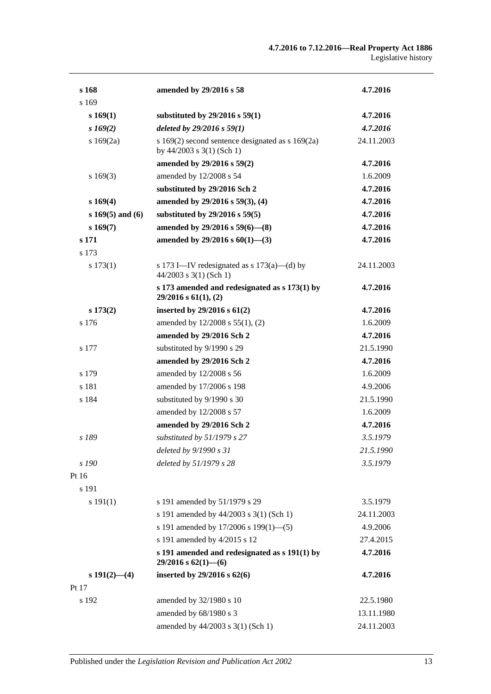| s 168                | amended by 29/2016 s 58                                                             | 4.7.2016   |
|----------------------|-------------------------------------------------------------------------------------|------------|
| s 169                |                                                                                     |            |
| s 169(1)             | substituted by $29/2016$ s $59(1)$                                                  | 4.7.2016   |
| $s\,169(2)$          | deleted by $29/2016 s 59(1)$                                                        | 4.7.2016   |
| s $169(2a)$          | s 169(2) second sentence designated as $s$ 169(2a)<br>by $44/2003$ s $3(1)$ (Sch 1) | 24.11.2003 |
|                      | amended by 29/2016 s 59(2)                                                          | 4.7.2016   |
| s169(3)              | amended by 12/2008 s 54                                                             | 1.6.2009   |
|                      | substituted by 29/2016 Sch 2                                                        | 4.7.2016   |
| s169(4)              | amended by 29/2016 s 59(3), (4)                                                     | 4.7.2016   |
| s $169(5)$ and $(6)$ | substituted by $29/2016$ s $59(5)$                                                  | 4.7.2016   |
| s169(7)              | amended by $29/2016$ s $59(6)$ — $(8)$                                              | 4.7.2016   |
| s 171                | amended by $29/2016$ s $60(1)$ —(3)                                                 | 4.7.2016   |
| s 173                |                                                                                     |            |
| s 173(1)             | s 173 I—IV redesignated as s $173(a)$ —(d) by<br>$44/2003$ s 3(1) (Sch 1)           | 24.11.2003 |
|                      | s 173 amended and redesignated as s 173(1) by<br>$29/2016$ s $61(1)$ , (2)          | 4.7.2016   |
| $s\,173(2)$          | inserted by $29/2016$ s $61(2)$                                                     | 4.7.2016   |
| s 176                | amended by 12/2008 s 55(1), (2)                                                     | 1.6.2009   |
|                      | amended by 29/2016 Sch 2                                                            | 4.7.2016   |
| s 177                | substituted by 9/1990 s 29                                                          | 21.5.1990  |
|                      | amended by 29/2016 Sch 2                                                            | 4.7.2016   |
| s 179                | amended by 12/2008 s 56                                                             | 1.6.2009   |
| s 181                | amended by 17/2006 s 198                                                            | 4.9.2006   |
| s 184                | substituted by 9/1990 s 30                                                          | 21.5.1990  |
|                      | amended by 12/2008 s 57                                                             | 1.6.2009   |
|                      | amended by 29/2016 Sch 2                                                            | 4.7.2016   |
| s 189                | substituted by 51/1979 s 27                                                         | 3.5.1979   |
|                      | deleted by 9/1990 s 31                                                              | 21.5.1990  |
| s 190                | deleted by 51/1979 s 28                                                             | 3.5.1979   |
| Pt 16                |                                                                                     |            |
| s 191                |                                                                                     |            |
| s 191(1)             | s 191 amended by 51/1979 s 29                                                       | 3.5.1979   |
|                      | s 191 amended by 44/2003 s 3(1) (Sch 1)                                             | 24.11.2003 |
|                      | s 191 amended by 17/2006 s 199(1)-(5)                                               | 4.9.2006   |
|                      | s 191 amended by 4/2015 s 12                                                        | 27.4.2015  |
|                      | s 191 amended and redesignated as $s$ 191(1) by<br>$29/2016$ s $62(1)$ - (6)        | 4.7.2016   |
| $s 191(2) - (4)$     | inserted by 29/2016 s 62(6)                                                         | 4.7.2016   |
| Pt 17                |                                                                                     |            |
| s 192                | amended by 32/1980 s 10                                                             | 22.5.1980  |
|                      | amended by 68/1980 s 3                                                              | 13.11.1980 |
|                      | amended by 44/2003 s 3(1) (Sch 1)                                                   | 24.11.2003 |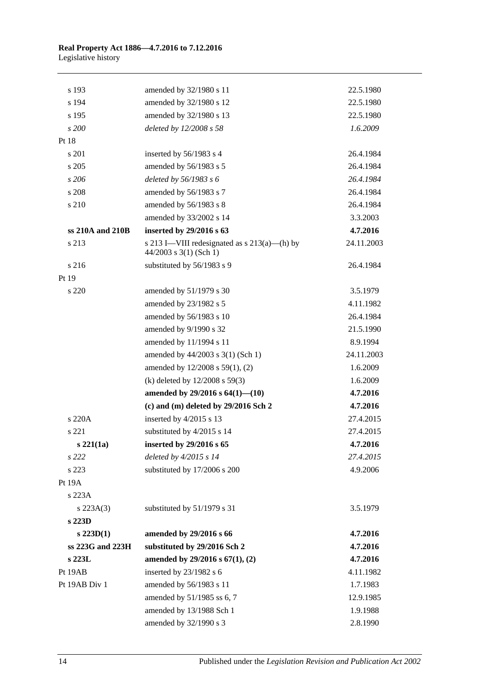| s 193            | amended by 32/1980 s 11                                                  | 22.5.1980  |
|------------------|--------------------------------------------------------------------------|------------|
| s 194            | amended by 32/1980 s 12                                                  | 22.5.1980  |
| s 195            | amended by 32/1980 s 13                                                  | 22.5.1980  |
| s 200            | deleted by 12/2008 s 58                                                  | 1.6.2009   |
| Pt 18            |                                                                          |            |
| s 201            | inserted by 56/1983 s 4                                                  | 26.4.1984  |
| s 205            | amended by 56/1983 s 5                                                   | 26.4.1984  |
| s206             | deleted by 56/1983 s 6                                                   | 26.4.1984  |
| s 208            | amended by 56/1983 s 7                                                   | 26.4.1984  |
| s 210            | amended by 56/1983 s 8                                                   | 26.4.1984  |
|                  | amended by 33/2002 s 14                                                  | 3.3.2003   |
| ss 210A and 210B | inserted by 29/2016 s 63                                                 | 4.7.2016   |
| s 213            | s 213 I—VIII redesignated as $s$ 213(a)—(h) by<br>44/2003 s 3(1) (Sch 1) | 24.11.2003 |
| s 216            | substituted by 56/1983 s 9                                               | 26.4.1984  |
| Pt 19            |                                                                          |            |
| s 220            | amended by 51/1979 s 30                                                  | 3.5.1979   |
|                  | amended by 23/1982 s 5                                                   | 4.11.1982  |
|                  | amended by 56/1983 s 10                                                  | 26.4.1984  |
|                  | amended by 9/1990 s 32                                                   | 21.5.1990  |
|                  | amended by 11/1994 s 11                                                  | 8.9.1994   |
|                  | amended by 44/2003 s 3(1) (Sch 1)                                        | 24.11.2003 |
|                  | amended by 12/2008 s 59(1), (2)                                          | 1.6.2009   |
|                  | (k) deleted by $12/2008$ s $59(3)$                                       | 1.6.2009   |
|                  | amended by $29/2016$ s $64(1)$ — $(10)$                                  | 4.7.2016   |
|                  | $(c)$ and $(m)$ deleted by 29/2016 Sch 2                                 | 4.7.2016   |
| s 220A           | inserted by $4/2015$ s 13                                                | 27.4.2015  |
| s 221            | substituted by 4/2015 s 14                                               | 27.4.2015  |
| $s\,221(1a)$     | inserted by 29/2016 s 65                                                 | 4.7.2016   |
| s 222            | deleted by $4/2015 s 14$                                                 | 27.4.2015  |
| s 223            | substituted by 17/2006 s 200                                             | 4.9.2006   |
| Pt 19A           |                                                                          |            |
| s 223A           |                                                                          |            |
| $s$ 223A(3)      | substituted by 51/1979 s 31                                              | 3.5.1979   |
| $s$ 223D         |                                                                          |            |
| $s$ 223D(1)      | amended by 29/2016 s 66                                                  | 4.7.2016   |
| ss 223G and 223H | substituted by 29/2016 Sch 2                                             | 4.7.2016   |
| s 223L           | amended by $29/2016$ s $67(1)$ , (2)                                     | 4.7.2016   |
| Pt 19AB          | inserted by 23/1982 s 6                                                  | 4.11.1982  |
| Pt 19AB Div 1    | amended by 56/1983 s 11                                                  | 1.7.1983   |
|                  | amended by 51/1985 ss 6, 7                                               | 12.9.1985  |
|                  | amended by 13/1988 Sch 1                                                 | 1.9.1988   |
|                  | amended by 32/1990 s 3                                                   | 2.8.1990   |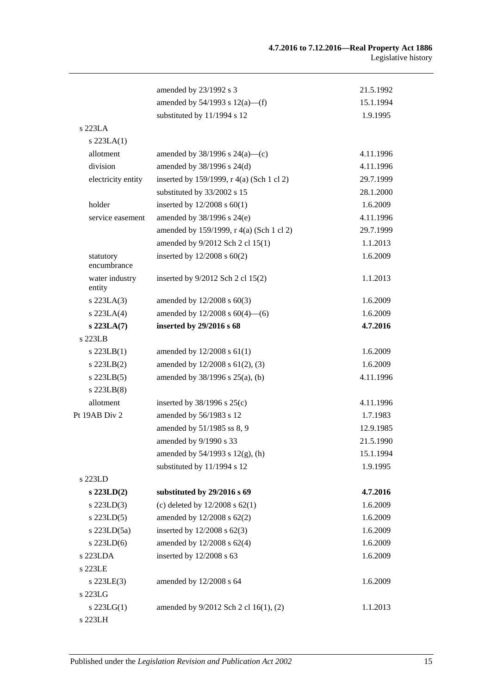|                          | amended by 23/1992 s 3                    | 21.5.1992 |
|--------------------------|-------------------------------------------|-----------|
|                          | amended by $54/1993$ s $12(a)$ —(f)       | 15.1.1994 |
|                          | substituted by 11/1994 s 12               | 1.9.1995  |
| s 223LA                  |                                           |           |
| $s$ 223LA $(1)$          |                                           |           |
| allotment                | amended by $38/1996$ s $24(a)$ —(c)       | 4.11.1996 |
| division                 | amended by 38/1996 s 24(d)                | 4.11.1996 |
| electricity entity       | inserted by 159/1999, r 4(a) (Sch 1 cl 2) | 29.7.1999 |
|                          | substituted by 33/2002 s 15               | 28.1.2000 |
| holder                   | inserted by $12/2008$ s $60(1)$           | 1.6.2009  |
| service easement         | amended by 38/1996 s 24(e)                | 4.11.1996 |
|                          | amended by 159/1999, r 4(a) (Sch 1 cl 2)  | 29.7.1999 |
|                          | amended by 9/2012 Sch 2 cl 15(1)          | 1.1.2013  |
| statutory<br>encumbrance | inserted by $12/2008$ s $60(2)$           | 1.6.2009  |
| water industry<br>entity | inserted by 9/2012 Sch 2 cl 15(2)         | 1.1.2013  |
| $s$ 223LA $(3)$          | amended by $12/2008$ s $60(3)$            | 1.6.2009  |
| $s$ 223LA $(4)$          | amended by $12/2008$ s $60(4)$ —(6)       | 1.6.2009  |
| s 223LA(7)               | inserted by 29/2016 s 68                  | 4.7.2016  |
| s 223LB                  |                                           |           |
| $s$ 223LB(1)             | amended by $12/2008$ s $61(1)$            | 1.6.2009  |
| $s$ 223LB $(2)$          | amended by 12/2008 s 61(2), (3)           | 1.6.2009  |
| $s$ 223LB $(5)$          | amended by $38/1996$ s $25(a)$ , (b)      | 4.11.1996 |
| $s$ 223LB $(8)$          |                                           |           |
| allotment                | inserted by $38/1996$ s $25(c)$           | 4.11.1996 |
| Pt 19AB Div 2            | amended by 56/1983 s 12                   | 1.7.1983  |
|                          | amended by 51/1985 ss 8, 9                | 12.9.1985 |
|                          | amended by 9/1990 s 33                    | 21.5.1990 |
|                          | amended by 54/1993 s 12(g), (h)           | 15.1.1994 |
|                          | substituted by 11/1994 s 12               | 1.9.1995  |
| s 223LD                  |                                           |           |
| $s$ 223LD $(2)$          | substituted by 29/2016 s 69               | 4.7.2016  |
| $s$ 223LD $(3)$          | (c) deleted by $12/2008$ s $62(1)$        | 1.6.2009  |
| $s$ 223LD $(5)$          | amended by 12/2008 s 62(2)                | 1.6.2009  |
| s 223LD(5a)              | inserted by $12/2008$ s $62(3)$           | 1.6.2009  |
| $s$ 223LD $(6)$          | amended by 12/2008 s 62(4)                | 1.6.2009  |
| s 223LDA                 | inserted by 12/2008 s 63                  | 1.6.2009  |
| s 223LE                  |                                           |           |
| $s$ 223LE $(3)$          | amended by 12/2008 s 64                   | 1.6.2009  |
| s 223LG                  |                                           |           |
| $s$ 223LG(1)             | amended by 9/2012 Sch 2 cl 16(1), (2)     | 1.1.2013  |
| s 223LH                  |                                           |           |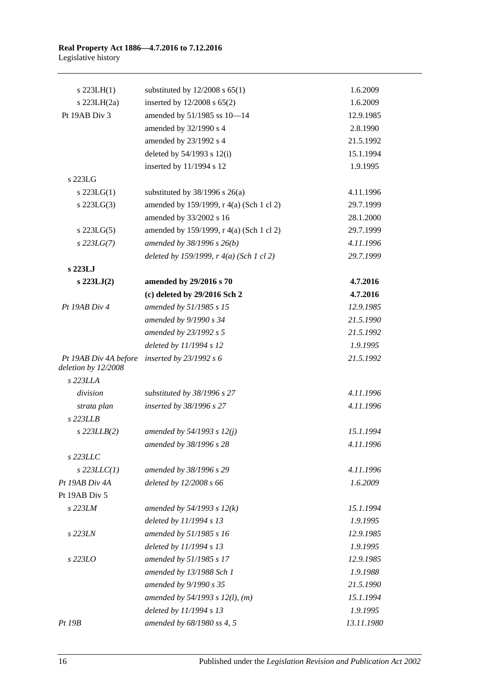## **Real Property Act 1886—4.7.2016 to 7.12.2016**

Legislative history

| $s$ 223LH(1)                                 | substituted by $12/2008$ s $65(1)$       | 1.6.2009   |
|----------------------------------------------|------------------------------------------|------------|
| s $223LH(2a)$                                | inserted by 12/2008 s 65(2)              | 1.6.2009   |
| Pt 19AB Div 3                                | amended by 51/1985 ss 10-14              | 12.9.1985  |
|                                              | amended by 32/1990 s 4                   | 2.8.1990   |
|                                              | amended by 23/1992 s 4                   | 21.5.1992  |
|                                              | deleted by $54/1993$ s $12(i)$           | 15.1.1994  |
|                                              | inserted by 11/1994 s 12                 | 1.9.1995   |
| s 223LG                                      |                                          |            |
| $s$ 223LG(1)                                 | substituted by $38/1996$ s $26(a)$       | 4.11.1996  |
| $s$ 223LG $(3)$                              | amended by 159/1999, r 4(a) (Sch 1 cl 2) | 29.7.1999  |
|                                              | amended by 33/2002 s 16                  | 28.1.2000  |
| $s$ 223LG(5)                                 | amended by 159/1999, r 4(a) (Sch 1 cl 2) | 29.7.1999  |
| $s$ 223LG(7)                                 | amended by $38/1996 s 26(b)$             | 4.11.1996  |
|                                              | deleted by 159/1999, r 4(a) (Sch 1 cl 2) | 29.7.1999  |
| s 223LJ                                      |                                          |            |
| $s$ 223LJ $(2)$                              | amended by 29/2016 s 70                  | 4.7.2016   |
|                                              | (c) deleted by 29/2016 Sch 2             | 4.7.2016   |
| Pt 19AB Div 4                                | amended by 51/1985 s 15                  | 12.9.1985  |
|                                              | amended by 9/1990 s 34                   | 21.5.1990  |
|                                              | amended by 23/1992 s 5                   | 21.5.1992  |
|                                              | deleted by 11/1994 s 12                  | 1.9.1995   |
| Pt 19AB Div 4A before<br>deletion by 12/2008 | inserted by $23/1992 s 6$                | 21.5.1992  |
| s 223LLA                                     |                                          |            |
| division                                     | substituted by 38/1996 s 27              | 4.11.1996  |
| strata plan                                  | inserted by 38/1996 s 27                 | 4.11.1996  |
| $s$ 223LLB                                   |                                          |            |
| $s$ 223LLB $(2)$                             | amended by 54/1993 s 12(j)               | 15.1.1994  |
|                                              | amended by 38/1996 s 28                  | 4.11.1996  |
| s 223LLC                                     |                                          |            |
| $s$ 223LLC(1)                                | amended by 38/1996 s 29                  | 4.11.1996  |
| Pt 19AB Div 4A                               | deleted by 12/2008 s 66                  | 1.6.2009   |
| Pt 19AB Div 5                                |                                          |            |
| s 223LM                                      | amended by $54/1993 s 12(k)$             | 15.1.1994  |
|                                              | deleted by 11/1994 s 13                  | 1.9.1995   |
| s 223LN                                      | amended by 51/1985 s 16                  | 12.9.1985  |
|                                              | deleted by 11/1994 s 13                  | 1.9.1995   |
| s 223LO                                      | amended by 51/1985 s 17                  | 12.9.1985  |
|                                              | amended by 13/1988 Sch 1                 | 1.9.1988   |
|                                              | amended by 9/1990 s 35                   | 21.5.1990  |
|                                              | amended by $54/1993$ s $12(l)$ , (m)     | 15.1.1994  |
|                                              | deleted by 11/1994 s 13                  | 1.9.1995   |
| Pt 19B                                       | amended by 68/1980 ss 4, 5               | 13.11.1980 |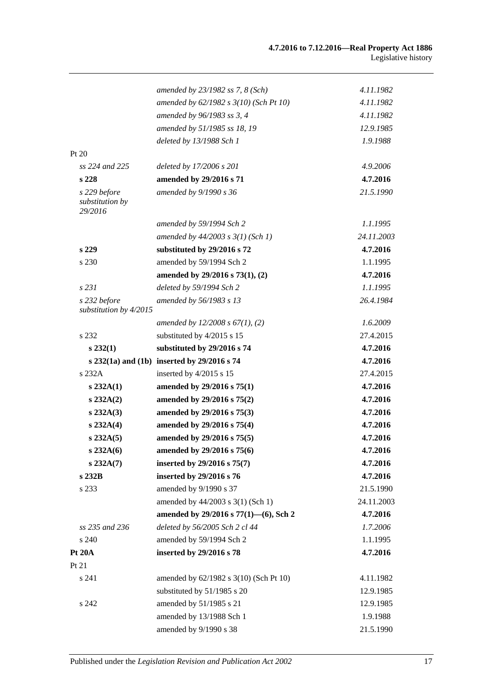|                                            | amended by 23/1982 ss 7, 8 (Sch)            | 4.11.1982  |
|--------------------------------------------|---------------------------------------------|------------|
|                                            | amended by 62/1982 s 3(10) (Sch Pt 10)      | 4.11.1982  |
|                                            | amended by 96/1983 ss 3, 4                  | 4.11.1982  |
|                                            | amended by 51/1985 ss 18, 19                | 12.9.1985  |
|                                            | deleted by 13/1988 Sch 1                    | 1.9.1988   |
| Pt $20$                                    |                                             |            |
| ss 224 and 225                             | deleted by 17/2006 s 201                    | 4.9.2006   |
| s <sub>228</sub>                           | amended by 29/2016 s 71                     | 4.7.2016   |
| s 229 before<br>substitution by<br>29/2016 | amended by 9/1990 s 36                      | 21.5.1990  |
|                                            | amended by 59/1994 Sch 2                    | 1.1.1995   |
|                                            | amended by $44/2003$ s $3(1)$ (Sch 1)       | 24.11.2003 |
| s 229                                      | substituted by 29/2016 s 72                 | 4.7.2016   |
| s 230                                      | amended by 59/1994 Sch 2                    | 1.1.1995   |
|                                            | amended by 29/2016 s 73(1), (2)             | 4.7.2016   |
| s231                                       | deleted by 59/1994 Sch 2                    | 1.1.1995   |
| s 232 before<br>substitution by 4/2015     | amended by 56/1983 s 13                     | 26.4.1984  |
|                                            | amended by $12/2008 s 67(1)$ , (2)          | 1.6.2009   |
| s 232                                      | substituted by 4/2015 s 15                  | 27.4.2015  |
| $s\,232(1)$                                | substituted by 29/2016 s 74                 | 4.7.2016   |
|                                            | s 232(1a) and (1b) inserted by 29/2016 s 74 | 4.7.2016   |
| s 232A                                     | inserted by 4/2015 s 15                     | 27.4.2015  |
| s 232A(1)                                  | amended by 29/2016 s 75(1)                  | 4.7.2016   |
| s 232A(2)                                  | amended by 29/2016 s 75(2)                  | 4.7.2016   |
| $s\,232A(3)$                               | amended by 29/2016 s 75(3)                  | 4.7.2016   |
| s 232A(4)                                  | amended by 29/2016 s 75(4)                  | 4.7.2016   |
| $s\,232A(5)$                               | amended by 29/2016 s 75(5)                  | 4.7.2016   |
| s 232A(6)                                  | amended by 29/2016 s 75(6)                  | 4.7.2016   |
| $s\,232A(7)$                               | inserted by 29/2016 s 75(7)                 | 4.7.2016   |
| s 232B                                     | inserted by 29/2016 s 76                    | 4.7.2016   |
| s 233                                      | amended by 9/1990 s 37                      | 21.5.1990  |
|                                            | amended by 44/2003 s 3(1) (Sch 1)           | 24.11.2003 |
|                                            | amended by 29/2016 s 77(1)-(6), Sch 2       | 4.7.2016   |
| ss 235 and 236                             | deleted by 56/2005 Sch 2 cl 44              | 1.7.2006   |
| s 240                                      | amended by 59/1994 Sch 2                    | 1.1.1995   |
| <b>Pt 20A</b>                              | inserted by 29/2016 s 78                    | 4.7.2016   |
| Pt 21                                      |                                             |            |
| s 241                                      | amended by 62/1982 s 3(10) (Sch Pt 10)      | 4.11.1982  |
|                                            | substituted by 51/1985 s 20                 | 12.9.1985  |
| s 242                                      | amended by 51/1985 s 21                     | 12.9.1985  |
|                                            | amended by 13/1988 Sch 1                    | 1.9.1988   |
|                                            | amended by 9/1990 s 38                      | 21.5.1990  |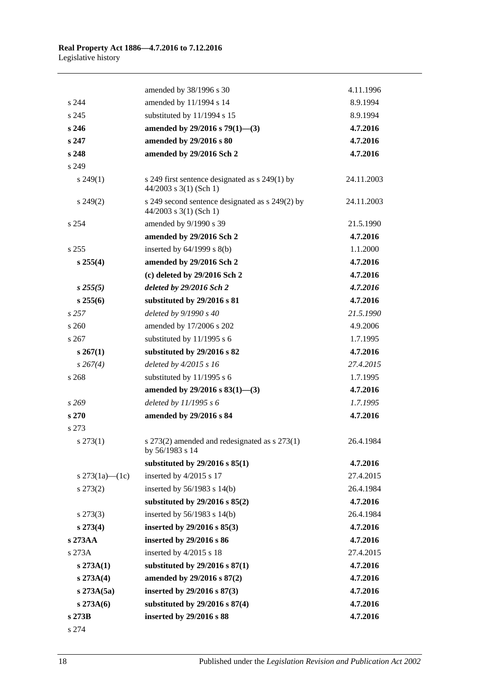|                    | amended by 38/1996 s 30                                                     | 4.11.1996  |
|--------------------|-----------------------------------------------------------------------------|------------|
| s 244              | amended by 11/1994 s 14                                                     | 8.9.1994   |
| s 245              | substituted by 11/1994 s 15                                                 | 8.9.1994   |
| s 246              | amended by $29/2016$ s $79(1)$ —(3)                                         | 4.7.2016   |
| s 247              | amended by 29/2016 s 80                                                     | 4.7.2016   |
| s 248              | amended by 29/2016 Sch 2                                                    | 4.7.2016   |
| s 249              |                                                                             |            |
| $s\,249(1)$        | s 249 first sentence designated as s 249(1) by<br>$44/2003$ s 3(1) (Sch 1)  | 24.11.2003 |
| $s\,249(2)$        | s 249 second sentence designated as s 249(2) by<br>$44/2003$ s 3(1) (Sch 1) | 24.11.2003 |
| s 254              | amended by 9/1990 s 39                                                      | 21.5.1990  |
|                    | amended by 29/2016 Sch 2                                                    | 4.7.2016   |
| s 255              | inserted by $64/1999$ s $8(b)$                                              | 1.1.2000   |
| $s \, 255(4)$      | amended by 29/2016 Sch 2                                                    | 4.7.2016   |
|                    | (c) deleted by 29/2016 Sch 2                                                | 4.7.2016   |
| $s\,255(5)$        | deleted by 29/2016 Sch 2                                                    | 4.7.2016   |
| $s\,255(6)$        | substituted by 29/2016 s 81                                                 | 4.7.2016   |
| s257               | deleted by 9/1990 s 40                                                      | 21.5.1990  |
| s 260              | amended by 17/2006 s 202                                                    | 4.9.2006   |
| s 267              | substituted by 11/1995 s 6                                                  | 1.7.1995   |
| $s \, 267(1)$      | substituted by 29/2016 s 82                                                 | 4.7.2016   |
| $s \, 267(4)$      | deleted by 4/2015 s 16                                                      | 27.4.2015  |
| s 268              | substituted by 11/1995 s 6                                                  | 1.7.1995   |
|                    | amended by $29/2016$ s $83(1)$ —(3)                                         | 4.7.2016   |
| s269               | deleted by $11/1995 s 6$                                                    | 1.7.1995   |
| s 270              | amended by 29/2016 s 84                                                     | 4.7.2016   |
| s 273              |                                                                             |            |
| $s\,273(1)$        | s 273(2) amended and redesignated as s 273(1)<br>by 56/1983 s 14            | 26.4.1984  |
|                    | substituted by $29/2016$ s $85(1)$                                          | 4.7.2016   |
| s $273(1a) - (1c)$ | inserted by 4/2015 s 17                                                     | 27.4.2015  |
| $s\,273(2)$        | inserted by $56/1983$ s $14(b)$                                             | 26.4.1984  |
|                    | substituted by $29/2016$ s $85(2)$                                          | 4.7.2016   |
| $s\,273(3)$        | inserted by $56/1983$ s $14(b)$                                             | 26.4.1984  |
| $s\,273(4)$        | inserted by $29/2016$ s $85(3)$                                             | 4.7.2016   |
| s 273AA            | inserted by 29/2016 s 86                                                    | 4.7.2016   |
| s 273A             | inserted by 4/2015 s 18                                                     | 27.4.2015  |
| $s\,273A(1)$       | substituted by $29/2016$ s $87(1)$                                          | 4.7.2016   |
| s 273A(4)          | amended by 29/2016 s 87(2)                                                  | 4.7.2016   |
| s 273A(5a)         | inserted by 29/2016 s 87(3)                                                 | 4.7.2016   |
| $s\,273A(6)$       | substituted by $29/2016$ s $87(4)$                                          | 4.7.2016   |
| s 273B             | inserted by 29/2016 s 88                                                    | 4.7.2016   |

s 274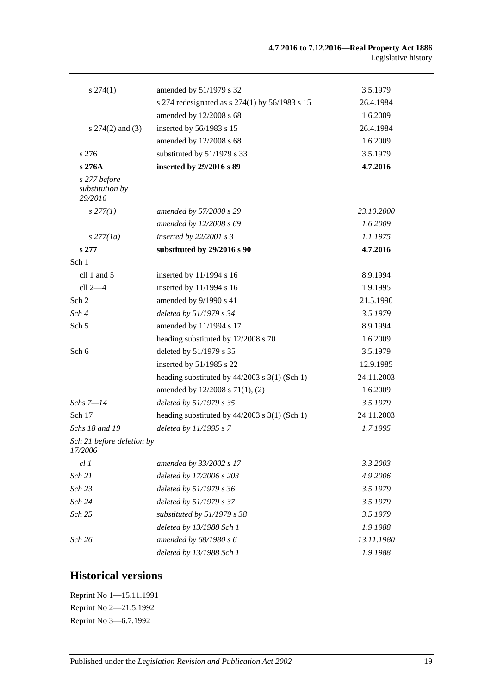| $s\,274(1)$                                | amended by 51/1979 s 32                         | 3.5.1979   |
|--------------------------------------------|-------------------------------------------------|------------|
|                                            | s 274 redesignated as s 274(1) by 56/1983 s 15  | 26.4.1984  |
|                                            | amended by 12/2008 s 68                         | 1.6.2009   |
| s $274(2)$ and $(3)$                       | inserted by 56/1983 s 15                        | 26.4.1984  |
|                                            | amended by 12/2008 s 68                         | 1.6.2009   |
| s 276                                      | substituted by 51/1979 s 33                     | 3.5.1979   |
| s 276A                                     | inserted by 29/2016 s 89                        | 4.7.2016   |
| s 277 before<br>substitution by<br>29/2016 |                                                 |            |
| $s$ 277(1)                                 | amended by 57/2000 s 29                         | 23.10.2000 |
|                                            | amended by 12/2008 s 69                         | 1.6.2009   |
| $s$ 277(1a)                                | inserted by $22/2001 s3$                        | 1.1.1975   |
| s 277                                      | substituted by 29/2016 s 90                     | 4.7.2016   |
| Sch 1                                      |                                                 |            |
| cll 1 and 5                                | inserted by 11/1994 s 16                        | 8.9.1994   |
| $cll$ 2 $-4$                               | inserted by 11/1994 s 16                        | 1.9.1995   |
| Sch 2                                      | amended by 9/1990 s 41                          | 21.5.1990  |
| Sch 4                                      | deleted by 51/1979 s 34                         | 3.5.1979   |
| Sch 5                                      | amended by 11/1994 s 17                         | 8.9.1994   |
|                                            | heading substituted by 12/2008 s 70             | 1.6.2009   |
| Sch 6                                      | deleted by 51/1979 s 35                         | 3.5.1979   |
|                                            | inserted by 51/1985 s 22                        | 12.9.1985  |
|                                            | heading substituted by $44/2003$ s 3(1) (Sch 1) | 24.11.2003 |
|                                            | amended by 12/2008 s 71(1), (2)                 | 1.6.2009   |
| Schs $7 - 14$                              | deleted by 51/1979 s 35                         | 3.5.1979   |
| Sch 17                                     | heading substituted by $44/2003$ s 3(1) (Sch 1) | 24.11.2003 |
| Schs 18 and 19                             | deleted by 11/1995 s 7                          | 1.7.1995   |
| Sch 21 before deletion by<br>17/2006       |                                                 |            |
| cl1                                        | amended by 33/2002 s 17                         | 3.3.2003   |
| Sch 21                                     | deleted by 17/2006 s 203                        | 4.9.2006   |
| Sch 23                                     | deleted by 51/1979 s 36                         | 3.5.1979   |
| Sch 24                                     | deleted by 51/1979 s 37                         | 3.5.1979   |
| Sch 25                                     | substituted by $51/1979$ s 38                   | 3.5.1979   |
|                                            | deleted by 13/1988 Sch 1                        | 1.9.1988   |
| Sch 26                                     | amended by 68/1980 s 6                          | 13.11.1980 |
|                                            | deleted by 13/1988 Sch 1                        | 1.9.1988   |

## **Historical versions**

Reprint No 1—15.11.1991 Reprint No 2—21.5.1992 Reprint No 3—6.7.1992